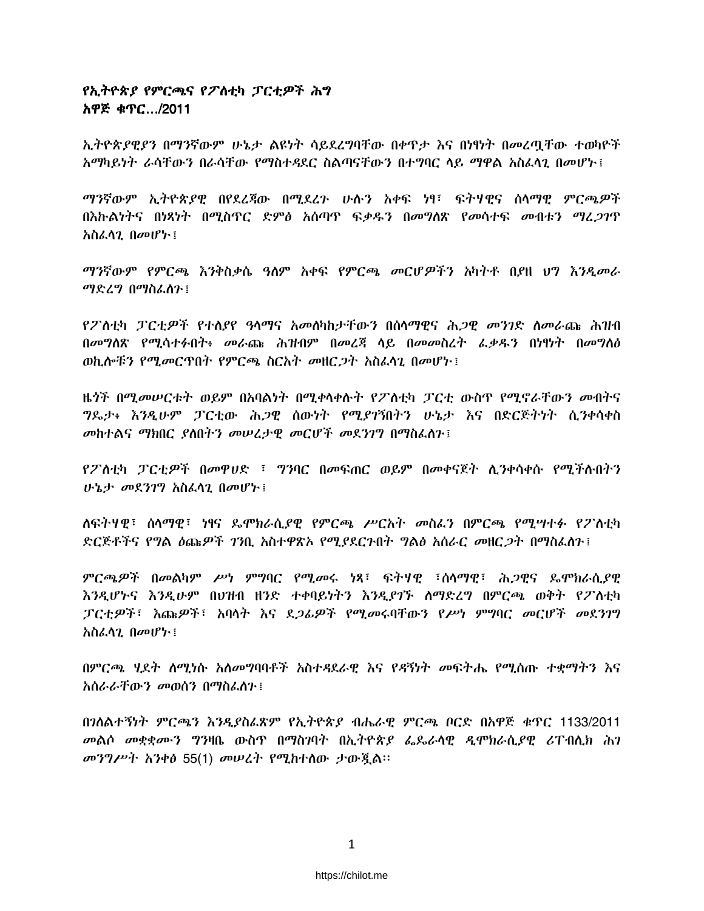### የኢትዮጵያ የምርጫና የፖለቲካ ፓርቲዎች ሕግ አዋጅ ቁጥር.../2011

ኢትዮጵያዊያን በማንኛውም ሁኔታ ልዩነት ሳይደረግባቸው በቀዋታ እና በነፃነት በመረጣቸው ተወካዮች አማካይነት ራሳቸውን በራሳቸው የማስተዳደር ስልጣናቸውን በተማባር ላይ ማዋል አስፈላጊ በመሆኑ ፤

ማንኛውም ኢትዮጵያዊ በየደፈጃው በሚደረጉ ሁሉን አቀፍ ነፃ፤ ፍትሃዊና ሰሳማዊ ምርጫዎች በእኩልነትና በነጻነት በሚስጥር ድምፅ አሰጣዋ ፍቃዱን በመግለጽ የመሳተፍ መብቱን ማረ*ጋገ*ጥ አስፌሳጊ በመሆኑ ፤

ማንኛውም የምርጫ እንቅስቃሴ ዓለም አቀፍ የምርጫ መርሆዎችን አካትቶ በያዘ ህግ እንዲመራ ማድረግ በማስፌስን ፤

የፖስቲካ ፓርቲዎች የተለያየ ዓላማና አመለካከታቸውን በሰላማዊና ሕጋዊ መንገድ ስመራጩ ሕዝብ በመግለጽ የሚሳተፉበት፥ መራጩ ሕዝብም በመረጃ ላይ በመመስረት ፌቃዱን በነፃነት በመግለፅ ወኪሎቹን የሚመርጥበት የምርጫ ስርአት መዘርጋት አስፈላጊ በመሆኑ !

ዜ*ጎች በሚመሠርቱት ወይ*ም በአባልነት በሚቀላቀሱት የፖለቲካ ፓርቲ ውስዋ የሚኖራቸውን መብትና *ግ*ዴታ፥ እንዲሁም ፓርቲው ሕ*ጋ*ዊ ሰውነት የሚ*ያገ*ኝበትን ሁኔታ እና በድርጅትነት ሲንቀሳቀስ መከተልና ማክበር ያለበትን መሠረታዊ መርሆች መደንገግ በማስፌስን ፤

የፖስቲካ ፓርቲዎች በመዋሀድ ፣ ግንባር በመፍጠር ወይም በመቀናጀት ሲንቀሳቀሱ የሚችሉበትን ሁኔታ መደንገግ አስፌሳጊ በመሆኑ ፡

ለፍትሃዊ፣ ስላማዊ፣ ነፃና ዴሞክራሲያዊ የምርጫ ሥርአት መስፈን በምርጫ የሚሣተፉ የፖለቲካ ድርጅቶችና የ**ግል ዕጩዎች ገንቢ አስተዋጽኦ የሚ**ያደርጉበት ግልፅ አሰራር *መ*ዘር*ጋት* በማስፈለጉ፤

ምርጫዎች በመልካም ሥነ ምግባር የሚመሩ ነጻ፤ ፍትሃዊ ፤ሰላማዊ፤ ሕጋዊና ጴሞክራሲያዊ እንዲሆኑና እንዲሁም በህዝብ ዘንድ ተቀባይነትን እንዲያገኙ ስማድረግ በምርጫ ወቅት የፖለቲካ ፓርቲዎች፤ እጩዎች፤ አባላት እና ደ*ጋሌዎች የሚመ*ሩባቸውን የሥነ ምግባር መርሆች መደንገግ አስፈላጊ በመሆኑ ፡

በምርጫ ሃደት ስሚነሱ አስመግባባቶች አስተዳደራዊ እና የዳኝነት መፍትሔ የሚሰጡ ተቋማትን እና አስራራቸውን መወሰን በማስፈስጉ፤

በንስልተኝነት ምርጫን እንዲያስፌጽም የኢትዮጵያ ብሔራዊ ምርጫ ቦርድ በአዋጅ ቁጥር 1133/2011 መልሶ መቋቋሙን ግንዛቤ ውስጥ በማስገባት በኢትዮጵያ ፌጼራሳዊ ዲሞክራሲያዊ ሪፐብሊክ ሕገ መንግሥት አንቀፅ 55(1) መሠረት የሚከተሰው ታውጇል።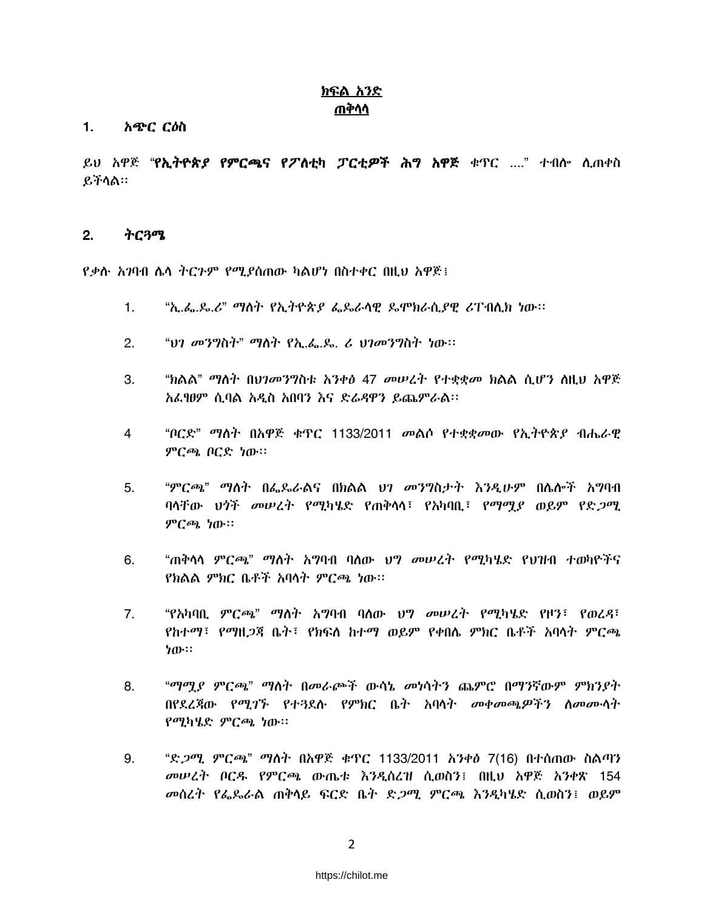### <u>ክፍል አንድ</u> ጠቅሳሳ

#### አጭር ርዕስ  $1.$

ይህ አዋጅ "**የኢትዮጵ***ያ* **የምርጫና የፖስቲካ ፓርቲ***ዎ***ች ሕግ አዋጅ** ቁጥር ...." ተብሎ ሲጠቀስ ይችሳል።

#### $2.$ ትርጓሜ

*የቃ*ሱ *አገ*ባብ ሴሳ ትርጉም የሚያሰጠው ካልሆነ በስተቀር በዚህ አዋጅ፤

- $\mathbf{1}$ . "ኢ.ፌ.ዴ.ሪ" ማሰት የኢትዮጵያ ፌዴራሳዊ ዴሞክራሲያዊ ሪፐብሲክ ነው፡፡
- "ህገ መንግስት" ማስት የኢ.ፌ.ዴ. *ሪ ህገመንግ*ስት *ነ*ው።  $2.$
- "ክልል" ማለት በህገመንግስቱ አንቀፅ 47 መሠረት የተቋቋመ ክልል ሲሆን ስዚህ አዋጅ  $3<sub>1</sub>$ አፌፃፀም ሲባል አዲስ አበባን እና ድራዳዋን ይጨምራል።
- "ቦርድ" ማስት በአዋጅ ቁጥር 1133/2011 መልሶ የተቋቋመው የኢትዮጵያ ብሔራዊ  $\overline{4}$ ምርጫ ቦርድ ነው።
- $5<sub>1</sub>$ "ምርጫ" ማስት በፌዶራልና በክልል ህገ መንግስታት እንዲሁም በሴሎች አግባብ ባላቸው ህጎች መሠረት የሚካሄድ የጠቅላሳ፣ የአካባቢ፣ የማሟያ ወይም የድ*ጋ*ሚ ምርጫ ነው።
- "ጠቅሳሳ ምርጫ" ማስት አማባብ ባለው ህግ መሠረት የሚካሄድ የህዝብ ተወካዮችና 6. የክልል ምክር ቤቶች አባላት ምርጫ ነው።
- $7.$ "የአካባቢ ምር*ጫ" ማ*ስት አማባብ ባለው *ህግ መሠረት የሚካሄ*ድ የዞን፣ የወረ*ዳ*፣ የከተማ፣ የማዘጋጃ ቤት፣ የክፍለ ከተማ ወይም የቀበሌ ምክር ቤቶች አባላት ምርጫ ነው።
- "ማማያ ምርጫ" ማስት በመራጮች ውሳኔ መነሳትን ጨምሮ በማንኛውም ምክንያት 8. በየደረጃው የሚገኙ የተ3ደሉ የምክር ቤት አባላት መቀመጫዎችን ስመሙላት የሚካሄድ ምርጫ ነው።
- "ድ*ጋሚ ምርጫ*" ማስት በአዋጅ ቁጥር 1133/2011 አንቀፅ 7(16) በተሰጠው ስልጣን 9. መሠረት ቦርዱ የምርጫ ውጤቱ እንዳሰረዝ ሲወስን፤ በዚህ አዋጅ አንቀጽ 154 *መ*ሰረት የፌዴራል ጠቅሳይ ፍርድ ቤት ድ*ጋሚ ምርጫ እንዲ*ካሄድ ሲወስን፤ ወይም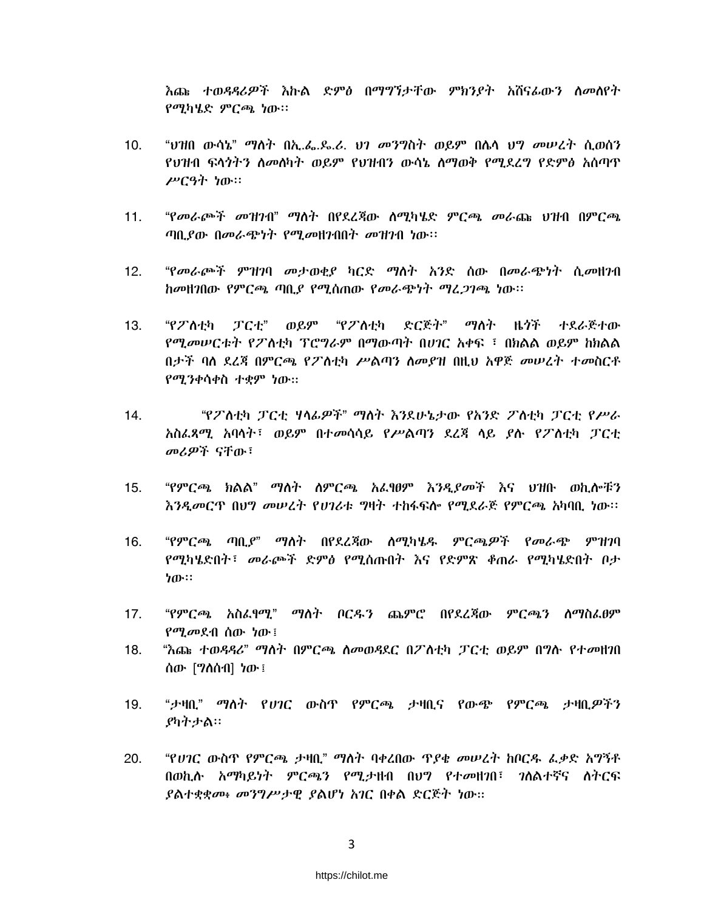እጩ ተወዳዳሪዎች እኩል ድምፅ በማግኘታቸው ምክንደት አሸናፊውን ስመሰየት የሚካሄድ ምርጫ ነው።

- $10.$ "ህዝበ ውሳኔ" ማስት በኢ.ፌ.ዶ.ሪ. ህገ መንግስት ወይም በሴሳ ህግ መሠረት ሲወሰን የህዝብ ፍላጎትን ስመሰካት ወይም የህዝብን ውሳኔ ስማወቅ የሚደረግ የድምፅ አሰጣጥ ሥርዓት ነው።
- "የመራጮች መዝንብ" ማስት በየደረጃው ሰሚካሄድ ምርጫ መራጩ ህዝብ በምርጫ  $11.$ ጣቢያው በመራጭነት የሚመዘንብበት መዝንብ ነው።
- "የመራጮች ምዝገባ መታወቂያ ካርድ ማስት አንድ ሰው በመራጭነት ሲመዘገብ  $12.$ ከመዘገበው የምርጫ ጣቢያ የሚሰጠው የመራጭነት ማፈጋገጫ ነው።
- *"የፖ* ስተክ *ፓርተ" ወይም "የፖ* ስተክ ድርጅት" ማለት ዜ*ጎ*ች ተደራጅተው  $13<sub>1</sub>$ የሚመሠርቱት የፖለቲካ ፕሮግራም በማውጣት በሀገር አቀፍ ፣ በክልል ወይም ከክልል በታች ባስ ደረጃ በምርጫ የፖስቲካ ሥልጣን ስመያዝ በዚህ አዋጅ መሠረት ተመስርቶ የሚንቀሳቀስ ተቋም ነው።
- "የፖስቲካ ፓርቲ ሃላፊዎች" ማስት እንደሁኔታው የአንድ ፖስቲካ ፓርቲ የሥራ 14. አስፈጻሚ አባሳት፣ ወይም በተመሳሳይ የሥልጣን ደረጃ ሳይ ያሉ የፖለቲካ ፓርቲ መሪዎች ናቸው፣
- $15.$ "የምርጫ ክልል" ማለት ለምርጫ አፌፃፀም እንዲያመች እና ህዝቡ ወኪሎቹን እንዲመርጥ በሀግ መሠረት የሀገሪቱ ግዛት ተከፋፍሎ የሚደራጅ የምርጫ አካባቢ ነው።
- "የምርጫ ጣቢያ" ማስት በየደረጃው ስማካሄዱ ምርጫዎች የመራጭ ምዝንባ  $16.$ የሚካሄድበት፣ መራጮች ድምፅ የሚሰጡበት እና የድምጽ ቆጠራ የሚካሄድበት ቦታ ነው።
- $17.$ "የምርጫ አስፈፃሚ" ማስት ቦርዱን ጨምሮ በየደረጃው ምርጫን ስማስፈፀም የሚመደብ ሰው ነው ፤
- "እጩ ተወዳዳሪ" ማስት በምርጫ ስመወዳደር በፖስቲካ ፓርቲ ወይም በግሱ የተመዘገበ  $18.$ ሰው [ግስሰብ] ነው ፤
- "ታዛቢ" ማለት የ*ህገ*ር ውስጥ የምርጫ ታዛቢና የውጭ የምርጫ ታዛቢ*ዎችን* 19. ያካትታል።
- 20. "የ*ሀገ*ር ውስጥ የምርጫ ታዛቢ" ማስት ባቀረበው ጥያቄ መሠረት ከቦርዱ ፌቃድ አግኝቶ በወኪሉ አማካይነት ምርጫን የሚታዘብ በህግ የተመዘንበ፤ ንለልተኛና ለትርፍ ያልተቋቋሙ፥ መንግሥታዊ ያልሆነ አገር በቀል ድርጅት ነው።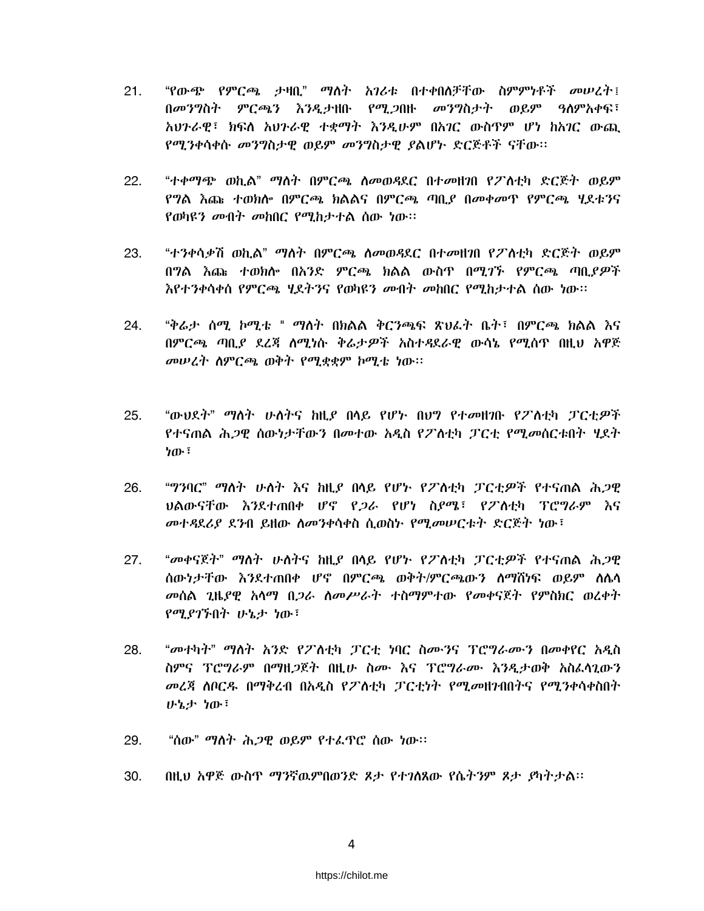- "የውጭ የምርጫ ታዛቢ" ማለት አገሪቱ በተቀበለቻቸው ስምምነቶች *መሠ*ረት፤  $21.$ በመንግስት ምርጫን እንዲታዘቡ የሚጋበዙ *መንግ*ስታት ወይም ዓስምአቀፍ፣ አህንራዊ፤ ክፍለ አህንራዊ ተቋማት እንዲሁም በአገር ውስጥም ሆነ ከአገር ውጪ የሚንቀሳቀሱ መንግስታዊ ወይም መንግስታዊ ያልሆኑ ድርጅቶች ናቸው።
- "ተቀማጭ ወኪል" ማለት በምርጫ ለመወዳደር በተመዘገበ የፖለቲካ ድርጅት ወይም  $22.$ የግል እጩ ተወክሎ በምርጫ ክልልና በምርጫ ጣቢያ በመቀመዋ የምርጫ ሂደቱንና የወካዩን መብት መከበር የሚከታተል ሰው ነው።
- 23. "ተንቀሳቃሽ ወኪል" ማስት በምርጫ ስመወዳደር በተመዘንበ የፖስቲካ ድርጅት ወይም በግል እጩ ተወክሎ በአንድ ምርጫ ክልል ውስጥ በሚገኙ የምርጫ ጣቢያዎች <u>እየተንቀሳቀሰ የምርጫ ሂደትንና የወካዩን መብት መከበር የሚከታተል ሰው ነው፡፡</u>
- "ቅሬታ ሰማ ከማቴ " ማለት በክልል ቅርንጫፍ ጽህፈት ቤት፤ በምርጫ ክልል እና  $24$ በምርጫ ጣቢያ ደረጃ ለሚነሱ ቅሬታዎች አስተዳደራዊ ውሳኔ የሚሰጥ በዚህ አዋጅ መሠረት ስምርጫ ወቅት የሚቋቋም ኮሚቴ ነው።
- "ውህደት" ማስት ሁለትና ከዚደ በላይ የሆኑ በሀግ የተመዘገቡ የፖስቲካ ፓርቲዎች 25. የተናጠል ሕ*ጋ*ዊ ሰውነታቸውን በመተው አዲስ የፖለቲካ ፓርቲ የሚመሰርቱበት ሂደት ነው ፡
- 26. "ግንባር" ማስት ሁስት እና ከዚያ በላይ የሆኑ የፖስቲካ ፓርቲዎች የተናጠል ሕ*ጋ*ዊ ህልውናቸው እንደተጠበቀ ሆኖ የ*ጋራ* የሆነ ስ*ያሜ*፣ የፖለቲካ ፕሮግራም እና መተዳደሪያ ደንብ ይዘው ስመንቀሳቀስ ሲወስኑ የሚመሠርቱት ድርጅት ነው፤
- 27. "መቀናጀት" ማስት ሁለትና ከዚደ በላይ የሆኑ የፖስቲካ ፓርቲዎች የተናጠል ሕጋዊ ሰውነታቸው እንደተጠበቀ ሆኖ በምርጫ ወቅተ/ምርጫውን ስማሽነፍ ወይም ስሌሳ መሰል ጊዜደዊ አሳማ በ*ጋራ ስመሥራት ተ*ስማምተው የመቀናጀት የምስክር ወረቀት የሚያገኙበት ሁኔታ ነው፣
- "መተካት" ማስት አንድ የፖስቲካ ፓርቲ ነባር ስሙንና ፕሮግራሙን በመቀየር አዲስ 28. ስምና ፕሮግራም በማዚጋጀት በዚሁ ስሙ እና ፕሮግራሙ እንዲታወቅ አስፈላጊውን መሬጃ ሰቦርዱ በማቅረብ በአዲስ የፖስቲካ ፓርቲነት የሚመዘንብበትና የሚንቀሳቀስበት ሁኔታ ነው፣
- 29. "ሰው" ማስት ሕ*ጋ*ዊ ወይም የተፌዋሮ ሰው ነው።
- በዚህ አዋጅ ውስጥ ማንኛዉምበወንድ ጾታ የተገለጸው የሴትንም ጾታ ያካትታል፡፡  $30.$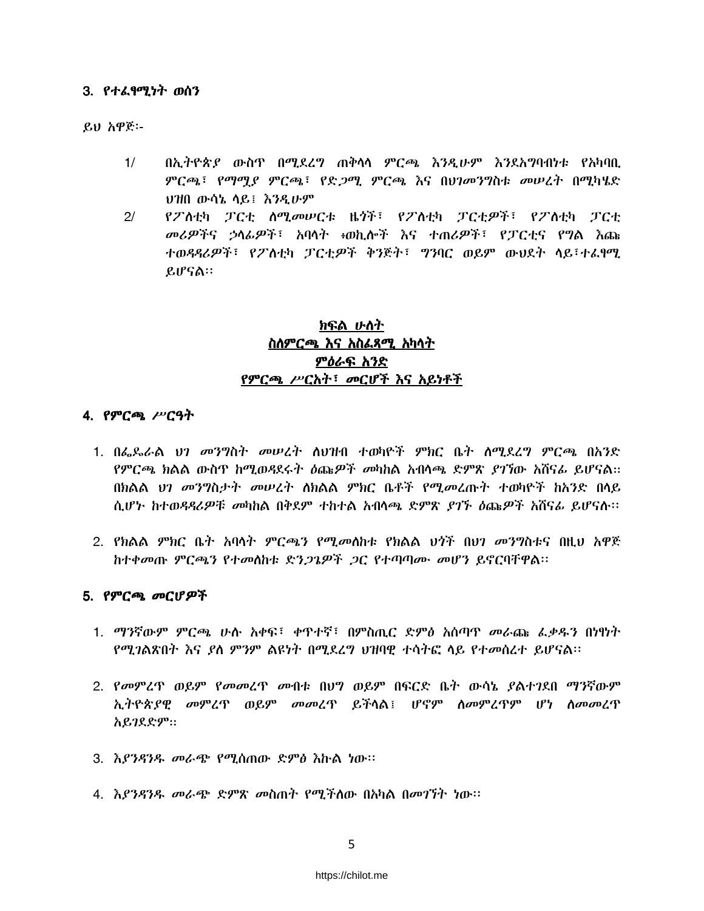### 3. የተፈፃሚነት ወሰን

ይህ አዋጅ፡-

- $1/$ በኢትዮጵያ ውስጥ በሚደረግ ጠቅሳሳ ምርጫ እንዲሁም እንደአግባብነቱ የአካባቢ ምርጫ፣ የማማያ ምርጫ፣ የድ*ጋ*ሚ ምርጫ እና በህገመንግስቱ መሠረት በሚካሄድ ህዝበ ውሳኔ ሳይ፤ እንዲሁም
- የፖለቲካ ፓርቲ ስሚመሠርቱ ዜጎች፣ የፖለቲካ ፓርቲዎች፣ የፖለቲካ ፓርቲ  $2<sup>1</sup>$ መሪዎችና ኃላፊዎች፣ አባላት ፥ወኪሎች እና ተጠሪዎች፣ የፓርቲና የግል እጩ ተወዳዳሪዎች፣ የፖስቲካ ፓርቲዎች ቅንጅት፣ ግንባር ወይም ውህደት ሳይ፣ተፈፃሚ ይሆናል።

## れいみ いれれ ስለምርጫ እና አስፌጻሚ አካላት ምዕራፍ አንድ የምርጫ ሥርአት፣ መርሆች እና አይነቶች

### 4. የምርጫ ሥርዓት

- 1. በፌዴራል ህገ መንግስት መሠረት ስህዝብ ተወካዮች ምክር ቤት ስሚደረግ ምርጫ በአንድ *የምርጫ ክ*ልል ውስጥ ከሚወዳደሩት *ዕ*ጩ*ዎች መ*ካከል አብላጫ ድምጽ *ያገኘ*ው አሸናራ ይሆናል። በክልል *ህገ መንግ*ስታ*ት መሠረት ለክ*ልል ምክር ቤቶች የሚ*መ*ረጡት ተወካዮች ከአንድ በላይ ሲሆኑ ከተወዳዳሪዎቹ መካከል በቅደም ተከተል አብላጫ ድምጽ ያገኙ ዕጩዎች አሸናፊ ይሆናሉ።
- 2. የክልል ምክር ቤት አባላት ምርጫን የሚመስከቱ የክልል ህጎች በህገ መንግስቱና በዚህ አዋጅ ከተቀመጡ ምርጫን የተመሰከቱ ድን*ጋጌዎች ጋ*ር የተጣጣሙ መሆን ይኖርባቸዋል።

### 5. የምርጫ መርሆዎች

- 1. ማንኛውም ምርጫ ሁሉ አቀፍ፤ ቀጥተኛ፤ በምስጢር ድምፅ አሰጣጥ መራጩ ፌቃዱን በነፃነት የሚገልጽበት እና ያለ ምንም ልዩነት በሚደረግ ህዝባዊ ተሳትፎ ላይ የተመሰረተ ይሆናል።
- 2. የመምረጥ ወይም የመመረጥ መብቱ በህግ ወይም በፍርድ ቤት ውሳኔ ያልተገደበ ማንኛውም ኢትዮጵያዊ መምረጥ ወይም መመረጥ ይችሳል፤ ሆኖም ስመምረጥም ሆነ ስመመረጥ አይገደድም።
- 3. እያንዳንዱ መራጭ የሚሰጠው ድምፅ እኩል ነው።
- 4. እያንዳንዱ መራጭ ድምጽ መስጠት የሚችለው በአካል በመገኘት ነው።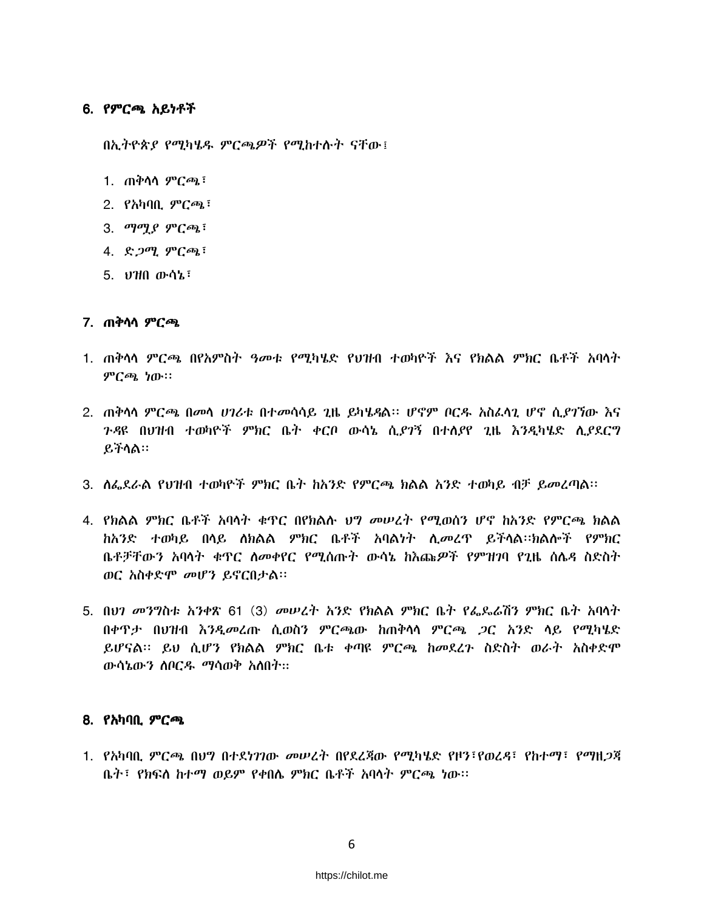### 6. የምርጫ አይነቶች

በኢትዮጵያ የሚካሄዱ ምርጫዎች የሚከተሉት ናቸው፤

- 1. ጠቅሳሳ ም*ርጫ*፣
- 2. የአካባቢ ምርጫ፣
- 3. ማማ $\rho$  ምርጫ $\overline{\cdot}$
- 4. ድጋሚ ምርጫ፣
- 5. 0710 ውሳኔ፣

### 7. ጠቅሳሳ ምርጫ

- 1. ጠቅሳሳ ምርጫ በየአምስት ዓመቱ የሚካሄድ የህዝብ ተወካዮች እና የክልል ምክር ቤቶች አባሳት ምርጫ ነው።
- 2. ጠቅሳሳ ምርጫ በመሳ ሀገሪቱ በተመሳሳይ ጊዜ ይካሄዳል፡፡ ሆኖም ቦርዱ አስፈሳጊ ሆኖ ሲያገኘው እና ን-ጻዩ በህዝብ ተወካዮች ምክር ቤት ቀርቦ ውሳኔ ሲደገኝ በተለደየ ጊዜ እንዲካሄድ ሊደደርግ ይችሳል።
- 3. ለፌደራል የህዝብ ተወካዮች ምክር ቤት ከአንድ የምርጫ ክልል አንድ ተወካይ ብቻ ይመረጣል፡፡
- 4. የክልል ምክር ቤቶች አባሳት ቁጥር በየክልሉ ህግ መሠረት የሚወሰን ሆኖ ከአንድ የምርጫ ክልል ከአንድ ተወካይ በላይ ለክልል ምክር ቤቶች አባልነት ሊመረጥ ይችላል።ክልሎች የምክር ቤቶቻቸውን አባሳት ቁዋር ስመቀየር የሚሰጡት ውሳኔ ከእጩዎች የምዝንባ የጊዜ ሰሴዳ ስድስት ወር አስቀድሞ መሆን ይኖርበታል፡፡
- 5. በህገ መንግስቱ አንቀጽ 61 (3) መሠረት አንድ የክልል ምክር ቤት የፌዴራሽን ምክር ቤት አባላት በቀዋታ በህዝብ እንዲመረጡ ሲወስን ምርጫው ከጠቅሳሳ ምርጫ *ጋ*ር አንድ ሳይ የሚካሄድ ይሆናል፡፡ ይህ ሲሆን የክልል ምክር ቤቱ ቀጣዩ ምርጫ ከመደረጉ ስድስት ወራት አስቀድሞ ውሳኔውን ሰቦርዱ ማሳወቅ አስበት፡፡

### 8. የአካባቢ ምርጫ

1. የአካባቢ ምርጫ በህግ በተደነገገው መሠረት በየደረጃው የማካሄድ የዞን፣የወረዳ፣ የከተማ፣ የማዘጋጃ ቤት፣ የክፍለ ከተማ ወይም የቀበሌ ምክር ቤቶች አባላት ምርጫ ነው።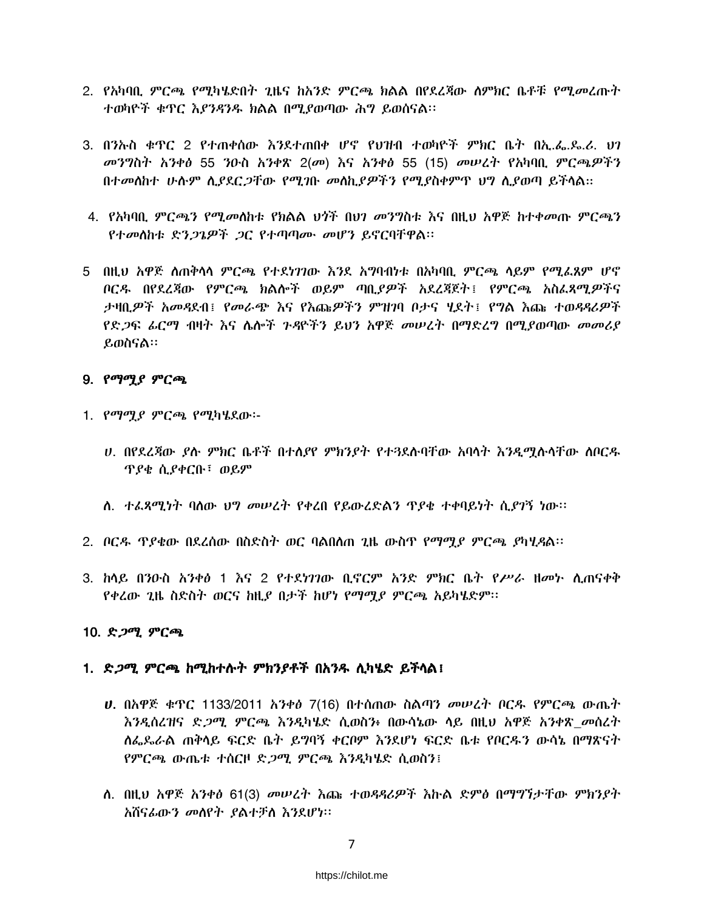- 2. የአካባቢ ምርጫ የሚካሄድበት ጊዜና ከአንድ ምርጫ ክልል በየደረጃው ስምክር ቤቶቹ የሚ*መ*ፈጡት ተወካዮች ቁጥር እያንዳንዱ ክልል በሚያወጣው ሕግ ይወሰናል፡፡
- 3. በንኡስ ቁዋር 2 የተጠቀሰው እንደተጠበቀ ሆኖ የህዝብ ተወካዮች ምክር ቤት በኢ.ፌ.ጴ.ሪ. ህገ መንግስት አንቀፅ 55 ንዑስ አንቀጽ 2(መ) እና አንቀፅ 55 (15) መሠረት የአካባቢ ምርጫዎችን በተመስከተ ሁሱም ሲያደር*ጋ*ቸው የሚገቡ መስኪያ*ዎችን* የሚያስቀምጥ ህግ ሲያወጣ ይችላል።
- 4. የአካባቢ ምርጫን የሚመለከቱ የክልል ህንች በህገ መንግስቱ እና በዚህ አዋጅ ከተቀመጡ ምርጫን የተመሰከቱ ድን*ጋጌዎች ጋ*ር የተጣጣሙ መሆን ይኖርባቸዋል።
- 5 በዚህ አዋጅ ለጠቅሳሳ ምርጫ የተደነገገው እንደ አማባብነቱ በአካባቢ ምርጫ ሳይም የሚፌጸም ሆኖ ቦርዱ በየደረጃው የምርጫ ክልሎች ወይም ጣቢያዎች አደረጃጀት፤ የምርጫ አስፌጻሚዎችና ታዛቢዎች አመዳደብ፤ የመራጭ እና የእጩዎችን ምዝገባ ቦታና ሂደት፤ የግል እጩ ተወዳዳሪዎች *የድጋፍ ፊርማ ብዛት እና ሌሎች ጉዳ*ዮችን ይህን አዋጅ መሠረት በማድረግ በሚያወጣው *መመሪያ* ይወስናል።

### 9. የማሟያ ምርጫ

- 1. የማማያ ምርጫ የሚካሄደው፡-
	- ሀ. በየደረጃው ያሉ ምክር ቤቶች በተሰያየ ምክንደት የተጓደሉባቸው አባላት እንዲማሉሳቸው ሰቦርዱ *ፕያቄ ሲያቀር*ቡ፣ ወይም
	- ለ. ተፌጻሚነት ባለው ህግ መሠረት የቀረበ የይውረድልን ጥያቄ ተቀባይነት ሲያገኝ ነው።
- 2. ቦርዱ ዋያቄው በደረሰው በስድስት ወር ባልበለጠ ጊዜ ውስጥ የማሚያ ምርጫ ያካሂዳል።
- 3. ከሳይ በንዑስ አንቀፅ 1 እና 2 የተደነገገው ቢኖርም አንድ ምክር ቤት የሥራ ዘመኮ ሲጠናቀቅ የቀረው ጊዜ ስድስት ወርና ከዚያ በታች ከሆነ የማማያ ምርጫ አይካሄድም፡፡

### 10. ድ*ጋ*ሚ ምርጫ

### 1. ድ*ጋሚ ምርጫ ከሚከተ*ሱት ምክንያቶች በአንዱ ሲካሄድ ይችሳል፤

- *ህ*. በአዋጅ ቁዋር 1133/2011 *አንቀፅ 7*(16) በተሰጠው ስልጣን መሠረት ቦርዱ የምርጫ ውጤት እንዲሰረዝና ድ*ጋሚ ምርጫ እንዲ*ካሄድ ሲወስን፥ በውሳኔው ላይ በዚህ አዋጅ አንቀጽ *መ*ሰረት ስፌጼራል ጠቅላይ ፍርድ ቤት ይግባኝ ቀርቦም እንደሆነ ፍርድ ቤቱ የቦርዱን ውሳኔ በማጽናት የምርጫ ውጤቱ ተሰርዞ ድ*ጋ*ሚ ምርጫ እንዲካሄድ ሲወስን፤
- ለ. በዚህ አዋጅ አንቀፅ 61(3) መሠረት እጩ ተወዳዳሪዎች እኩል ድምፅ በማግኘታቸው ምክንያት አሽናፊውን መሰየት ያልተቻለ እንደሆነ።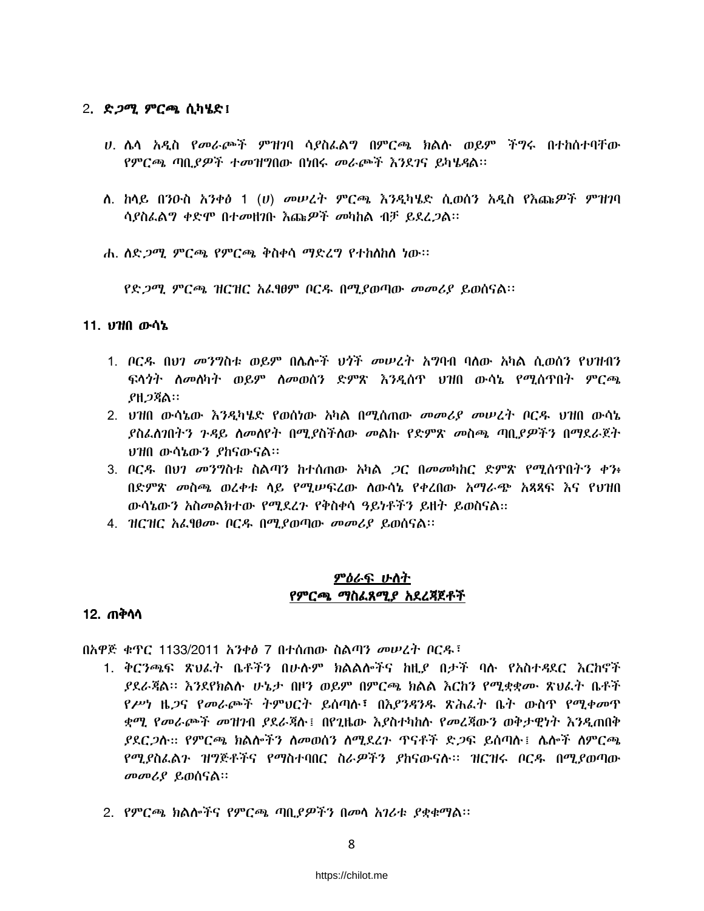### 2. ድ*ጋሚ ምርጫ* ሲካሄድ፤

- ሀ. ሌሳ አዲስ የመራጮች ምዝንባ ሳያስፌልግ በምርጫ ክልሱ ወይም ችግሩ በተከሰተባቸው የምርጫ ጣቢያዎች ተመዝግበው በነበሩ መራጮች እንደገና ይካሄዳል፡፡
- ለ. ከሳይ በንዑስ አንቀፅ 1 (ሀ) መሠረት ምርጫ እንዲካሄድ ሲወሰን አዲስ የእጩዎች ምዝንባ ሳያስፌልግ ቀድሞ በተመዘገቡ እጩዎች መካከል ብቻ ይደረ*ጋ*ል።
- ሐ. ለድ*ጋሚ ምርጫ የምርጫ ቅ*ስቀሳ ማድረግ የተከለከለ ነው።

የድ*ጋሚ ምርጫ ዝርዝር አ*ራዓውም ቦርዱ በሚያወጣው መመሪያ ይወሰናል።

### 11. ህዝበ ውሳኔ

- 1. ቦርዱ በህገ መንግስቱ ወይም በሌሎች ህጎች መሠረት አግባብ ባለው አካል ሲወሰን የህዝብን ፍላጎት ለመለካት ወይም ለመወሰን ድምጽ እንዲሰጥ ህዝበ ውሳኔ የሚሰጥበት ምርጫ **ያዘጋጃል።**
- 2. ህዝበ ውሳኔው እንዲካሄድ የወሰነው አካል በሚሰጠው *መመሪያ መሠረት* ቦርዱ ህዝበ ውሳኔ ያስፌስንበትን ጉዳይ ስመስየት በሚያስችስው መልኩ የድምጽ መስጫ ጣቢያዎችን በማደራጀት ህዝበ ውሳኔውን ያከናውናል።
- 3. ቦርዳ በህገ መንግስቱ ስልጣን ከተሰጠው አካል *ጋ*ር በመመካከር ድምጽ የሚሰጥበትን ቀን፥ በድምጽ መስጫ ወረቀቱ ሳይ የሚሥፍረው ሰውሳኔ የቀረበው አማራጭ አጻጻፍ እና የህዝበ ውሳኔውን አስመልክተው የሚደረጉ የቅስቀሳ ዓይነቶችን ይዘት ይወስናል።
- 4. ዝርዝር አፌፃፀሙ ቦርዱ በሚያወጣው መመሪያ ይወሰናል፡፡

### <u>ምዕራፍ ሁስት</u> የምርጫ ማስፌጸሚያ አደረጃጀቶች

### 12. ጠቅሳሳ

በአዋጅ ቁጥር 1133/2011 አንቀፅ 7 በተሰጠው ስልጣን መሠረት ቦርዱ፣

- 1. ቅርንጫፍ ጽህፌት ቤቶችን በሁሱም ክልልሎችና ከዚያ በታች ባሱ የአስተዳደር እርከኖች *ያደራጃ*ል። እንደየክልሉ ሁኔታ በዞን ወይም በምርጫ ክልል እርከን የሚቋቋሙ ጽህፈት ቤቶች የሥነ ዜ*ጋ*ና የመራጮች ትምህርት ይሰጣሉ፣ በእ*ያንዳን*ዱ ጽሕፈት ቤት ውስዋ የሚቀመዋ ቋሚ የመራጮች መዝንብ ያደራጃሉ፤ በየጊዜው እያስተካከሉ የመረጃውን ወቅታዊነት እንዲጠበቅ ያደር*ጋ*ስ። የምርጫ ክልሎችን ስመወሰን ስሚደረጉ ጥናቶች ድ*ጋ*ፍ ይሰጣስ ፣ ስሎች ስምርጫ የሚያስፌልን ዝግጅቶችና የማስተባበር ስራዎችን ያከናውናሉ። ዝርዝሩ ቦርዱ በሚያወጣው መመሪያ ይወሰናል።
- 2. የምርጫ ክልሎችና የምርጫ ጣቢያዎችን በመሳ አገሪቱ ያቋቁማል፡፡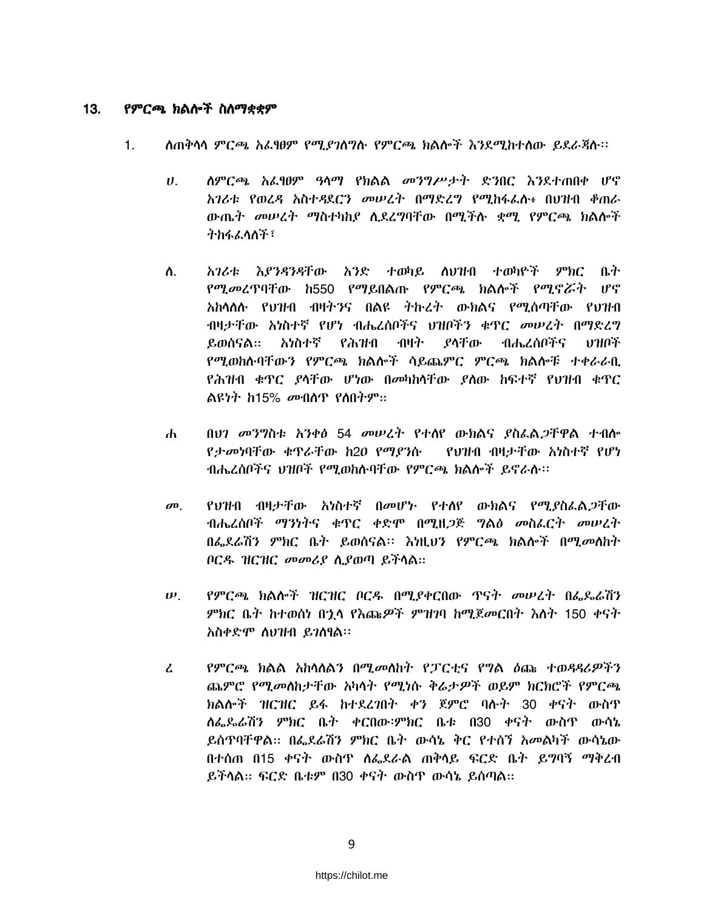#### $13.$ የምርጫ ክልሎች ስስማቋቋም

- $1.$ ለጠቅሳሳ ምርጫ አፌፃፀም የሚያገለግሉ የምርጫ ክልሎች እንደሚከተለው ይደራጃሉ፡፡
	- ለምርጫ አፌፃፀም ዓላማ የክልል መንግሥታት ድንበር እንደተጠበቀ ሆኖ  $\boldsymbol{\theta}$ . አገሪቱ የወረዳ አስተዳደርን መሠረት በማድረግ የሚከፋፌስ፥ በህዝብ ቆጠራ ውጤት መሠረት ማስተካከያ ሲደረግባቸው በሚችሉ ቋሚ የምርጫ ክልሎች ትክፋፌላለች፣
	- ስ. አገሪቱ እ*ያንዳንዳ*ቸው አንድ ተወካይ ለህዝብ ተወካዮች ምክር ቤት *የሚመረ*ጥባቸው ከ550 የማይበልጡ የምርጫ ክልሎች የሚኖሯት ሆኖ አከሳለሉ የህዝብ ብዛትንና በልዩ ትኩረት ውክልና የሚሰጣቸው የህዝብ ብዛታቸው አነስተኛ የሆነ ብሔረሰቦችና ህዝቦችን ቁጥር መሠረት በማድረግ አነስተኛ የሕዝብ ብዛት ያላቸው ብሔረሰቦችና ይወሰናል። ・ロフヨロネ የሚወከሱባቸውን የምርጫ ክልሎች ሳይጨምር ምርጫ ክልሎቹ ተቀራራቢ የሕዝብ ቁጥር ያሳቸው ሆነው በመካከሳቸው ያለው ከፍተኛ የህዝብ ቁጥር ልዩነት ከ15% መብሰጥ የስበትም።
	- በሀገ መንግስቱ አንቀፅ 54 መሠረት የተሰየ ውክልና ያስፌል*ጋ*ቸዋል ተብሎ  $\mathbf{d}$ የታመነባቸው ቁጥራቸው ከ20 የማያንሱ የህዝብ ብዛታቸው አነስተኛ የሆነ ብሔረሰቦችና ህዝቦች የሚወከሱባቸው የምርጫ ክልሎች ይኖራሱ፡፡
	- የህዝብ ብዛታቸው አነስተኛ በመሆኑ የተሰየ ውክልና የሚያስፌል*ጋ*ቸው  $\boldsymbol{\sigma}$ ብሔረሰቦች ማንነትና ቁጥር ቀድሞ በሚዘጋጅ ግልፅ መስፌርት መሠረት በፌደራሽን ምክር ቤት ይወሰናል፡፡ እነዚህን የምርጫ ክልሎች በሚመለከት ቦርዱ ዝርዝር መመሪያ ሲያወጣ ይችላል።
	- $\boldsymbol{\nu}$ . የምርጫ ክልሎች ዝርዝር ቦርዱ በሚያቀርበው ዋናት መሠረት በፌዴራሽን ምክር ቤት ከተወሰነ በኋላ የእጩዎች ምዝንባ ከሚጀመርበት እስት 150 ቀናት አስቀድሞ ስህዝብ ይገስፃል።
	- የምርጫ ክልል አከሳለልን በሚመለከት የፓርቲና የግል ዕጩ ተወዳዳሪዎችን  $\mathcal{L}$ ጨምሮ የሚመለከታቸው አካላት የሚነሱ ቅሬታዎች ወይም ክርክሮች የምርጫ ክልሎች ዝርዝር ይፋ ከተደረገበት ቀን ጀምሮ ባሉት 30 ቀናት ውስጥ ሰፌዶሬሽን ምክር ቤት ቀርበው፡ምክር ቤቱ በ30 ቀናት ውስጥ ውሳኔ ይሰዋባቸዋል። በፌደሬሽን ምክር ቤት ውሳኔ ቅር የተሰኘ አመልካች ውሳኔው በተሰጠ በ15 ቀናት ውስጥ ስፌደራል ጠቅሳይ ፍርድ ቤት ይግባኝ ማቅረብ ይችሳል። ፍርድ ቤቱም በ30 ቀናት ውስዋ ውሳኔ ይሰጣል።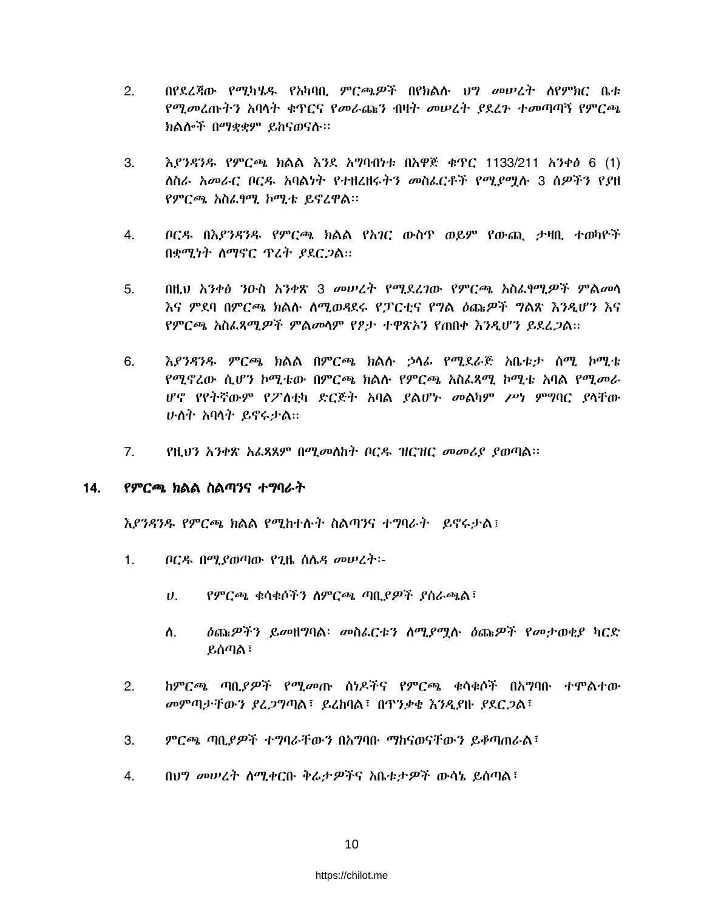- $2.$ በየደረጃው የሚካሄዱ የአካባቢ ምርጫዎች በየክልሉ ህግ መሠረት ሰየምክር ቤቱ የሚመረጡትን አባላት ቁዋርና የመራጨን ብዛት መሠረት ያደረጉ ተመጣጣኝ የምርጫ ክልሎች በማቋቋም ይከናወናሉ።
- 3.  $\lambda$ ያንዳንዱ የምርጫ ክልል እንደ አግባብነቱ በአዋጅ ቁጥር 1133/211 አንቀፅ 6 (1) ለስራ *አመራ*ር ቦርዱ አባልነት የተዘረዘሩት*ን መ*ስፌርቶች የሚ*ያሚ*ሉ 3 ሰዎችን የያዘ የምርጫ አስፌፃሚ ኮሚቴ ይኖረዋል፡፡
- ቦርዱ በእ*የንዳንዱ* የምርጫ ክልል የአ*ገ*ር ውስጥ ወይም የውጪ ታዛቢ ተወካዮች 4. በቋሚነት ስማኖር ጥረት ያደርጋል።
- በዚህ አንቀፅ ንዑስ አንቀጽ 3 መሠረት የሚደረገው የምርጫ አስፌየሚዎች ምልመሳ  $5.$ እና ምደባ በምርጫ ክልሉ ስሚወዳደሩ የፓርቲና የግል ዕጩዎች ግልጽ እንዲሆን እና የምርጫ አስፈጸማዎች ምልመሳም የፆታ ተዋጽአን የጠበቀ እንዳሆን የደረጋል።
- እያንዳንዱ ምርጫ ክልል በምርጫ ክልሉ ኃላፊ የሚደራጅ አቤቱታ ሰሚ ኮሚቴ 6. የሚኖረው ሲሆን ኮሚቴው በምርጫ ክልሱ የምርጫ አስፌጻሚ ኮሚቴ አባል የሚመራ ሆኖ የየትኛውም የፖስቲካ ድርጅት አባል ያልሆኑ መልካም ሥነ ምግባር ያሳቸው ሁለት አባላት ይኖሩታል።
- የዚህን አንቀጽ አፌጻጸም በሚመለከት ቦርዱ ዝርዝር መመሪያ ያወጣል፡፡  $7.$

#### $14.$ የምርጫ ክልል ስልጣንና ተግባራት

እያንዳንዱ የምርጫ ክልል የሚከተሱት ስልጣንና ተግባራት ይኖሩታል፤

- $\mathbf 1$ ቦርዱ በሚያወጣው የጊዜ ስሌዳ መሠረት፡-
	- የምርጫ ቁሳቁሶችን ስምርጫ ጣቢያዎች ያስራጫል፣  $\boldsymbol{\theta}$ .
	- ዕጩዎችን ይመዘግባል፡ መስፌርቱን ስሚያሟሉ ዕጩዎች የመታወቂያ ካርድ ስ. ይሰጣል ፣
- $2.$ *ከምርጫ ጣቢያዎች የሚመ*ጡ ሰነዶችና የምርጫ ቁሳቁሶች በአግባቡ ተሞልተው መምጣታቸውን ያረጋግጣል፣ ይረከባል፣ በጥንቃቂ እንዲያዙ ያደርጋል፣
- ምርጫ ጣቢያዎች ተግባራቸውን በአግባቡ ማከናወናቸውን ይቆጣጠራል፣ 3.
- $\overline{4}$ በህግ መሠረት ሰሚቀርቡ ቅሬታዎችና አቤቱታዎች ውሳኔ ይሰጣል፣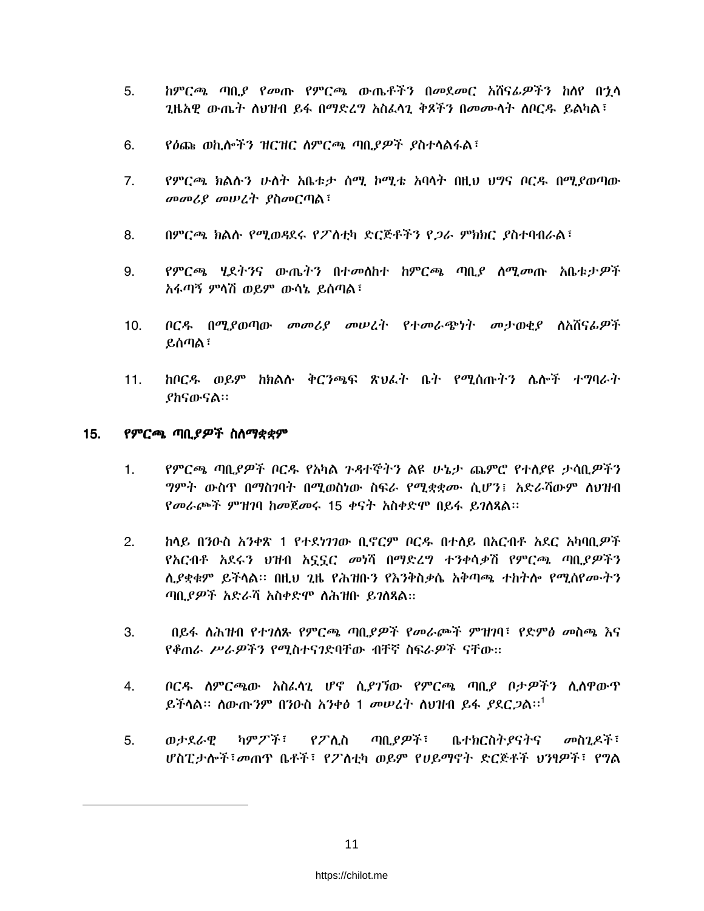- 5. ከምርጫ ጣቢያ የመጡ የምርጫ ውጤቶችን በመደመር አሸናፊዎችን ከለየ በኂላ *ጊ*ዜአዊ ውጤት ስህዝብ ይፋ በማድረግ አስፈሳጊ ቅጾችን በመሙሳት ስቦርዱ ይልካል፣
- 6. የዕጩ ወኪሎችን ዝርዝር ስምርጫ ጣቢያዎች ያስተሳልፋል፣
- $7.$ የምርጫ ክልሱን ሁለት አቤቱታ ሰሚ ኮሚቴ አባላት በዚህ ህግና ቦርዳ በሚደወጣው መመሪያ መሠረት ያስመርጣል፣
- በምርጫ ክልሱ የሚወዳደሩ የፖስቲካ ድርጅቶችን የ*ጋ*ራ ምክክር ያስተባብራል፣ 8.
- የምርጫ ሂደትንና ውጤትን በተመሰከተ ከምርጫ ጣቢያ ስሚመጡ አቤቱታዎች 9. አፋጣኝ ምሳሽ ወይም ውሳኔ ይሰጣል፣
- ቦርዱ በሚያወጣው መመሪያ መሠረት የተመራጭነት መታወቂያ ስአሽናፊዎች  $10<sub>1</sub>$ ይሰጣል፣
- ከቦርዱ ወይም ከክልሱ ቅርንጫፍ ጽህራት ቤት የሚሰጡትን ሌሎች ተግባራት  $11.$ ያከናውናል።

#### $15.$ የምርጫ ጣቢያዎች ስለማቋቋም

- የምርጫ ጣቢያዎች ቦርዱ የአካል ንዳተኞትን ልዩ ሁኔታ ጨምሮ የተለያዩ ታሳቢዎችን  $1.$ *ግምት* ውስዋ በማስገባት በሚወስነው ስፍራ የሚቋቋሙ ሲሆን፤ አድራሻውም ስህዝብ የመራጮች ምዝገባ ከመጀመሩ 15 ቀናት አስቀድሞ በይፋ ይገስጻል።
- $2.$ ከላይ በንዑስ አንቀጽ 1 የተደነገገው ቢኖርም ቦርዱ በተለይ በአርብቶ አደር አካባቢዎች የአርብቶ አደሩን ህዝብ አኗኗር መነሻ በማድረግ ተንቀሳቃሽ የምርጫ ጣቢያዎችን ሊያቋቁም ይችላል፡፡ በዚህ ጊዜ የሕዝቡን የእንቅስቃሴ አቅጣጫ ተከትሎ የሚሰየሙትን ጣቢያዎች አድራሻ አስቀድሞ ስሕዝቡ ይገለጻል።
- 3. በይፋ ስሕዝብ የተገለጹ የምርጫ ጣቢያዎች የመራጮች ምዝገባ፣ የድምፅ መስጫ እና *የቆጠራ ሥራዎችን የሚስተናገ*ድባቸው ብቸኛ ስፍራ*ዎች* ናቸው።
- ቦርዳ ስምርጫው አስፈሳ2 ሆኖ ሲ*ያገኘ*ው የምርጫ ጣቢያ ቦታ*ዎችን* ሲስዋውጥ  $4_{-}$ ይችሳል። ስውጡንም በንዑስ አንቀፅ 1 መሠረት ስሀዝብ ይፋ *ያ*ደር*ጋ*ል።<sup>1</sup>
- ካምፖች፣ ጣቢያዎች፣ 5. ወታደራዊ የፖሊስ ቤተክርስትያናትና መስጊዶች፣ ሆስፒታሎች፣መጠዋ ቤቶች፣ የፖስቲካ ወይም የሀይማኖት ድርጅቶች ህንፃዎች፣ የግል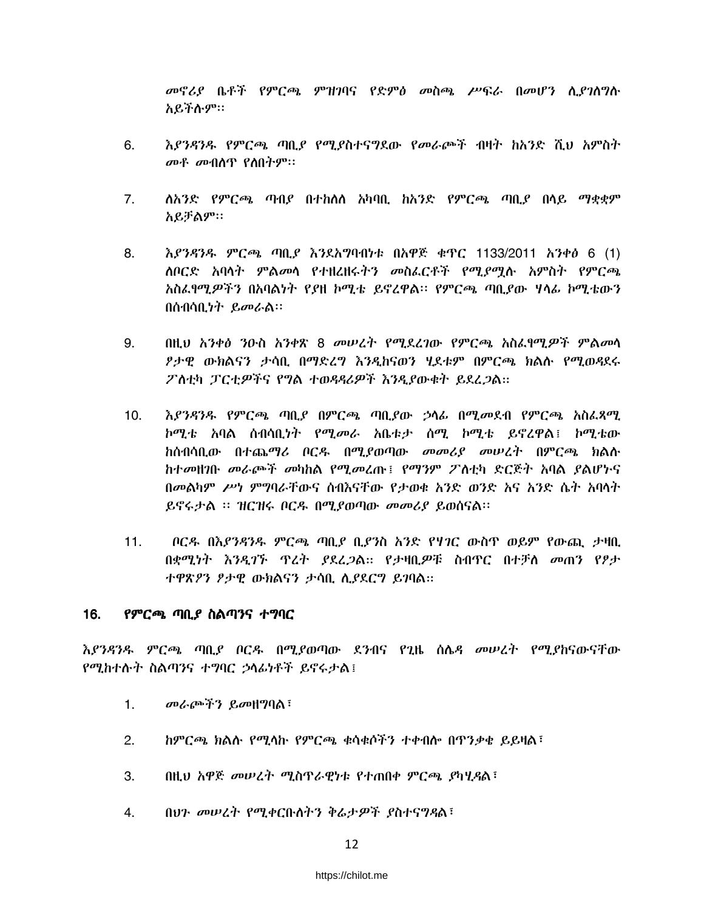መኖሪያ ቤቶች የምርጫ ምዝንባና የድምፅ መስጫ ሥፍራ በመሆን ሲያንስግስ አይችሱም።

- 6. እያንዳንዱ የምርጫ ጣቢያ የሚያስተናግደው የመራጮች ብዛት ከአንድ ሺህ አምስት መቶ መብሰጥ የስበትም።
- $7.$ ለአንድ የምርጫ ጣብያ በተከለለ አካባቢ ከአንድ የምርጫ ጣቢያ በላይ ማቋቋም አይቻልም።
- እያንዳንዱ ምርጫ ጣቢያ እንደአግባብነቱ በአዋጅ ቁጥር 1133/2011 አንቀፅ 6 (1) 8. *ስቦርድ አ*ባሳ*ት ምልመ*ሳ የተዘረዘሩ*ትን መ*ስፌርቶች የሚ*ያ*ሟሉ አምስት የምርጫ አስፌየሚዎችን በአባልነት የያዘ ኮሚቴ ይኖረዋል፡፡ የምርጫ ጣቢያው ሃላፊ ኮሚቴውን በሰብሳቢ*ነት ይመራ*ል።
- በዚህ አንቀፅ ንዑስ አንቀጽ 8 መሠረት የሚደረገው የምርጫ አስፈፃሚዎች ምልመሳ 9. ፆታዊ ውክልናን ታሳቢ በማድረግ እንዳከናወን ሃደቱም በምርጫ ክልሉ የሚወዳደሩ ፖስቲካ ፓርቲዎችና የግል ተወዳዳሪዎች እንዲያውቁት ይደረጋል።
- እያንዳንዱ የምርጫ ጣቢያ በምርጫ ጣቢያው ኃላፊ በሚመደብ የምርጫ አስፈጻሚ  $10<sub>1</sub>$ ኮሚቴ አባል ስብሳቢነት የሚመራ አቤቱታ ሰሚ ኮሚቴ ይኖረዋል፤ ኮሚቴው ከሰብሳቢው በተጨማሪ ቦርዱ በሚደወጣው *መመሪያ መሠረት* በምርጫ ክልሱ ከተመዘገቡ መራጮች መካከል የሚመረጡ፤ የማንም ፖለቲካ ድርጅት አባል ያልሆኑና በመልካም ሥነ ምግባራቸውና ሰብእናቸው የታወቁ አንድ ወንድ አና አንድ ሴት አባላት ይኖሩታል ፡፡ ዝርዝሩ ቦርዱ በሚያወጣው መመሪያ ይወሰናል፡፡
- ቦርዳ በእያንዳንዱ ምርጫ ጣቢያ ቢያንስ አንድ የሃ*ገ*ር ውስዋ ወይም የውጪ ታዛቢ  $11.$ በቋሚነት እንዲገኙ ዋረት ያደረጋል። የታዛቢዎቹ ስብዋር በተቻለ መጠን የፆታ ተዋጽዖን ፆታዊ ውክልናን ታሳቢ ሲያደርግ ይገባል።

#### $16.$ የምርጫ ጣቢያ ስልጣንና ተግባር

እያንዳንዱ ምርጫ ጣቢያ ቦርዱ በሚያወጣው ደንብና የጊዜ ሰሌዳ መሠረት የሚያከናውናቸው የሚከተሱት ስልጣንና ተግባር ኃሳፊነቶች ይኖሩታል፤

- $1<sup>1</sup>$ መራጮችን ይመዘግባል፣
- $2.$ ከምርጫ ክልሱ የሚሳኩ የምርጫ ቁሳቁሶችን ተቀብሎ በጥንቃቄ ይይዛል፣
- $\mathcal{S}_{\mathcal{S}}$ በዚህ አዋጅ መሠረት ሚስጥራዊነቱ የተጠበቀ ምርጫ ያካሂዳል፤
- በህን መሠረት የሚቀርቡስትን ቅሬታዎች ያስተናግዳል፤  $4_{-}$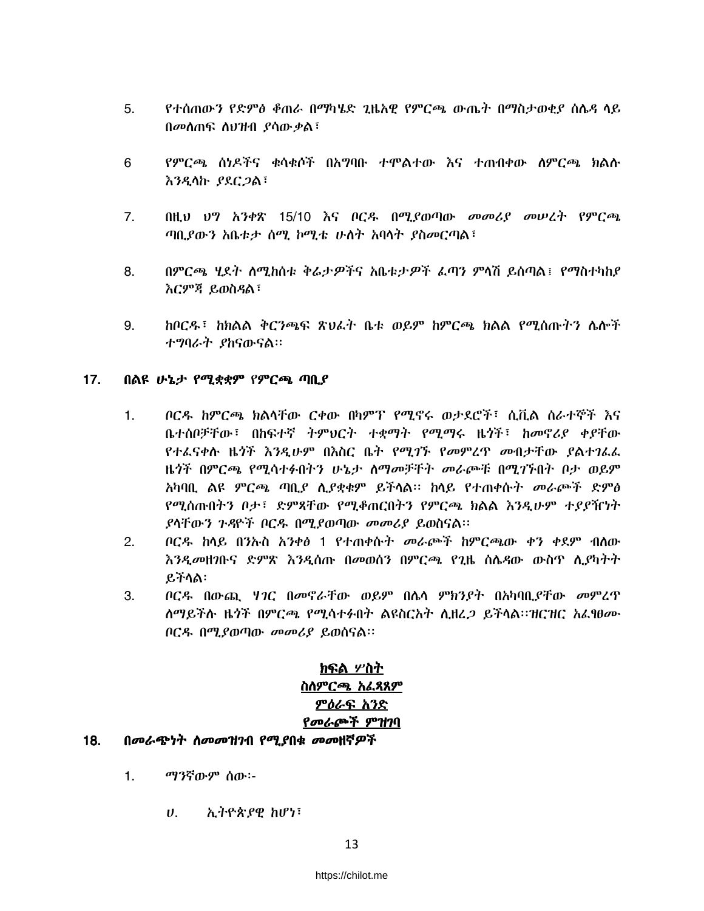- 5. የተሰጠውን የድምፅ ቆጠራ በማካሄድ ጊዜአዊ የምርጫ ውጤት በማስታወቂያ ስሴዳ ላይ በመስጠፍ ስህዝብ ያሳውቃል፣
- 6 የምርጫ ሰነዶችና ቁሳቁሶች በአማባቡ ተሞልተው እና ተጠብቀው ሰምርጫ ክልሱ **እንዲሳኩ ያደርጋል**፣
- $7.$ በዚህ ህግ አንቀጽ 15/10 እና ቦርዱ በሚደወጣው መመሪያ መሠረት የምርጫ ጣቢያውን አቤቱታ ሰሚ ኮሚቴ ሁስት አባሳት ያስመርጣል፣
- 8. በምርጫ ሂደት ስሚከስቱ ቅሬታዎችና አቤቱታዎች ፌጣን ምላሽ ይሰጣል፤ የማስተካከያ እርምጃ ይወስዳል፣
- $9<sub>1</sub>$ ከቦርዱ፤ ከክልል ቅርንጫፍ ጽህፈት ቤቱ ወይም ከምርጫ ክልል የሚሰጡትን ሌሎች ተማባራት ያከናውናል።

#### $17.$ በልዩ ሁኔታ የሚቋቋም የምርጫ ጣቢያ

- ቦርዱ ከምርጫ ክልሳቸው ርቀው በካምፕ የሚኖሩ ወታደሮች፣ ሲቪል ስራተኞች እና  $1<sub>1</sub>$ ቤተሰቦቻቸው፤ በከፍተኛ ትምህርት ተቋማት የሚማሩ ዜጎች፤ ከመኖሪያ ቀያቸው የተፌናቀሱ ዜጎች እንዲሁም በእስር ቤት የሚገኙ የመምረጥ መብታቸው ያልተገፌፌ ዜጎች በምርጫ የሚሳተፉበትን ሁኔታ ስማመቻቸት መራጮቹ በሚገኙበት ቦታ ወይም አካባቢ ልዩ ምርጫ ጣቢያ ሲያቋቁም ይችላል፡፡ ከላይ የተጠቀሱት መራጮች ድምፅ የሚሰጡበትን ቦታ፣ ድምጻቸው የሚቆጠርበትን የምርጫ ክልል እንዲሁም ተያያዥነት ያሳቸውን ጉዳዮች ቦርዱ በሚያወጣው መመሪያ ይወስናል፡፡
- $2.$ ቦርዱ ከላይ በንኡስ አንቀፅ 1 የተጠቀሱት መራጮች ከምርጫው ቀን ቀደም ብለው እንዲመዘንቡና ድምጽ እንዲሰጡ በመወሰን በምርጫ የጊዜ ስሌዳው ውስጥ ሊደካትት ይችላል፡
- 3. ቦርዳ በውጪ ሃገር በመኖራቸው ወይም በሌሳ ምክንያት በአካባቢያቸው መምረጥ ለማይችሉ ዜጎች በምርጫ የሚሳተፉበት ልዩስርአት ሲዘረ*ጋ* ይችላል።ዝርዝር አፈፃፀ*ሙ* ቦርዱ በሚያወጣው መመሪያ ይወሰናል።

# ክፍል ሦስት ስለምርጫ አፌጻጸም ምዕራፍ አንድ የመራጮች ምዝገባ

#### 18. በመራጭነት ስመመዝገብ የሚያበቁ መመዘኛዎች

- $1<sub>1</sub>$ ማንኛውም ሰው፡-
	- ኢትዮጵያዊ ከሆነ፣  $U_{\rm{eff}}$

### https://chilot.me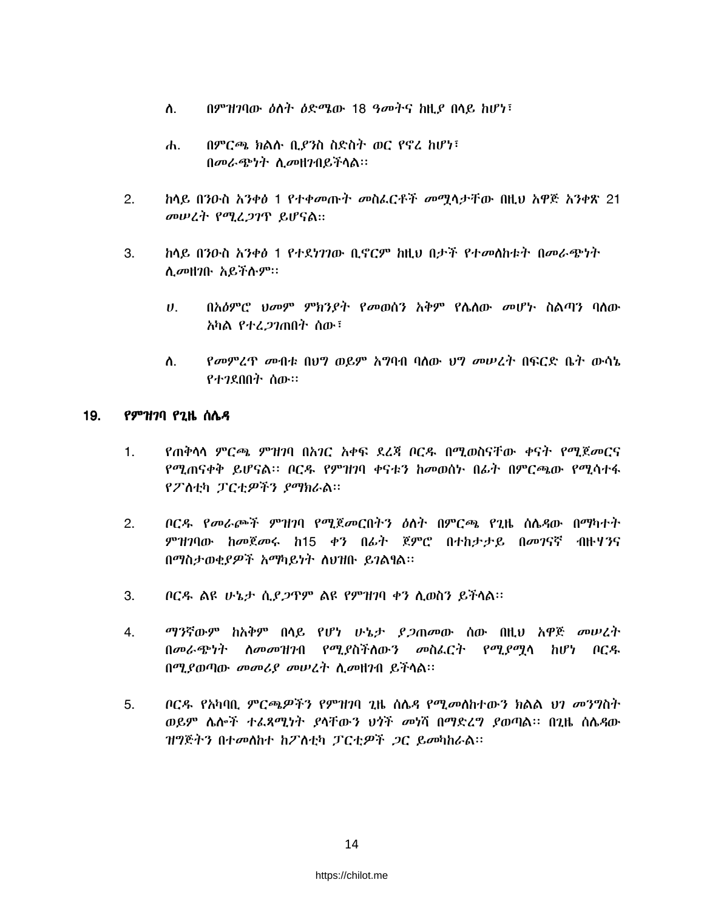- በምዝገባው ዕለት ዕድሜው 18 ዓመትና ከዚያ በላይ ከሆነ፣ ስ.
- በምርጫ ክልሉ ቢያንስ ስድስት ወር የኖረ ከሆነ፣  $\mathbf{d}$ . በመራጭነት ሲመዘንበይችላል፡፡
- ከላይ በንዑስ አንቀፅ 1 የተቀመጡት መስፌርቶች መሟላታቸው በዚህ አዋጅ አንቀጽ 21  $2.$ መሠረት የሚፈጋገጥ ይሆናል።
- ከላይ በንዑስ አንቀፅ 1 የተደነገገው ቢኖርም ከዚህ በታች የተመሰከቱት በመራጭነት 3. ሲመዘገቡ አይችሱም።
	- በአዕምሮ ህመም ምክንያት የመወሰን አቅም የሴስው መሆኑ ስልጣን ባሰው  $\boldsymbol{\theta}$ . አካል የተረ*ጋገ*ጠበት ሰው፣
	- የመምረጥ መብቱ በህግ ወይም አግባብ ባለው ህግ መሠረት በፍርድ ቤት ውሳኔ ስ. የተንደበበት ሰው።

#### 19. *የምዝገ*ባ የ2ዜ ሰሌ*ዳ*

- የጠቅሳሳ ምርጫ ምዝንባ በአንር አቀፍ ደረጃ ቦርዱ በሚወስናቸው ቀናት የሚጀመርና  $1<sub>1</sub>$ የሚጠናቀቅ ይሆናል። ቦርዱ የምዝገባ ቀናቱን ከመወሰኑ በፊት በምርጫው የሚሳተፋ የፖስቲካ ፓርቲዎችን ያማክራል።
- ቦርዱ የመራጮች ምዝገባ የሚጀመርበትን ዕለት በምርጫ የጊዜ ስሴዳው በማካተት  $2.$ ምዝንባው ከመጀመሩ ከ15 ቀን በፊት ጀምሮ በተከታታይ በመገናኛ ብዙሃንና በማስታወቂያዎች አማካይነት ስህዝቡ ይገልፃል፡፡
- $3.$ ቦርዱ ልዩ ሁኔታ ሲያ*ጋ*ጥም ልዩ የምዝገባ ቀን ሲወስን ይችላል።
- $4.$ *ማን*ኛውም ከአቅም በላይ የሆነ ሁኔታ *ያጋ*ጠመው ሰው በዚህ አዋጅ መሠረት በመራጭነት ስመመዝገብ የሚያስችስውን መስፌርት የሚያማሳ ከሆነ ቦርዱ በሚያወጣው መመሪያ መሠረት ሲመዘገብ ይችሳል፡፡
- ቦርዱ የአካባቢ ምርጫዎችን የምዝንባ ጊዜ ስሌዳ የሚመለከተውን ክልል ህን መንግስት 5. ወይም ሴሎች ተፈጻሚነት ያሳቸውን ህጎች መነሻ በማድረግ ያወጣል፡፡ በጊዜ ስሴዳው ዝግጅትን በተመለከተ ከፖስቲካ ፓርቲዎች ጋር ይመካከራል።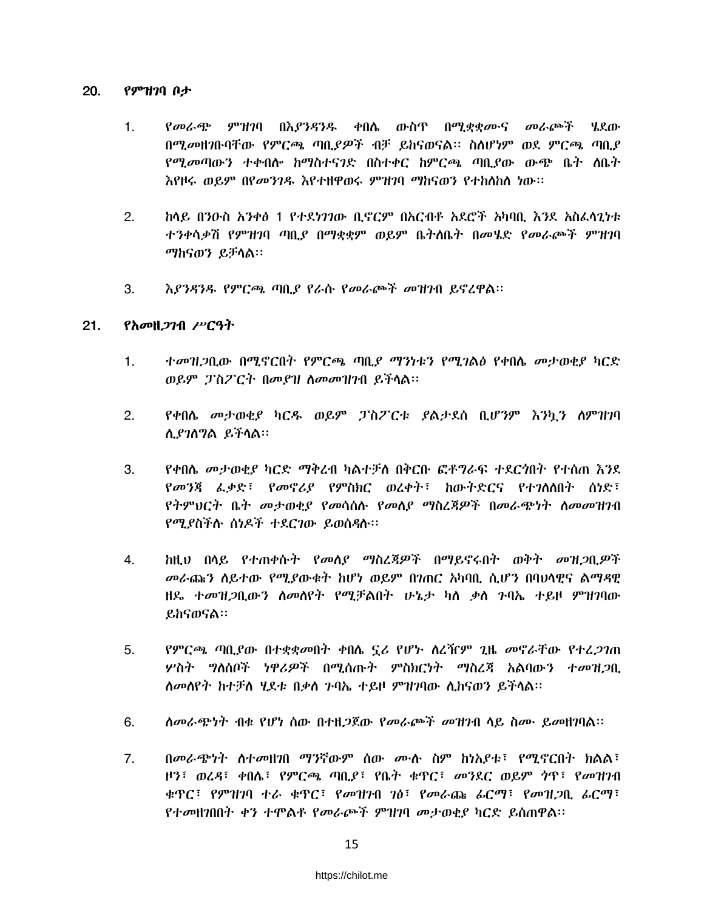#### $20.$ የምዝንባ ቦታ

- $1<sub>1</sub>$ የመራጭ ምዝገባ በእያንዳንዱ ቀበሌ ውስጥ በሚቋቋሙና መራጮች ሄደው በሚመዘገቡባቸው የምርጫ ጣቢያዎች ብቻ ይከናወናል፡፡ ስለሆነም ወደ ምርጫ ጣቢያ *የሚመ*ጣውን ተቀብሎ ከማስተና*ገ*ድ በስተቀር ከምርጫ ጣቢያው ውጭ ቤት ለቤት እየዞሩ ወይም በየመንገዱ እየተዘዋወሩ ምዝገባ ማከናወን የተከለከሰ ነው።
- ከላይ በንዑስ አንቀፅ 1 የተደነገገው ቢኖርም በአርብቶ አደሮች አካባቢ እንደ አስፈላጊነቱ  $2.$ ተንቀሳቃሽ የምዝገባ ጣቢያ በማቋቋም ወይም ቤትሰቤት በመሄድ የመራጮች ምዝገባ ማከናወን ይቻሳል።
- እያንዳንዱ የምርጫ ጣቢያ የራሱ የመራጮች መዝንብ ይኖረዋል፡፡ 3.

#### $21.$ የአመዘ*ጋገ*ብ ሥርዓት

- ተመዝጋቢው በሚኖርበት የምርጫ ጣቢያ ማንነቱን የሚገልፅ የቀበሌ መታወቂያ ካርድ  $\mathbf{1}$ . ወይም ፓስፖርት በመያዝ ስመመዝገብ ይችሳል።
- $2.$ የቀበሴ መታወቂያ ካርዱ ወይም ፓስፖርቱ ያልታደሰ ቢሆንም እንኳን ስምዝገባ ሊያገለግል ይችላል።
- የቀበሌ መታወቂያ ካርድ ማቅረብ ካልተቻለ በቅርቡ ፎቶግራፍ ተደርጎበት የተሰጠ እንደ 3. የመንጃ ፌቃድ፣ የመኖሪያ የምስክር ወረቀት፣ ከውትድርና የተገለሰበት ስነድ፣ የትምህርት ቤት መታወቂያ የመሳሰሱ የመሰያ ማስረጃዎች በመራጭነት ስመመዝገብ የሚያስችሉ ስነዶች ተደርገው ይወሰዳሉ።
- <u>ከዚህ በላይ የተጠቀሱት የመለያ ማስረጃዎች በማይኖሩበት ወቅት መዝጋቢዎች</u>  $4.$ *መራ*ጩን ስይተው የሚያውቁት ከሆነ ወይም በንጠር አካባቢ ሲሆን በባህሳዊና ልማዳዊ ዘዴ ተመዝጋቢውን ስመስየት የሚቻልበት ሁኔታ ካስ ቃስ ንባኤ ተይዞ ምዝገባው ይከናወናል።
- የምርጫ ጣቢያው በተቋቋመበት ቀበሴ ኗሪ የሆኑ ስረዥም ጊዜ መኖራቸው የተረ*ጋገ*ጠ 5. ሦስት ግለሰቦች ነዋሪዎች በሚሰጡት ምስክርነት ማስረጃ አልባውን ተመዝጋቢ ለመለየት ከተቻለ ሂደቱ በቃለ ንባኤ ተይዞ ምዝገባው ሊከናወን ይችላል።
- ስመራጭነት ብቁ የሆነ ሰው በተዘ*ጋ*ጀው የመራጮች መዝንብ ሳይ ስሙ ይመዘገባል። 6.
- $7<sub>1</sub>$ በመራጭነት ስተመዘገበ ማንኛውም ሰው ሙሉ ስም ከነአያቱ፤ የሚኖርበት ክልል፤ ዞን፣ ወረዳ፣ ቀበሌ፣ የምርጫ ጣቢያ፣ የቤት ቁዋር፣ መንደር ወይም ነዋ፣ የመዝንብ ቁጥር፣ የምዝገባ ተራ ቁጥር፣ የመዝገብ ገፅ፣ የመራጩ ፊርማ፣ የመዝጋቢ ፊርማ፣ የተመዘንበበት ቀን ተሞልቶ የመራጮች ምዝንባ መታወቂያ ካርድ ይሰጠዋል።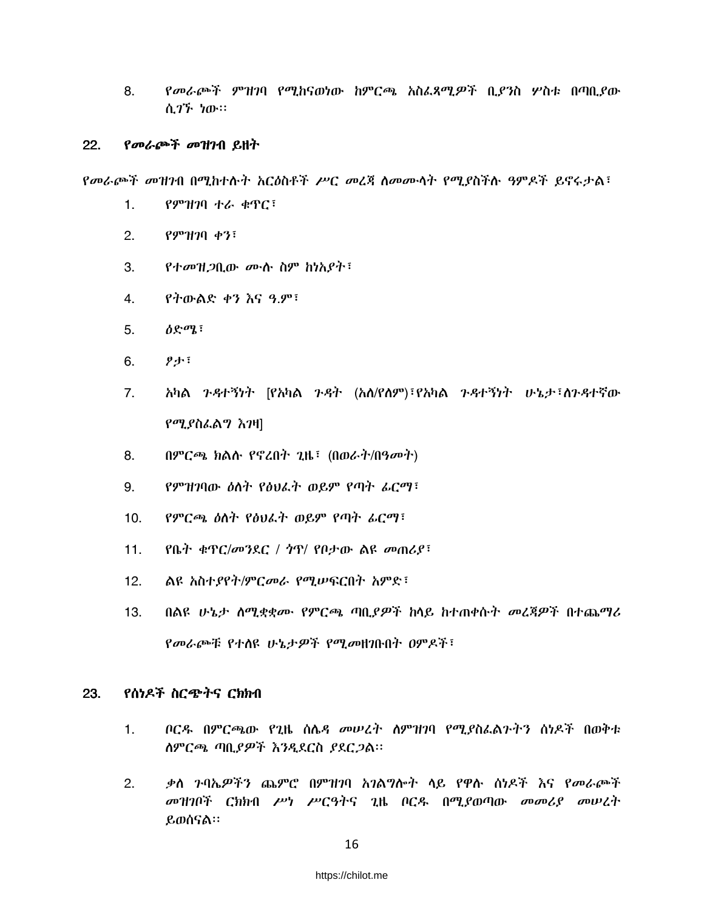8. የመራጮች ምዝገባ የሚከናወነው ከምርጫ አስፌጻሚዎች ቢያንስ ሦስቱ በጣቢያው ሲ*ገኙ ነ*ው።

#### 22. የመራጮች መዝገብ ይዘት

የመራጮች መዝገብ በሚከተሱት አርዕስቶች ሥር መረጃ ስመሙሳት የሚያስችሱ ዓምዶች ይኖሩታል፣

- $1.$ የምዝገባ ተራ ቁጥር፣
- $P9^{\circ}1170$  ቀን<sup>:</sup>  $2.$
- $3.$ የተመዝጋቢው ሙሉ ስም ከነአያት፡
- የትውልድ ቀን እና ዓ.ም፣ 4.
- $\partial \mathcal{S}^{\sigma}$  $5.$
- $9 + 5$ 6.
- 7. አካል ንዳተኝነት [የአካል ንዳት (አለ/የስም)፣የአካል ንዳተኝነት ሁኔታ፣ስንዳተኛው የሚያስፌልግ እንዛ]
- በምርጫ ክልሱ የኖረበት ጊዜ፣ (በወራት/በዓመት) 8.
- የምዝገባው ዕለት የፅህራት ወይም የጣት ራርማ፣ 9.
- $10.$ የምርጫ ዕስት የፅህራት ወይም የጣት ፊርማ፣
- የቤት ቁጥር/መንደር / ጎጥ/ የቦታው ልዩ መጠሪያ፣  $11.$
- $12.$ ልዩ አስተያየት/ምርመራ የሚሠፍርበት አምድ፣
- በልዩ ሁኔታ ሰሚቋቋሙ የምርጫ ጣቢያዎች ከላይ ከተጠቀሱት መረጃዎች በተጨማሪ  $13.$ የመራጮቹ የተሰዩ ሁኔታዎች የሚመዘገቡበት ዐምዶች፣

#### 23. የሰነዶች ስርጭትና ርክክብ

- $\mathbf{1}$ . ቦርዱ በምርጫው የጊዜ ሰሌዳ መሠረት ስምዝንባ የሚያስፌልጉትን ሰነዶች በወቅቱ ስምርጫ ጣቢያዎች እንዲደርስ ያደርጋል፡፡
- $\overline{2}$ . ቃስ ንባኤዎችን ጨምሮ በምዝንባ አንልግሎት ላይ የዋሱ ሰነዶች እና የመራጮች መዝገቦች ርክክብ ሥነ ሥርዓትና ጊዜ ቦርዱ በሚያወጣው መመሪያ መሠረት ይወሰናል።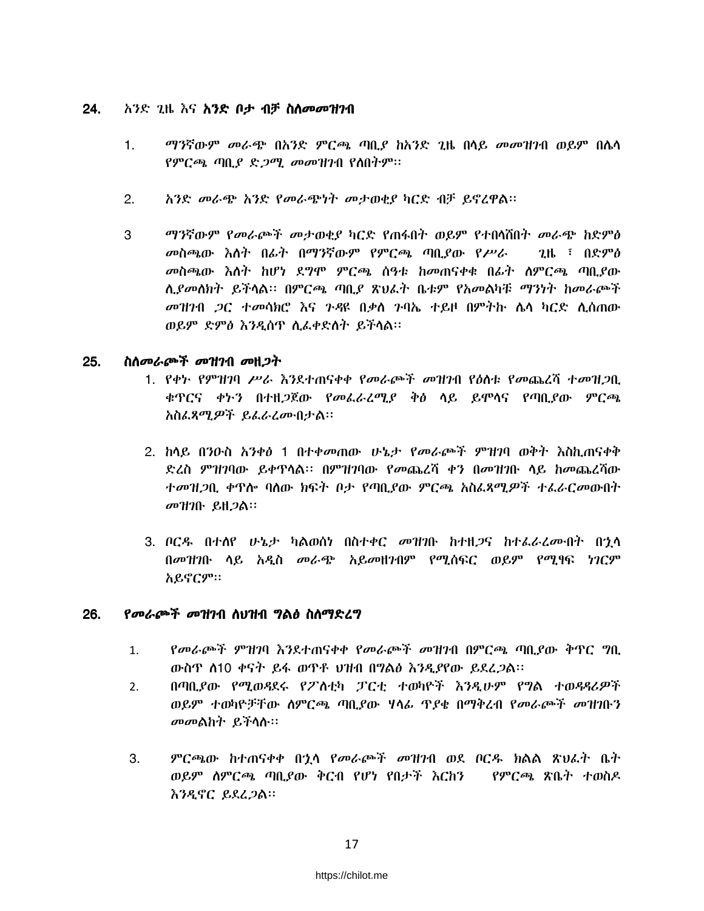#### 24. አንድ *ጊ*ዜ እና <mark>አንድ ቦታ ብቻ ስለ*መመዝገ*ብ</mark>

- $1.$ *ማን*ኛውም *መራጭ* በአንድ ምርጫ ጣቢያ ከአንድ ጊዜ በላይ መመዝንብ ወይም በሌላ የምርጫ ጣቢያ ድ*ጋሚ መመዝገ*ብ የስበትም።
- $2.$ አንድ መራጭ አንድ የመራጭነት መታወቂያ ካርድ ብቻ ይኖረዋል፡፡
- ማንኛውም የመራጮች መታወቂያ ካርድ የጠፋበት ወይም የተበሳሽበት መራጭ ከድምፅ 3 መስጫው እስት በፊት በማንኛውም የምርጫ ጣቢያው የሥራ  $2\text{ lb}$  :  $0$ ድምፅ *መ*ስጫው *እስት ከ*ሆነ ደ*ግ*ሞ ምርጫ ሰዓቱ ከመጠናቀቁ በፊት ስምርጫ ጣቢያው ሲያመለክት ይችላል። በምርጫ ጣቢያ ጽህፌት ቤቱም የአመልካቹ ማንነት ከመራጮች *መዝገ*ብ *ጋ*ር ተመሳክሮ እና ንዳዩ በቃስ ንባኤ ተይዞ በምትኩ ሴሳ ካርድ ሲሰጠው ወይም ድምፅ እንዲሰጥ ሲፌቀድስት ይችላል፡፡

#### 25. ስስመራጮች መዝንብ መዘጋት

- 1. የቀኑ የምዝገባ ሥራ እንደተጠናቀቀ የመራጮች መዝገብ የዕስቱ የመጨረሻ ተመዝ*ጋ*ቢ ቁዋርና ቀኑን በተዘ*ጋ*ጀው የመፌራረሚ*ያ* ቅፅ ሳይ ይሞሳና የጣቢያው ምርጫ አስፌጻሚዎች ይፌራሬሙበታል፡፡
- 2. ከሳይ በንዑስ አንቀፅ 1 በተቀመጠው ሁኔታ የመራጮች ምዝንባ ወቅት እስኪጠናቀቅ ድረስ ምዝገባው ይቀዋሳል፡፡ በምዝገባው የመጨረሻ ቀን በመዝገቡ ሳይ ከመጨረሻው ተመዝጋቢ ቀዋሎ ባለው ክፍት ቦታ የጣቢያው ምርጫ አስፌጻሚዎች ተፌራርመውበት መዝገቡ ይዘ*ጋ*ል።
- 3. ቦርዳ በተሰየ ሁኔታ ካልወሰነ በስተቀር መዝንቡ ከተዘ*ጋ*ና ከተፈራረሙበት በኋላ በመዝገቡ ሳይ አዲስ መራጭ አይመዘንብም የሚሰፍር ወይም የሚፃፍ ነገርም አይኖርም።

#### 26. የመራጮች መዝገብ ስህዝብ ግልፅ ስስማድረግ

- የመራጮች ምዝገባ እንደተጠናቀቀ የመራጮች መዝገብ በምርጫ ጣቢያው ቅጥር ግቢ  $1.$ ውስዋ ሰ10 ቀናት ይፋ ወዋቶ ህዝብ በግልፅ እንዲያየው ይደረ*ጋ*ል።
- በጣቢያው የሚወዳደሩ የፖለቲካ ፓርቲ ተወካዮች እንዲሁም የግል ተወዳዳሪዎች  $2.$ ወይም ተወካዮቻቸው ስምርጫ ጣቢያው ሃላፊ ጥያቄ በማቅረብ የመራጮች መዝገቡን *መመ*ልከት ይችሳሱ።
- $3.$ ምርጫው ከተጠናቀቀ በኂሳ የመራጮች መዝንብ ወደ ቦርዱ ክልል ጽህራት ቤት ወይም ስምርጫ ጣቢያው ቅርብ የሆነ የበታች እርከን ፡፡ የምርጫ ጽቤት ተወስዶ እንዲኖር ይደፈጋል።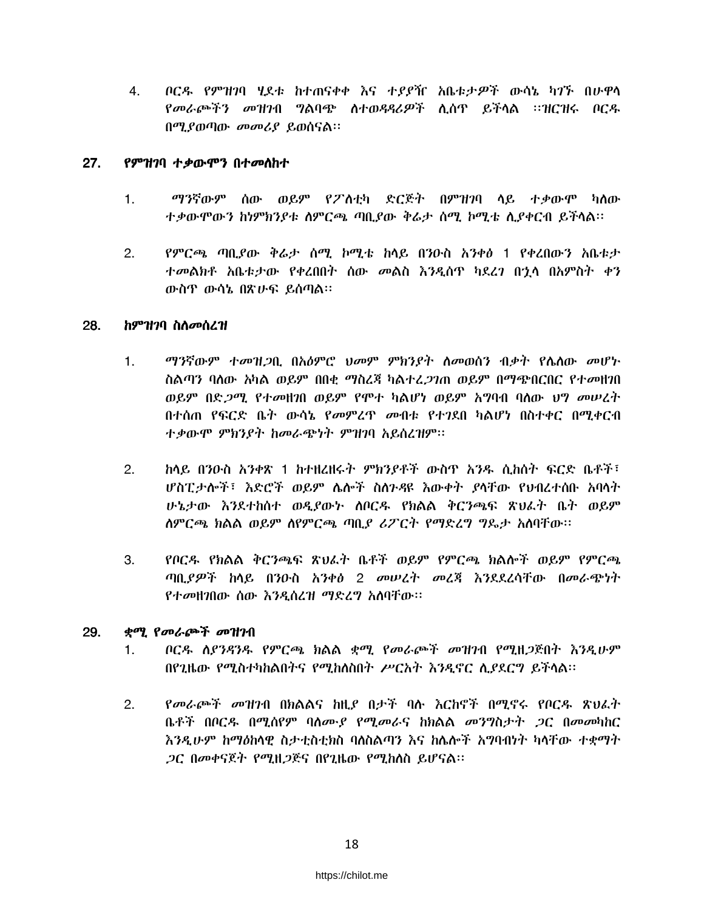ቦርዱ የምዝገባ ሂደቱ ከተጠናቀቀ እና ተያያዥ አቤቱታዎች ውሳኔ ካገኙ በሁዋላ 4. የመራጮችን መዝንብ ግልባጭ ስተወዳዳሪዎች ሲሰዋ ይችላል ፡፡ዝርዝሩ ቦርዱ በሚያወጣው መመሪያ ይወሰናል።

#### $27.$ የምዝንባ ተቃውሞን በተመስከተ

- $1.$ ማንኛውም ሰው ወይም የፖስቲካ ድርጅት በምዝንባ ላይ ተቃውሞ ካለው ተቃውሞውን ከነምክንያቱ ስምርጫ ጣቢያው ቅሬታ ስሚ ኮሚቴ ሲያቀርብ ይችላል።
- የምርጫ ጣቢያው ቅሬታ ሰሚ ኮሚቴ ከላይ በንዑስ አንቀፅ 1 የቀረበውን አቤቱታ  $2.$ ተመልክቶ አቤቱታው የቀረበበት ሰው መልስ እንዲሰዋ ካደረገ በኋላ በአምስት ቀን ውስዋ ውሳኔ በጽሁፍ ይሰጣል።

#### 28. ከምዝንባ ስስመሰረዝ

- ማንኛውም ተመዝጋቢ በአዕምሮ ህመም ምክንያት ስመወሰን ብቃት የሴስው መሆኑ  $1<sub>1</sub>$ ስልጣን ባለው አካል ወይም በበቂ ማስረጃ ካልተረ*ጋገ*ጠ ወይም በማጭበርበር የተ*መ*ዘገበ ወይም በድ*ጋሚ የተመ*ዘ*ነ*በ ወይም የሞተ ካልሆነ ወይም አግባብ ባለው ህግ መሠረት በተሰጠ የፍርድ ቤት ውሳኔ የመምረዋ መብቱ የተገደበ ካልሆነ በስተቀር በሚቀርብ ተቃውሞ ምክንያት ከመራጭነት ምዝገባ አይሰረዝም፡፡
- ከላይ በንዑስ አንቀጽ 1 ከተዘረዘሩት ምክንያቶች ውስጥ አንዱ ሲከሰት ፍርድ ቤቶች፣  $2.$ ሆስፒታሎች፣ እድሮች ወይም ሴሎች ስስንዳዩ እውቀት ያሳቸው የህብረተሰቡ አባሳት ሁኔታው እንደተከሰተ ወዲያውኑ ሰቦርዱ የክልል ቅርንጫፍ ጽህራት ቤት ወይም ስምርጫ ክልል ወይም ስየምርጫ ጣቢያ ሪፖርት የማድረግ ግዴታ አስባቸው።
- የቦርዱ የክልል ቅርንጫፍ ጽህፈት ቤቶች ወይም የምርጫ ክልሎች ወይም የምርጫ  $\mathbf{3}$ ጣቢያዎች ከሳይ በንዑስ አንቀፅ 2 መሠረት መረጃ እንደደረሳቸው በመራጭነት የተመዘገበው ሰው እንዲሰረዝ ማድረግ አስባቸው።

#### 29. ቋሚ የመራጮች መዝገብ

- ቦርዱ ሰያንዳንዱ የምርጫ ክልል ቋሚ የመራጮች መዝንብ የሚዘጋጅበት እንዲሁም  $\mathbf{1}$ . በየጊዜው የሚስተካከልበትና የሚከለስበት ሥርአት እንዲኖር ሲያደርግ ይችላል፡፡
- የመራጮች መዝንብ በክልልና ከዚያ በታች ባሉ እርከኖች በሚኖሩ የቦርዱ ጽህፈት  $2.$ ቤቶች በቦርዱ በሚሰየም ባለሙያ የሚመራና ከክልል መንግስታት *ጋ*ር በመመካከር እንዲሁም ከማዕከላዊ ስታቲስቲክስ ባለስልጣን እና ከሌሎች አማባብነት ካላቸው ተቋማት *ጋር በመቀናጀት የሚዚጋጅና በየጊዜ*ው *የሚከለ*ስ ይሆናል።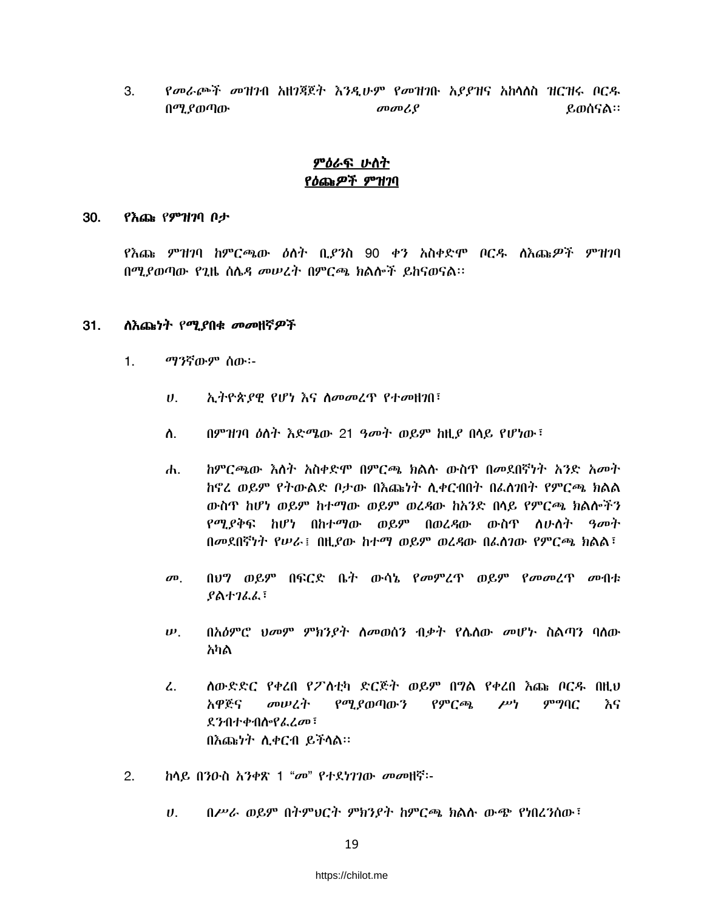የመራጮች መዝንብ አዘንጃጀት እንዲሁም የመዝንቡ አያያዝና አከሳሰስ ዝርዝሩ ቦርዱ 3. በሚያወጣው  $\omega$ <sub>a</sub> $\omega$ <sup>2</sup> ይወሰናል።

### <u>ምዕራፍ ሁስት</u> የዕጩዎች ምዝገባ

#### 30. የእጩ የምዝንባ ቦታ

የእጩ ምዝገባ ከምርጫው ዕለት ቢያንስ 90 ቀን አስቀድሞ ቦርዱ ለእጩዎች ምዝገባ በሚያወጣው የጊዜ ሰሴዳ መሠረት በምርጫ ክልሎች ይከናወናል።

#### **ስእጩነት የሚያበቁ መመዘኛዎች**  $31.$

- $1.$ ማንኛውም ሰው፡-
	- ኢትዮጵያዊ የሆነ እና ስመመረጥ የተመዘገበ፣  $\boldsymbol{U}$ .
	- በምዝገባ ዕለት እድሜው 21 ዓመት ወይም ከዚያ በሳይ የሆነው ፣ ስ.
	- ከምርጫው እስት አስቀድሞ በምርጫ ክልሱ ውስዋ በመደበኛነት አንድ አመት ሐ. ከኖረ ወይም የትውልድ ቦታው በእጩነት ሲቀርብበት በፌስገበት የምርጫ ክልል ውስጥ ከሆነ ወይም ከተማው ወይም ወረዳው ከአንድ በላይ የምርጫ ክልሎችን የሚያቅፍ ከሆነ በከተማው ወይም በወረዳው ውስዋ ስሁስት *ዓመ*ት በመደበኛነት የሠራ በዚያው ከተማ ወይም ወረዳው በፌስገው የምርጫ ክልል
	- $\boldsymbol{\sigma}$ <sup> $\boldsymbol{\sigma}$ </sup> በሀግ ወይም በፍርድ ቤት ውሳኔ የመምረጥ ወይም የመመረጥ መብቱ  $8$ ልተገራራ፣
	- $\boldsymbol{\nu}$ . በአዕምሮ ህመም ምክንያት ለመወሰን ብቃት የሌለው መሆኑ ስልጣን ባለው አካል
	- ስውድድር የቀረበ የፖስቲካ ድርጅት ወይም በግል የቀረበ እጩ ቦርዱ በዚህ  $\mathcal{L}$ . አዋጅና መሠረት የሚያወጣውን ምግባር የምርጫ  $\mu$ <sup>v</sup> እና ደንብተቀብስ የፌረመ፣ በእጩነት ሲቀርብ ይችላል።
- $2.$ ከሳይ በንዑስ አንቀጽ 1 "መ" የተደነገገው መመዘኛ፡-
	- በሥራ ወይም በትምህርት ምክንያት ከምርጫ ክልሱ ውጭ የነበረንሰው፤  $\boldsymbol{\theta}$ .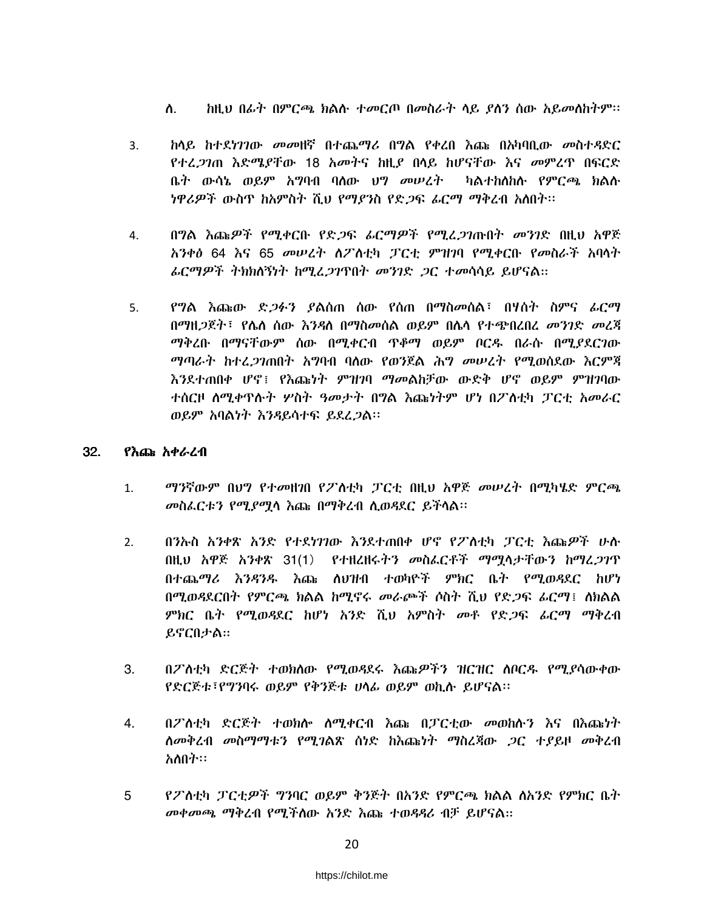- ስ. ከዚህ በፊት በምርጫ ክልሱ ተመርጦ በመስራት ላይ ያለን ሰው አይመስከትም።
- $3<sub>1</sub>$ <u>ከላይ ከተደነገገው መመዘኛ በተጨማሪ በግል የቀረበ እጩ በአካባቢው መስተዳድር</u> *የተረጋገ*ጠ እድሜያቸው 18 አመትና ከዚያ በሳይ ከሆናቸው እና መምረጥ በፍርድ ቤ*ት* ውሳኔ ወይም አግባብ ባሰው ህግ *መሠረት -* ካልተከሰከሱ የምርጫ ክልሱ *ነዋሪዎች ውስ*ዋ *ከአምስት ሺህ የማያን*ስ የድ*ጋ*ፍ *ፊርማ ማቅረ*ብ *አስ*በት።
- በግል እጩዎች የሚቀርቡ የድ*ጋ*ፍ *ሬርማዎች የሚሬጋገ*ጡበት *መንገ*ድ በዚህ አዋጅ 4. አንቀፅ 64 እና 65 መሠረት ስፖስቲካ ፓርቲ ምዝገባ የሚቀርቡ የመስራች አባላት *ፌርማዎች ትክክ*ለኝነት ከሚፈ*ጋገ*ጥበት *መንገድ ጋ*ር ተመሳሳይ ይሆናል።
- የግል እጩው ድ*ጋፉን ያ*ልሰጠ ሰው የሰጠ በማስ*መ*ሰል፣ በሃሰት ስምና *ሌር*ማ 5. በማዘ*ጋ*ጀት፣ የሌለ ሰው እንዳለ በማስመሰል ወይም በሌላ የተጭበረበረ *መንገ*ድ *መ*ረጃ ማቅረቡ በማናቸውም ሰው በሚቀርብ ጥቆማ ወይም ቦርዱ በራሱ በሚደደርንው *ማጣራት ከተረጋገ*ጠበት አማባብ ባለው የወንጀል ሕግ መሠረት የሚወሰደው እርምጃ እንደተጠበቀ ሆኖ፤ የእጩነት ምዝገባ ማመልከቻው ውድቅ ሆኖ ወይም ምዝገባው ተሰርዞ ስሚቀጥሱት ሦስት ዓመታት በግል እጩነትም ሆነ በፖስቲካ ፓርቲ አመራር ወይም አባልነት እንዳይሳተፍ ይደረ*ጋ*ል፡፡

#### 32. የእጩ አቀራረብ

- ማንኛውም በህግ የተመዘገበ የፖስቲካ ፓርቲ በዚህ አዋጅ መሠረት በሚካሄድ ምርጫ  $1.$ መስፌርቱን የሚያሟሳ እጩ በማቅረብ ሲወዳደር ይችላል።
- በንኡስ አንቀጽ አንድ የተደነገንው እንደተጠበቀ ሆኖ የፖስቲካ ፓርቲ እጩዎች ሁስ  $2.$ በዚህ አዋጅ አንቀጽ 31(1) የተዘረዘሩትን መስፌርቶች ማሟላታቸውን ከማፈ*ጋገ*ጥ በተጨማሪ እንዳንዱ እጩ ለህዝብ ተወካዮች ምክር ቤት የሚወዳደር ከሆነ በሚወዳደርበት የምርጫ ክልል ከሚኖሩ መራጮች ሶስት ሺህ የድ*ጋ*ፍ *ራር*ማ፤ ለክልል *ምክ*ር ቤት የሚወዳደር ከሆነ አንድ ሺህ አምስት *መቶ የድጋፍ ፊርማ ማቅረ*ብ ይኖርበታል።
- በፖለቲካ ድርጅት ተወክለው የሚወዳደሩ እጩዎችን ዝርዝር ለቦርዱ የሚያሳውቀው 3. የድርጅቱ፣የግንባሩ ወይም የቅንጅቱ ሀሳፊ ወይም ወኪሱ ይሆናል።
- በፖስቲካ ድርጅት ተወክሎ ስሚቀርብ እጩ በፓርቲው መወከሉን እና በእጩነት 4. ሰመቅረብ መስማማቱን የሚገልጽ ሰነድ ከእጩነት ማስረጃው ጋር ተያይዞ መቅረብ አለበት።
- የፖለቲካ ፓርቲዎች ግንባር ወይም ቅንጅት በአንድ የምርጫ ክልል ለአንድ የምክር ቤት 5 መቀመጫ ማቅረብ የሚችስው አንድ እጩ ተወዳዳሪ ብቻ ይሆናል።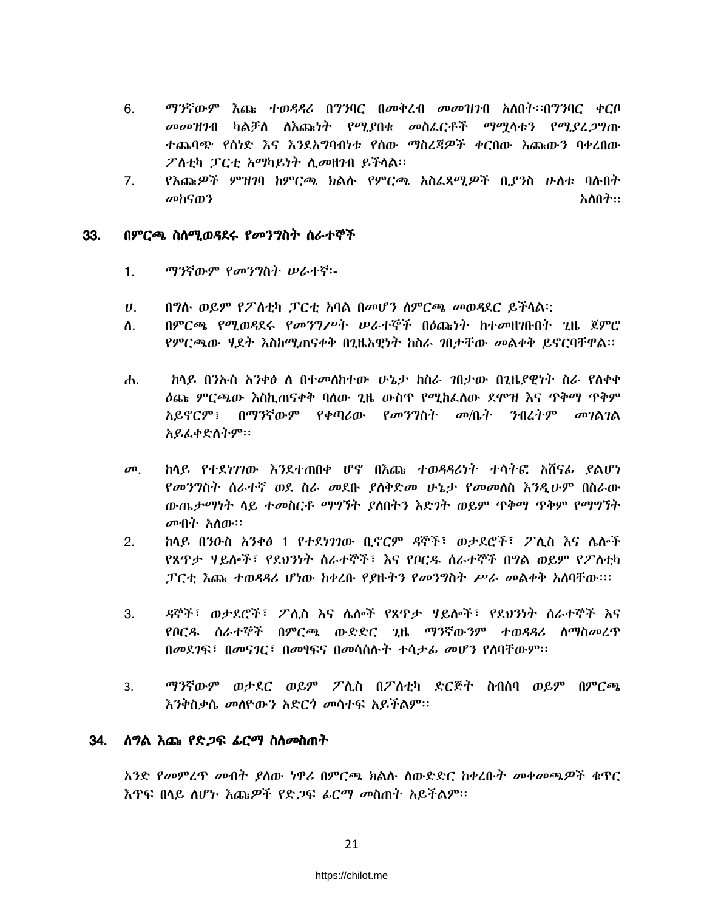- ማንኛውም እጩ ተወዳዳሪ በግንባር በመቅረብ መመዝንብ አለበት፡፡በግንባር ቀርቦ 6. መመዝንብ ካልቻስ ስእጩነት የሚያበቁ መስፌርቶች ማሚሳቱን የሚያፈጋግጡ ተጨባጭ የሰነድ እና እንደአግባብነቱ የሰው ማስረጃዎች ቀርበው እጩውን ባቀረበው ፖስቲካ ፓርቲ አማካይነት ሲመዘንብ ይችላል፡፡
- የእጩዎች ምዝገባ ከምርጫ ክልሱ የምርጫ አስፌጻሚዎች ቢያንስ ሁለቱ ባሉበት  $7<sub>1</sub>$ መከናወን አለበት።

#### በምርጫ ስስሚወዳደሩ የመንግስት ስራተኞች 33.

- $1.$ ማንኛውም የመንግስት ሠራተኛ፡-
- በግሱ ወይም የፖስቲካ ፓርቲ አባል በመሆን ስምርጫ መወዳደር ይችሳል።  $\boldsymbol{v}$ .
- በምርጫ የማወዳደሩ የመንግሥት ሠራተኞች በሰጩነት ከተመዘገቡበት ገዜ ጀምሮ  $\Delta$ የምርጫው ሃደት እስከሚጠናቀቅ በጊዜአዊነት ከስራ ገበታቸው መልቀቅ ይኖርባቸዋል፡፡
- $\mathbf{d}$ ከላይ በንሎስ አንቀፅ ለ በተመለከተው ሁኔታ ከስራ ገበታው በጊዜያዊነት ስራ የለቀቀ ዕጩ ምርጫው እስኪጠናቀቅ ባለው ጊዜ ውስጥ የሚከፈለው ደሞዝ እና ጥቅማ ጥቅም አይኖርም፤ በማንኛውም የቀጣሪው የመንግስት መጤት ንብረትም መገልገል አይፌቀድስትም፡፡
- ከላይ የተደነገገው እንደተጠበቀ ሆኖ በእጩ ተወዳዳሪነት ተሳትፎ አሸናራ ያልሆነ  $\boldsymbol{\sigma}$ <sup> $\boldsymbol{\sigma}$ </sup> የመንግስት ስራተኛ ወደ ስራ መደቡ ያስቅድመ ሁኔታ የመመስስ እንዲሁም በስራው ውጤታማነት ላይ ተመስርቶ ማግኘት ያስበትን እድገት ወይም ጥቅማ ጥቅም የማግኘት *መ*ብት አለው።
- $2.$ ከላይ በንዑስ አንቀፅ 1 የተደነንገው ቢኖርም ዳኞች፣ ወታደሮች፣ ፖሊስ እና ሌሎች የጸጥታ ሃይሎች፣ የደህንነት ስራተኞች፣ እና የቦርዱ ስራተኞች በግል ወይም የፖስቲካ ፓርቲ እጩ ተወዳዳሪ ሆነው ከቀረቡ የያዙትን የመንግስት ሥራ መልቀቅ አለባቸው።።
- ዳኞች፣ ወታደሮች፣ ፖሲስ እና ሴሎች የጸጥታ ዛይሎች፣ የደህንነት ሰራተኞች እና 3. የቦርዱ ስራተኞች በምርጫ ውድድር ጊዜ ማንኛውንም ተወዳዳሪ ስማስመረጥ በመደገፍ፣ በመናገር፣ በመፃፍና በመሳሰሱት ተሳታፊ መሆን የሰባቸውም፡፡
- ማንኛውም ወታደር ወይም ፖሊስ በፖለቲካ ድርጅት ስብሰባ ወይም በምርጫ  $3<sub>1</sub>$ እንቅስቃሴ መሰዮውን አድርጎ መሳተፍ አይችልም፡፡

#### 34. <u>ስግል እጩ የድ*ጋ*ፍ *ሬር*ማ ስስመስጠት</u>

አንድ የመምረዋ መብት ያስው ነዋሪ በምርጫ ክልሱ ሰውድድር ከቀረቡት መቀመጫዎች ቁዋር እጥፍ በላይ ስሆኑ እጩዎች የድ*ጋ*ፍ *ሬርማ መ*ስጠት አይችልም።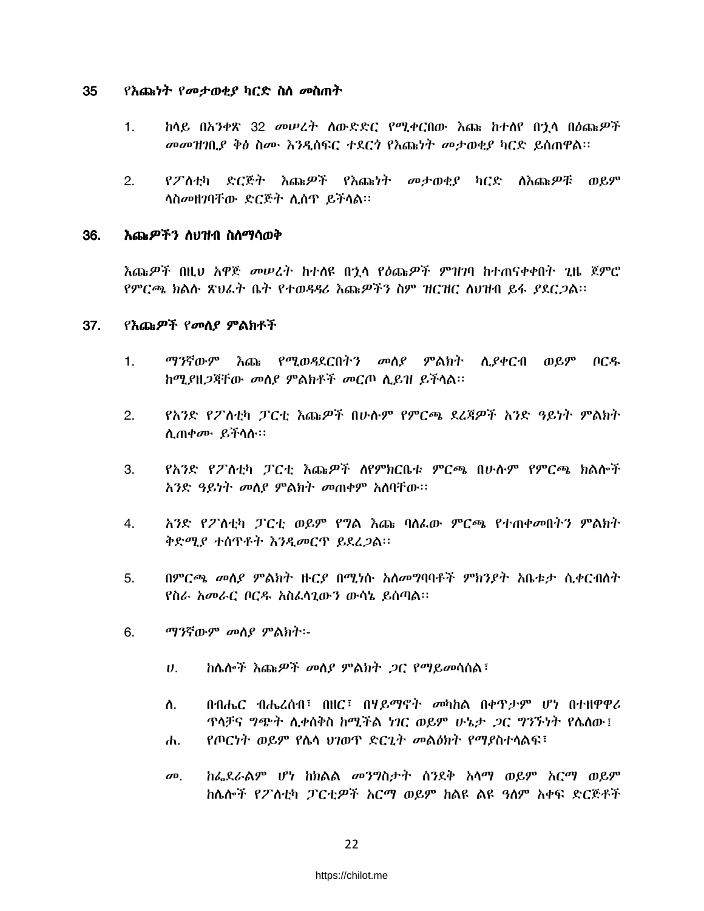#### 35 <u>የእጩነት የመታወቂያ ካርድ ስስ መስጠት</u>

- ከላይ በአንቀጽ 32 መሠረት ስውድድር የሚቀርበው እጩ ከተሰየ በኂሳ በዕጩዎች  $1<sub>1</sub>$ መመዝገቢያ ቅፅ ስሙ እንዲሰፍር ተደርጎ የእጩነት መታወቂያ ካርድ ይሰጠዋል።
- የፖለቲካ ድርጅት እጩዎች የእጩነት መታወቂያ ካርድ ለእጩዎቹ ወይም  $2.$ ሳስመዘገባቸው ድርጅት ሲሰዋ ይችሳል።

#### እጩዎችን ለህዝብ ስለማሳወቅ 36.

እጩዎች በዚህ አዋጅ *መሠረት* ከተሰዩ በኋላ የዕጩዎች ምዝገባ ከተጠናቀቀበት ጊዜ ጀምሮ የምርጫ ክልሉ ጽህራት ቤት የተወዳዳሪ እጩዎችን ስም ዝርዝር ስህዝብ ይፋ ያደር*ጋ*ል።

#### 37. የእጩዎች የመሰያ ምልክቶች

- ማንኛውም እጩ የሚወዳደርበትን መስደ ምልክት ሲደቀርብ ወይም ቦርዱ  $1.$ ከሚያዘጋጃቸው መስያ ምልክቶች መርጦ ሲይዝ ይችሳል፡፡
- $2.$ የአንድ የፖለቲካ ፓርቲ እጩዎች በሁሉም የምርጫ ደረጃዎች አንድ ዓይነት ምልክት ሊጠቀ*ሙ* ይችሳስ።
- የአንድ የፖለቲካ ፓርቲ እጩዎች ለየምክርቤቱ ምርጫ በሁሉም የምርጫ ክልሎች  $3.$ አንድ ዓይነት መሰያ ምልክት መጠቀም አሰባቸው።
- አንድ የፖስቲካ ፓርቲ ወይም የግል እጩ ባለፌው ምርጫ የተጠቀመበትን ምልክት 4. ቅድሚያ ተሰዋቶት እንዲመርዋ ይደረጋል።
- 5. በምርጫ መስያ ምልክት ዙርያ በሚነሱ አስመግባባቶች ምክንያት አቤቱታ ሲቀርብስት የስራ አመራር ቦርዱ አስፌሳጊውን ውሳኔ ይሰጣል።
- 6. *ማን*ኛውም መሰያ ምልክት፡-
	- ከሴሎች እጩዎች መሰያ ምልክት ጋር የማይመሳሰል፣  $U_{\rm{L}}$
	- በብሔር ብሔረሰብ፣ በዘር፣ በሃይማኖት መካከል በቀዋታም ሆነ በተዘዋዋሪ ስ. ዋላቻና *ግጭት ሲቀ*ሰቅስ ከሚችል *ነገ*ር ወይም ሁኔ*ታ ጋ*ር *ግኘኙነት የሴስ*ው፤
	- የጦርነት ወይም የሴሳ ሀገወጥ ድርጊት መልዕክት የማያስተሳልፍ፣ ሐ.
	- ከፌደራልም ሆነ ከክልል መንግስታት ሰንደቅ አሳማ ወይም አርማ ወይም  $\boldsymbol{\sigma}$ ከሌሎች የፖለቲካ ፓርቲዎች አርማ ወይም ከልዩ ልዩ ዓለም አቀፍ ድርጅቶች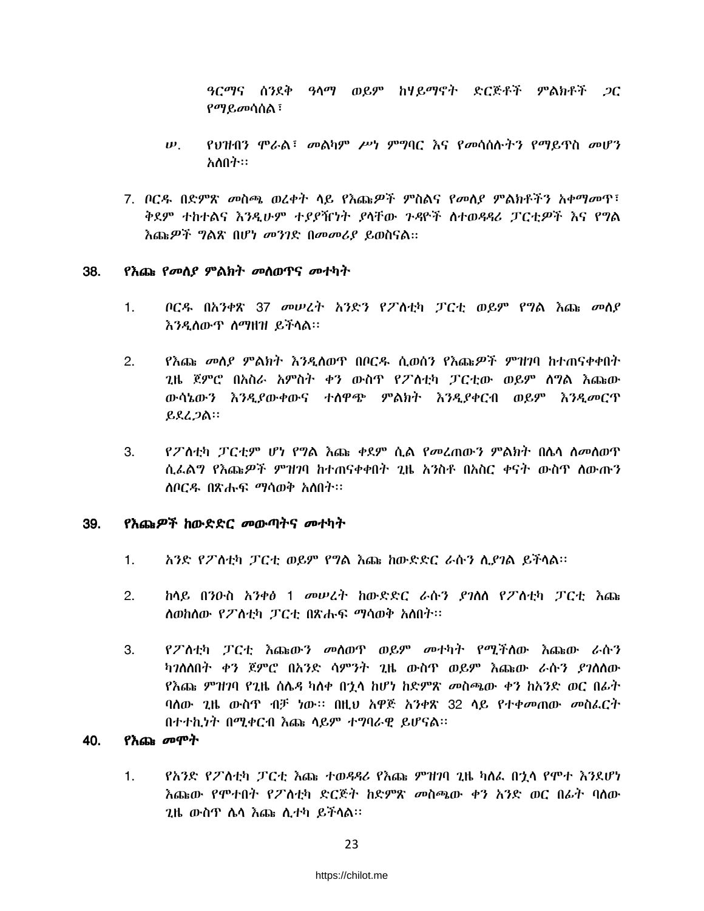ዓርማና ሰንደቅ ዓላማ ወይም ከሃይማኖት ድርጅቶች ምልክቶች *ጋ*ር *የማይመ*ሳሰል ፣

- $\boldsymbol{\nu}$ . የህዝብን ሞራል፣ መልካም ሥነ ምግባር እና የመሳሰሉትን የማይዋስ መሆን አስበት።
- 7. ቦርዱ በድምጽ መስጫ ወረቀት ላይ የእጩዎች ምስልና የመለደ ምልክቶችን አቀማመጥ፣ ቅደም ተከተልና እንዲሁም ተደደዥነት ደላቸው ጉዳዮች ስተወዳዳሪ ፓርቲዎች እና የግል እጨዎች ግልጽ በሆነ መንገድ በመመሪያ ይወስናል።

#### 38. *የእ*ጨ *የመስያ ምልክት መስወጥና መተካት*

- ቦርዱ በአንቀጽ 37 መሠረት አንድን የፖስቲካ ፓርቲ ወይም የግል እጩ መሰያ  $1.$ እንዲስውጥ ስማዘዝ ይችላል።
- የእጩ *መ*ለያ ምልክት እንዲለወጥ በቦርዱ ሲወሰን የእጩ*ዎች ምዝገ*ባ ከተጠናቀቀበት  $2.$ 2ዜ ጀምሮ በአስራ አምስት ቀን ውስጥ የፖስቲካ ፓርቲው ወይም ሰግል እጩው ውሳኔውን እንዲያውቀውና ተሰዋጭ ምልክት እንዲያቀርብ ወይም እንዲመርጥ ይደረጋል።
- የፖስቲካ ፓርቲም ሆነ የግል እጩ ቀደም ሲል የመረጠውን ምልክት በሴሳ ስመስወጥ  $3<sub>l</sub>$ ሲፌልግ የእጩዎች ምዝንባ ከተጠናቀቀበት ጊዜ አንስቶ በአስር ቀናት ውስጥ ለውጡን ስቦርዱ በጽሑፍ ማሳወቅ አስበት።

#### <u>የእጩዎች ከውድድር መውጣትና መተካት</u> 39.

- $1<sup>1</sup>$ አንድ የፖለቲካ ፓርቲ ወይም የግል እጩ ከውድድር ራሱን ሲያገል ይችላል።
- $2.$ <u>ከላይ በንዑስ አንቀፅ 1 መሠረት ከውድድር ራሱን ያገለለ የፖለቲካ ፓርቲ እጩ</u> ለወከለው የፖለቲካ ፓርቲ በጽሑፍ ማሳወቅ አለበት።
- የፖስቲካ ፓርቲ እጩውን መስወጥ ወይም መተካት የሚችስው እጩው ራሱን 3. ካንስስበት ቀን ጀምሮ በአንድ ሳምንት ጊዜ ውስጥ ወይም እጩው ራሱን ያንስስው የእጩ ምዝንባ የጊዜ ሰሌዳ ካለቀ በኃላ ከሆነ ከድምጽ መስጫው ቀን ከአንድ ወር በፊት ባለው ጊዜ ውስጥ ብቻ ነው። በዚህ አዋጅ አንቀጽ 32 ላይ የተቀመጠው መስፌርት በተተኪነት በሚቀርብ እጩ ሳይም ተግባራዊ ይሆናል።

#### የእጩ መሞት 40.

 $1<sub>1</sub>$ የአንድ የፖስቲካ ፓርቲ እጩ ተወዳዳሪ የእጩ ምዝንባ ጊዜ ካስፌ በኋላ የሞተ እንደሆነ እጩው የሞተበት የፖለቲካ ድርጅት ከድምጽ መስጫው ቀን አንድ ወር በፊት ባለው 2ዜ ውስዋ ሴሳ እጩ ሊተካ ይችሳል።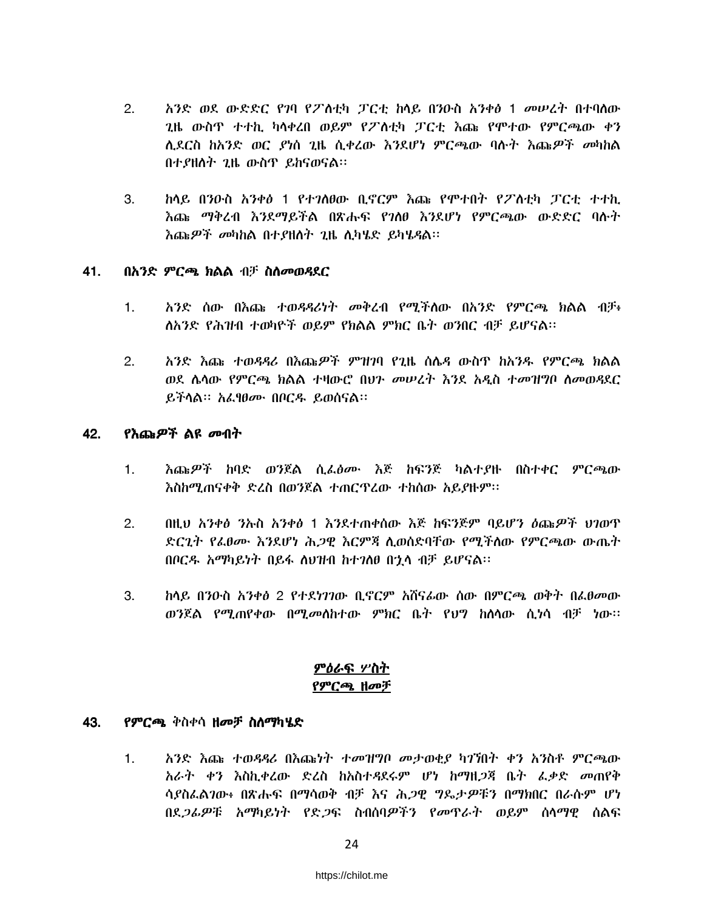- $2.$ አንድ ወደ ውድድር የገባ የፖስቲካ ፓርቲ ከላይ በንዑስ አንቀፅ 1 መሠረት በተባለው ጊዜ ውስጥ ተተኪ ካሳቀረበ ወይም የፖስቲካ ፓርቲ እጩ የሞተው የምርጫው ቀን ሲደርስ ከአንድ ወር ያነሰ ጊዜ ሲቀረው እንደሆነ ምርጫው ባሱት እጩዎች መካከል በተያዘለት ጊዜ ውስዋ ይከናወናል።
- $3.$ ከላይ በንዑስ አንቀፅ 1 የተንለፀው ቢኖርም እጩ የሞተበት የፖለቲካ ፓርቲ ተተኪ <u>እጩ ማቅረብ እንደማይችል በጽሑፍ የንለፀ እንደሆነ የምርጫው ውድድር ባሉት</u> እጨዎች መካከል በተያዘለት ጊዜ ሊካሄድ ይካሄ*ዳ*ል።

#### 41. በአንድ ምርጫ ክልል ብቻ ስለመወዳደር

- አንድ ሰው በእጩ ተወዳዳሪነት መቀረብ የሚችለው በአንድ የምርጫ ክልል ብቻ፥ 1. <u>ለአንድ የሕዝብ ተወካዮች ወይም የክልል ምክር ቤት ወንበር ብቻ ይሆናል፡፡</u>
- አንድ እጩ ተወዳዳሪ በእጩዎች ምዝንባ የጊዜ ስሌዳ ውስዋ ከአንዱ የምርጫ ክልል  $2.$ ወደ ሴሳው የምርጫ ክልል ተዛውሮ በህን መሠረት እንደ አዲስ ተመዝግቦ ስመወዳደር ይችላል። አፌፃፀሙ በቦርዱ ይወሰናል።

#### 42. <u>የእጩዎች ልዩ መብት</u>

- እጩ*ዎች* ከባድ ወንጀል ሲ*ሌዕሙ* እጅ ከፍንጅ ካልተያዙ በስተቀር *ምርጫ*ው  $\mathbf{1}$ . እስከሚጠናቀቅ ድረስ በወንጀል ተጠርዋረው ተከሰው አይያዙም፡፡
- በዚህ አንቀፅ ንኡስ አንቀፅ 1 እንደተጠቀሰው እጅ ከፍንጅም ባይሆን ዕጩ*ዎች ህገ*ወጥ  $2.$ ድርጊት የፌፀሙ እንደሆነ ሕጋዊ እርምጃ ሲወሰድባቸው የሚችለው የምርጫው ውጤት በቦርዱ አማካይነት በይፋ ስህዝብ ከተገለፀ በኂሳ ብቻ ይሆናል።
- 3. ከላይ በንዑስ አንቀፅ 2 የተደነገገው ቢኖርም አሸናራው ሰው በምርጫ ወቅት በራፀመው ወንጀል የሚጠየቀው በሚመለከተው ምክር ቤት የህግ ከለሳው ሲነሳ ብቻ ነው፡፡

### ምዕራፍ ሦስት የምርጫ ዘመቻ

#### 43. የምርጫ ቅስቀሳ ዘመቻ ስስማካሄድ

 $1.$ አንድ እጩ ተወዳዳሪ በእጩነት ተመዝግቦ መታወቂያ ካገኘበት ቀን አንስቶ ምርጫው አራት ቀን እስኪቀረው ድረስ ከአስተዳደሩም ሆነ ከማዘጋጃ ቤት ፌቃድ መጠየቅ ሳያስፌልንው፥ በጽሑፍ በማሳወቅ ብቻ እና ሕጋዊ ግዴታዎቹን በማክበር በራሱም ሆነ በደ*ጋሌዎቹ አማ*ካይነት የድ*ጋ*ፍ ስብሰባ*ዎችን የመ*ዋራት ወይም ሰላማዊ ሰልፍ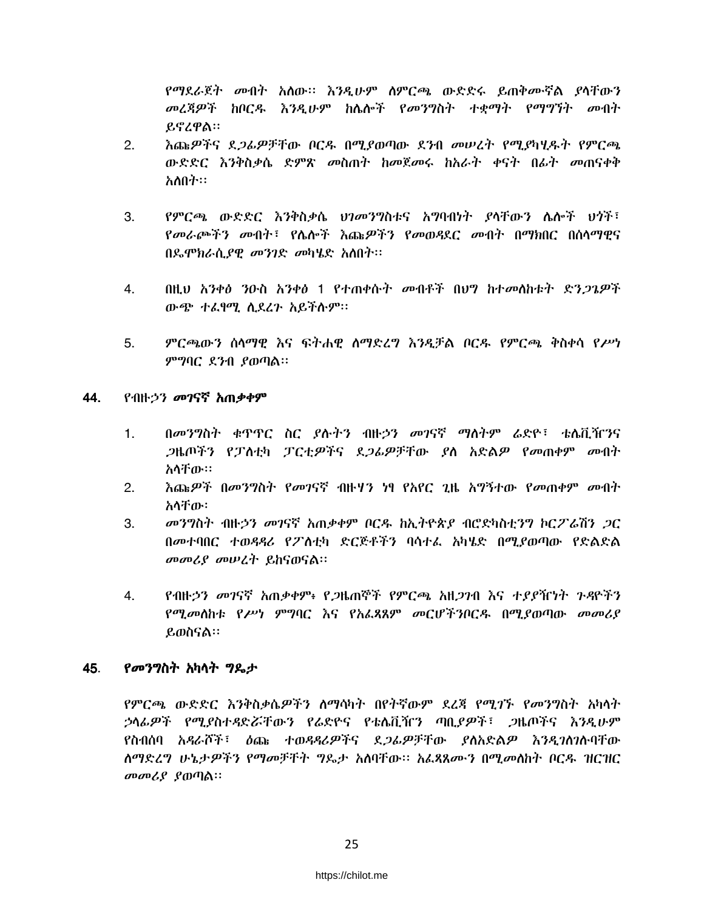የማደራጀት መብት አለው። እንዲሁም ስምርጫ ውድድሩ ይጠቅሙኛል ያሳቸውን መረጃዎች ከቦርዱ እንዲሁም ከሴሎች የመንግስት ተቋማት የማግኘት መብት ይኖረዋል።

- እጩዎችና ደ*ጋሌዎች*ቸው ቦርዱ በሚያወጣው ደንብ መሠረት የሚያካሂዱት የምርጫ  $2.$ ውድድር እንቅስቃሴ ድምጽ መስጠት ከመጀመሩ ከአራት ቀናት በፊት መጠናቀቅ አስበት።
- የምርጫ ውድድር እንቅስቃሴ ህንመንግስቱና አግባብነት ያሳቸውን ሌሎች ህጎች፣  $3<sub>l</sub>$ የመራጮችን መብት፣ የሴሎች እጩዎችን የመወዳደር መብት በማክበር በሰሳማዊና በጴሞክራሲያዊ መንገድ መካሄድ አስበት፡፡
- በዚህ አንቀፅ ንዑስ አንቀፅ 1 የተጠቀሱት መብቶች በሀግ ከተመለከቱት ድን*ጋጌዎ*ች 4. ውጭ ተፈፃሚ ሲደረጉ አይችሱም፡፡
- ምርጫውን ሰሳማዊ እና ፍትሐዊ ስማድረግ እንዲቻል ቦርዱ የምርጫ ቅስቀሳ የሥነ  $5.$ ምግባር ደንብ ያወጣል።

#### 44. የብዙ*ኃን መገ*ናኛ *አ*ጠቃቀም

- በመንግስት ቁጥጥር ስር ያሉትን ብዙኃን መገናኛ ማለትም ራድዮ፣ ቴሌቪዥንና  $1<sub>1</sub>$ *ጋ*ዜጦችን የፓስቲካ ፓርቲ*ዎ*ችና ደ*ጋሌዎቻቸ*ው *ያ*ለ አድል*ዎ የመ*ጠቀም *መ*ብት አሳቸው።
- $2.$ እጨዎች በመንግስት የመገናኛ ብዙሃን ነፃ የአየር ጊዜ አግኝተው የመጠቀም መብት አሳቸው፡
- *መንግ*ስት ብዙኃን መገናኛ አጠቃቀም ቦርዱ ከኢትዮጵያ ብሮድካስቲንግ ኮርፖሬሽን *ጋ*ር 3. በመተባበር ተወዳዳሪ የፖስቲካ ድርጅቶችን ባሳተፌ አካሄድ በሚደወጣው የድልድል መመሪያ መሠረት ይከናወናል።
- 4. የብዙኃን መገናኛ አጠቃቀም፥ የ,ጋዜጠኞች የምርጫ አዘ,27ብ እና ተያያዥነት ጉዳዮችን የሚመለከቱ የሥነ ምግባር እና የአፌጻጸም መርሆችንቦርዱ በሚያወጣው መመሪያ ይወስናል።

#### $45.$ የመንግስት አካላት ግዴታ

የምርጫ ውድድር እንቅስቃሴዎችን ስማሳካት በየትኛውም ደረጃ የሚገኙ የመንግስት አካላት ኃላፊዎች የሚያስተዳድሯቸውን የሬድዮና የቴሌቪዥን ጣቢያዎች፣ ጋዜጦችና እንዲሁም የስብሰባ አዳራሾች፣ ዕጩ ተወዳዳሪዎችና ደ*ጋሌዎቻ*ቸው ያስአድል*ዎ* እንዲገስገሉባቸው ለማድረግ ሁኔታዎችን የማመቻቸት ግዴታ አለባቸው። አፈጻጸሙን በሚመስከት ቦርዱ ዝርዝር መመሪያ ያወጣል።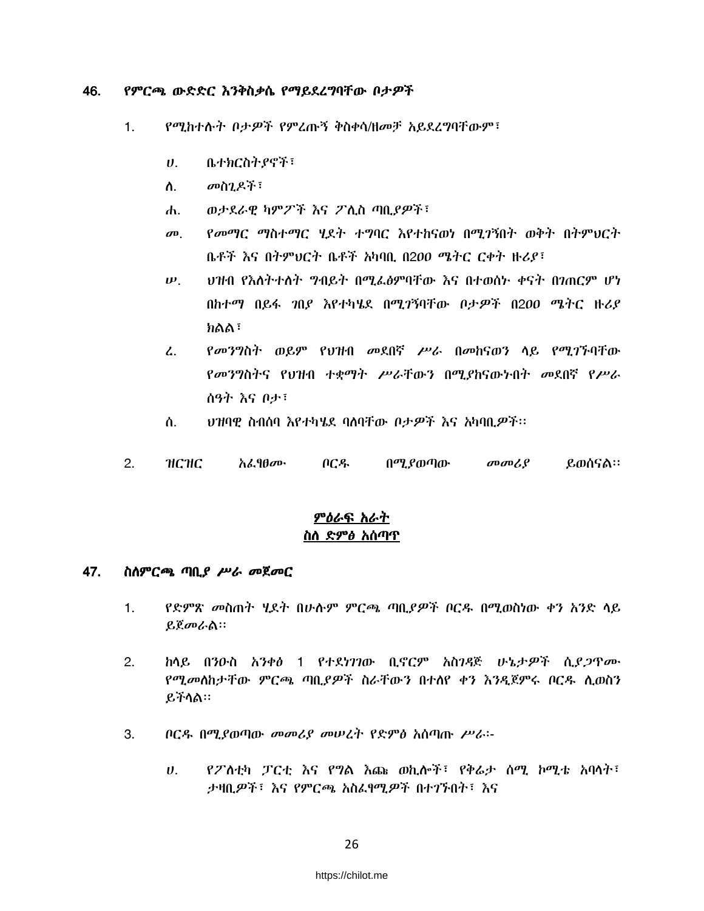#### 46. የምርጫ ውድድር እንቅስቃሴ የማይደረግባቸው በታዎች

- $1<sub>1</sub>$ የሚከተሱት ቦታዎች የምረጡኝ ቅስቀሳ/ዘመቻ አይደረግባቸውም፣
	- ቤተክርስትያኖች፣  $\boldsymbol{\theta}$ .
	- መስንዶች፣ ስ.
	- ወታደራዊ ካምፖች እና ፖሊስ ጣቢያዎች፣ Ж.
	- የመማር ማስተማር ሃደት ተግባር እየተከናወነ በሚገኝበት ወቅት በትምህርት  $\boldsymbol{\sigma}$ ቤቶች እና በትምህርት ቤቶች አካባቢ በ200 ሜትር ርቀት ዙሪያ፣
	- ህዝብ የእስትተስት ግብይት በሚፌፅምባቸው እና በተወሰኑ ቀናት በገጠርም ሆነ  $\boldsymbol{\psi}$ . በከተማ በይፋ *ገ*በይ እየተካሄደ በሚገኝባቸው ቦታ*ዎች* በ200 ሜትር ዙሪይ ክልል፣
	- የመንግስት ወይም የህዝብ መደበኛ ሥራ በመከናወን ላይ የሚገኙባቸው  $\mathcal{L}$ . የመንግስትና የህዝብ ተቋማት ሥራቸውን በሚያከናውኑበት መደበኛ የሥራ ሰዓት እና ቦታ፣
	- ህዝባዊ ስብሰባ እየተካሄደ ባለባቸው ቦታዎች እና አካባቢዎች፡፡ ለ.
- $2.$ **НСНС** <u>አፌየፀሙ</u> ቦርዱ በሚያወጣው መመሪያ ይወሰናል።

### <u>ምዕራፍ አራት</u> <u>ስስ ድምፅ አሰጣጥ</u>

#### 47. ስለምርጫ ጣቢያ ሥራ መጀመር

- $1.$ *የድምጽ መ*ስጠት ሂደት በሁሉም ምር*ጫ* ጣቢ*ያዎ*ች ቦርዱ በሚወስነው ቀን አንድ ላይ ይጀመራል።
- $2.$ <u>ከላይ በንዑስ አንቀፅ 1 የተደነገገው ቢኖርም አስገዳጅ ሁኔታዎች ሲደ*ጋ*ጥሙ</u> የሚመለከታቸው ምርጫ ጣቢያዎች ስራቸውን በተለየ ቀን እንዲጀምሩ ቦርዱ ሊወስን ይችሳል።
- 3. ቦርዱ በሚያወጣው መመሪያ መሠረት የድምፅ አሰጣጡ ሥራ፡-
	- የፖስቲካ ፓርቲ እና የግል እጨ ወኪሎች፣ የቅሬታ ሰሚ ኮሚቴ አባላት፣  $\boldsymbol{U}$ . ታዛቢዎች፣ እና የምርጫ አስፈፃሚዎች በተገኙበት፣ እና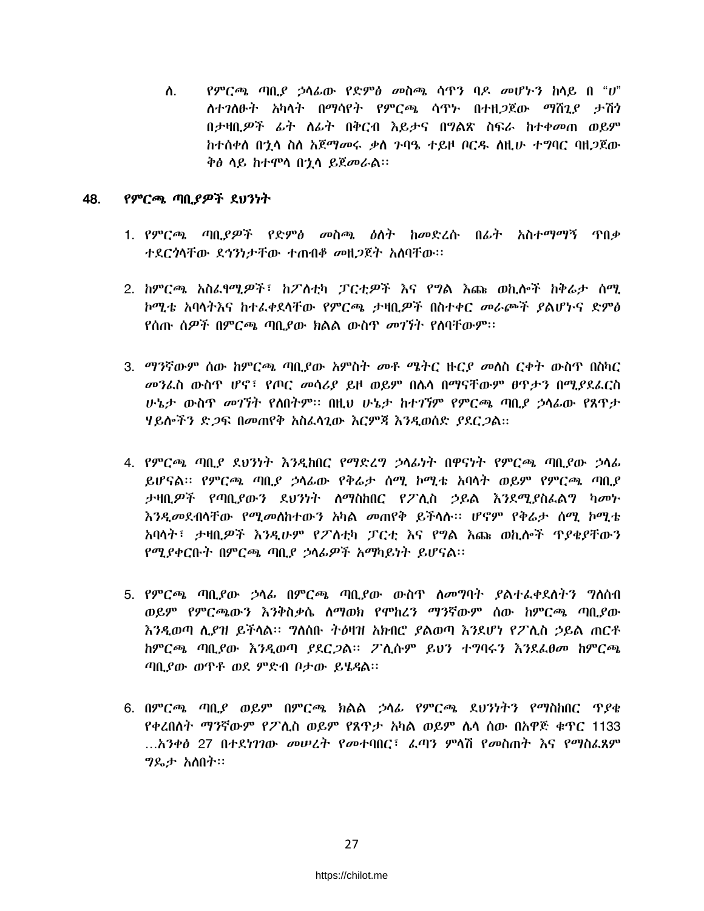$P$ ምርጫ ጣቢ $P$  ኃላፊው የድምፅ መስጫ ሳዋን ባዶ መሆኑን ከሳይ በ " $U$ " ስ. ስተገለፁት አካላት በማሳየት የምርጫ ሳዋኑ በተዘጋጀው ማሽጊያ ታሽን ከተሰቀሰ በ'ኒሳ ስስ አጀማመሩ ቃስ ንባዔ ተይዞ ቦርዱ ስዚሁ ተማባር ባዘ*ጋ*ጀው ቅፅ ሳይ ከተሞሳ በኂሳ ይጀመራል።

#### 48. የምርጫ ጣቢያዎች ደህንነት

- 1. የምርጫ ጣቢያዎች የድምፅ መስጫ ዕለት ከመድረሱ በፊት አስተማማኝ ጥበቃ ተደርጎሳቸው ደኅንነታቸው ተጠብቆ መዘ*ጋ*ጀት አስባቸው።
- 2. ከምርጫ አስፌየሚዎች፣ ከፖለቲካ ፓርቲዎች እና የግል እጩ ወኪሎች ከቅሬታ ሰሚ ኮሚቴ አባሳትእና ከተፌቀደሳቸው የምርጫ ታዛቢዎች በስተቀር መራጮች ያልሆኑና ድምፅ <u>የሰጡ ሰዎች በምርጫ ጣበ የሙ ክልል ሙስጥ መገኘት የለባቸሙም፡፡</u>
- 3. ማንኛውም ሰው ከምርጫ ጣቢያው አምስት መቶ ሜትር ዙርያ መሰስ ርቀት ውስዋ በስካር *መን*ፌስ ውስዋ ሆኖ፣ የጦር *መ*ሳሪያ ይዞ ወይም በሌሳ በማናቸውም ፀዋ*ታን* በሚያደፌርስ ሁኔታ ውስዋ መገኘት የለበትም። በዚህ ሁኔታ ከተገኘም የምርጫ ጣቢያ ኃላፊው የጸዋታ ሃይሎችን ድ*ጋ*ፍ በመጠየቅ አስፈሳጊው እርምጃ እንዲወሰድ *ያ*ደር*ጋ*ል።
- 4. የምርጫ ጣቢያ ደህንነት እንዲከበር የማድረግ ኃላፊነት በዋናነት የምርጫ ጣቢያው ኃላፊ ይሆናል፡፡ የምርጫ ጣቢያ ኃሳፊው የቅሬታ ሰሚ ኮሚቴ አባሳት ወይም የምርጫ ጣቢያ ታዛቢዎች የጣቢያውን ደህንነት ስማስከበር የፖሊስ ኃይል እንደሚያስፌልግ ካመኑ እንዲመደብሳቸው የሚመስከተውን አካል መጠየቅ ይችሳሉ፡፡ ሆኖም የቅሬታ ስሚ ኮሚቴ አባላት፣ ታዛቢዎች እንዲሁም የፖስቲካ ፓርቲ እና የግል እጩ ወኪሎች ጥያቄያቸውን የሚያቀርቡት በምርጫ ጣቢያ ኃላፊዎች አማካይነት ይሆናል፡፡
- 5. የምርጫ ጣቢያው ኃሳፊ በምርጫ ጣቢያው ውስጥ ስመግባት ያልተፌቀደስትን ግስሰብ ወይም የምርጫውን እንቅስቃሴ ስማወክ የሞከረን ማንኛውም ሰው ከምርጫ ጣቢያው ከምርጫ ጣቢያው እንዲወጣ ያደር*ጋ*ል። ፖሊሱም ይህን ተግባሩን እንደፊፀመ ከምርጫ ጣቢያው ወጥቶ ወደ ምድብ ቦታው ይሄዳል።
- 6. በምርጫ ጣቢያ ወይም በምርጫ ክልል ኃላፊ የምርጫ ደህንነትን የማስከበር ጥያቄ የቀረበሰተ ማንኛውም የፖሲስ ወይም የጸዋታ አካል ወይም ሴሳ ሰው በአዋጅ ቁዋር 1133 ...አንቀፅ 27 በተደነገገው መሠረት የመተባበር፣ ፌጣን ምሳሽ የመስጠት እና የማስፌጸም *ግ*ዴታ አስበት።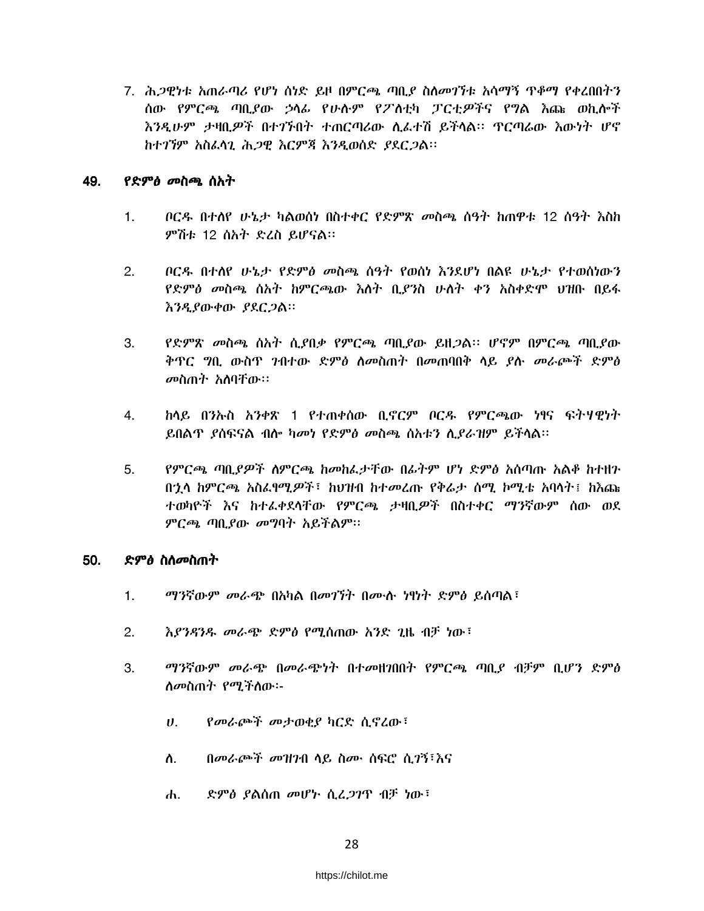7. ሕ*ጋዊነቱ አ*ጠራጣሪ የሆነ ሰነድ ይዞ በምርጫ ጣቢ*ያ* ስለ*መገኘቱ አ*ሳማኝ ዋቆማ የቀረበበትን ሰው የምርጫ ጣቢያው ኃሳፊ የሁሱም የፖስቲካ ፓርቲዎችና የግል እጩ ወኪሎች እንዲሁም ታዛቢዎች በተገኙበት ተጠርጣሪው ሲፌተሽ ይችሳል፡፡ ዋርጣሬው እውነት ሆኖ ከተገኘም አስፈላጊ ሕጋዊ እርምጃ እንዲወሰድ ያደርጋል፡፡

#### 49. *የድምፅ መ*ስጫ ሰአት

- $1<sub>1</sub>$ ቦርዱ በተሰየ ሁኔታ ካልወሰነ በስተቀር የድምጽ መስጫ ሰዓት ከጠዋቱ 12 ሰዓት እስከ ምሽቱ 12 ሰአት ድረስ ይሆናል።
- ቦርዱ በተሰየ ሁኔታ የድምፅ መስጫ ሰዓት የወሰነ እንደሆነ በልዩ ሁኔታ የተወሰነውን  $2.$ *የድምፅ መ*ስጫ ሰአት ከምርጫው *እ*ሰት ቢ*ያን*ስ ሁለት ቀን አስቀድሞ ህዝቡ በይፋ እንዲያውቀው ያደርጋል።
- $3.$ የድምጽ መስጫ ሰአት ሲደበቃ የምርጫ ጣቢደው ይዘጋል። ሆኖም በምርጫ ጣቢደው ቅጥር ግቢ ውስጥ ገብተው ድምፅ ስመስጠት በመጠባበቅ ላይ ያሉ መራጮች ድምፅ መስጠት አስባቸው።
- ከላይ በንኡስ አንቀጽ 1 የተጠቀሰው ቢኖርም ቦርዱ የምርጫው ነፃና ፍትሃዊነት 4. ይበልዋ ያስፍናል ብሎ ካመነ የድምፅ መስጫ ስአቱን ሊያራዝም ይችላል።
- የምርጫ ጣቢያዎች ስምርጫ ከመከፌታቸው በፊትም ሆነ ድምፅ አሰጣጡ አልቆ ከተዘን  $5.$ በኋላ ከምርጫ አስራየሚዎች፣ ከህዝብ ከተመረጡ የቅሬታ ሰሚ ኮሚቴ አባላት፤ ከእጩ ተወካዮች እና ከተፈቀደሳቸው የምርጫ ታዛቢዎች በስተቀር ማንኛውም ሰው ወደ ምርጫ ጣቢያው መግባት አይችልም፡፡

#### 50. ድምፅ ስስመስጠት

- $1.$ ማንኛውም መራጭ በአካል በመገኘት በሙሉ ነፃነት ድምፅ ይሰጣል፣
- $2<sub>1</sub>$ እያንዳንዱ መራጭ ድምፅ የሚሰጠው አንድ ጊዜ ብቻ ነው፣
- 3. ማንኛውም መራጭ በመራጭነት በተመዘገበበት የምርጫ ጣቢያ ብቻም ቢሆን ድምፅ ሰመስጠት የሚችስው፡-
	- የመራጮች መታወቂያ ካርድ ሲኖረው፣  $\boldsymbol{\theta}$ .
	- ስ. በመራጮች መዝንብ ላይ ስሙ ሰፍሮ ሲገኝ፣እና
	- ድምፅ ያልሰጠ መሆኑ ሲፈጋገዋ ብቻ ነው፤  $\mathbf{d}$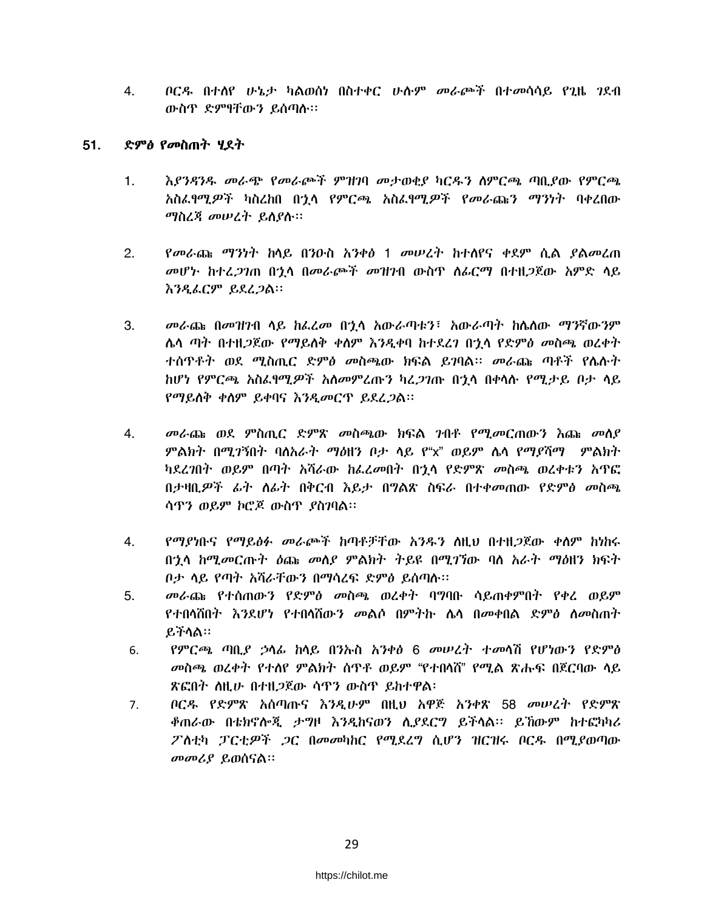*በርዱ በተለየ ሁኔታ ካ*ልወሰነ በስተቀር ሁሱም *መ*ራጮች በተመሳሳይ የጊዜ *ገ*ደብ 4. ውስጥ ድምፃቸውን ይሰጣሱ።

#### 51. ድምፅ የመስጠት ሃደት

- $1.$ እያንዳንዱ መራጭ የመራጮች ምዝገባ መታወቂያ ካርዱን ስምርጫ ጣቢያው የምርጫ አስፈፃሚዎች ካስረከበ በጎላ የምርጫ አስፈፃሚዎች የመራጩን ማንነት ባቀረበው *ማ*ስረጃ መሠረት ይሰያሉ።
- የመራጩ ማንነት ከሳይ በንዑስ አንቀፅ 1 መሠረት ከተሰየና ቀደም ሲል ያልመረጠ  $2.$ *መ*ሆኑ ከተፈ*ጋገ*ጠ በ<u>ኂ</u>ሳ በመራጮች መዝንብ ውስዋ ስራርማ በተዘ*ጋ*ጀው አምድ ሳይ እንዲፌርም ይደረ*ጋ*ል።
- $\mathbf{3}$ መራጩ በመዝንብ ላይ ከፌረመ በንላ አውራጣቱን፣ አውራጣት ከሌለው ማንኛውንም ሌላ ጣት በተዘ*ጋ*ጀው የማይለቅ ቀለም እንዲቀባ ከተደረን በኃላ የድምፅ መስጫ ወረቀት ተሰዋቶት ወደ ሚስጢር ድምፅ መስጫው ክፍል ይገባል። መራጩ ጣቶች የሴሱት ከሆነ የምርጫ አስፈፃሚዎች አለመምረጡን ካሬ*ጋገ*ጡ በኀሳ በቀሳሱ የሚታይ ቦታ ሳይ የማይሰቅ ቀስም ይቀባና እንዲመርጥ ይደረጋል፡፡
- መራጩ ወደ ምስጢር ድምጽ መስጫው ክፍል ገብቶ የሚመርጠውን እጩ መሰያ 4. ምልክት በሚገኝበት ባለአራት ማዕዘን ቦታ ላይ የ"x" ወይም ሌላ የማያሻማ ምልክት ካደረገበት ወይም በጣት አሻራው ከፌረመበት በኋላ የድምጽ መስጫ ወረቀቱን አዋፎ በታዛቢዎች ፊት ስራት በቅርብ እይታ በግልጽ ስፍራ በተቀመጠው የድምፅ መስጫ ሳዋን ወይም ኮሮጆ ውስጥ ያስገባል፡፡
- የማያነቡና የማይፅፉ መራጮች ከጣቶቻቸው አንዱን ስዚህ በተዘ*ጋ*ጀው ቀስም ከነከሩ  $4.$ በኋላ ከሚመርጡት ዕጩ መለያ ምልክት ትይዩ በሚገኘው ባለ አራት ማዕዘን ክፍት ቦታ ሳይ የጣት አሻራቸውን በማሳረፍ ድምፅ ይሰጣሉ፡፡
- 5. *መራ*ጨ የተሰጠውን የድም*ዕ መ*ስጫ ወረቀት ባግባቡ ሳይጠቀምበት የቀረ ወይም የተበሳሽበት እንደሆነ የተበሳሽውን መልሶ በምትኩ ሴሳ በመቀበል ድምፅ ስመስጠት ይችሳል።
- የምርጫ ጣቢያ ኃላፊ ከሳይ በንኩስ አንቀፅ 6 መሠረት ተመሳሽ የሆነውን የድምፅ 6. *መ*ስጫ ወረቀት የተሰየ ምልክት ሰዋቶ ወይም "የተበሳሽ" የሚል ጽሑፍ በጀርባው ሳይ ጽፎበት ስዚሁ በተዘ*ጋ*ጀው ሳዋን ውስዋ ይከተዋል፡
- ቦርዱ የድምጽ አሰጣጡና እንዲሁም በዚህ አዋጅ አንቀጽ 58 መሠረት የድምጽ  $7<sub>1</sub>$ ቆጠራው በቴክኖሎጂ ታግዞ እንዲከናወን ሲያደርግ ይችላል፡፡ ይኸውም ከተፎካካሪ ፖስቲካ ፓርቲዎች *ጋ*ር በመመካከር የሚደረግ ሲሆን ዝርዝሩ ቦርዱ በሚያወጣው መመሪያ ይወሰናል።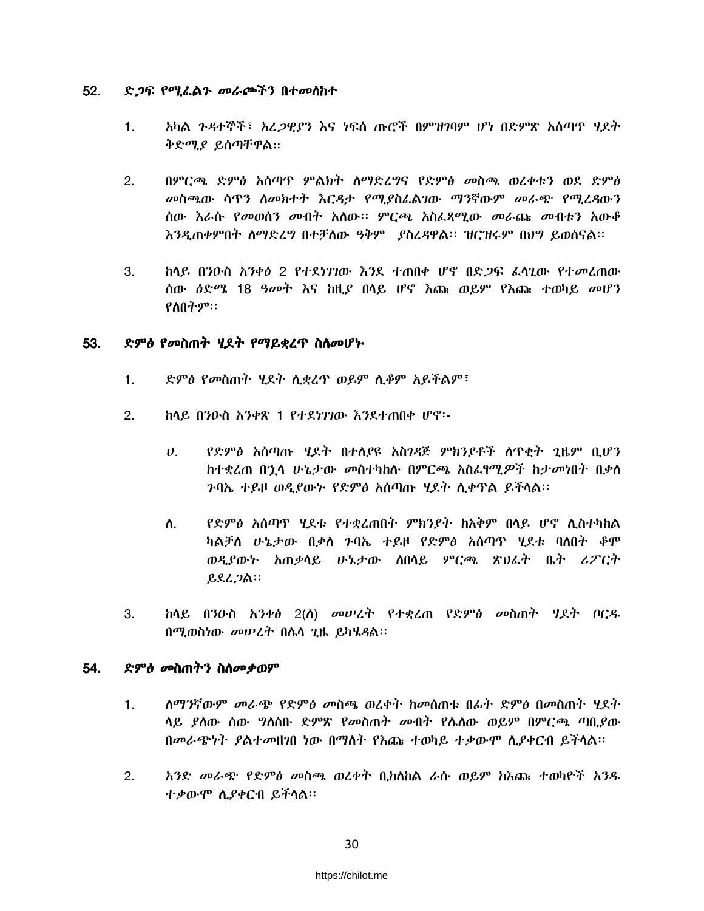#### 52. ድ*ጋ*ፍ የሚፌልን መራጮችን በተመስከተ

- አካል ንዳተኞች፣ አረ*ጋዊያን* እና ነፍሰ ጡሮች በምዝገባም ሆነ በድምጽ አሰጣዋ ሃደት  $1.$ ቅድሚያ ይሰጣቸዋል።
- $2.$ በምርጫ ድምፅ አሰጣዋ ምልክት ስማድረግና የድምፅ መስጫ ወረቀቱን ወደ ድምፅ መስጫው ሳዋን ስመክተት እርዳታ የሚያስፌልገው ማንኛውም መራጭ የሚረዳውን ሰው እራሱ የመወሰን መብት አስው። ምርጫ አስፌጻሚው መራጩ መብቱን አውቆ እንዲጠቀምበት ስማድረግ በተቻሰው ዓቅም ያስረዳዋል። ዝርዝሩም በህግ ይወሰናል።
- 3. ከላይ በንዑስ አንቀፅ 2 የተደነገገው እንደ ተጠበቀ ሆኖ በድ*ጋ*ፍ ፌሳጊው የተመረጠው ሰው *ዕ*ድሜ 18 ዓመት እና ከዚያ በሳይ ሆኖ እጩ ወይም የእጩ ተወካይ መሆን የስበትም።

#### ድምፅ የመስጠት ሃደት የማይቋረጥ ስስመሆኑ 53.

- ድምፅ የመስጠት ሂደት ሲቋረዋ ወይም ሲቆም አይችልም፣  $\mathbf{1}$ .
- $2.$ ከላይ በንዑስ አንቀጽ 1 የተደነገገው እንደተጠበቀ ሆኖ፡-
	- የድምፅ አሰጣጡ ሂደት በተለያዩ አስገዳጅ ምክንያቶች ሰጥቂት ጊዜም ቢሆን  $\boldsymbol{\mathsf{U}}$ . ከተቋረጠ በኂላ ሁኔታው መስተካከሉ በምርጫ አስፌፃሚዎች ከታመነበት በቃለ ንባኤ ተይዞ ወዲያው*ኑ የድምፅ* አሰጣጡ ሂደት ሲቀዋል ይችሳል።
	- የድምፅ አሰጣዋ ሃደቱ የተቋረጠበት ምክንያት ከአቅም በላይ ሆኖ ሊስተካከል ስ. ካልቻስ ሁኔታው በቃስ ንባኤ ተይዞ የድምፅ አሰጣዋ ሂደቱ ባሰበት ቆሞ ወዲያውኑ አጠቃላይ ሁኔታው ሰበላይ ምርጫ ጽህፈት ቤት ሪፖርት ይደረጋል።
- 3. <u>ከላይ በንዑስ አንቀፅ 2(ስ) መሠረት የተቋረጠ የድምፅ መስጠት ሂደት ቦርዱ</u> በሚወስነው መሠረት በሴሳ ጊዜ ይካሄዳል፡፡

#### 54. ድምፅ መስጠትን ስስመቃወም

- ለማንኛውም መራጭ የድምፅ መስጫ ወረቀት ከመስጠቱ በፊት ድምፅ በመስጠት ሃደት  $1<sub>1</sub>$ ሳይ ያለው ሰው ግለሰቡ ድምጽ የመስጠት መብት የሌለው ወይም በምርጫ ጣቢያው በመራጭነት ያልተመዘገበ ነው በማስት የእጩ ተወካይ ተቃውሞ ሲያቀርብ ይችላል።
- $2.$ አንድ *መራጭ የድምፅ መ*ስጫ ወረቀት ቢከሰከል ራሱ ወይም ከእጩ ተወካዮች አንዱ ተቃውሞ ሲያቀርብ ይችላል።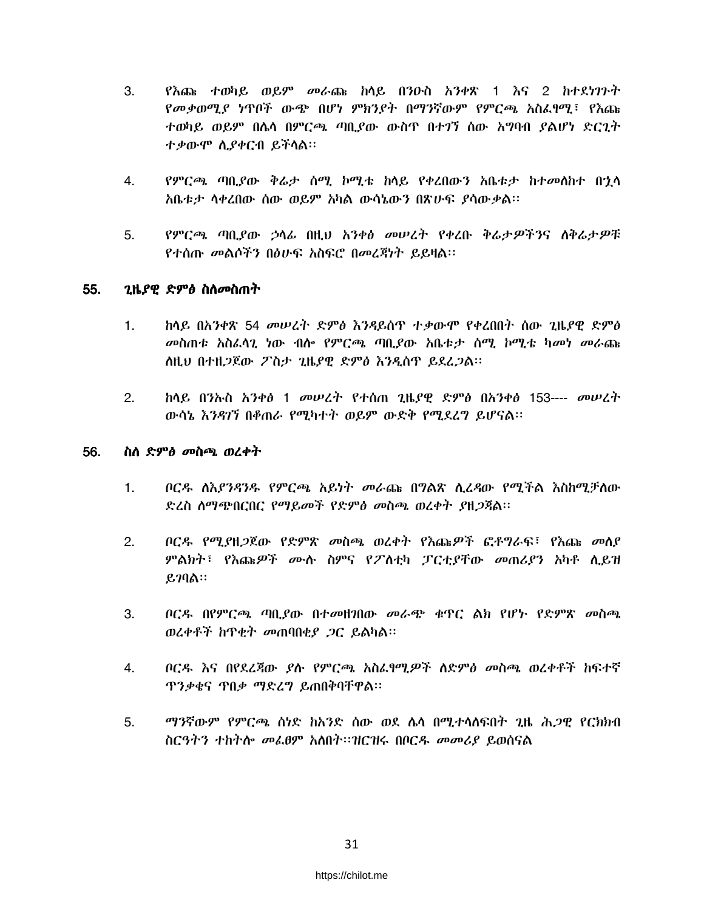- $3.$ የእጨ ተወካይ ወይም መራጨ ከላይ በንዑስ አንቀጽ 1 እና 2 ከተደነንጉት የመቃወሚያ ነጥቦች ውጭ በሆነ ምክንያት በማንኛውም የምርጫ አስፌየሚ፣ የእጩ ተወካይ ወይም በሴሳ በምርጫ ጣቢያው ውስጥ በተገኘ ሰው አግባብ ያልሆነ ድርጊት ተቃውሞ ሲያቀርብ ይችላል።
- 4. የምርጫ ጣቢያው ቅሬታ ሰሚ ኮሚቴ ከሳይ የቀረበውን አቤቱታ ከተመሰከተ በኋሳ አቤቱታ ሳቀረበው ሰው ወይም አካል ውሳኔውን በጽሁፍ ያሳውቃል፡፡
- የምርጫ ጣቢያው ኃሳፊ በዚህ አንቀፅ መሠረት የቀረቡ ቅሬታዎችንና ለቅሬታዎቹ  $5.$ የተሰጡ መልሶችን በፅሁፍ አስፍሮ በመረጃነት ይይዛል።

#### 55. *ጊ*ዜ*ያዊ ድምፅ* ስለ*መ*ስጠት

- ክላይ በአንቀጽ 54 መሠረት ድምፅ እንዳይሰጥ ተቃውሞ የቀረበበት ስው ገዜየዋ ድምፅ  $1<sup>1</sup>$ መስጠቱ አስፈላጊ ነው ብሎ የምርጫ ጣቢያው አቤቱታ ሰማ ኮሚቴ ካመነ መራጩ ስዚህ በተዘጋጀው ፖስታ ጊዜያዊ ድምፅ እንዲሰጥ ይደረጋል፡፡
- $2.$ ከላይ በንኡስ አንቀፅ 1 መሠረት የተሰጠ ጊዜያዊ ድምፅ በአንቀፅ 153---- መሠረት ውሳኔ እንዳገኘ በቆጠራ የሚካተት ወይም ውድቅ የሚደረግ ይሆናል፡፡

#### 56. ስስ ድምፅ መስጫ ወረቀት

- $1.$ ቦርዳ ሰእያንዳንዱ የምርጫ አይነት መራጩ በግልጽ ሲረዳው የሚችል እስከሚቻለው ድረስ ስማጭበርበር የማይመች የድምፅ መስጫ ወረቀት ያዘጋጃል።
- $2.$ ቦርዱ የሚያዘ*ጋ*ጀው የድምጽ መስጫ ወረቀት የእጩ*ዎች* ፎቶግራፍ፣ የእጩ መስያ ምልክት፣ የእጩዎች ሙሉ ስምና የፖስቲካ ፓርቲያቸው መጠሪያን አካቶ ሲይዝ  $\ell$ <sub>7ባል</sub>::
- 3. ቦርዱ በየምርጫ ጣቢያው በተመዘገበው መራጭ ቁጥር ልክ የሆኑ የድምጽ መስጫ ወረቀቶች ከጥቂት መጠባበቂያ ጋር ይልካል፡፡
- 4. ቦርዱ እና በየደረጃው ያሉ የምርጫ አስፌየሚዎች ለድምፅ መስጫ ወረቀቶች ከፍተኛ *ፕንቃ*ቄና ጥበ*ቃ ማድረግ* ይጠበቅባቸዋል፡፡
- 5. *ማን*ኛውም የምርጫ ሰነድ ከአንድ ሰው ወደ ሌሳ በሚተሳስፍበት ጊዜ ሕ*ጋ*ዊ የርክክብ ስርዓትን ተከትሎ መፌፀም አለበት።ዝርዝሩ በቦርዱ መመሪያ ይወሰናል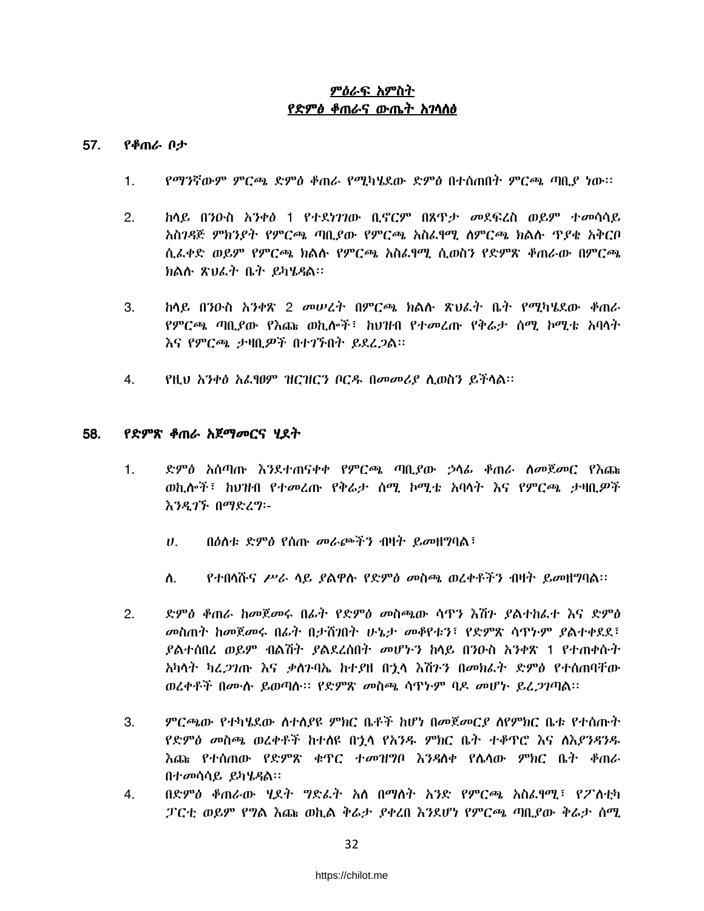### ምዕራፍ አምስት የድምፅ ቆጠራና ውጤት አገሳሰፅ

#### 57. የቆጠራ ቦታ

- $1.$ የማንኛውም ምርጫ ድምፅ ቆጠራ የሚካሄደው ድምፅ በተሰጠበት ምርጫ ጣቢያ ነው፡፡
- $2<sub>1</sub>$ <u>ከላይ በንዑስ አንቀፅ 1 የተደነገገው ቢኖርም በጸዋታ መደፍረስ ወይም ተመሳሳይ</u> አስንዳጅ ምክንደት የምርጫ ጣቢደው የምርጫ አስፈፃሚ ስምርጫ ክልሱ ጥደቁ አቅርቦ ሲፌቀድ ወይም የምርጫ ክልሱ የምርጫ አስፌፃሚ ሲወስን የድምጽ ቆጠራው በምርጫ ክልሱ ጽህፌት ቤት ይካሄዳል።
- ከላይ በንዑስ አንቀጽ 2 መሠረት በምርጫ ክልሉ ጽህፈት ቤት የሚካሄደው ቆጠራ 3. የምርጫ ጣቢያው የእጩ ወኪሎች፣ ከህዝብ የተመረጡ የቅሬታ ሰሚ ኮሚቴ አባላት እና የምርጫ ታዛቢዎች በተገኙበት ይደረጋል።
- 4. የዚህ አንቀፅ አፌፃፀም ዝርዝርን ቦርዱ በመመሪያ ሲወስን ይችላል።

#### 58. *የድምጽ ቆጠራ አጀማመርና ሂደት*

- ድምፅ አሰጣጡ እንደተጠናቀቀ የምርጫ ጣቢያው ኃላፊ ቆጠራ ስመጀመር የእጩ  $1.$ ወኪሎች፣ ከህዝብ የተመረጡ የቅሬታ ሰሚ ኮሚቴ አባሳት እና የምርጫ ታዛቢዎች እንዲገኙ በማድረግ፡-
	- በዕስቱ ድምፅ የሰጡ መራጮችን ብዛት ይመዘግባል፣  $U_{\rm{L}}$
	- ስ. የተበሳሹና ሥራ ሳይ ያልዋሉ የድምፅ መስጫ ወረቀቶችን ብዛት ይመዘግባል።
- ድምፅ ቆጠራ ከመጀመሩ በፊት የድምፅ መስጫው ሳዋን እሽን ያልተከፌተ እና ድምፅ  $2.$ መስጠት ከመጀመሩ በፊት በታሸንበት ሁኔታ መቆየቱን፣ የድምጽ ሳዋኑም ያልተቀደደ፣ *ያ*ልተሰበረ ወይም ብልሽት *ያ*ልደረሰበት መሆኑን ከላይ በንዑስ አንቀጽ 1 የተጠቀሱት አካላት ካረ*ጋገ*ጡ እና ቃስንባኤ ከተያዘ በኋሳ እሽንን በመክራት ድምፅ የተሰጠባቸው ወረቀቶች በሙስ ይወጣስ፡፡ የድምጽ መስጫ ሳዋኑም ባዶ መሆኑ ይረ*ጋገ*ጣል፡፡
- ምርጫው የተካሄደው ስተሰያዩ ምክር ቤቶች ከሆነ በመጀመርያ ስየምክር ቤቱ የተሰጡት 3. የድምፅ መስጫ ወረቀቶች ከተሰዩ በኂሳ የአንዱ ምክር ቤት ተቆጥሮ እና ሰእያንዳንዱ <u>እ</u>ጩ የተሰጠው የድምጽ ቁጥር ተ*መዝግ*ቦ እንዳለቀ የሴላው ምክር ቤት ቆጠራ በተመሳሳይ ይካሄዳል።
- 4. በድምፅ ቆጠራው ሂደት ግድፌት አለ በማስት አንድ የምርጫ አስፌፃሚ፤ የፖለቲካ ፓርቲ ወይም የግል እጩ ወኪል ቅሬታ ያቀረበ እንደሆነ የምርጫ ጣቢያው ቅሬታ ሰሚ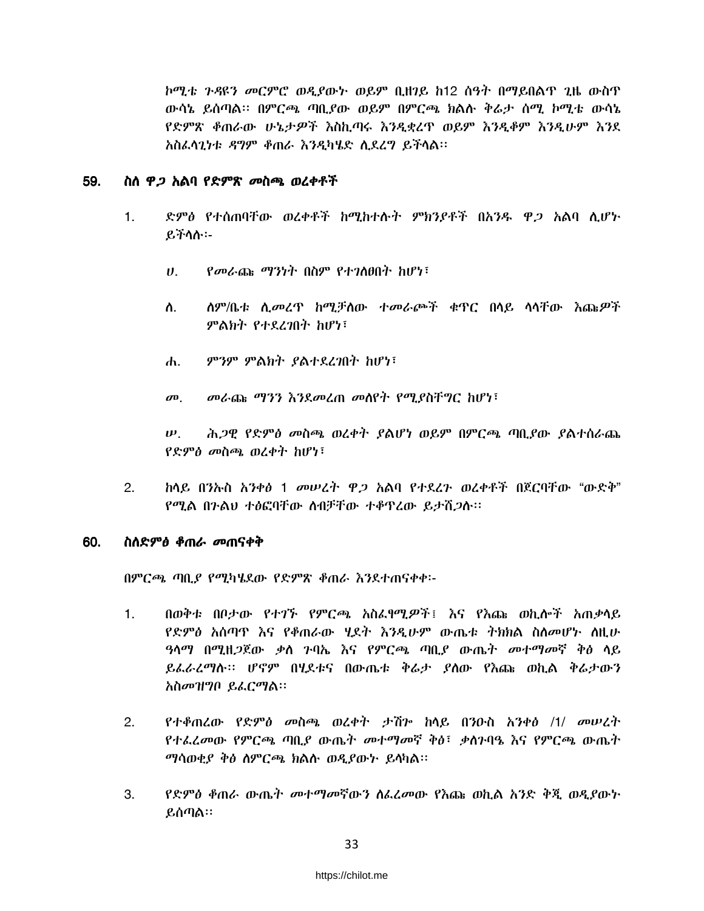ኮሚቴ ንዳዩን መርምሮ ወዲያውኑ ወይም ቢዘንይ ከ12 ስዓት በማይበልጥ ጊዜ ውስጥ ውሳኔ ይሰጣል። በምርጫ ጣቢያው ወይም በምርጫ ክልሱ ቅራታ ሰሚ ኮሚቴ ውሳኔ የድምጽ ቆጠራው ሁኔታዎች እስኪጣሩ እንዲቋረጥ ወይም እንዲቆም እንዲሁም እንደ አስፌሳጊነቱ ዳግም ቆጠራ እንዲካሄድ ሲደረግ ይችሳል፡፡

#### 59. ስስ *ዋጋ* አልባ የድምጽ *መ*ስጫ ወረቀቶች

- ድምፅ የተሰጠባቸው ወረቀቶች ከሚከተሱት ምክንያቶች በአንዱ ዋ*ጋ* አልባ ሲሆኑ  $1<sub>1</sub>$ ይችሳስ፡-
	- $\boldsymbol{\theta}$ . *የመራ*ጩ *ማንነት* በስም የተ*ገ*ለፀበት ከሆነ፣
	- *ስ*ም/ቤቱ ሲ*መ*ረዋ ከሚቻሰው ተመራጮች ቁዋር በሳይ ሳሳቸው እጩ*ዎ*ች ስ. ምልክት የተደረገበት ከሆነ፣
	- ምንም ምልክት ያልተደረገበት ከሆነ፣  $\mathbf{d}$ .
	- መራጩ ማንን እንደመረጠ መሰየት የሚያስቸግር ከሆነ፣  $\boldsymbol{\sigma}$ <sup> $\boldsymbol{0}$ </sup>

ሕ*ጋ*ዊ የድምፅ መስጫ ወረቀት ያልሆነ ወይም በምርጫ ጣቢያው ያልተሰራጨ  $\boldsymbol{\psi}$ . የድምፅ መስጫ ወረቀት ከሆነ፣

ከላይ በንኡስ አንቀፅ 1 መሠረት ዋ*ጋ* አልባ የተደረጉ ወረቀቶች በጀርባቸው "ውድቅ"  $2.$ የሚል በንልህ ተፅፎባቸው ስብቻቸው ተቆዋረው ይታሽጋሱ።

#### 60. ስለድምፅ ቆጠራ መጠናቀቅ

በምርጫ ጣቢያ የሚካሄደው የድምጽ ቆጠራ እንደተጠናቀቀ፡-

- በወቅቱ በቦታው የተገኙ የምርጫ አስፌየሚዎች፤ እና የእጩ ወኪሎች አጠቃላይ  $1.$ የድምፅ አሰጣዋ እና የቆጠራው ሂደት እንዲሁም ውጤቱ ትክክል ስስመሆኑ ስዚሁ *ዓ*ሳማ በሚዘ*ጋ*ጀው ቃስ ንባኤ እና የምርጫ ጣቢያ ውጤት መተማመኛ ቅፅ ሳይ ይፌራረማሱ። ሆኖም በሂደቱና በውጤቱ ቅሬታ ያስው የእጩ ወኪል ቅሬታውን አስመዝግቦ ይፌርማል።
- የተቆጠረው የድምፅ መስጫ ወረቀት ታሽን ከላይ በንዑስ አንቀፅ /1/ መሠረት  $2.$ የተራፈመው የምርጫ ጣቢያ ውጤት መተማመኛ ቅፅ፣ ቃስንባዔ እና የምርጫ ውጤት ማሳወቂያ ቅፅ ስምርጫ ክልሱ ወዲያውት ይሳካል።
- 3. የድምፅ ቶጠራ ውጤት መተማመኛውን ስፌረመው የእጩ ወኪል አንድ ቅጂ ወዲያውኑ ይሰጣል።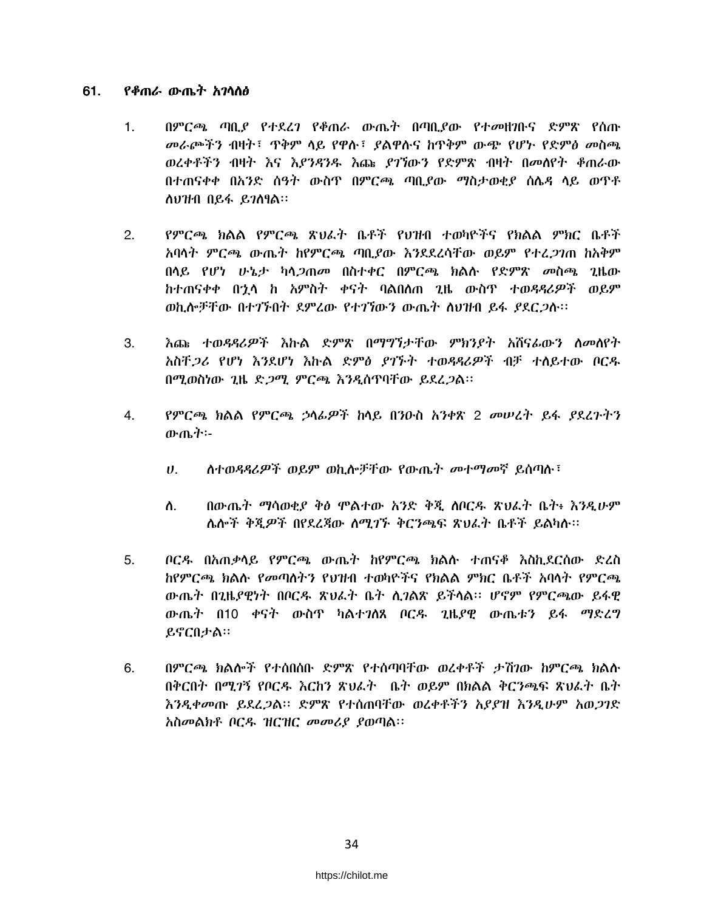#### 61. <u>የቆጠራ ውጤት አገላለፅ</u>

- በምርጫ ጣቢያ የተደረገ የቆጠራ ውጤት በጣቢያው የተመዘገቡና ድምጽ የሰጡ  $1<sub>1</sub>$ መራጮችን ብዛት፣ ጥቅም ላይ የዋሉ፣ ያልዋሉና ከጥቅም ውጭ የሆኑ የድምፅ መስጫ ወረቀቶችን ብዛት እና እ*ያንዳንዱ እ*ጩ *ያገኘ*ውን የድምጽ ብዛት በመለየት ቆጠራው በተጠናቀቀ በአንድ ሰዓት ውስዋ በምርጫ ጣቢያው ማስታወቂያ ሰሌዳ ላይ ወጥቶ ሰሀዝብ በይፋ ይገስፃል፡፡
- የምርጫ ክልል የምርጫ ጽህፈት ቤቶች የህዝብ ተወካዮችና የክልል ምክር ቤቶች  $2.$ አባላት ምርጫ ውጤት ከየምርጫ ጣቢያው እንደደረሳቸው ወይም የተፈ*ጋገ*ጠ ከአቅም በሳይ የሆነ ሁኔታ ካሳ*ጋ*ጠመ በስተቀር በምርጫ ክልሱ የድምጽ መስጫ ጊዜው ከተጠናቀቀ በኂሳ ከ አምስት ቀናት ባልበሰጠ ጊዜ ውስጥ ተወዳዳሪዎች ወይም ወኪሎቻቸው በተገኙበት ደምረው የተገኘውን ውጤት ስህዝብ ይፋ *ያ*ደር*ጋ*ሱ፡፡
- 3. <u>እጩ ተወዳዳሪዎች እኩል ድምጽ በማግኘታቸው ምክንደት አሸናፊውን ስመለየት</u> አስቸ*ጋሪ* የሆነ እንደሆነ እኩል ድምፅ ደገኙት ተወዳዳሪዎች ብቻ ተለይተው ቦርዱ በሚወስነው ጊዜ ድ*ጋሚ ምርጫ እንዲ*ሰጥባቸው ይደረ*ጋ*ል፡፡
- የምርጫ ክልል የምርጫ ኃላፊዎች ከላይ በንዑስ አንቀጽ 2 መሠረት ይፋ ያደረጉትን 4. ውጤት፡-
	- ስተወዳዳሪዎች ወይም ወኪሎቻቸው የውጤት መተማመኛ ይሰጣሉ፣  $\boldsymbol{\theta}$ .
	- በውጤት ማሳወቂያ ቅፅ ሞልተው አንድ ቅጂ ሰቦርዱ ጽህራት ቤት፥ እንዲሁም ስ. ሌሎች ቅጂዎች በየደረጃው ስሚገኙ ቅርንጫፍ ጽህፌት ቤቶች ይልካሉ።
- $5<sub>1</sub>$ ቦርዱ በአጠቃሳይ የምርጫ ውጤት ከየምርጫ ክልሱ ተጠናቆ እስኪደርስው ድረስ ከየምርጫ ክልሱ የመጣስትን የህዝብ ተወካዮችና የክልል ምክር ቤቶች አባሳት የምርጫ ውጤት በ2ዜደዊነት በቦርዳ ጽህፌት ቤት ሲገልጽ ይችላል። ሆኖም የምርጫው ይፋዊ ውጤት በ10 ቀናት ውስዋ ካልተገለጸ ቦርዱ ጊዜያዊ ውጤቱን ይፋ ማድረግ ይኖርበታል።
- በምርጫ ክልሎች የተሰበሰቡ ድምጽ የተሰጣባቸው ወረቀቶች ታሽንው ከምርጫ ክልሉ 6. በቅርበት በሚገኝ የቦርዱ እርከን ጽህራት ቤት ወይም በክልል ቅርንጫፍ ጽህራት ቤት እንዲቀመጡ ይደረ*ጋ*ል። ድምጽ የተሰጠባቸው ወረቀቶችን አ*ያያዝ እንዲ*ሁም አወ*ጋገ*ድ አስመልክቶ ቦርዱ ዝርዝር መመሪያ ያወጣል።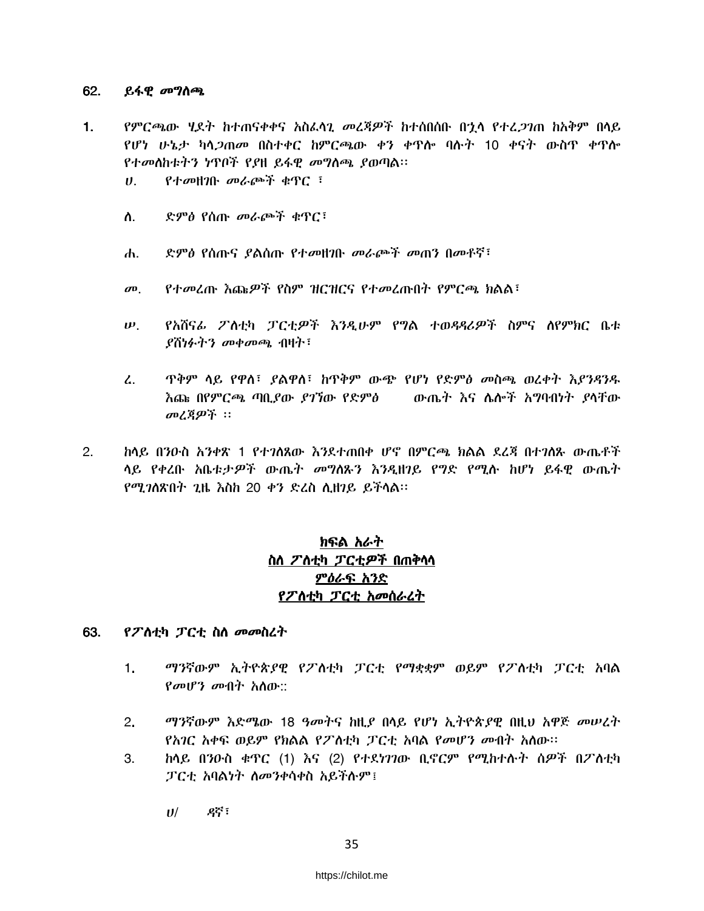#### 62. ይፋዊ *መግ*ስጫ

- $1.$ የምርጫው ሂደት ከተጠናቀቀና አስፌሳጊ መረጃዎች ከተሰበሰቡ በኂሳ የተረ*ጋገ*ጠ ከአቅም በሳይ የሆነ ሁኔታ ካሳ*ጋ*ጠመ በስተቀር ከምርጫው ቀን ቀዋሎ ባሉት 10 ቀናት ውስዋ ቀዋሎ የተመሰከቱትን ነጥቦች የያዘ ይፋዊ መግስጫ ያወጣል።
	- $P+$ መዘገቡ መራጮች ቁጥር ፣  $U_{\rm{eff}}$
	- $\Lambda$ . ድምፅ የሰጡ መራጮች ቁጥር፣
	- ድምፅ የሰጡና *ያ*ልሰጡ የተ*መ*ዘገቡ መራጮች መጠን በመቶኛ፣ ሐ.
	- የተመረጡ እጩዎች የስም ዝርዝርና የተመረጡበት የምርጫ ክልል፣  $\boldsymbol{\sigma}$ <sup> $\boldsymbol{\sigma}$ </sup>
	- የአሸናፊ ፖለቲካ ፓርቲዎች እንዲሁም የግል ተወዳዳሪዎች ስምና ስየምክር ቤቱ  $\boldsymbol{\mu}$  $\ell$ ሽነፉትን መቀመጫ ብዛት፡
	- ዋቅም ላይ የዋለ፣ ያልዋለ፣ ከጥቅም ውጭ የሆነ የድምፅ መስጫ ወረቀት እያንዳንዱ  $\mathcal{L}$ . <u>እጩ በየምርጫ ጣቢደው ደንኘው የድምፅ – ውጤት እና ሴሎች አግባብነት ደሳቸው</u> መረጃዎች ፡፡
- <u>ከላይ በንዑስ አንቀጽ 1 የተንለጸው እንደተጠበቀ ሆኖ በምርጫ ክልል ደረጃ በተንለጹ ውጤቶች</u>  $2<sub>1</sub>$ ሳይ የቀረቡ አቤቱታዎች ውጤት መግለጹን እንዲዘንይ የግድ የሚሉ ከሆነ ይፋዊ ውጤት የሚገለጽበት ጊዜ እስከ 20 ቀን ድረስ ሲዘገይ ይችላል።

## ክፍል አራት ስስ ፖስቲካ ፓርቲዎች በጠቅሳሳ ምዕራፍ አንድ የፖለቲካ ፓርቲ አመሰራረት

#### 63. የፖስቲካ ፓርቲ ስስ መመስረት

- $1<sub>1</sub>$ ማንኛውም ኢትዮጵያዊ የፖስቲካ ፓርቲ የማቋቋም ወይም የፖስቲካ ፓርቲ አባል  $P$ መሆን መብት አስው::
- ማንኛውም እድሜው 18 ዓመትና ከዚያ በሳይ የሆነ ኢትዮጵያዊ በዚህ አዋጅ መሠረት  $2.$ የአገር አቀፍ ወይም የክልል የፖስቲካ ፓርቲ አባል የመሆን መብት አስው።
- 3. ከላይ በንዑስ ቁጥር (1) እና (2) የተደነገገው ቢኖርም የሚከተሱት ስዎች በፖስቲካ ፓርቲ አባልነት ስመንቀሳቀስ አይችሉም !
	- ዳኛ ፣  $U$ /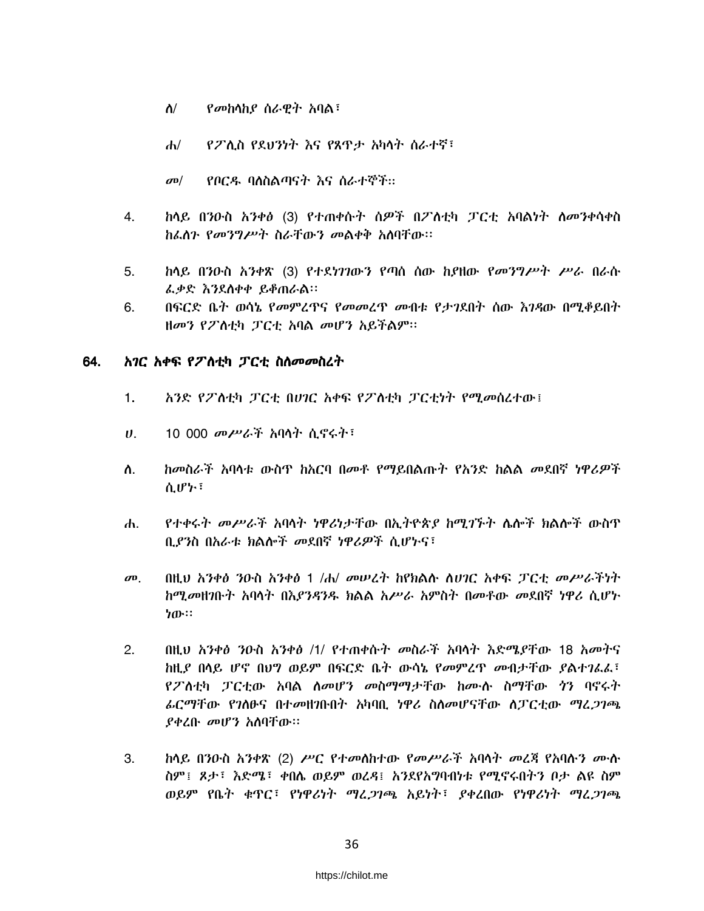- የመከሳከያ ሰራዊት አባል፣ ስ/
- $\mathbf{d}$ የፖሊስ የደህንነት እና የጸዋታ አካላት ሰራተኛ፣
- የቦርዱ ባለስልጣናት እና ስራተኞች።  $\sigma$ <sup> $\sigma$ </sup>
- ከላይ በንዑስ አንቀፅ (3) የተጠቀሱት ሰዎች በፖስቲካ ፓርቲ አባልነት ስመንቀሳቀስ 4. ከፌስን የመንግሥት ስራቸውን መልቀቅ አስባቸው።
- 5. ከላይ በንዑስ አንቀጽ (3) የተደነገገውን የጣስ ሰው ከያዘው የ*መንግሥት ሥራ* በራሱ *ሌቃ*ድ እንደሰቀቀ ይቆጠራል።
- በፍርድ ቤት ወሳኔ የመምረዋና የመመረዋ መብቱ የታገደበት ሰው እንዳው በሚቆይበት 6. ዘመን የፖለቲካ ፓርቲ አባል መሆን አይችልም፡፡

#### 64. አገር አቀፍ የፖስቲካ ፓርቲ ስስመመስረት

- አንድ የፖስቲካ ፓርቲ በሀገር አቀፍ የፖስቲካ ፓርቲነት የሚመሰረተው፤  $1.$
- 10 000 መሥራች አባላት ሲኖሩት<sup>;</sup>  $U_{\rm{c}}$
- ከመስራች አባላቱ ውስጥ ከአርባ በመቶ የማይበልጡት የአንድ ከልል መደበኛ ነዋሪዎች ለ. ሲሆኮ፣
- የተቀሩት መሥራች አባላት ነዋሪነታቸው በኢትዮጵያ ከሚገኙት ሌሎች ክልሎች ውስጥ  $\mathbf{d}$ . ቢያንስ በአራቱ ክልሎች መደበኛ ነዋሪዎች ሲሆኑና፣
- $\boldsymbol{\sigma}$ <sup> $\boldsymbol{\sigma}$ </sup> በዚህ አንቀፅ ንዑስ አንቀፅ 1 /ሐ/ መሠረት ከየክልሱ ስሀገር አቀፍ ፓርቲ መሥራችነት ከሚመዘገቡት አባላት በእያንዳንዱ ክልል አሥራ አምስት በመቶው መደበኛ ነዋሪ ሲሆኑ ነው።
- በዚህ አንቀፅ ንዑስ አንቀፅ /1/ የተጠቀሱት መስራች አባላት እድሜያቸው 18 አመትና  $2.$ ከዚያ በሳይ ሆኖ በህግ ወይም በፍርድ ቤት ውሳኔ የመምረጥ መብታቸው ያልተገራፈ፣ <u>የፖለቲካ ፓርቲው አባል ለመሆን መስማማታቸው ከሙሉ ስማቸው *ጎ*ን ባኖሩት</u> ራርማቸው የንለፁና በተመዘንቡበት አካባቢ ነዋሪ ስለመሆናቸው ለፓርቲው ማፈ*ጋገ*ጫ ያቀረቡ መሆን አስባቸው።
- $3.$ ከላይ በንዑስ አንቀጽ (2) ሥር የተመሰከተው የመሥራች አባላት መረጃ የአባሱን ሙስ ስም፤ ጾታ፤ እድሜ፤ ቀበሴ ወይም ወረዳ፤ አንደየአግባብነቱ የሚኖሩበትን ቦታ ልዩ ስም ወይም የቤት ቁጥር፣ የነዋሪነት ማረ*ጋገጫ* አይነት፣ ያቀረበው የነዋሪነት ማረ*ጋገጫ*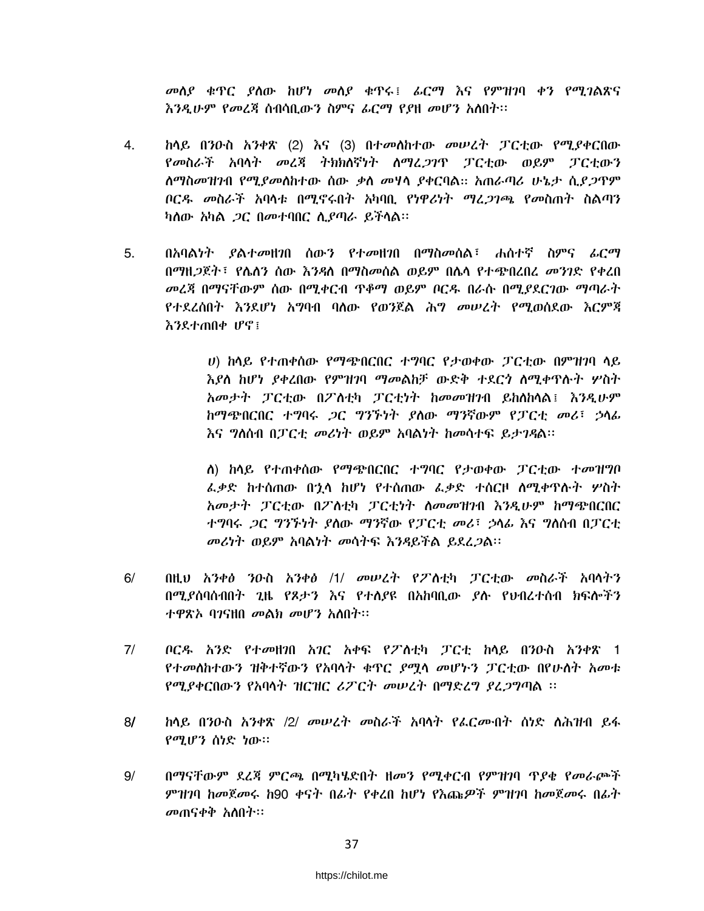መስያ ቁጥር ያስው ከሆነ መስያ ቁጥሩ፤ ፊርማ እና የምዝንባ ቀን የሚገልጽና እንዲሁም የመረጃ ስብሳቢውን ስምና ፊርማ የያዘ መሆን አስበት፡፡

- $4.$ ከላይ በንዑስ አንቀጽ (2) እና (3) በተመሰከተው መሠረት ፓርቲው የሚያቀርበው የመስራች አባላት መረጃ ትክክለኛነት ስማረ*ጋገ*ዋ ፓርቲው ወይም ፓርቲውን <u>ለማስመዝንብ የሚደመለከተው ሰው ቃለ መሃላ ደቀርባል። አጠራጣሪ ሁኔታ ሲደ*ጋ*ጥም</u> ቦርዳ መስራች አባላቱ በሚኖሩበት አካባቢ የነዋሪነት ማረ*ጋገጫ የመ*ስጠት ስልጣን ካለው አካል *ጋ*ር በመተባበር ሲያጣራ ይችላል።
- በአባልነት ያልተመዘንበ ሰውን የተመዘንበ በማስመሰል፣ ሐስተኛ ስምና ፊርማ 5. በማዘ*ጋ*ጀት፣ የሌለን ሰው እንዳለ በማስመሰል ወይም በሌላ የተጭበረበረ *መንገ*ድ የቀረበ መረጃ በማናቸውም ሰው በሚቀርብ ዋቆማ ወይም ቦርዱ በራሱ በሚያደርገው ማጣራት የተደረሰበት እንደሆነ አግባብ ባለው የወንጀል ሕግ መሠረት የሚወሰደው እርምጃ እንደተጠበቀ ሆኖ፣

ሀ) ከሳይ የተጠቀሰው የማጭበርበር ተግባር የታወቀው ፓርቲው በምዝገባ ሳይ እያለ ከሆነ ያቀረበው የምዝገባ ማመልከቻ ውድቅ ተደርጎ ስሚቀጥሱት ሦስት አመታት ፓርቲው በፖለቲካ ፓርቲነት ከመመዝገብ ይከለከላል፤ እንዲሁም ከማጭበርበር ተግባሩ *ጋ*ር ግንኙነት ያለው ማንኛውም የፓርቲ መሪ፣ ኃላፊ እና ግለሰብ በፓርቲ መሪነት ወይም አባልነት ከመሳተፍ ይታገዳል፡፡

ለ) ከላይ የተጠቀሰው የማጭበርበር ተግባር የታወቀው ፓርቲው ተመዝግቦ ፌቃድ ከተሰጠው በኃላ ከሆነ የተሰጠው ፌቃድ ተሰርዞ ስሚቀጥሱት ሦስት አመታት ፓርቲው በፖስቲካ ፓርቲነት ስመመዝንብ እንዲሁም ከማጭበርበር ተግባሩ *ጋ*ር ግንኙነት ያስው ማንኛው የፓርቲ መሪ፣ ኃሳፊ እና ግስሰብ በፓርቲ መሪካት ወይም አባልነት መሳትፍ እንዳይችል ይደረ*ጋ*ል፡፡

- $6/$ በዚህ አንቀፅ ንዑስ አንቀፅ /1/ መሠረት የፖስቲካ ፓርቲው መስራች አባሳትን በሚደሰባሰብበት ጊዜ የጾታን እና የተለደዩ በአከባቢው ደሱ የህብረተሰብ ክፍሎችን ተዋጽኦ ባንናዘበ መልክ መሆን አለበት፡፡
- $7/$ ቦርዱ አንድ የተመዘንበ አንር አቀፍ የፖለቲካ ፓርቲ ከላይ በንዑስ አንቀጽ 1 የተመሰከተውን ዝቅተኛውን የአባሳት ቁጥር ያሟሳ መሆኑን ፓርቲው በየሁሰት አመቱ የሚያቀርበውን የአባላት ዝርዝር ሪፖርት መሠረት በማድረግ ያረጋግጣል ፡፡
- <u>ከላይ በንዑስ አንቀጽ /2/ መሠረት መስራች አባላት የፌርሙበት ሰነድ ስሕዝብ ይፋ</u>  $8/$ የሚሆን ሰነድ ነው።
- $9/$ በማናቸውም ደረጃ ምርጫ በሚካሄድበት ዘመን የሚቀርብ የምዝንባ ጥያቂ የመራጮች ምዝንባ ከመጀመሩ ከ90 ቀናት በፊት የቀረበ ከሆነ የእጩዎች ምዝንባ ከመጀመሩ በፊት መጠናቀቅ አስበት።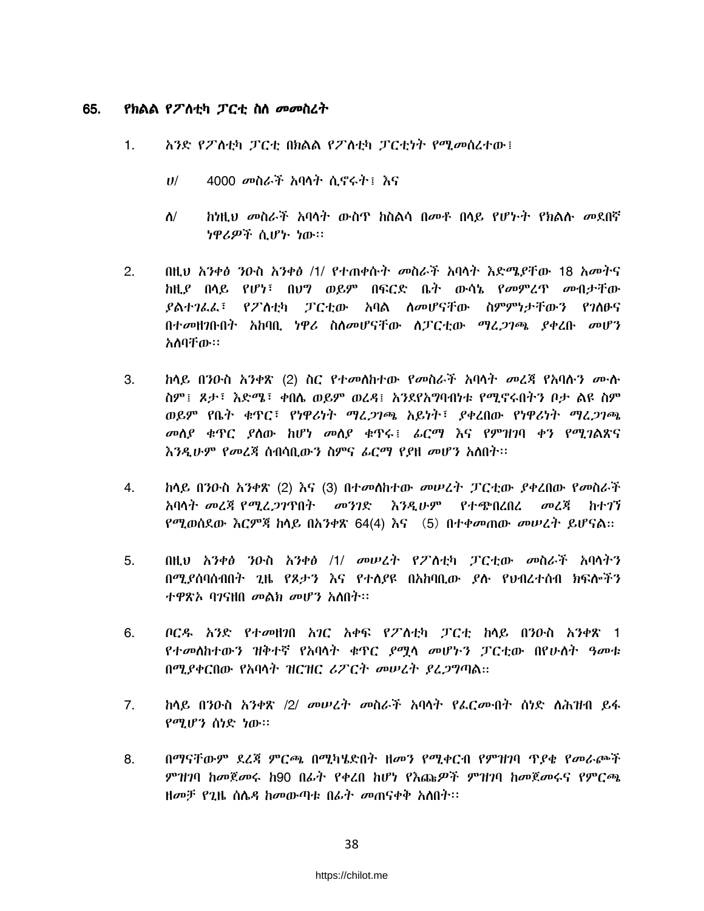#### 65. የክልል የፖስቲካ ፓርቲ ስስ መመስረት

- አንድ የፖስቲካ ፓርቲ በክልል የፖስቲካ ፓርቲነት የሚመሰረተው፤  $1.$ 
	- 4000 መስራች አባላት ሲኖሩት፤ እና  $U^{/}$
	- ከነዚህ መስራች አባሳት ውስጥ ከስልሳ በመቶ በሳይ የሆኑት የክልሱ መደበኛ  $\Lambda/$ ነዋሪዎች ሲሆኑ ነው።
- $2.$ በዚህ አንቀፅ ንዑስ አንቀፅ /1/ የተጠቀሱት መስራች አባላት እድሜያቸው 18 አመትና ከዚያ በሳይ የሆነ፣ በሀግ ወይም በፍርድ ቤት ውሳኔ የመምረጥ መብታቸው የፖስቲካ ፓርቲው አባል ስመሆናቸው ስምምነታቸውን የገስፁና ያልተገፌፌ፣ በተመዘገቡበት አከባበ. ነዋሪ ስለመሆናቸው ለፓርቲው ማረ*ጋገ*ጫ ያቀረቡ መሆን አለባቸው።
- $3.$ <u>ከላይ በንዑስ አንቀጽ (2) ስር የተመሰከተው የመስራች አባላት መረጃ የአባሱን ሙሉ</u> ስም፤ ጾታ፤ እድሜ፤ ቀበሴ ወይም ወረዳ፤ አንደየአግባብነቱ የሚኖሩበትን ቦታ ልዩ ስም ወይም የቤት ቁጥር፣ የነዋሪነት ማረ*ጋገጫ* አይነት፣ ያቀረበው የነዋሪነት ማረ*ጋገጫ* መስያ ቁዋር ያስው ከሆነ መስያ ቁዋሩ፤ ፊርማ እና የምዝገባ ቀን የሚገልጽና እንዲሁም የመረጃ ስብሳቢውን ስምና ፊርማ የያዘ መሆን አለበት፡፡
- 4. ከላይ በንዑስ አንቀጽ (2) እና (3) በተመሰከተው መሠረት ፓርቲው ያቀረበው የመስራች አባሳት መረጃ የሚፈ*ጋገ*ጥበት - መንገድ - እንዲሁም - የተጭበረበረ መረጃ ከተገኘ የሚወሰደው እርምጃ ከሳይ በአንቀጽ 64(4) እና (5)በተቀመጠው መሠረት ይሆናል።
- 5. በዚህ አንቀፅ ንዑስ አንቀፅ /1/ መሠረት የፖስቲካ ፓርቲው መስራች አባላትን በሚያሰባሰብበት ጊዜ የጾታን እና የተለያዩ በአከባቢው ያሉ የህብረተሰብ ክፍሎችን ተዋጽአ ባንናዘበ መልክ መሆን አስበት።
- ቦርዱ አንድ የተመዘንበ አንር አቀፍ የፖስቲካ ፓርቲ ከላይ በንዑስ አንቀጽ 1 6. *የተመ*ለከተውን ዝቅተኛ የአባላት ቁዋር *ያሚ*ላ መሆኑን ፓርቲው በየሁለት ዓመቱ በሚያቀርበው የአባሳት ዝርዝር ሪፖርት መሠረት ያፈጋግጣል።
- $7<sub>1</sub>$ *ከ*ላይ በንውስ *አንቀጽ /2/ መሠረት መ*ስራች አባላት የፌር*ሙ*ብት ሰነድ ለሕዝብ ይፋ የሚሆን ሰነድ ነው።
- 8. በማናቸውም ደረጃ ምርጫ በሚካሄድበት ዘመን የሚቀርብ የምዝገባ ጥያቄ የመራጮች ምዝንባ ከመጀመሩ ከ90 በፊት የቀረበ ከሆነ የእጩዎች ምዝንባ ከመጀመሩና የምርጫ ዘመቻ የ2ዜ ሰሌዳ ከመውጣቱ በፊት መጠናቀቅ አለበት፡፡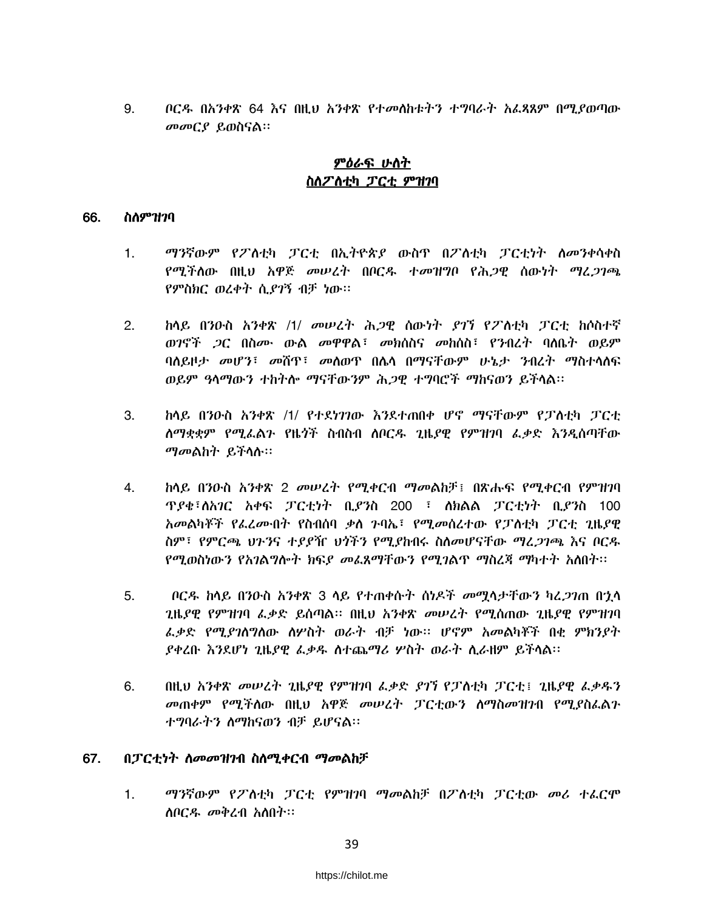ቦርዱ በአንቀጽ 64 እና በዚህ አንቀጽ የተመለከቱትን ተግባራት አፈጻጸም በሚያወጣው 9. መመርያ ይወስናል።

# <u>ምዕራፍ ሁስት</u> ስለፖለቲካ ፓርቲ ምዝገባ

#### 66. ስለምዝንባ

- ማንኛውም የፖስቲካ ፓርቲ በኢትዮጵያ ውስዋ በፖስቲካ ፓርቲነት ስመንቀሳቀስ  $1.$ የሚችለው በዚህ አዋጅ መሠረት በቦርዱ ተመዝግቦ የሕጋዊ ሰውነት ማሬ*ጋገጫ* የምስክር ወረቀት ሲያገኝ ብቻ ነው።
- <u>ከላይ በንዑስ አንቀጽ /1/ መሠረት ሕጋዊ ስውነት ያገኘ የፖለቲካ ፓርቲ ከሶስተኛ</u>  $2<sup>1</sup>$ ወንኖች *ጋ*ር በስ*ሙ* ውል መዋዋል፤ መክሰስና መከሰስ፤ የንብረት ባለቤት ወይም ባለይዞታ መሆን፣ መሸዋ፣ መለወዋ በሌላ በማናቸውም ሁኔታ ንብረት ማስተላለፍ ወይም ዓላማውን ተከትሎ ማናቸውንም ሕጋዊ ተግባሮች ማከናወን ይችላል፡፡
- ከላይ በንዑስ አንቀጽ /1/ የተደነገገው እንደተጠበቀ ሆኖ ማናቸውም የፓስቲካ ፓርቲ  $3_{-}$ ለማቋቋም የሚፌልን የዜጎች ስብስብ ለቦርዱ ጊዜደዊ የምዝገባ ፌቃድ እንዲሰጣቸው ማመልከት ይችላሉ።
- 4. <u>ከላይ በንዑስ አንቀጽ 2 መሠረት የሚቀርብ ማመልከቻ፤ በጽሑፍ የሚቀርብ የምዝንባ</u> *ፕያቄ*፣ለአ*ገ*ር አቀፍ ፓርቲነት ቢያንስ 200 ፣ ለክልል ፓርቲነት ቢያንስ 100 አመልካቾች የፌረሙበት የስብሰባ ቃስ ንባኤ፣ የሚመስረተው የፓስቲካ ፓርቲ ጊዜያዊ ስም፣ የምርጫ ህንንና ተደደዥ ህጎችን የሚደከብሩ ስስመሆናቸው ማረ*ጋገ*ጫ እና በርዱ *የሚ*ወስነውን የአንል**ግሎት ክፍ***ደ መ***ፈጸማቸውን የሚ**ንልጥ ማስረጃ ማካተት አስበት።
- $5<sub>1</sub>$ ቦርዱ ከላይ በንዑስ አንቀጽ 3 ላይ የተጠቀሱት ሰነዶች *መ*ማላታቸውን ካረ*ጋገ*ጠ በኃላ ጊዜደዊ የምዝንባ ፌቃድ ይሰጣል። በዚህ አንቀጽ መሠረት የሚሰጠው ጊዜደዊ የምዝንባ ፌቃድ የሚያገለግለው ስሦስት ወራት ብቻ ነው፡፡ ሆኖም አመልካቾች በቂ ምክንያት ያቀረቡ እንደሆነ ጊዜያዊ ፌቃዱ ስተጨማሪ ሦስት ወራት ስራዘም ይችላል፡፡
- 6. በዚህ አንቀጽ መሠረት ጊዜያዊ የምዝንባ ፌቃድ ያንን የፓስቲካ ፓርቲ፤ ጊዜያዊ ፌቃዱን መጠቀም የሚችለው በዚህ አዋጅ መሠረት ፓርቲውን ስማስመዝንብ የሚያስፌልን ተግባራትን ስማከናወን ብቻ ይሆናል።

### 67. በፓርቲነት ስመመዝንብ ስስሚቀርብ ማመልከቻ

 $1<sub>1</sub>$ ማንኛውም የፖስቲካ ፓርቲ የምዝንባ ማመልከቻ በፖስቲካ ፓርቲው መሪ ተፌርሞ ስቦርዱ መቅረብ አስበት፡፡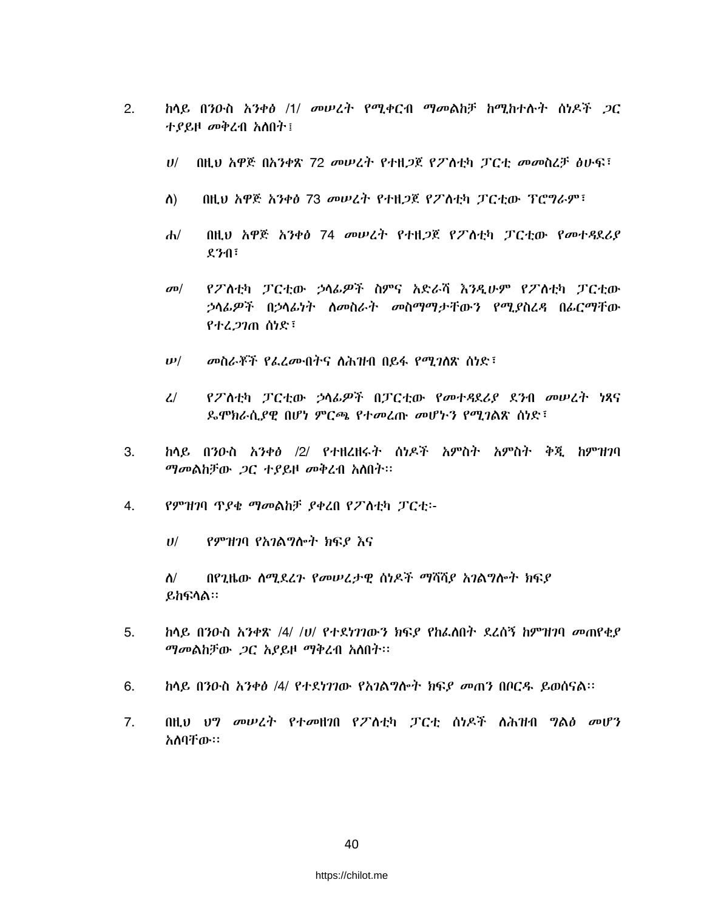- $2.$ ከላይ በንዑስ *አንቀፅ /1/ መሠረት የሚቀ*ርብ *ማመ*ልከቻ ከሚከተሉ*ት* ሰነዶች *ጋ*ር ተያይዞ መቅረብ አስበት፤
	- በዚህ አዋጅ በአንቀጽ 72 መሠረት የተዘጋጀ የፖለቲካ ፓርቲ መመስረቻ ፅሁፍ፣  $U$
	- $\Lambda$ በዚህ አዋጅ አንቀፅ 73 መሠረት የተዘጋጀ የፖስቲካ ፓርቲው ፕሮግራም፣
	- በዚህ አዋጅ አንቀፅ 74 መሠረት የተዘጋጀ የፖስቲካ ፓርቲው የመተዳደሪያ  $d\nu$  $271$
	- የፖለቲካ ፓርቲው ኃላፊዎች ስምና አድራሻ እንዲሁም የፖለቲካ ፓርቲው  $\sigma$ <sup> $\sigma$ </sup> ኃላፊዎች በኃላፊነት ለመስራት መስማማታቸውን የሚያስረዳ በፊርማቸው የተረ 27ጠ ሰነድ፤
	- መስራቾች የፌረሙበትና ስሕዝብ በይፋ የሚገለጽ ሰነድ፣  $\boldsymbol{\nu}$ /
	- $\mathcal{L}$ የፖስቲካ ፓርቲው ኃሳፊዎች በፓርቲው የመተዳደሪያ ደንብ መሠረት ነጻና *ኤ*ሞክራሲ*ያ*ዊ በሆነ ምርጫ የተመረጡ መሆኑን የሚገልጽ ሰነድ፣
- ከላይ በንዑስ አንቀፅ /2/ የተዘረዘሩት ስነዶች አምስት አምስት ቅጂ ከምዝንባ 3. *ማመ*ልከቻው *ጋ*ር ተያይዞ መቅረብ አለበት፡፡
- 4. የምዝገባ ጥያቄ ማመልከቻ ያቀረበ የፖስቲካ ፓርቲ፡-
	- $U$ የምዝገባ የአገልግሎት ክፍያ እና
	- በየጊዜው ሰሚደረጉ የመሠረታዊ ሰነዶች ማሻሻያ አገልግሎት ክፍያ  $\Lambda/$ ይከፍላል።
- $5<sub>1</sub>$ ከላይ በንዑስ አንቀጽ /4/ /ሀ/ የተደነገገውን ክፍደ የከፌስበት ደረሰኝ ከምዝገባ መጠየቂደ ማመልከቻው ጋር አያይዞ ማቅረብ አለበት፡፡
- 6. ከላይ በንዑስ አንቀፅ /4/ የተደነገገው የአገልግሎት ክፍደ መጠን በቦርዱ ይወስናል።
- በዚህ ህግ መሠረት የተመዘገበ የፖስቲካ ፓርቲ ሰነዶች ስሕዝብ ግልፅ መሆን 7. አለባቸው።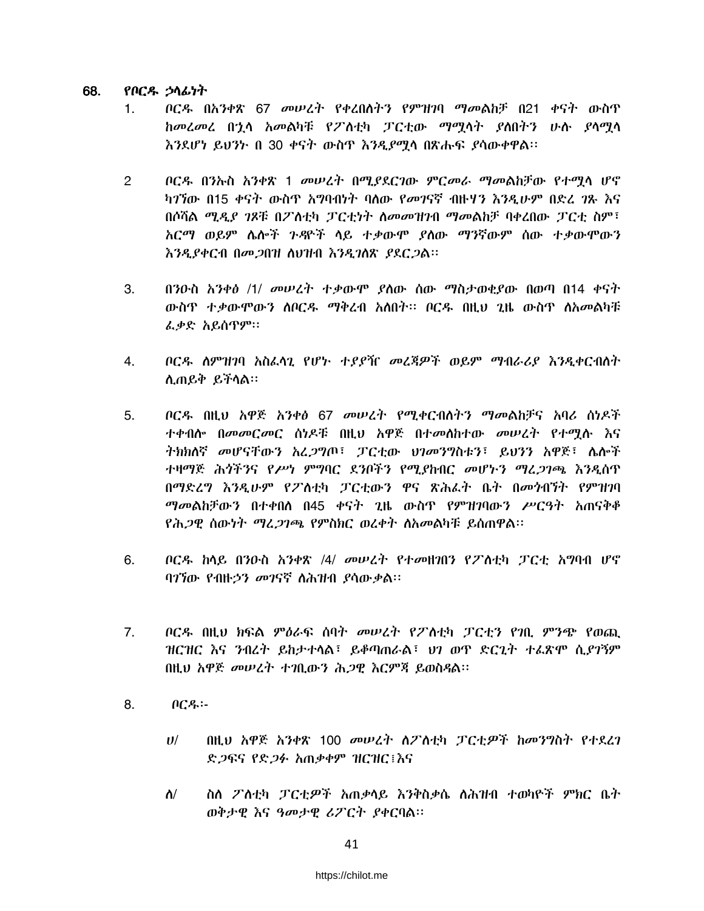#### 68. የቦርዱ ኃላፊነት

- *ቦርዱ በአንቀጽ 67 መሠረት የቀረበለትን የምዝገ*ባ *ማመ*ልከቻ በ21 ቀና*ት* ውስጥ  $1.$ ከመረመረ በኋሳ አመልካቹ የፖለቲካ ፓርቲው ማሚሳት ያስበትን ሁሉ ያሳሚሳ እንደሆነ ይህንኮ በ 30 ቀናት ውስዋ እንዲያሚሳ በጽሑፍ ያሳውቀዋል፡፡
- ቦርዱ በንኡስ አንቀጽ 1 መሠረት በሚያደርገው ምርመራ ማመልከቻው የተማሳ ሆኖ  $\overline{2}$ ካገኘው በ15 ቀናት ውስዋ አግባብነት ባለው የመገናኛ ብዙሃን እንዲሁም በድረ *ገ*ጹ እና በሶሻል ሚዲያ ገጾቹ በፖለቲካ ፓርቲነት ስመመዝገብ ማመልከቻ ባቀረበው ፓርቲ ስም፤ አርማ ወይም ሌሎች ንዳዮች ላይ ተቃውሞ ያለው ማንኛውም ሰው ተቃውሞውን እንዲያቀርብ በመጋበዝ ስህዝብ እንዲገስጽ ያደርጋል።
- በንዑስ አንቀፅ /1/ መሠረት ተቃውሞ ያስው ሰው ማስታወቂያው በወጣ በ14 ቀናት 3. ውስጥ ተቃውሞውን ሰቦርዱ ማቅረብ አለበት፡፡ ቦርዱ በዚህ ጊዜ ውስጥ ለአመልካቹ ፌቃድ አይሰጥም።
- ቦርዱ ስምዝገባ አስፌሳጊ የሆኑ ተያያዥ መረጃዎች ወይም ማብራሪያ እንዲቀርብስት  $4.$ ሲጠይቅ ይችሳል።
- *ቦርዱ በ*ዚህ አዋጅ *አንቀፅ 67 መሠረት የሚቀርብስትን ማመ*ልከቻና አባሪ ሰነዶች 5. ተቀብሱ በመመርመር ሰነዶቹ በዚህ አዋጅ በተመሰከተው መሠረት የተማሱ እና ትክክለኛ መሆናቸውን አፈ*ጋ*ግጦ፣ ፓርቲው ህንመንግስቱን፣ ይህንን አዋጅ፣ ሌሎች ተዛማጅ ሕጎችንና የሥነ ምግባር ደንቦችን የሚያከብር መሆኑን ማፈ*ጋገጫ እንዲ*ስጥ በማድረግ እንዲሁም የፖለቲካ ፓርቲውን ዋና ጽሕፈት ቤት በመንብኘት የምዝገባ *ማመ*ልከቻውን በተቀበሰ በ45 ቀናት ጊዜ ውስጥ የምዝ*ገ*ባውን ሥርዓት አጠናቅቆ የሕጋዊ ሰውነት ማረ*ጋገጫ* የምስክር ወረቀት ስአመልካቹ ይሰጠዋል።
- ቦር*ዱ* ከላይ በንዑስ *አንቀጽ /4/ መሠረት የተመዘነ*በን የፖለቲካ ፓርቲ አግባብ ሆኖ 6. ባገኘው የብዙኃን መገናኛ ለሕዝብ ያሳውቃል፡፡
- $7<sub>1</sub>$ ቦርዱ በዚህ ክፍል ምዕራፍ ሰባት መሠረት የፖለቲካ ፓርቲን የንቢ ምንጭ የወጪ ዝርዝር እና ንብረት ይከታተላል፣ ይቆጣጠራል፣ ህን ወዋ ድርጊት ተፊጽሞ ሲያንኝም በዚህ አዋጅ መሥረት ተገቢውን ሕጋዊ እርምጃ ይወስዳል፡፡
- 8.  $\theta$  $C$  $\theta$  $\cdot$   $\cdot$ 
	- በዚህ አዋጅ አንቀጽ 100 መሠረት ስፖስቲካ ፓርቲዎች ከመንግስት የተደረገ  $U$ / ድ*ጋ*ፍና የድ*ጋፉ አ*ጠቃቀም ዝርዝር፤እና
	- $\Lambda$ ስስ ፖስቲካ ፓርቲዎች አጠቃላይ እንቅስቃሴ ስሕዝብ ተወካዮች ምክር ቤት ወቅታዊ እና ዓመታዊ ሪፖርት ያቀርባል።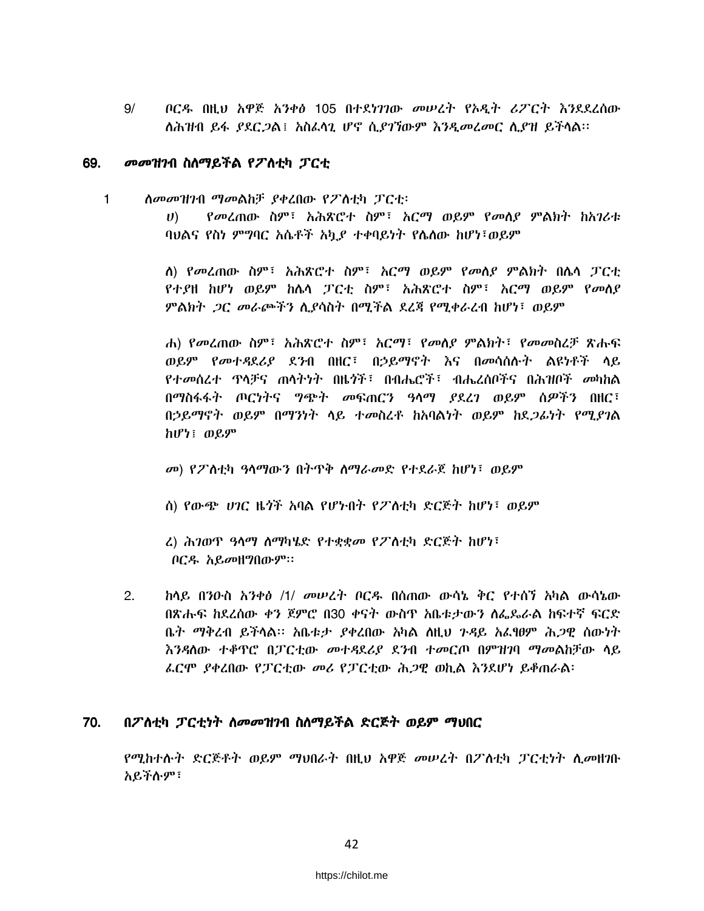$9/$ ቦርዱ በዚህ አዋጅ አንቀፅ 105 በተደነገገው መሠረት የኦዲት ሪፖርት እንደደረሰው ስሕዝብ ይፋ ያደር*ጋ*ል፤ አስፈሳጊ ሆኖ ሲያገኘውም እንዲመረመር ሲያዝ ይችላል።

### 69. *መመዝገ*ብ ስለማይችል የፖለቲካ ፓርቲ

- $\mathbf{1}$ ስመመዝንብ ማመልከቻ ያቀረበው የፖስቲካ ፓርቲ፡
	- የመረጠው ስም፤ አሕጽሮተ ስም፤ አርማ ወይም የመሰደ ምልክት ከአገሪቱ  $U$ ) ባህልና የስነ ምግባር አሴቶች አካ*ያ* ተቀባይነት የሴስው ከሆነ፣ወይም

ለ) የመረጠው ስም፣ አሕጽሮተ ስም፣ አርማ ወይም የመሰያ ምልክት በሴሳ ፓርቲ የተያዘ ከሆነ ወይም ከሴሳ ፓርቲ ስም፣ አሕጽሮተ ስም፣ አርማ ወይም የመሰያ ምልክት ጋር መራጮችን ሲያሳስት በሚችል ደረጃ የሚቀራረብ ከሆነ፣ ወይም

ሐ) የመረጠው ስም፣ አሕጽሮተ ስም፣ አርማ፣ የመሰደ ምልክት፣ የመመስረቻ ጽሑፍ ወይም የመተዳደሪያ ደንብ በዘር፤ በኃይማኖት እና በመሳሰሱት ልዩነቶች ሳይ የተመሰረተ ዋሳቻና ጠሳትነት በዜጎች፣ በብሔሮች፣ ብሔረሰቦችና በሕዝቦች መካከል በማስፋፋት ጦርነትና *ግጭት መ*ፍጠርን ዓሳማ *ያ*ደረን ወይም ሰ*ዎችን* በዘር፣ በኃይማኖት ወይም በማንነት ላይ ተመስረቶ ከአባልነት ወይም ከደ*ጋ*ፊነት የሚ*ያገ*ል ከሆነ፤ ወይም

መ) የፖስቲካ ዓላማውን በትጥቅ ስማራመድ የተደራጀ ከሆነ፣ ወይም

ስ) የውጭ ሀገር ዜጎች አባል የሆኑበት የፖስቲካ ድርጅት ከሆነ፣ ወይም

ሬ) ሕገወጥ ዓላማ ስማካሄድ የተቋቋመ የፖስቲካ ድርጅት ከሆነ፣ ቦርዱ አይመዘግበውም።

 $2.$ ከላይ በንዑስ አንቀፅ /1/ መሠረት ቦርዱ በሰጠው ውሳኔ ቅር የተሰን አካል ውሳኔው በጽሑፍ ከደረሰው ቀን ጀምሮ በ30 ቀናት ውስዋ አቤቱታውን ስፌጼራል ከፍተኛ ፍርድ ቤት ማቅረብ ይችላል። አቤቱታ ያቀረበው አካል ስዚህ ንዳይ አፌፃፀም ሕ*ጋ*ዊ ሰውነት እንዳለው ተቆዋሮ በፓርቲው መተዳደሪያ ደንብ ተመርጦ በምዝገባ ማመልከቻው ሳይ ፌርሞ ያቀረበው የፓርቲው መሪ የፓርቲው ሕጋዊ ወኪል እንደሆነ ይቆጠራል፡

### 70. በፖስቲካ ፓርቲነት ስመመዝገብ ስስማይችል ድርጅት ወይም ማህበር

የሚከተሱት ድርጅቶት ወይም ማህበራት በዚህ አዋጅ መሠረት በፖለቲካ ፓርቲነት ሲመዘገቡ አይችሉም፣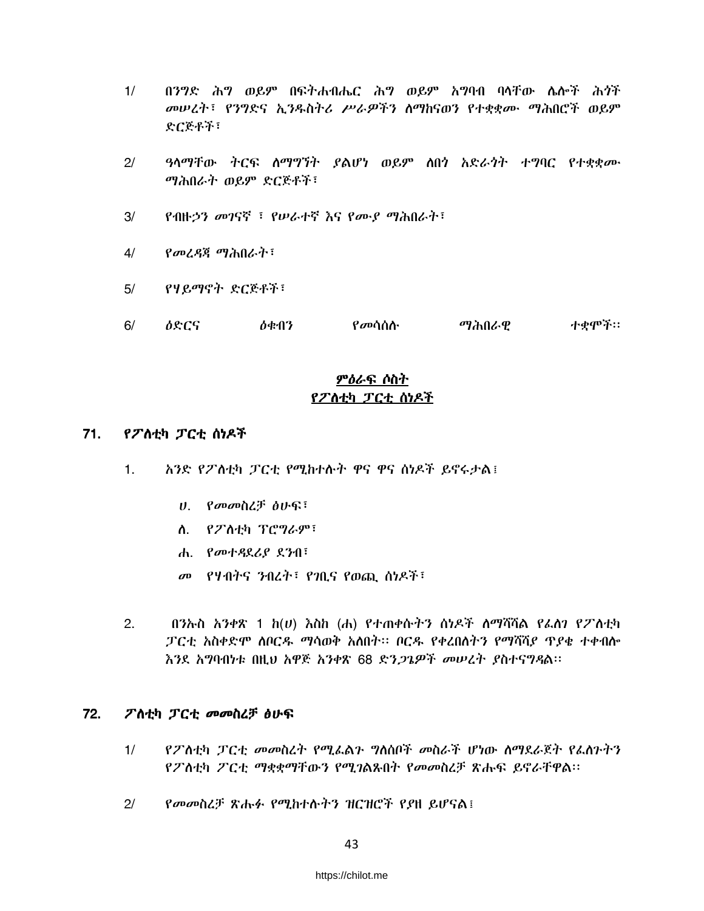- በንግድ ሕግ ወይም በፍትሐብሔር ሕግ ወይም አግባብ ባሳቸው ሴሎች ሕጎች  $1/$ መሠረት፣ የንግድና ኢንዱስትሪ ሥራዎችን ስማከናወን የተቋቋሙ ማሕበሮች ወይም ድርጅቶች፣
- ዓላማቸው ትርፍ ለማግኘት ያልሆነ ወይም ለበጎ አድራጎት ተግባር የተቋቋሙ  $2/$ ማሕበራት ወይም ድርጅቶች፣
- የብዙኃን መገናኛ ፣ የሠራተኛ እና የሙያ ማሕበራት፣  $3/$
- $4/$ የመረዳጃ ማሕበራት፣
- $5/$ የሃይማኖት ድርጅቶች፣
- ተቃሞች።  $6/$ ለድርና ስቁብን የ*መ*ሳሰሉ ማሕበራዋ

# <u>ምዕራፍ ሶስት</u> የፖለቲካ ፓርቲ ሰነዶች

### $71.$ የፖለቲካ ፓርቲ ሰነዶች

- አንድ የፖለቲካ ፓርቲ የሚከተሉት ዋና ዋና ሰነዶች ይኖሩታል፤  $1.$ 
	- ሀ. የመመስረቻ ፅሁፍ፣
	- ለ. የፖለቲካ ፕሮግራም፣
	- **ሐ.** የመተዳደሪያ ደንብ፣
	- መ የሃብትና ንብረት፣ የንቢና የወጪ ሰነዶች፣
- $2.$ በንኡስ *አንቀጽ* 1 *h*(*u*) እስከ (ሐ) የተጠቀሱትን ስነዶች ስማሻሻል የፌስን የፖስቲካ ፓርቲ አስቀድሞ ሰቦርዱ ማሳወቅ አሰበት። ቦርዱ የቀረበለትን የማሻሻደ ጥደቂ ተቀብሎ እንደ አግባብነቱ በዚህ አዋጅ አንቀጽ 68 ድን*ጋጌዎች መሠረት ያስተናግዳ*ል፡፡

#### 72. ፖስቲካ ፓርቲ መመስረቻ ፅሁፍ

- የፖለቲካ ፓርቲ መመስረት የሚፌልን ግለሰቦች መስራች ሆነው ስማዴራጀት የፌስንትን  $1/$ የፖስቲካ ፖርቲ ማቋቋማቸውን የሚገልጹበት የመመስረቻ ጽሑፍ ይኖራቸዋል፡፡
- $2/$ የመመስረቻ ጽሑፉ የሚከተሱትን ዝርዝሮች የያዘ ይሆናል፤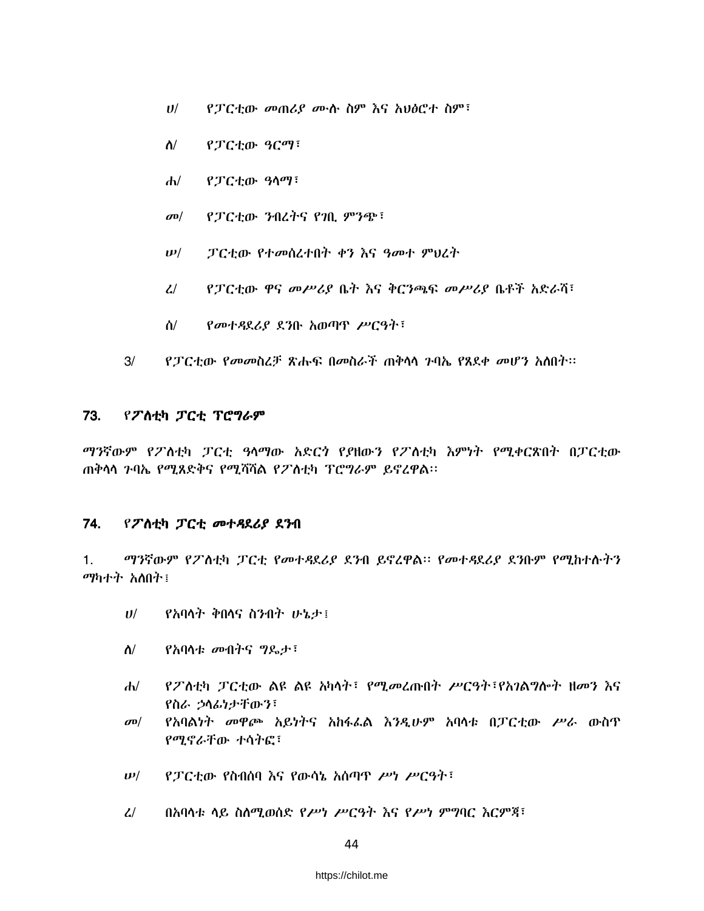- $U$ / የፓርቲው መጠሪያ ሙሱ ስም እና አህፅሮተ ስም፣
- $\Lambda$ / የፓርቲው ዓርማ፣
- $d\nu$ የፓርቲው ዓላማ፣
- የፓርቲው ንብረትና የገቢ ምንጭ፣  $\sigma$ <sup> $\sigma$ </sup>
- ፓርቲው የተመሰረተበት ቀን እና ዓመተ ምህረት  $\bm{\nu}/$
- $\mathcal{L}$ *የፓርቲ*ው ዋና መሥሪያ ቤት እና ቅርንጫፍ መሥሪያ ቤቶች አድራሻ፣
- $\Delta/$ የመተዳደሪያ ደንቡ አወጣጥ ሥርዓት፣
- $3/$ የፓርቲው የመመስረቻ ጽሑፍ በመስራች ጠቅሳሳ ንባኤ የጸደቀ መሆን አስበት።

#### 73. የፖስቲካ ፓርቲ ፕሮግራም

*ማን*ኛውም የፖስቲካ ፓርቲ ዓላማው አድርጎ የያዘውን የፖስቲካ እምነት የሚቀርጽበት በፓርቲው ጠቅሳሳ ጉባኤ የሚጸድቅና የሚሻሻል የፖስቲካ ፕሮግራም ይኖረዋል፡፡

#### 74. የፖስቲካ ፓርቲ መተዳደሪያ ደንብ

ማንኛውም የፖስቲካ ፓርቲ የመተዳደሪያ ደንብ ይኖረዋል፡፡ የመተዳደሪያ ደንቡም የሚከተሱትን  $1<sub>1</sub>$ ማካተት አለበት፤

- የአባላት ቅበላና ስንብት ሁኔታ፤  $U^{/}$
- የአባሳቱ መብትና ግዴታ፣  $\Lambda$ /
- የፖስቲካ ፓርቲው ልዩ ልዩ አካላት፣ የሚመረጡበት ሥርዓት፣የአገልግሎት ዘመን እና  $d\nu$ የስራ ኃሳፊነታቸውን፣
- የአባልነት መዋጮ አይነትና አከፋፌል እንዲሁም አባሳቱ በፓርቲው ሥራ ውስዋ  $\sigma$ <sup> $\sigma$ </sup> የሚኖራቸው ተሳትፎ፣
- $\bm{\nu}/$ የፓርቲው የስብሰባ እና የውሳኔ አሰጣዋ ሥነ ሥርዓት፣
- በአባላቱ ላይ ስለሚወሰድ የሥነ ሥርዓት እና የሥነ ምግባር እርምጃ፣  $\mathcal{L}$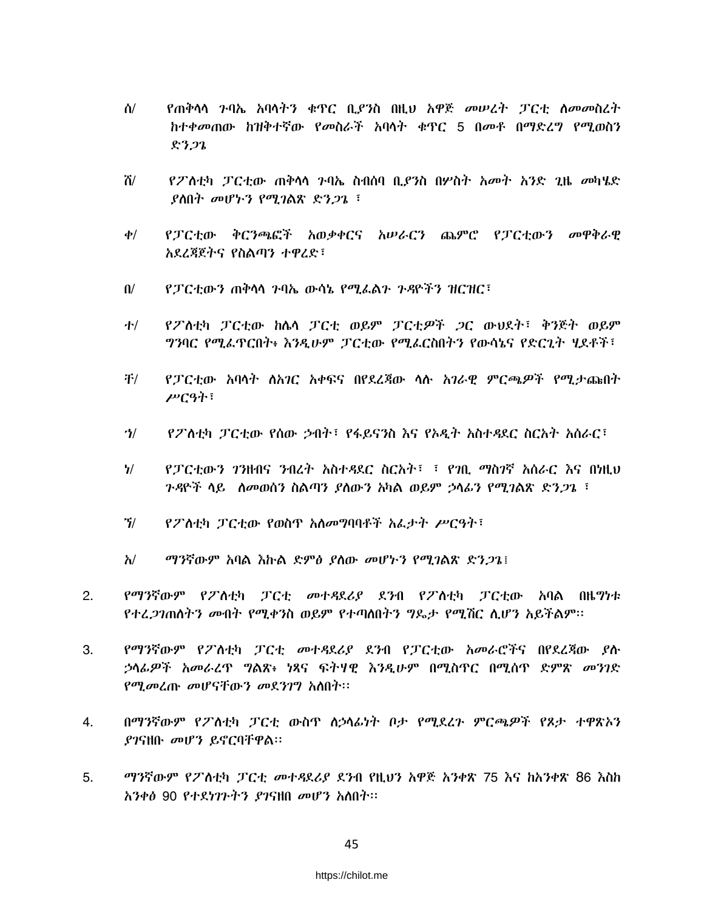- ሰ/ የጠቅሳሳ ንባኤ አባሳትን ቁጥር ቢያንስ በዚህ አዋጅ መሠረት ፓርቲ ስመመስረት ከተቀመጠው ከዝቅተኛው የመስራች አባላት ቁጥር 5 በመቶ በማድረግ የሚወስን  $8322$
- ሽ/ *የ2*`ለቲካ ፓርቲው ጠቅሳሳ ንባኤ ስብሰባ ቢ*ያን*ስ በሦስት አመት አንድ ጊዜ መካሄድ  $R$ ስበት መሆኑን የሚገልጽ ድንጋጌ ፣
- የፓርቲው ቅርንጫፎች አወቃቀርና አሠራርን ጨምሮ የፓርቲውን መዋቅራዊ  $\phi/$ አደረጃጀትና የስልጣን ተዋረድ፣
- የፓርቲውን ጠቅሳሳ ጉባኤ ውሳኔ የሚፌልጉ ጉዳዮችን ዝርዝር፣  $\mathbf{u}$
- የፖስቲካ ፓርቲው ከሴሳ ፓርቲ ወይም ፓርቲዎች ጋር ውህደት፣ ቅንጅት ወይም ホ *ግን*ባር የሚፌዋርበት፥ እንዲሁም ፓርቲው የሚፌርስበትን የውሳኔና የድርጊት ሃደቶች፣
- 干/ የፓርቲው አባላት ስአገር አቀፍና በየደረጃው ሳሱ አገራዊ ምርጫዎች የሚታጩበት ሥርዓት፣
- $\mathcal{U}$ የፖስቲካ ፓርቲው የሰው ኃብት፣ የፋይናንስ እና የኦዲት አስተዳደር ስርአት አሰራር፣
- $\frac{1}{2}$ የፓርቲውን ንንዘብና ንብረት አስተዳደር ስርአት፤ ፤ የንቢ ማስንኛ አሰራር እና በነዚህ *ጉዳ*ዮች ላይ *ለመ*ወሰን ስልጣን *ያ*ለውን አካል ወይም *ኃ*ላፊን የሚገልጽ ድን*ጋ*ጌ ፣
- $\gamma$ የፖስቲካ ፓርቲው የወስጥ አስመግባባቶች አፌታት ሥርዓት፣
- ማንኛውም አባል እኩል ድምፅ ያስው መሆኑን የሚገልጽ ድንጋጌ፤  $\lambda$ /
- $2.$ የማንኛውም የፖስቲካ ፓርቲ መተዳደሪያ ደንብ የፖስቲካ ፓርቲው አባል በዜግነቱ የተፈ*ጋገ*ጠሰትን መብት የሚቀንስ ወይም የተጣሰበትን ግዴታ የሚሽር ሲሆን አይችልም።
- 3. የማንኛውም የፖስቲካ ፓርቲ መተዳደሪያ ደንብ የፓርቲው አመራሮችና በየደረጃው ያሉ ኃላፊዎች አመራረዋ ግልጽ፥ ነጻና ፍትሃዊ እንዲሁም በሚስዋር በሚስዋ ድምጽ መንገድ የሚመረጡ መሆናቸውን መደንገግ አስበት።
- በማንኛውም የፖስቲካ ፓርቲ ውስዋ ስኃላፊነት ቦታ የሚደረጉ ምርጫዎች የጾታ ተዋጽኦን 4. ያገናዘቡ መሆን ይኖርባቸዋል፡፡
- 5. *ማን*ኛውም የፖስቲካ ፓርቲ *መተዳ*ደሪያ ደንብ የዚህን አዋጅ አንቀጽ 75 እና ከአንቀጽ 86 እስከ አንቀፅ 90 የተደነገጉትን ያገናዘበ መሆን አስበት፡፡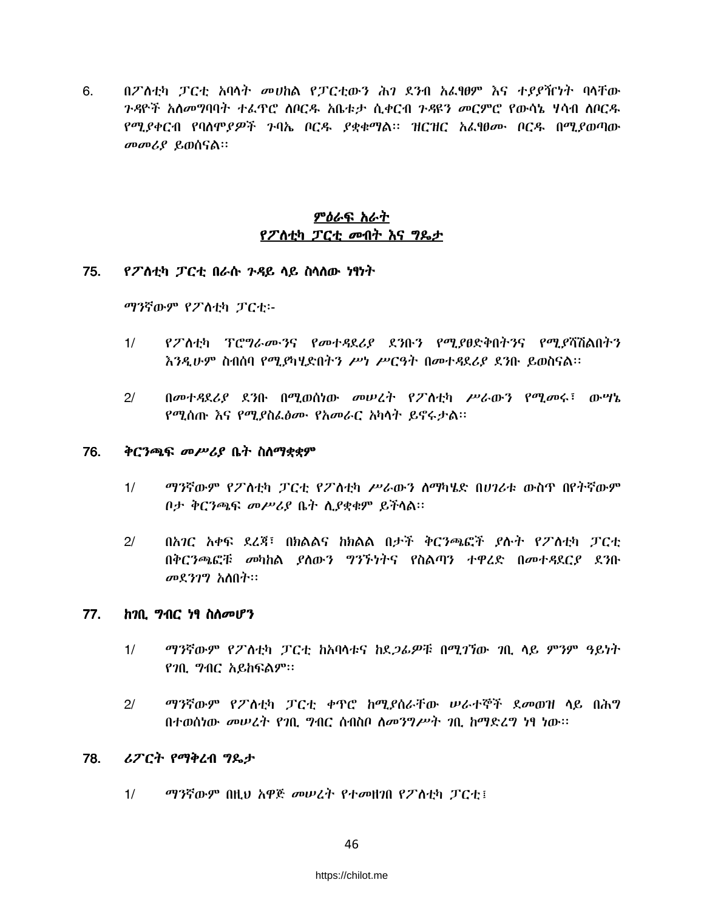6. በፖስቲካ ፓርቲ አባላት መሀከል የፓርቲውን ሕገ ደንብ አሬፃፀም እና ተያያዥነት ባላቸው *ጉዳ*ዮች አለመግባባት ተፈጥሮ ለቦርዱ አቤቱታ ሲቀርብ *ጉዳ*ዩን መርምሮ የውሳኔ ሃሳብ ለቦርዱ የሚያቀርብ የባስሞያዎች ጉባኤ ቦርዱ ያቋቁማል፡፡ ዝርዝር አፌፃፀሙ ቦርዱ በሚያወጣው መመሪያ ይወሰናል።

# <u>ምዕራፍ አራት</u> የፖስቲካ ፓርቲ መብት እና ግጼታ

#### 75. የፖስቲካ ፓርቲ በራሱ ንዳይ ሳይ ስሳሰው ነፃነት

ማንኛውም የፖስቲካ ፓርቲ፡-

- $1/$ የፖለቲካ ፕሮግራሙንና የመተዳደሪያ ደንቡን የሚያፀድቅበትንና የሚያሻሽልበትን እንዲሁም ስብሰባ የሚያካሂድበትን ሥነ ሥርዓት በመተዳደሪያ ደንቡ ይወስናል፡፡
- $2/$ በመተዳደሪያ ደንቡ በሚወሰነው መሠረት የፖስቲካ ሥራውን የሚመሩ፣ ውሣኔ የሚሰጡ እና የሚያስፌፅሙ የአመራር አካሳት ይኖሩታል፡፡

#### 76. ቅርንጫፍ መሥሪያ ቤት ስለማቋቋም

- $1/$ ማንኛውም የፖስቲካ ፓርቲ የፖስቲካ ሥራውን ስማካሄድ በሀገሪቱ ውስጥ በየትኛውም ቦታ ቅርንጫፍ መሥሪያ ቤት ሲያቋቁም ይችሳል።
- በአገር አቀፍ ደረጃ፣ በክልልና ከክልል በታች ቅርንጫፎች ያሉት የፖለቲካ ፓርቲ  $2/$ በቅርንጫፎቹ መካከል ያስውን ግንኙነትና የስልጣን ተዋረድ በመተዳደርያ ደንቡ መደንገግ አስበት።

#### 77. ከገቢ ግብር ነፃ ስስመሆን

- $1/$ ማንኛውም የፖለቲካ ፓርቲ ከአባላቱና ከደ*ጋፊዎ*ቹ በሚገኘው *ገ*ቢ ላይ ምንም ዓይነት የገቢ ግብር አይከፍልም።
- $2/$ ማንኛውም የፖስቲካ ፓርቲ ቀዋሮ ከሚያሰራቸው ሠራተኞች ደመወዝ ላይ በሕግ በተወሰነው መሠረት የገቢ ግብር ስብስቦ ስመንግሥት ገቢ ከማድረግ ነፃ ነው።

#### 78. ሪፖርት የማቅረብ ግጼታ

 $1/$ ማንኛውም በዚህ አዋጅ መሠረት የተመዘገበ የፖስቲካ ፓርቲ !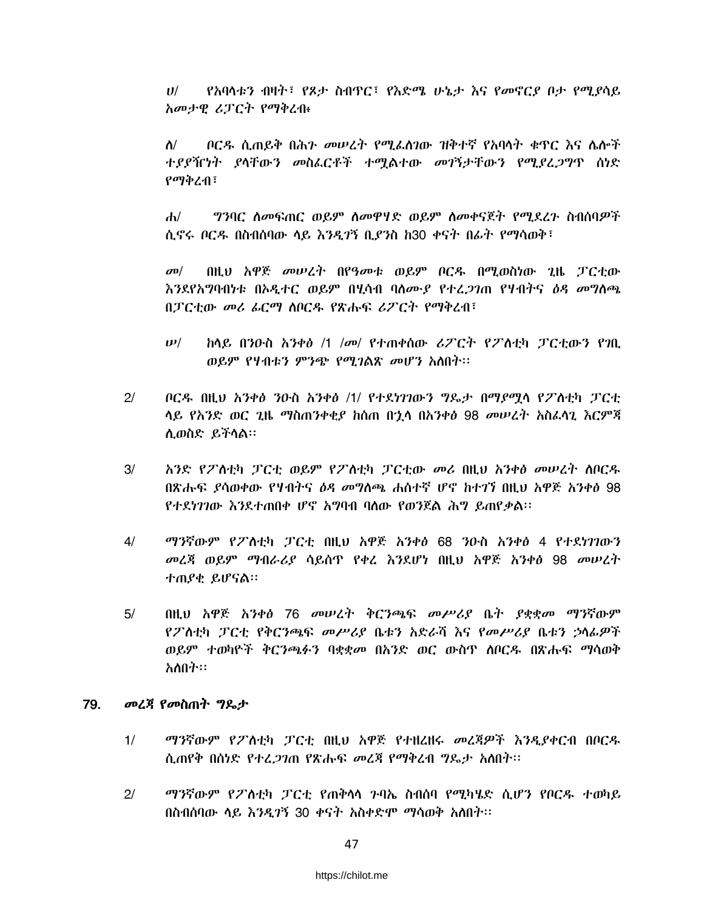የአባላቱን ብዛት፣ የጾታ ስብዋር፣ የእድሜ ሁኔታ እና የመኖርያ ቦታ የሚያሳይ  $U$ / አመታዊ ሪፓርት የማቅረብ፥

 $\Lambda/$ ቦርዱ ሲጠይቅ በሕን መሠረት የሚፈስገው ዝቅተኛ የአባላት ቁዋር እና ሌሎች *ተያያኺነት ያ*ላቸው*ን መ*ስፌርቶች ተማልተው *መገ*ኝታቸው*ን* የሚያረ*ጋግ*ዋ ሰነድ የማቅረብ፣

ግንባር ስመፍጠር ወይም ስመዋሃድ ወይም ስመቀናጀት የሚደረጉ ስብሰባዎች  $\mathbf{d}$ ሲኖሩ ቦርዱ በስብሰባው ሳይ እንዲገኝ ቢያንስ ከ30 ቀናት በፊት የማሳወቅ፣

በዚህ አዋጅ መሠረት በየዓመቱ ወይም ቦርዱ በሚወስነው ጊዜ ፓርቲው  $\sigma$ <sup> $\sigma$ </sup> *እን*ደየአ**ማባብነቱ በኦዲተር ወይም በሂሳብ ባ**ለሙያ የተረ*ጋገ*ጠ የሃብትና *ዕዳ መግ*ለጫ በፓርቲው መሪ ፊርማ ሰቦርዱ የጽሑፍ ሪፖርት የማቅረብ፣

- $\boldsymbol{\mu}$ ክላይ በንዑስ *አንቀፅ /1 |መ| የተ*ጠቀሰው *ሪፖርት የፖ*ስቲካ ፓርቲውን የገቢ ወይም የሃብቱን ምንጭ የሚገልጽ መሆን አስበት።
- $2/$ ቦርዱ በዚህ አንቀፅ ንዑስ አንቀፅ /1/ የተደነገገውን ግዴታ በማደማሳ የፖስቲካ ፓርቲ ሳይ የአንድ ወር ጊዜ ማስጠንቀቂያ ከሰጠ በኂሳ በአንቀፅ 98 መሠረት አስፈሳጊ እርምጃ ሊወስድ ይችሳል።
- $3/$ አንድ የፖለቲካ ፓርቲ ወይም የፖለቲካ ፓርቲው መሪ በዚህ አንቀፅ መሠረት ሰቦርዱ በጽሑፍ ያሳወቀው የሃብትና *ዕዳ መግ*ለጫ ሐሰተኛ ሆኖ ከተገኘ በዚህ አዋጅ አንቀፅ 98 የተደነገገው እንደተጠበቀ ሆኖ አግባብ ባስው የወንጀል ሕግ ይጠየቃል።
- $4/$ ማንኛውም የፖስቲካ ፓርቲ በዚህ አዋጅ አንቀፅ 68 ንዑስ አንቀፅ 4 የተደነገገውን *መ*ረጃ ወይም *ማብራሪያ* ሳይሰጥ የቀረ እንደሆነ በዚህ አዋጅ አንቀፅ 98 መሠረት ተጠያቂ ይሆናል።
- በዚህ አዋጅ አንቀፅ 76 መሠረት ቅርንጫፍ መሥሪያ ቤት ያቋቋመ ማንኛውም  $5/$ የፖለቲካ ፓርቲ የቅርንጫፍ መሥሪያ ቤቱን አድራሻ እና የመሥሪያ ቤቱን ኃሳፊዎች ወይም ተወካዮች ቅርንጫፉን ባቋቋመ በአንድ ወር ውስዋ ሰቦርዱ በጽሑፍ ማሳወቅ አለበት።

#### 79. *መረጃ የመ*ስጠት *ግ*ጼታ

- $1/$ ማንኛውም የፖለቲካ ፓርቲ በዚህ አዋጅ የተዘረዘሩ መረጃዎች እንዲያቀርብ በቦርዱ ሲጠየቅ በሰነድ የተረ*ጋገ*ጠ የጽሑፍ መረጃ የማቅረብ ግዴታ አስበት፡፡
- $21$ *ማን*ኛውም የፖለቲካ ፓርቲ የጠቅሳሳ ንባኤ ስብሰባ የሚካሄድ ሲሆን የቦርዱ ተወካይ በስብሰባው ሳይ እንዲገኝ 30 ቀናት አስቀድሞ ማሳወቅ አለበት፡፡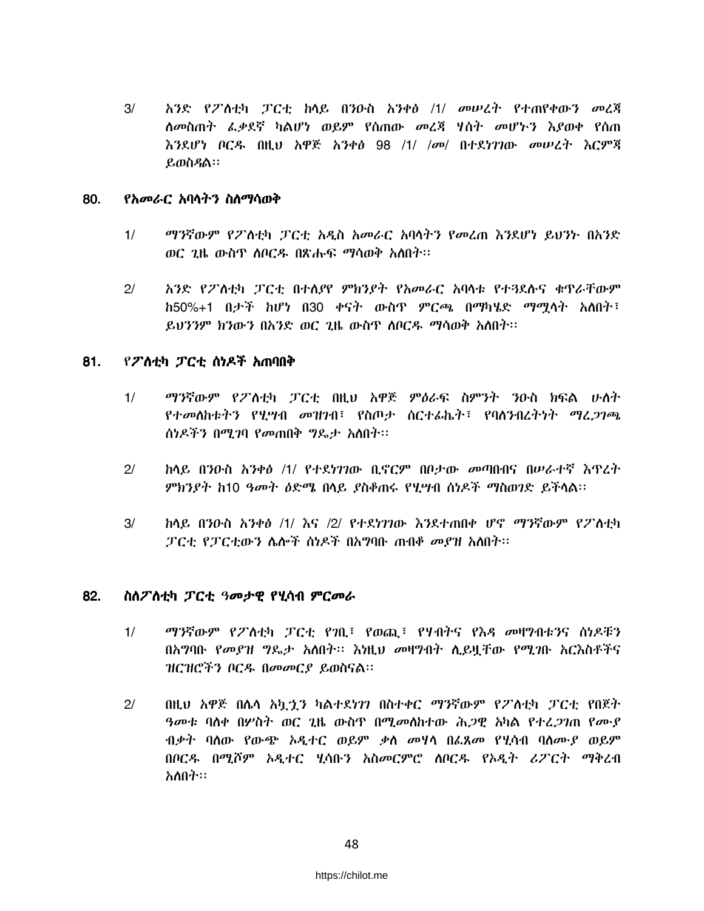$3/$ አንድ የፖለቲካ ፓርቲ ከላይ በንዑስ አንቀፅ /1/ መሠረት የተጠየቀውን መረጃ ለመስጠት ፌቃደኛ ካልሆነ ወይም የሰጠው መረጃ ሃሰት መሆኑን እያወቀ የሰጠ እንደሆነ ቦርዱ በዚህ አዋጅ አንቀፅ 98 /1/ /መ/ በተደነገገው መሠረት እርምጃ ይወስዳል።

### 80. የአመራር አባላትን ስስማሳወቅ

- ማንኛውም የፖስቲካ ፓርቲ አዲስ አመራር አባሳትን የመረጠ እንደሆነ ይህንት በአንድ  $1/$ ወር ጊዜ ውስጥ ሰቦርዱ በጽሑፍ ማሳወቅ አስበት፡፡
- $2/$ አንድ የፖስቲካ ፓርቲ በተሰያየ ምክንያት የአመራር አባሳቱ የተጓደሱና ቁዋራቸውም ከ50%+1 በታች ከሆነ በ30 ቀናት ውስጥ ምርጫ በማካሄድ ማሚላት አለበት፣ ይህንንም ክንውን በአንድ ወር 1ዜ ውስዋ ለበርዱ ማሳወቅ አለበት።

### 81. የፖስቲካ ፓርቲ ሰነዶች አጠባበቅ

- $1/$ ማንኛውም የፖለቲካ ፓርቲ በዚህ አዋጅ ምዕራፍ ስምንት ንዑስ ክፍል ሁለት የተመሰከቱትን የሂሣብ መዝንብ፣ የስጦታ ስርተፊኬት፣ የባለንብረትነት ማሬ*ጋገጫ* ስነዶችን በሚገባ የመጠበቅ ግዴታ አስበት፡፡
- $2/$ ከላይ በንዑስ አንቀፅ /1/ የተደነገገው ቢኖርም በቦታው መጣበብና በሥራተኛ እዋረት ምክንያት ከ10 ዓመት ዕድሜ በላይ ያስቆጠሩ የሂሣብ ሰነዶች ማስወገድ ይችላል፡፡
- $3/$ <u>ከላይ በንዑስ አንቀፅ /1/ እና /2/ የተደነገገው እንደተጠበቀ ሆኖ ማንኛውም የፖለቲካ</u> ፓርቲ የፓርቲውን ሌሎች ስነዶች በአግባቡ ጠብቆ መያዝ አስበት።

### 82. ስስፖስቲካ ፓርቲ ዓመታዊ የሂሳብ ምርመራ

- $1/$ ማንኛውም የፖስቲካ ፓርቲ የንቢ፣ የወጪ፣ የሃብትና የእዳ መዛግብቱንና ስነዶቹን በአግባቡ የመያዝ ግዴታ አለበት፡፡ እነዚህ መዛግብት ሲይዟቸው የሚገቡ አርእስቶችና ዝርዝሮችን ቦርዱ በመመርያ ይወስናል።
- $2/$ በዚህ አዋጅ በሌላ አኳቷን ካልተደነገን በስተቀር ማንኛውም የፖስቲካ ፓርቲ የበጀት *ዓመቱ* ባለቀ በሦስት ወር ጊዜ ውስዋ በሚ*መ*ለከተው ሕ*ጋ*ዊ አካል የተረ*ጋገ*ጠ የሙያ ብቃት ባሰው የውጭ አዲተር ወይም ቃስ መሃሳ በፌጸመ የሂሳብ ባሰሙያ ወይም በቦርዱ በሚሾም ኦዲተር ሂሳቡን አስመርምሮ ሰቦርዱ የኦዲት ሪፖርት ማቅረብ አለበት።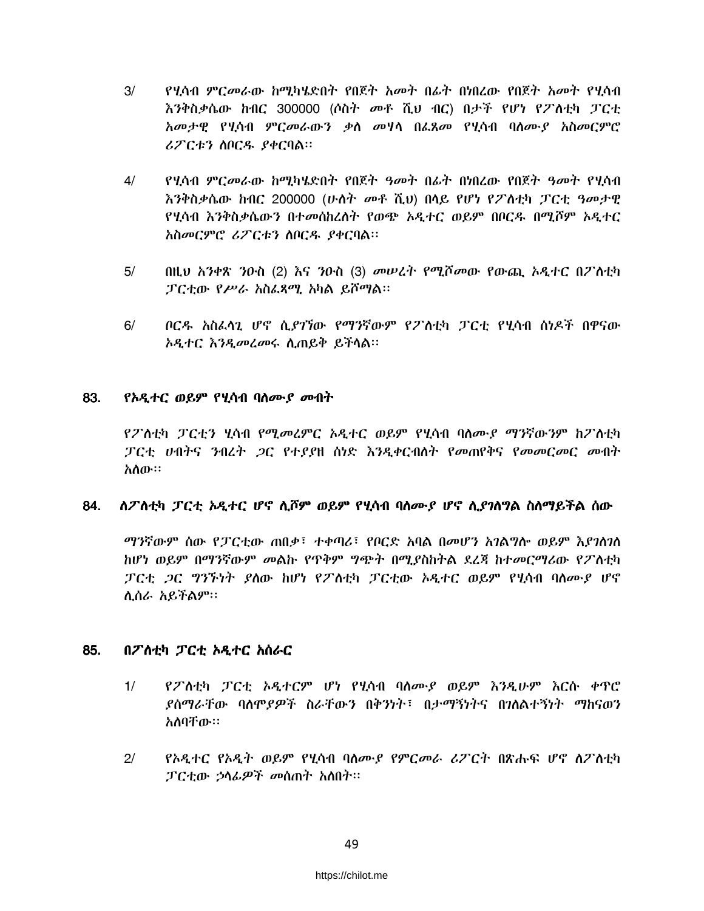- $3/$ የሂሳብ ምርመራው ከሚካሄድበት የበጀት አመት በፊት በነበረው የበጀት አመት የሂሳብ እንቅስቃሴው ከብር 300000 (ሶስት መቶ ሺህ ብር) በታች የሆነ የፖለቲካ ፓርቲ አመታዊ የሂሳብ ምርመራውን ቃስ መሃሳ በፌጸመ የሂሳብ ባሰሙያ አስመርምሮ ሪፖርቱን ስቦርዱ ያቀርባል።
- <u>የሂሳብ ምርመራው ከሚካሄድበት የበጀት ዓመት በፊት በነበረው የበጀት ዓመት የሂሳብ</u>  $4/$ እንቅስቃሴው ከብር 200000 (ሁለት መቶ ሺህ) በላይ የሆነ የፖለቲካ ፓርቲ ዓመታዊ የሂሳብ እንቅስቃሴውን በተመሰከረለት የወጭ ኦዲተር ወይም በቦርዱ በሚሾም ኦዲተር አስመርምሮ ሪፖርቱን ሰቦርዱ ያቀርባል።
- $5/$ በዚህ አንቀጽ ንዑስ (2) እና ንዑስ (3) መሠረት የሚሾመው የውጪ ኦዲተር በፖስቲካ ፓርቲው የሥራ አስፌጻሚ አካል ይሾማል።
- $6/$ ቦርዱ አስራሳጊ ሆኖ ሲ*ያገኘ*ው የማንኛውም የፖስቲካ ፓርቲ የሂሳብ ሰነዶች በዋናው አዲተር እንዲመረመሩ ሲጠይቅ ይችላል፡፡

### 83. *የአዲተር ወይም የሂ*ሳብ ባሰሙ*ያ መ*ብት

የፖስቲካ ፓርቲን ሂሳብ የሚመሬምር አዲተር ወይም የሂሳብ ባለሙያ ማንኛውንም ከፖስቲካ ፓርቲ ሀብትና ንብረት ጋር የተያያዘ ሰነድ እንዲቀርብለት የመጠየቅና የመመርመር መብት አስው።

### ስፖስቲካ ፓርቲ አዲተር ሆኖ ሲሾም ወይም የሂሳብ ባስሙያ ሆኖ ሲያገስግል ስስማይችል ሰው 84.

ማንኛውም ሰው የፓርቲው ጠበቃ፣ ተቀጣሪ፣ የቦርድ አባል በመሆን አንልግሎ ወይም እያንስንስ ከሆነ ወይም በማንኛውም መልኩ የጥቅም ግጭት በሚያስከትል ደረጃ ከተመርማሪው የፖለቲካ ፓርቲ *ጋ*ር *ግንኙነት ያ*ስው ከሆነ የፖስቲካ ፓርቲው ኦዲተር ወይም የሂሳብ ባስሙያ ሆኖ ሲሰራ አይችልም።

### 85. በፖስቲካ ፓርቲ ኦዲተር አሰራር

- $1/$ የፖስቲካ ፓርቲ አዲተርም ሆነ የሂሳብ ባስሙያ ወይም እንዲሁም እርስ ቀዋሮ *ያ*ሰማራቸው ባለም*ያዎች* ስራቸውን በቅንነት፣ በታማኝነትና በንለልተኝነት ማከናወን አለባቸው።
- $2/$ የኦዲተር የኦዲት ወይም የሂሳብ ባስሙያ የምርመራ ሪፖርት በጽሑፍ ሆኖ ስፖስቲካ ፓርቲው ኃሳፊዎች መሰጠት አስበት።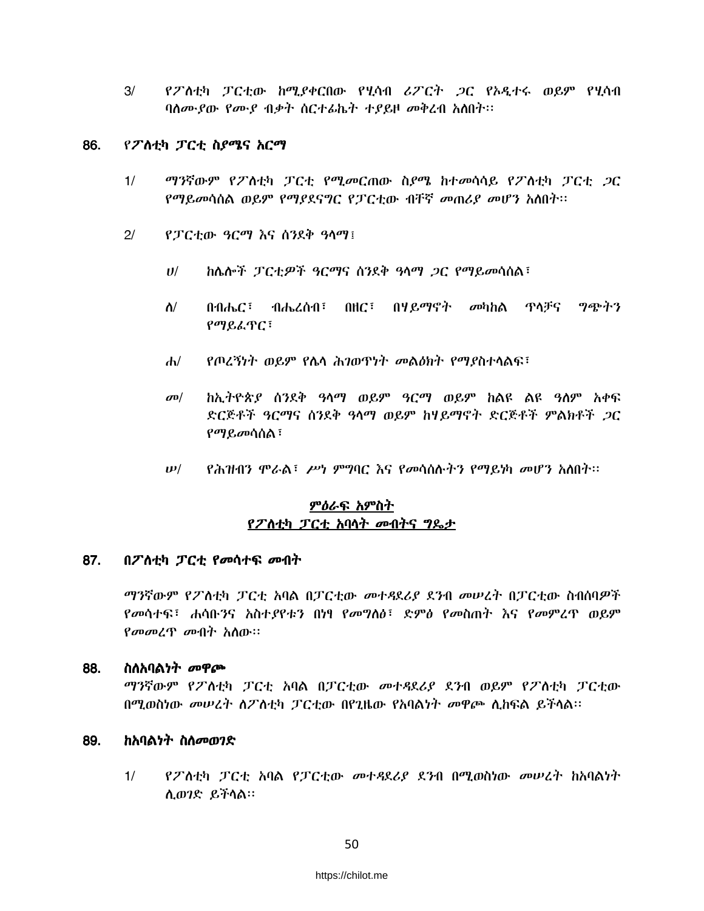$3/$ የፖለቲካ ፓርቲው ከሚያቀርበው የሂሳብ ሪፖርት *ጋ*ር የኦዲተሩ ወይም የሂሳብ ባስሙያው የሙያ ብቃት ስርተፊኬት ተያይዞ መቅረብ አስበት።

### 86. የፖስቲካ ፓርቲ ስያሜና አርማ

- $1/$ *ማን*ኛውም የፖስቲካ ፓርቲ የሚመርጠው ስያሜ ከተመሳሳይ የፖስቲካ ፓርቲ *ጋ*ር የማይመሳሰል ወይም የማያደናግር የፓርቲው ብቸኛ መጠሪያ መሆን አስበት፡፡
- $2/$ የፓርቲው ዓርማ እና ሰንደቅ ዓላማ፤
	- $U/$ ከሴሎች ፓርቲዎች ዓርማና ሰንደቅ ዓላማ *ጋ*ር የማይመሳሰል፣
	- በብሔር፣ ብሔረሰብ፣ በዘር፣ በሃይማኖት መካከል ዋላቻና ግጭትን ስ/ የማይፈጥር፣
	- የጦረኝነት ወይም የሴሳ ሕገወጥነት መልዕክት የማያስተሳልፍ፣  $\mathbf{d}$
	- $\sigma$ <sup> $\sigma$ </sup> ከኢትዮጵያ ሰንደቅ ዓሳማ ወይም ዓርማ ወይም ከልዩ ልዩ ዓስም አቀፍ ድርጅቶች *ዓርማና ስን*ደቅ ዓላማ ወይም ከሃይማኖት ድርጅቶች ምልክቶች *ጋ*ር የማይመሳሰል፣
	- የሕዝብን ሞራል፣ ሥነ ምግባር እና የመሳሰሉትን የማይነካ መሆን አስበት፡፡  $\boldsymbol{\nu}$ /

# <u>ምዕራፍ አምስት</u> የፖስቲካ ፓርቲ አባሳት መብትና ግዴታ

#### 87. በፖስቲካ ፓርቲ የመሳተፍ መብት

ማንኛውም የፖስቲካ ፓርቲ አባል በፓርቲው መተዳደሪያ ደንብ መሠረት በፓርቲው ስብሰባዎች የመሳተፍ፣ ሐሳቡንና አስተያየቱን በነፃ የመግለፅ፣ ድምፅ የመስጠት እና የመምረጥ ወይም *የመመረጥ መ*ብት አሰው።

- 88. ስስአባልነት መዋጮ ማንኛውም የፖስቲካ ፓርቲ አባል በፓርቲው መተዳደሪያ ደንብ ወይም የፖስቲካ ፓርቲው በሚወስነው መሠረት ስፖስቲካ ፓርቲው በየጊዜው የአባልነት መዋጮ ሲከፍል ይችላል፡፡
- ከአባልነት ስስመወገድ 89.
	- $1/$ የፖስቲካ ፓርቲ አባል የፓርቲው መተዳደሪያ ደንብ በሚወስነው መሠረት ከአባልነት ሲወገድ ይችሳል።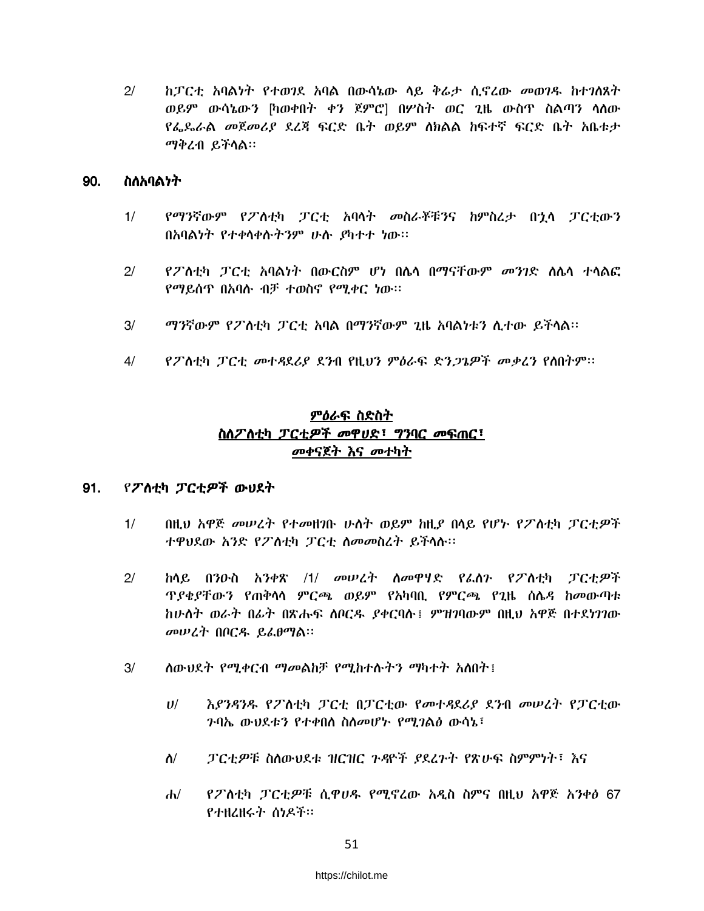$2/$ ከፓርቲ አባልነት የተወገደ አባል በውሳኔው ላይ ቅራታ ሲኖረው መወገዱ ከተገለጸት ወይም ውሳኔውን [ካወቀበት ቀን ጀምሮ] በሦስት ወር ጊዜ ውስጥ ስልጣን ሳሰው የፌጼራል መጀመሪያ ደረጃ ፍርድ ቤት ወይም ሰክልል ከፍተኛ ፍርድ ቤት አቤቱታ ማቅረብ ይችላል።

#### 90. ስለአባልነት

- $1/$ የማንኛውም የፖለቲካ ፓርቲ አባላት መስራቾቹንና ከምስረታ በኋላ ፓርቲውን በአባልነት የተቀሳቀሱትንም ሁስ ያካተተ ነው።
- $2/$ *የፖ* ስቲካ *ፓ*ርቲ አባልነት በውርስም ሆነ በሌሳ በማናቸውም *መንገ*ድ ስሌሳ ተሳልፎ የማይሰጥ በአባሱ ብቻ ተወስኖ የሚቀር ነው፡፡
- $3/$ ማንኛውም የፖስቲካ ፓርቲ አባል በማንኛውም ጊዜ አባልነቱን ሲተው ይችላል፡፡
- የፖስቲካ ፓርቲ መተዳደሪያ ደንብ የዚህን ምዕራፍ ድንጋጌዎች መቃረን የስበትም፡፡  $4/$

# ምዕራፍ ስድስት ስስፖስቲካ ፓርቲዎች መዋሀድ፣ ግንባር መፍጠር፣ መቀናጀት እና መተካት

#### 91. የፖለቲካ ፓርቲዎች ውህደት

- $1/$ በዚህ አዋጅ መሠረት የተመዘገቡ ሁለት ወይም ከዚያ በላይ የሆኑ የፖለቲካ ፓርቲዎች ተዋህደው አንድ የፖስቲካ ፓርቲ ስመመስረት ይችላሉ።
- ከላይ በንዑስ አንቀጽ /1/ መሠረት ስመዋሃድ የፌስን የፖስቲካ ፓርቲዎች  $2/$ <u> ዋያቂያቸውን የጠቅሳሳ ምርጫ ወይም የአካባቢ የምርጫ የጊዜ ሰሴዳ ከመውጣቱ</u> ከሁለት ወራት በፊት በጽሑፍ ለቦርዱ ያቀርባሉ፤ ምዝገባውም በዚህ አዋጅ በተደነገገው መሠረት በቦርዱ ይፌፀማል።
- $3/$ ለውህደት የሚቀርብ ማመልከቻ የሚከተሱትን ማካተት አለበት፤
	- $U$ / እያንዳንዱ የፖስቲካ ፓርቲ በፓርቲው የመተዳደሪያ ደንብ መሠረት የፓርቲው **ንባኤ ውህደቱን የተቀበሰ ስስመሆኑ የሚገልፅ ውሳኔ፣**
	- $\Lambda/$ ፓርቲዎቹ ስስውህደቱ ዝርዝር ጉዳዮች ያደረጉት የጽሁፍ ስምምነት፣ እና
	- $d\nu$ የፖለቲካ ፓርቲዎቹ ሲዋሀዱ የሚኖረው አዲስ ስምና በዚህ አዋጅ አንቀፅ 67 የተዘረዘሩት ስነዶች።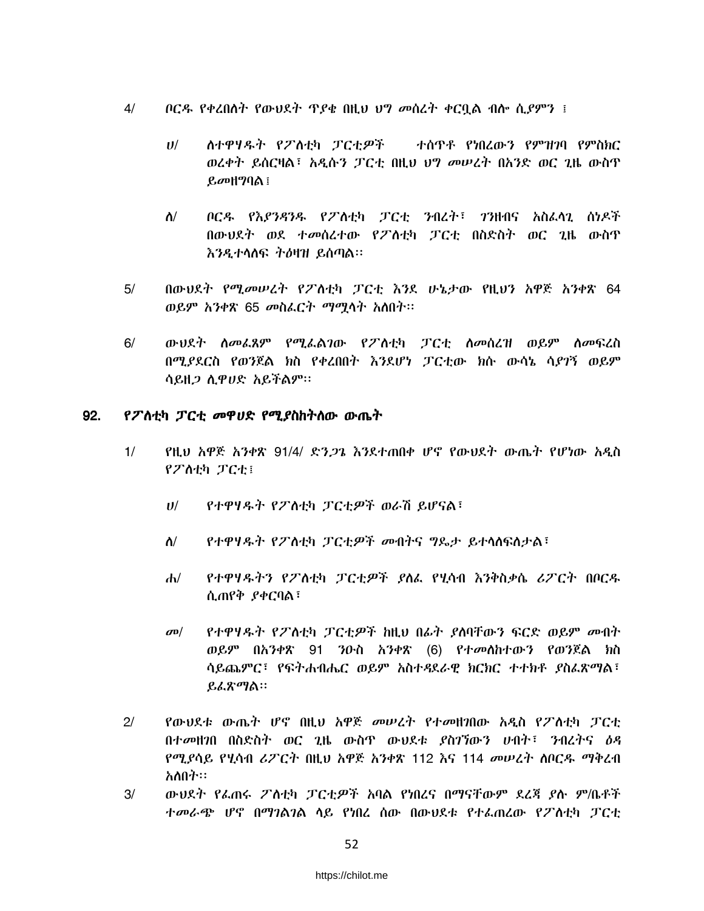- $4/$ *ቦርዱ የቀረበለት የውህ*ደት ጥ*ያቄ በ*ዚህ ህግ መሰረት ቀርቧል ብሎ ሲ*ያ*ምን ፤
	- $U^{/}$ ስተዋሃዱት የፖስቲካ ፓርቲዎች ተሰዋቶ የነበረውን የምዝገባ የምስክር ወረቀት ይሰርዛል፣ አዲሱን ፓርቲ በዚህ ህግ መሠረት በአንድ ወር ጊዜ ውስጥ  $\mathcal{L}\sigma$ 마 $\mathcal{P}$ ባል  $\mathcal{L}$
	- ቦርዱ የእያንዳንዱ የፖለቲካ ፓርቲ ንብረት፣ ንንዘብና አስፈላጊ ሰነዶች  $\Lambda/$ በውህደት ወደ ተመሰረተው የፖስቲካ ፓርቲ በስድስት ወር ጊዜ ውስጥ እንዲተሳስፍ ትዕዛዝ ይሰጣል።
- $5/$ በውህደት የሚመሠረት የፖለቲካ ፓርቲ እንደ ሁኔታው የዚህን አዋጅ አንቀጽ 64 ወይም አንቀጽ 65 መስፌርት ማሚሳት አስበት፡፡
- $6/$ ውህደት ስመፊጸም የሚፌልገው የፖስቲካ ፓርቲ ስመስረዝ ወይም ስመፍረስ በሚደደርስ የወንጀል ክስ የቀረበበት እንደሆነ ፓርቲው ክሱ ውሳኔ ሳደንኝ ወይም ሳይዘ*ጋ* ሲዋሀድ አይችልም።

#### የፖስቲካ ፓርቲ መዋሀድ የሚያስከትሰው ውጤት 92.

- የዚህ አዋጅ አንቀጽ 91/4/ ድን*ጋጌ* እንደተጠበቀ ሆኖ የውህደት ውጤት የሆነው አዲስ  $1/$ የፖለቲካ ፓርቲ፤
	- የተዋሃዱት የፖስቲካ ፓርቲዎች ወራሽ ይሆናል፣  $U$ /
	- የተዋሃዱት የፖስቲካ ፓርቲዎች መብትና ግዴታ ይተሳስፍስታል፣  $\Lambda$ /
	- የተዋሃዱትን የፖስቲካ ፓርቲዎች ያለፌ የሂሳብ እንቅስቃሴ ሪፖርት በቦርዱ  $\mathbf{d}$ ሲጠየቅ ያቀርባል፣
	- የተዋሃዱት የፖስቲካ ፓርቲዎች ከዚህ በፊት ያሰባቸውን ፍርድ ወይም መብት  $\sigma$ <sup> $\sigma$ </sup> ወይም በአንቀጽ 91 ንዑስ አንቀጽ (6) የተመሰከተውን የወንጀል ክስ ሳይጨምር፣ የፍትሐብሔር ወይም አስተዳደራዊ ክርክር ተተክቶ ያስራጽማል፣ ይፌጽማል።
- የውህደቱ ውጤት ሆኖ በዚህ አዋጅ መሠረት የተመዘገበው አዲስ የፖስቲካ ፓርቲ  $2/$ በተመዘገበ በስድስት ወር ጊዜ ውስጥ ውህደቱ ያስገኘውን ሀብት፣ ንብረትና ዕዳ የሚያሳይ የሂሳብ ሪፖርት በዚህ አዋጅ አንቀጽ 112 እና 114 መሠረት ሰቦርዱ ማቅረብ አለበት።
- $3/$ ውህደት የፌጠሩ ፖስቲካ ፓርቲዎች አባል የነበረና በማናቸውም ደረጃ ያሉ ም/ቤቶች ተመራጭ ሆኖ በማገልገል ላይ የነበረ ሰው በውህደቱ የተፈጠረው የፖስቲካ ፓርቲ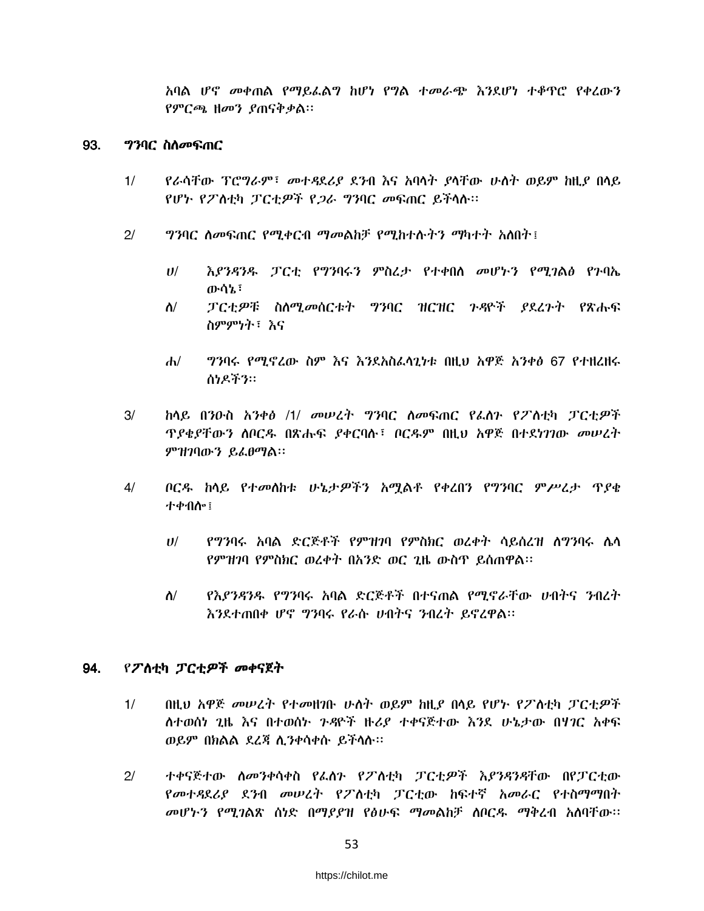አባል ሆኖ መቀጠል የማይፌልግ ከሆነ የግል ተመራጭ እንደሆነ ተቆዋሮ የቀረውን የምርጫ ዘመን ያጠናቅቃል።

### 93. *ግን*ባር ስለ*መ*ፍጠር

- የራሳቸው ፕሮግራም፣ *መተዳ*ደሪያ ደንብ እና አባሳት ያሳቸው ሁለት ወይም ከዚያ በላይ  $1/$ የሆኑ የፖስቲካ ፓርቲዎች የ*ጋ*ራ ግንባር መፍጠር ይችላሉ።
- $2/$ *ግን*ባር ለመፍጠር የሚቀርብ ማመልከቻ የሚከተሉትን ማካተት አለበት፤
	- $U$ / እያንዳንዱ ፓርቲ የግንባሩን ምስረታ የተቀበሰ መሆኑን የሚገልፅ የጉባኤ ውሳኔ፣
	- ፓርቲዎቹ ስለሚመሰርቱት ግንባር ዝርዝር ጉዳዮች ያደረጉት የጽሑፍ  $\Lambda$ / ስምምነት፣ እና
	- *ግንባሩ የሚኖረ*ው ስም እና እንደአስፈላጊካቱ በዚህ አዋጅ አንቀፅ 67 የተዘረዘሩ  $\mathbf{d}$ ስነዶችን።
- $3/$ ከላይ በንዑስ አንቀፅ /1/ መሠረት ግንባር ለመፍጠር የፌስን የፖስቲካ ፓርቲዎች *ፕያቄያቸውን ስ*ቦርዱ በጽሑፍ *ያቀር*ባሉ፣ ቦርዱም በዚህ አዋጅ በተደነገገው *መሠረ*ት ምዝገባውን ይፌፀማል፡፡
- $4/$ ቦርዱ ከሳይ የተመሰከቱ ሁኔታዎችን አሚልቶ የቀረበን የግንባር ምሥረታ ጥያቄ ተቀብሎ፤
	- የግንባሩ አባል ድርጅቶች የምዝገባ የምስክር ወረቀት ሳይሰረዝ ስግንባሩ ሴሳ  $II$ የምዝገባ የምስክር ወረቀት በአንድ ወር ጊዜ ውስጥ ይሰጠዋል።
	- $\Lambda$ / የእያንዳንዱ የግንባሩ አባል ድርጅቶች በተናጠል የሚኖራቸው ሀብትና ንብረት እንደተጠበቀ ሆኖ ግንባሩ የራሱ ሀብትና ንብረት ይኖረዋል፡፡

### 94. የፖስቲካ ፓርቲዎች መቀናጀት

- $1/$ በዚህ አዋጅ መሠረት የተመዘንቡ ሁለት ወይም ከዚያ በላይ የሆኑ የፖለቲካ ፓርቲዎች ለተወሰነ ጊዜ እና በተወሰኑ ንዳዮች ዙሪያ ተቀናጅተው እንደ ሁኔታው በሃገር አቀፍ ወይም በክልል ደረጃ ሲንቀሳቀሱ ይችላሉ፡፡
- ተቀናጅተው ስመንቀሳቀስ የፌስን የፖስቲካ ፓርቲዎች እያንዳንዳቸው በየፓርቲው  $2/$ የመተዳደሪያ ደንብ መሠረት የፖስቲካ ፓርቲው ከፍተኛ አመራር የተስማማበት መሆኑን የሚገልጽ ሰነድ በማደደዝ የፅሁፍ ማመልከቻ ሰቦርዱ ማቅረብ አሰባቸው፡፡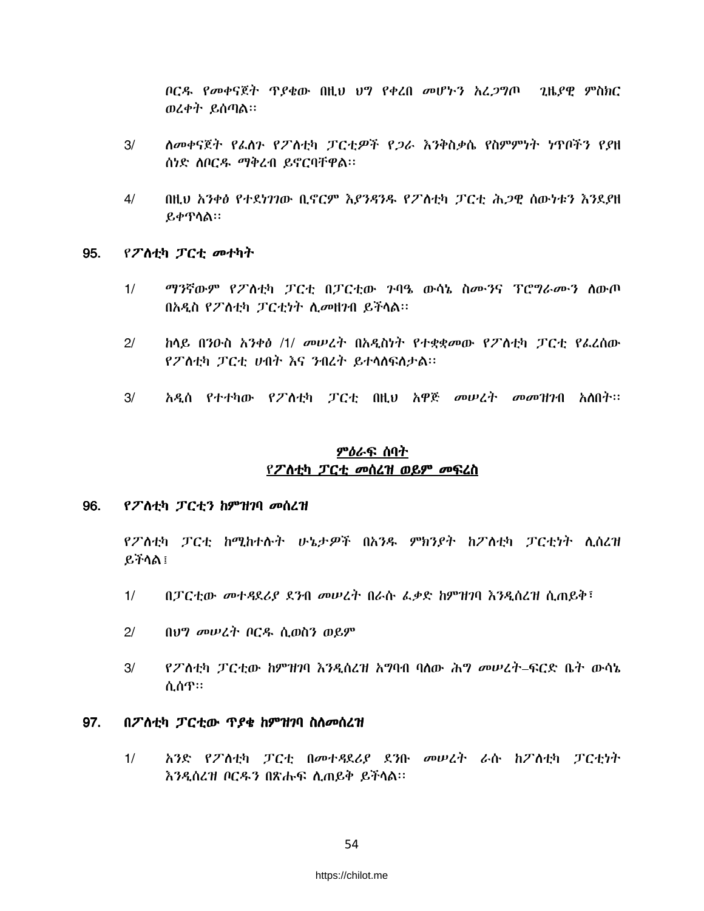ቦርዳ የመቀናጀት ጥያቄው በዚህ ህግ የቀረበ መሆኑን አረጋግጦ ጊዜያዊ ምስክር ወረቀት ይሰጣል።

- ለመቀናጀት የፌስጉ የፖስቲካ ፓርቲዎች የ*ጋ*ራ እንቅስቃሴ የስምምነት ነጥቦችን የያዘ  $3/$ ሰነድ ሰቦርዱ ማቅረብ ይኖርባቸዋል፡፡
- $4/$ በዚህ አንቀፅ የተደነገገው ቢኖርም እያንዳንዱ የፖለቲካ ፓርቲ ሕጋዊ ሰውነቱን እንደያዘ ይቀጥሳል።

#### 95. የፖስቲካ ፓርቲ መተካት

- $1/$ *ማን*ኛውም የፖስቲካ ፓርቲ በፓርቲው ንባዔ ውሳኔ ስሙንና ፕሮ*ግ*ራሙን ስውጦ በአዲስ የፖስቲካ ፓርቲነት ሲመዘንብ ይችላል፡፡
- ከላይ በንዑስ አንቀፅ /1/ መሠረት በአዲስነት የተቋቋመው የፖስቲካ ፓርቲ የፌረስው  $2/$ የፖስቲካ ፓርቲ ሀብት እና ንብረት ይተሳስፍስታል።
- $3/$ አዲስ የተተካው የፖለቲካ ፓርቲ በዚህ አዋጅ መሠረት መመዝገብ አለበት፡፡

# <u>ምዕራፍ ሰባት</u> የፖስቲካ ፓርቲ መሰረዝ ወይም መፍረስ

#### 96. የፖስቲካ ፓርቲን ከምዝገባ መሰረዝ

የፖለቲካ ፓርቲ ከሚከተሉት ሁኔታዎች በአንዱ ምክንያት ከፖለቲካ ፓርቲነት ሲሰረዝ ይችሳል ፡

- $1/$ በፓርቲው መተዳደሪያ ደንብ መሠረት በራሱ ፌቃድ ከምዝገባ እንዲሰረዝ ሲጠይቅ፣
- $21$ በህግ መሠረት ቦርዱ ሲወስን ወይም
- $3/$ <u>የፖለቲካ ፓርቲው ከምዝገባ እንዲሰረዝ አግባብ ባለው ሕግ መሠረት–ፍርድ ቤት ውሳኔ</u> ሲሰጥ።

#### 97. በፖስቲካ ፓርቲው ጥያቄ ከምዝገባ ስስመሰረዝ

አንድ የፖለቲካ ፓርቲ በመተዳደሪያ ደንቡ መሠረት ራሱ ከፖለቲካ ፓርቲነት  $1/$ እንዲሰረዝ ቦርዱን በጽሑፍ ሲጠይቅ ይችሳል።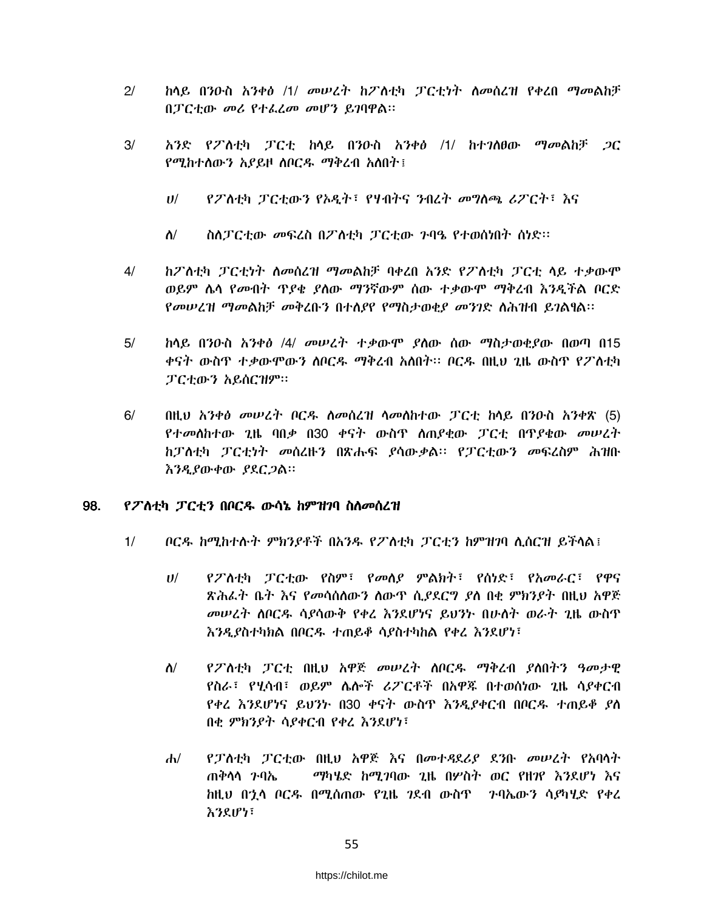- $2/$ ከላይ በንዑስ አንቀፅ /1/ መሠረት ከፖለቲካ ፓርቲነት ስመስረዝ የቀረበ ማመልከቻ በፓርቲው መሪ የተፌረመ መሆን ይገባዋል።
- $3/$ አንድ የፖለቲካ ፓርቲ ከላይ በንዑስ አንቀፅ /1/ ከተገለፀው ማመልከቻ *ጋ*ር የሚከተሰውን አያይዞ ሰቦርዱ ማቅረብ አስበት፤
	- $U$ / የፖስቲካ ፓርቲውን የአዲት፣ የሃብትና ንብረት መግስጫ ሪፖርት፣ እና
	- $\Lambda$ / ስስፓርቲው መፍረስ በፖስቲካ ፓርቲው ንባዔ የተወሰነበት ሰነድ፡፡
- ከፖስቲካ ፓርቲነት ስመሰረዝ ማመልከቻ ባቀረበ አንድ የፖስቲካ ፓርቲ ላይ ተቃውሞ  $4/$ ወይም ሴሳ የመብት ዋያቄ ያለው ማንኛውም ሰው ተቃውሞ ማቅረብ እንዲችል ቦርድ *የመሠረዝ ማመ*ልከቻ *መቅረ*ቡን በተለያየ የማስታወቂያ *መንገ*ድ ለሕዝብ ይገልፃል።
- $5/$ <u>ከላይ በንዑስ አንቀፅ /4/ መሠረት ተቃውሞ ያስው ሰው ማስታወቂያው በወጣ በ15</u> ቀናት ውስዋ ተቃውሞውን ስቦርዱ ማቅረብ አስበት። ቦርዱ በዚህ ጊዜ ውስዋ የፖለቲካ ፓርቲውን አይሰርዝም።
- $6/$ በዚህ አንቀፅ መሠረት ቦርዱ ስመሰረዝ ሳመስከተው ፓርቲ ከሳይ በንዑስ አንቀጽ (5) የተመሰከተው ጊዜ ባበቃ በ30 ቀናት ውስጥ ሰጠያቂው ፓርቲ በጥያቄው መሠረት ከፓስቲካ ፓርቲነት መሰረዙን በጽሑፍ ያሳውቃል፡፡ የፓርቲውን መፍረስም ሕዝቡ እንዲያውቀው ያደርጋል።

### 98. የፖለቲካ ፓርቲን በቦርዱ ውሳኔ ከምዝንባ ስስመሰረዝ

- $1/$ ቦርዱ ከሚከተሱት ምክንያቶች በአንዱ የፖስቲካ ፓርቲን ከምዝገባ ሊሰርዝ ይችላል፤
	- የፖስቲካ ፓርቲው የስም፣ የመሰያ ምልክት፣ የሰነድ፣ የአመራር፣ የዋና  $U$ / ጽሕፌት ቤት እና የመሳሰለውን ለውጥ ሲያደርግ ያለ በቂ ምክንያት በዚህ አዋጅ መሠረት ሰበርዱ ሳያሳውቅ የቀረ እንደሆነና ይህንት በሁስት ወራት ጊዜ ውስጥ እንዲያስተካክል በቦርዱ ተጠይቆ ሳያስተካከል የቀረ እንደሆነ፣
	- $\Lambda/$ የፖለቲካ ፓርቲ በዚህ አዋጅ መሠረት ሰቦርዱ ማቅረብ ያለበትን ዓመታዊ የስራ፣ የሂሳብ፣ ወይም ሌሎች ሪፖርቶች በአዋጁ በተወሰነው ጊዜ ሳያቀርብ የቀረ እንደሆነና ይህንኮ በ30 ቀናት ውስጥ እንዲያቀርብ በቦርዱ ተጠይቆ ያስ በቂ ምክንያት ሳያቀርብ የቀረ እንደሆነ፣
	- $\mathbf{d}$ የፓስቲካ ፓርቲው በዚህ አዋጅ እና በመተዳደሪያ ደንቡ መሠረት የአባላት ጠቅሳሳ ንባኤ ማካሄድ ከሚገባው ጊዜ በሦስት ወር የዘገየ እንደሆነ እና ከዚህ በኋላ ቦርዳ በሚሰጠው የጊዜ ገደብ ውስጥ - ንባኤውን ሳያካሂድ የቀረ እንደሆነ፣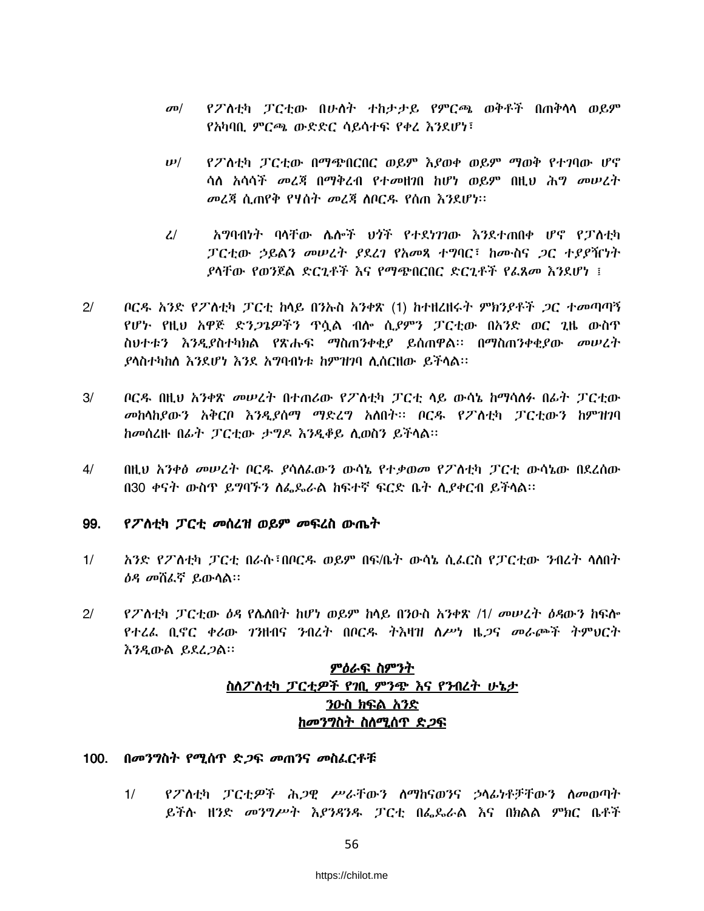- የፖስቲካ ፓርቲው በሁስት ተከታታይ የምርጫ ወቅቶች በጠቅሳሳ ወይም  $\sigma$ <sup> $\sigma$ </sup> የአካባቢ ምርጫ ውድድር ሳይሳተፍ የቀረ እንደሆነ፣
- $\bm{\nu}$ / የፖለቲካ ፓርቲው በማጭበርበር ወይም እያወቀ ወይም ማወቅ የተገባው ሆኖ ሳለ አሳሳች መረጃ በማቅረብ የተመዘንበ ከሆነ ወይም በዚህ ሕግ መሠረት መረጃ ሲጠየቅ የሃስት መረጃ ሰበርዱ የሰጠ እንደሆነ፡፡
- አግባብነት ባላቸው ሴሎች ህጎች የተደነገገው እንደተጠበቀ ሆኖ የፓስቲካ  $\mathcal{L}$ ፓርቲው ኃይልን መሠረት ያደረገ የአመጻ ተግባር፣ ከሙስና *ጋ*ር ተያያዥነት *ያ*ሳቸው የወንጀል ድርጊቶች እና የማጭበርበር ድርጊቶች የፊጸመ እንደሆነ ፤
- $2/$ *ቦርዱ አንድ የፖስቲካ ፓርቲ ከ*ላይ በንኡስ *አንቀ*ጽ (1) ከተዘረዘሩ*ት ምክንያቶች ጋር ተመ*ጣጣኝ የሆኑ የዚህ አዋጅ ድን*ጋጌዎችን* ዋሷል ብሎ ሲ*ያ*ምን ፓርቲው በአንድ ወር ጊዜ ውስዋ ስህተቱን እንዲያስተካክል የጽሑፍ ማስጠንቀቂያ ይሰጠዋል፡፡ በማስጠንቀቂያው መሠረት ያላስተካከለ እንደሆነ እንደ አማባብነቱ ከምዝንባ ሊሰርዘው ይችላል፡፡
- $3/$ ቦርዱ በዚህ አንቀጽ መሠረት በተጠሪው የፖስቲካ ፓርቲ ላይ ውሳኔ ከማሳለፉ በፊት ፓርቲው መከሳከደውን አቅርቦ እንዲደሰማ ማድረግ አለበት፡፡ ቦርዱ የፖለቲካ ፓርቲውን ከምዝገባ ከመሰረዙ በፊት ፓርቲው ታግዶ እንዲቆይ ሲወስን ይችሳል።
- $4/$ በዚህ አንቀፅ መሠረት ቦርዱ ያሳለፌውን ውሳኔ የተቃወመ የፖለቲካ ፓርቲ ውሳኔው በደረሰው በ30 ቀናት ውስጥ ይግባኙን ስፌዶራል ከፍተኛ ፍርድ ቤት ሲያቀርብ ይችሳል፡፡

#### 99. የፖስቲካ ፓርቲ መሰረዝ ወይም መፍረስ ውጤት

- $1/$ አንድ የፖስቲካ ፓርቲ በራሱ፣በቦርዱ ወይም በፍ/ቤት ውሳኔ ሲፌርስ የፓርቲው ንብረት ሳስበት *ዕዳ መ*ሽፌኛ ይውሳል።
- የፖስቲካ ፓርቲው ዕዳ የሴስበት ከሆነ ወይም ከሳይ በንዑስ አንቀጽ /1/ መሠረት ዕዳውን ከፍሎ  $21$ የተረፌ ቢኖር ቀሪው *ገን*ዘብና ንብረት በቦርዱ ትእዛዝ ስሥነ ዜ*ጋ*ና መራጮች ትምህርት እንዲውል ይደረ*ጋ*ል።

# ምዕራፍ ስምንት ስለፖለቲካ ፓርቲዎች የገቢ ምንጭ እና የንብረት ሁኔታ ንዑስ ክፍል አንድ *ከመንግ*ስት ስስሚሰጥ ድ*ጋ*ፍ

### 100. በመንግስት የሚሰጥ ድ*ጋ*ፍ መጠንና መስፌርቶቹ

 $1/$ የፖለቲካ ፓርቲዎች ሕጋዊ ሥራቸውን ለማከናወንና ኃላፊነቶቻቸውን ለመወጣት ይችሉ ዘንድ *መንግሥት እያንዳንዱ ፓርቲ በፌ*ዴራል እና በክልል ምክር ቤቶች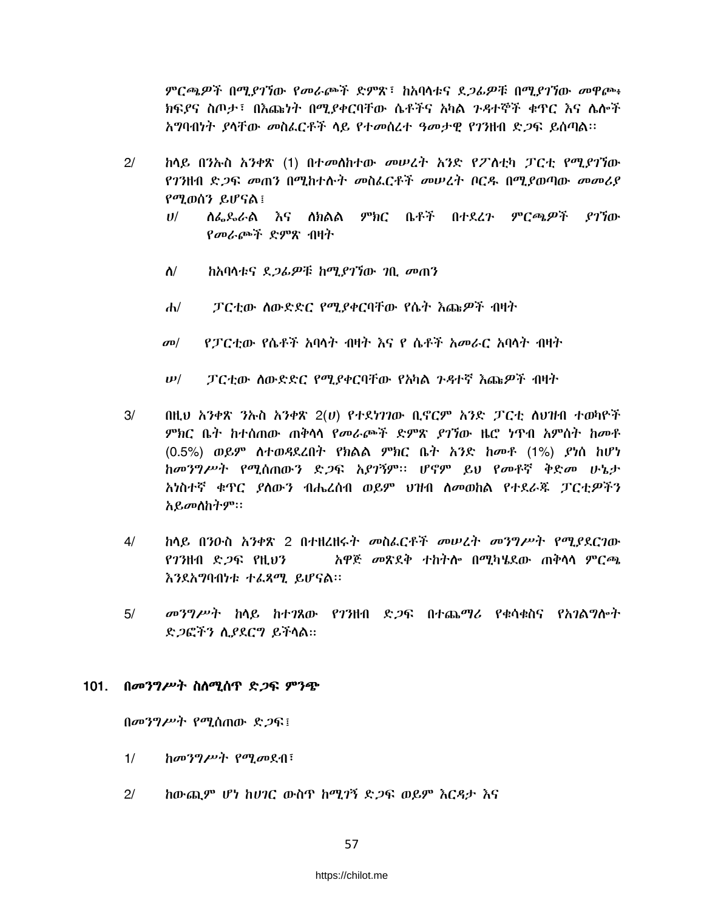ምርጫዎች በሚያገኘው የመራጮች ድምጽ፣ ከአባላቱና ደ*ጋሌዎ*ቹ በሚያገኘው መዋጮ፥ ክፍያና ስጦታ፣ በእጩነት በሚያቀርባቸው ሴቶችና አካል ንዳተኞች ቁጥር እና ሴሎች አግባብነት ያላቸው መስፌርቶች ላይ የተመሰረተ ዓመታዊ የገንዘብ ድጋፍ ይሰጣል፡፡

- $2/$ ከላይ በንኡስ አንቀጽ (1) በተመለከተው መሠረት አንድ የፖለቲካ ፓርቲ የሚ*ያገ*ኘው የገንዘብ ድ*ጋ*ፍ መጠን በሚከተሱት መስፌርቶች መሠረት በርዱ በሚያወጣው መመሪያ የሚወሰን ይሆናል !
	- ለፌዶራል እና ለክልል ምክር ቤቶች በተደረጉ ምርጫዎች ያገኘው  $U$ የመራጮች ድምጽ ብዛት
	- $\Lambda$ / ከአባሳቱና ደ*ጋሌዎ*ቹ ከሚ*ያገ*ኘው *ገ*ቢ መጠን
	- ፓርቲው ስውድድር የሚያቀርባቸው የሴት እጩዎች ብዛት  $d\nu$
	- የፓርቲው የሴቶች አባላት ብዛት እና የ ሴቶች አመራር አባላት ብዛት  $\sigma$ <sup>o</sup>
	- ፓርቲው ሰውድድር የሚያቀርባቸው የአካል ንዳተኛ እጩዎች ብዛት  $\boldsymbol{\nu}$ /
- $3/$ በዚህ አንቀጽ ንኡስ አንቀጽ 2(ሀ) የተደነገገው ቢኖርም አንድ ፓርቲ ለህዝብ ተወካዮች *ምክ*ር ቤት ከተሰጠው ጠቅሳሳ የ*መራጮች ድም*ጽ *ያገኘ*ው ዜሮ ነጥብ አምስት ከመቶ (0.5%) ወይም ስተወዳደረበት የክልል ምክር ቤት አንድ ከመቶ (1%) ያነሰ ከሆነ ከመንግሥት የሚሰጠውን ድጋፍ አያገኝም። ሆኖም ይህ የመቶኛ ቅድመ ሁኔታ አነስተኛ ቁዋር ያስውን ብሔረሰብ ወይም ህዝብ ስመወከል የተደራጁ ፓርቲዎችን አይመሰከትም።
- $4/$ <u>ከላይ በንዑስ አንቀጽ 2 በተዘረዘሩት መስፌርቶች መሠረት መንግሥት የሚደደርገው</u>  $973$ ዘብ ድ $9$ ፍ የዚህን አዋጅ መጽደቅ ተከትሎ በሚካሄደው ጠቅሳሳ ምርጫ እንደአማባብነቱ ተፈጻሚ ይሆናል፡፡
- መንግሥት ከላይ ከተገጸው የገንዘብ ድ*ጋ*ፍ በተጨማሪ የቁሳቁስና የአገልግሎት  $5/$ ድ ጋፎችን ሲያደርግ ይችላል።

### 101. በመንግሥት ስስሚሰጥ ድጋፍ ምንጭ

በመንግሥት የሚሰጠው ድጋፍ፤

- $1/$ ከመንግሥት የሚመደብ፣
- $2/$ ከውጪም ሆነ ከሀገር ውስጥ ከሚገኝ ድጋፍ ወይም እርዳታ እና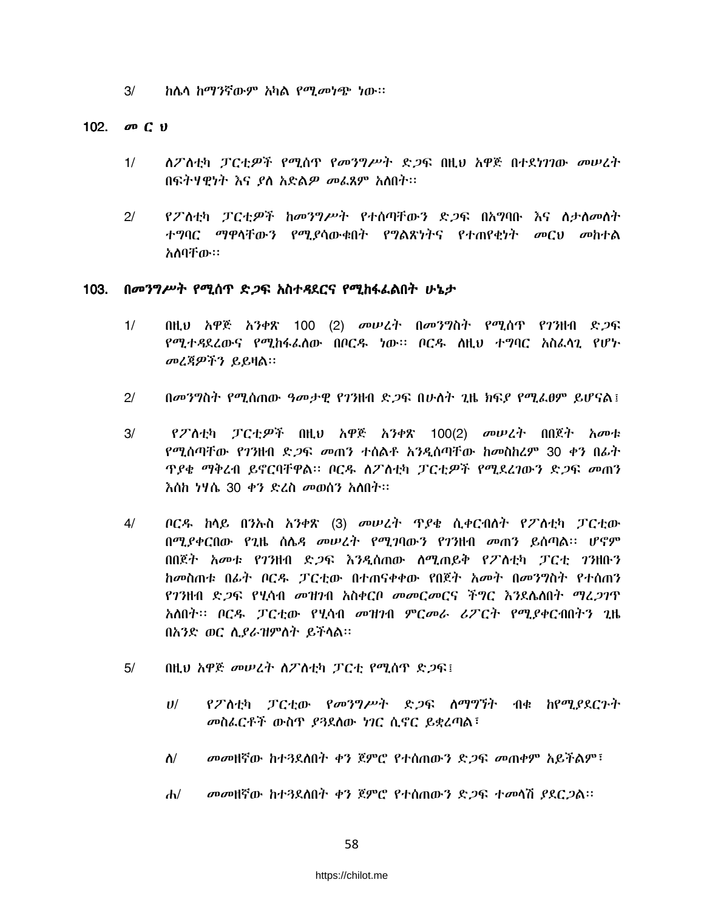$3/$ ከሴሳ ከማንኛውም አካል የሚመነጭ ነው።

### 102.  $\boldsymbol{\varpi}$  C  $\boldsymbol{\upsilon}$

- ለፖለቲካ ፓርቲዎች የሚሰዋ የመንግሥት ድጋፍ በዚህ አዋጅ በተደነገገው መሠረት  $1/$ በፍትሃዊነት እና ያለ አድል*ዎ መ*ፌጸም አለበት፡፡
- የፖለቲካ ፓርቲ*ዎች ከመንግሥት የተ*ሰጣቸውን ድ*ጋ*ፍ በአግባቡ እና ለታስመስት  $2/$ ተግባር ማዋላቸውን የሚያሳውቁበት የግልጽነትና የተጠየቂነት መርህ መከተል አለባቸው።

### 103. በመንግሥት የሚሰጥ ድ*ጋ*ፍ አስተዳደርና የሚከፋፌልበት ሁኔታ

- $1/$ በዚህ አዋጅ አንቀጽ 100 (2) መሠረት በመንግስት የሚሰጥ የገንዘብ ድ*ጋ*ፍ የሚተዳደረውና የሚከፋፌስው በቦርዱ ነው፡፡ ቦርዱ ስዚህ ተግባር አስፌሳጊ የሆኑ መረጃዎችን ይይዛል።
- $2/$ በመንግስት የሚሰጠው ዓመታዊ የገንዘብ ድ*ጋ*ፍ በሁለት ጊዜ ክፍ*ደ* የሚፈፀም ይሆናል፤
- $3/$ የፖስቲካ ፓርቲዎች በዚህ አዋጅ አንቀጽ 100(2) መሠረት በበጀት አመቱ የሚሰጣቸው የ7ንዘብ ድ*ጋ*ፍ *መ*ጠን ተሰልቶ አንዲሰጣቸው ከመስከረም 30 ቀን በፊት *ፕያቄ ማቅ*ረብ ይኖርባቸዋል። ቦርዱ ስፖስቲካ ፓርቲ*ዎች* የሚደረገውን ድ*ጋ*ፍ *መ*ጠን እስከ ነሃሴ 30 ቀን ድፈስ መወሰን አስበት።
- $4/$ ቦርዱ ከሳይ በንኡስ አንቀጽ (3) መሠረት ጥያቄ ሲቀርብስት የፖስቲካ ፓርቲው በሚያቀርበው የጊዜ ስሌዳ መሠረት የሚገባውን የገንዘብ መጠን ይሰጣል፡፡ ሆኖም በበጀት አመቱ የንንዘብ ድ*ጋ*ፍ እንዲሰጠው ለሚጠይቅ የፖለቲካ ፓርቲ *ገን*ዘቡን ከመስጠቱ በፊት ቦርዳ ፓርቲው በተጠናቀቀው የበጀት አመት በመንግስት የተሰጠን የገንዘብ ድ*ጋ*ፍ የሂሳብ መዝንብ አስቀርቦ መመርመርና ችግር እንደሴስበት ማፈ*ጋገ*ጥ አለበት፡፡ ቦርዱ ፓርቲው የሂሳብ መዝንብ ምርመራ ሪፖርት የሚያቀርብበትን ጊዜ በአንድ ወር ሲያራዝምስት ይችላል።
- በዚህ አዋጅ መሠረት ስፖስቲካ ፓርቲ የሚሰዋ ድጋፍ፤  $5/$ 
	- የፖስቲካ ፓርቲው የመንግሥት ድጋፍ ስማግኘት ብቁ ከየሚያደርጉት  $U^{/}$ መስፌርቶች ውስጥ ያጓደሰው ነገር ሲኖር ይቋረጣል፣
	- መመዘኛው ከተጓደለበት ቀን ጀምሮ የተሰጠውን ድጋፍ መጠቀም አይችልም፣  $\Lambda$ /
	- መመዘኛው ከተጓደሰበት ቀን ጀምሮ የተሰጠውን ድጋፍ ተመሳሽ ያደርጋል፡፡  $d\nu$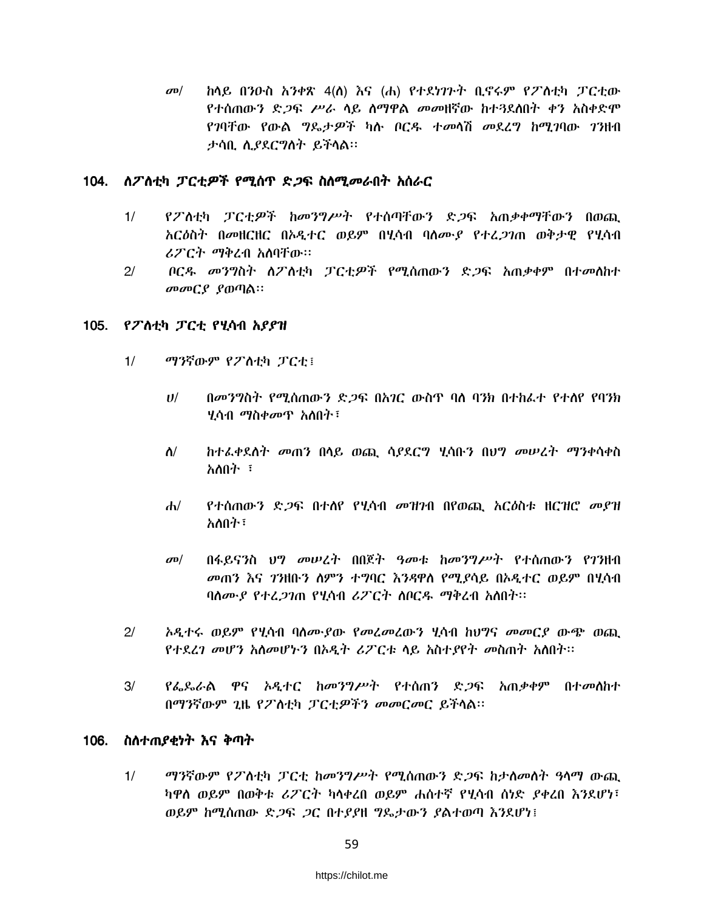ከሳይ በንዑስ አንቀጽ 4(ስ) እና (ሐ) የተደነገጉት ቢኖሩም የፖስቲካ ፓርቲው  $\sigma$ <sup> $\sigma$ </sup> የተሰጠውን ድ*ጋ*ፍ ሥራ ሳይ ስማዋል መመዘኛው ከተጓደስበት ቀን አስቀድሞ የገባቸው የውል ግዴታዎች ካሉ ቦርዱ ተመሳሽ መደረግ ከሚገባው ገንዘብ ታሳቢ ሲያደርግስት ይችሳል።

### 104. ለፖለቲካ ፓርቲዎች የሚሰጥ ድ*ጋ*ፍ ስለሚመራበት አሰራር

- የፖለቲካ ፓርቲዎች ከመንግሥት የተሰጣቸውን ድጋፍ አጠቃቀማቸውን በወጪ  $1/$ አርዕስት በመዘርዘር በኦዲተር ወይም በሂሳብ ባለሙያ የተፈ*ጋገ*ጠ ወቅታዊ የሂሳብ ሪፖርት ማቅረብ አስባቸው።
- $2/$ ቦርዱ መንግስት ስፖስቲካ ፓርቲዎች የሚሰጠውን ድጋፍ አጠቃቀም በተመስከተ መመርያ ያወጣል።

### 105. የፖለቲካ ፓርቲ የሂሳብ አ*ያያዝ*

- $1/$ ማንኛውም የፖስቲካ ፓርቲ፤
	- $U$ / በመንግስት የሚሰጠውን ድ*ጋ*ፍ በአገር ውስዋ ባለ ባንክ በተከፈተ የተለየ የባንክ ሂሳብ *ማ*ስቀመጥ አስበት፣
	- $\Lambda/$ *ከተፌቀ*ደለት *መ*ጠን በሳይ ወጪ ሳ*ያ*ደርግ ሂሳቡን በህግ መሠረት ማንቀሳቀስ አለበት ፣
	- $d\nu$ የተሰጠውን ድ*ጋ*ፍ በተለየ የሂሳብ *መዝገ*ብ በየወጪ አር*ዕ*ስቱ ዘርዝሮ *መያ*ዝ አለበት፣
	- በፋይናንስ ህግ መሠረት በበጀት ዓመቱ ከመንግሥት የተሰጠውን የገንዘብ  $\sigma$ <sup> $\sigma$ </sup> *መ*ጠን እና *ገ*ንዘቡን ስምን ተግባር እንዳዋስ የሚያሳይ በኦዲተር ወይም በሂሳብ ባስሙያ የተፈ*ጋገ*ጠ የሂሳብ ሪፖርት ሰቦርዱ ማቅረብ አስበት፡፡
- $2/$ *አዲተሩ ወይም የሂ*ሳብ ባስሙ*ያ*ው *የመረመረ*ውን ሂሳብ ከህግና *መመ*ርያ ውጭ ወጪ የተደረገ መሆን አስመሆኑን በኦዲት ሪፖርቱ ላይ አስተያየት መስጠት አስበት።
- $3/$ *የፌ*ዴራል ዋና አዲተር ከመንግሥት የተሰጠን ድ*ጋ*ፍ አጠቃቀም በተመ**ለ**ከተ በማንኛውም ጊዜ የፖስቲካ ፓርቲዎችን መመርመር ይችላል።

#### ስስተጠያቂነት እና ቅጣት 106.

 $1/$ ማንኛውም የፖስቲካ ፓርቲ ከመንግሥት የሚሰጠውን ድጋፍ ከታስመስት ዓላማ ውጪ ካዋለ ወይም በወቅቱ ሪፖርት ካላቀረበ ወይም ሐሰተኛ የሂሳብ ሰነድ ያቀረበ እንደሆነ፣ ወይም ከሚሰጠው ድ*ጋ*ፍ *ጋ*ር በተያያዘ ግዴታውን ያልተወጣ እንደሆነ፤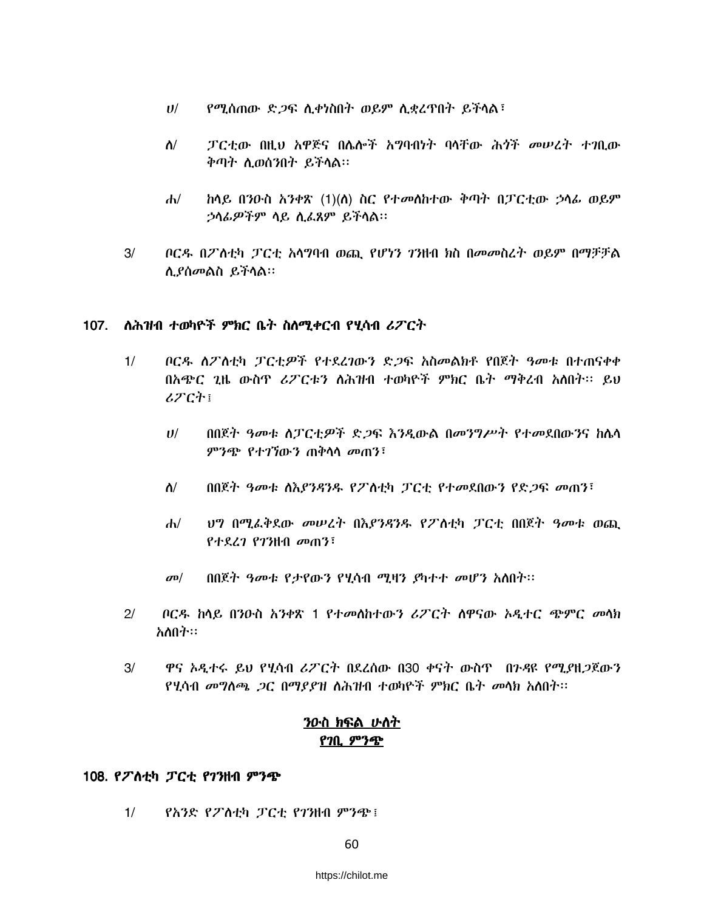- የሚሰጠው ድ*ጋ*ፍ ሲቀነስበት ወይም ሲቋረዋበት ይችላል፣  $U$ /
- ፓርቲው በዚህ አዋጅና በሌሎች አግባብነት ባላቸው ሕጎች መሠረት ተገቢው  $\Lambda$ / ቅጣት ሲወሰንበት ይችላል።
- $d\nu$ ከላይ በንዑስ አንቀጽ (1)(ለ) ስር የተመለከተው ቅጣት በፓርቲው ኃላፊ ወይም ኃሳፊዎችም ሳይ ሲፈጸም ይችሳል።
- $3/$ ቦርዱ በፖስቲካ ፓርቲ አሳግባብ ወጪ የሆነን ገንዘብ ክስ በመመስረት ወይም በማቻቻል ሲያሰመልስ ይችላል።

### 107. ለሕዝብ ተወካዮች ምክር ቤት ስለሚቀርብ የሂሳብ ሪፖርት

- $1/$ ቦርዱ ለፖለቲካ ፓርቲዎች የተደረገውን ድጋፍ አስመልክቶ የበጀት ዓመቱ በተጠናቀቀ በአጭር ጊዜ ውስጥ ሪፖርቱን ለሕዝብ ተወካዮች ምክር ቤት ማቅረብ አለበት፡፡ ይህ ሪፖርት፤
	- በበጀት ዓመቱ ስፓርቲዎች ድ*ጋ*ፍ እንዲውል በመንግሥት የተመደበውንና ከሴሳ  $U^{/}$ ምንጭ የተገኘውን ጠቅሳሳ መጠን፤
	- ስ/ በበጀት ዓመቱ ለእያንዳንዱ የፖስቲካ ፓርቲ የተመደበውን የድጋፍ መጠን፣
	- ህግ በሚፌቅደው መሠረት በእያንዳንዱ የፖለቲካ ፓርቲ በበጀት ዓመቱ ወጪ  $\mathbf{d}$ የተደረገ የገንዘብ መጠን፣
	- $\sigma$ <sup> $\sigma$ </sup> በበጀት ዓመቱ የታየውን የሂሳብ ሚዛን ያካተተ መሆን አለበት፡፡
- $2/$ ቦርዱ ከላይ በንዑስ አንቀጽ 1 የተመለከተውን ሪፖርት ለዋናው ኦዲተር ጭምር መላክ አለበት።
- ዋና አዲተሩ ይህ የሂሳብ ሪፖርት በደረሰው በ30 ቀናት ውስጥ በንዳዩ የሚያዘጋጀውን  $3/$ የሂሳብ መግለጫ *ጋ*ር በማያያዝ ለሕዝብ ተወካዮች ምክር ቤት መላክ አለበት፡፡

# <u>ንዑስ ክፍል ሁስት</u> የንቢ ምንጭ

### 108. የፖለቲካ ፓርቲ የገንዘብ ምንጭ

 $1/$ የአንድ የፖለቲካ ፓርቲ የገንዘብ ምንጭ፤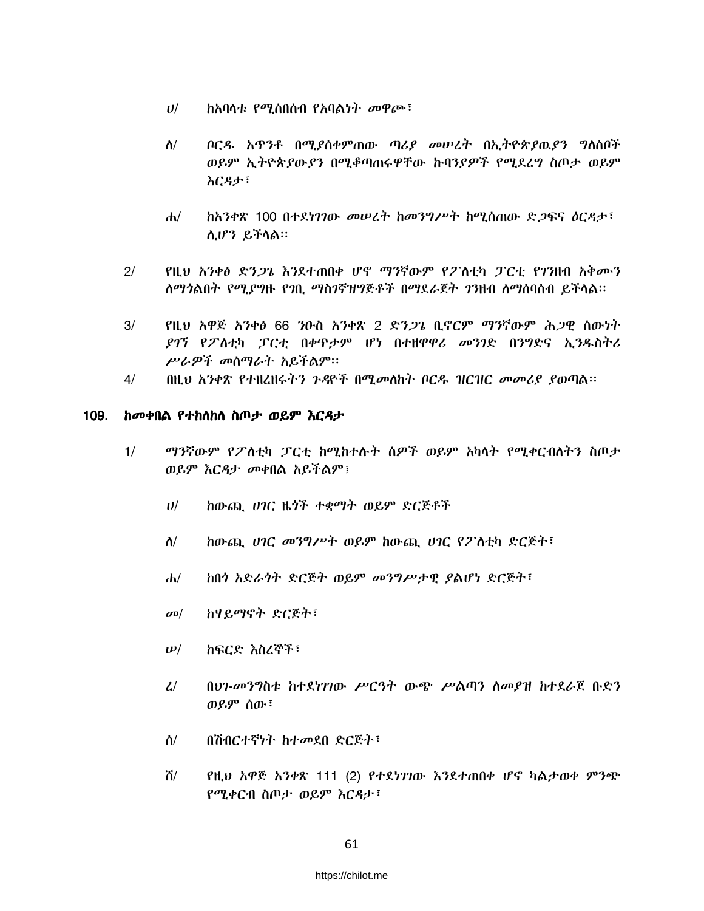- $U$ / ำአባሳቱ *የሚ*ሰበሰብ የአባልነት መዋጮ፣
- $\Lambda/$ ቦርዱ አዋንቶ በሚያስቀምጠው ጣሪያ መሠረት በኢትዮጵያዉያን ግስሰቦች ወይም ኢትዮጵያውያን በሚቆጣጠሩዋቸው ኩባንያዎች የሚደረግ ስጦታ ወይም እርዳታ፣
- ከአንቀጽ 100 በተደነገገው መሠረት ከመንግሥት ከሚሰጠው ድጋፍና ዕርዳታ፣  $d\nu$ ሲሆን ይችላል።
- $2/$ የዚህ አንቀፅ ድን*ጋጌ እን*ደተጠበቀ ሆኖ ማንኛውም የፖስቲካ ፓርቲ የገንዘብ አቅሙን ለማንልበት የሚያግዙ የንቢ ማስንኛዝግጅቶች በማደራጀት ንንዘብ ለማስባሰብ ይችላል።
- $3/$ የዚህ አዋጅ አንቀፅ 66 ንዑስ አንቀጽ 2 ድን*ጋጌ* ቢኖርም ማንኛውም ሕ*ጋ*ዊ ሰውነት ደገኘ የፖለቲካ ፓርቲ በቀዋታም ሆነ በተዘዋዋሪ መንገድ በንግድና ኢንዱስትሪ ሥራዎች መሰማራት አይችልም።
- በዚህ አንቀጽ የተዘረዘሩትን ጉዳዮች በሚመለከት ቦርዱ ዝርዝር መመሪያ ያወጣል፡፡  $4/$

#### ከመቀበል የተከስከስ ስጦታ ወይም እርዳታ 109.

- ማንኛውም የፖስቲካ ፓርቲ ከሚከተሱት ስዎች ወይም አካላት የሚቀርብለትን ስጦታ  $1/$ ወይም እርዳታ መቀበል አይችልም !
	- ከውጪ ሀገር ዜጎች ተቋማት ወይም ድርጅቶች  $U$ /
	- ከውጪ ሀገር መንግሥት ወይም ከውጪ ሀገር የፖስቲካ ድርጅት፣  $\Lambda$ /
	- $d\nu$ ከበጎ አድራጎት ድርጅት ወይም መንግሥታዊ ያልሆነ ድርጅት፣
	- ከሃይማኖት ድርጅት፣  $\sigma$ <sup> $\sigma$ </sup>
	- ከፍርድ እስረኞች፣  $\bm{\nu}/$
	- በህን-መንግስቱ ከተደነገገው ሥርዓት ውጭ ሥልጣን ስመያዝ ከተደራጀ ቡድን  $\mathcal{L}$ ወይም ሰው፣
	- በሽብርተኛነት ከተመደበ ድርጅት፣ ለ/
	- ሽ/ የዚህ አዋጅ አንቀጽ 111 (2) የተደነገገው እንደተጠበቀ ሆኖ ካልታወቀ ምንጭ የሚቀርብ ስጦታ ወይም እርዳታ፣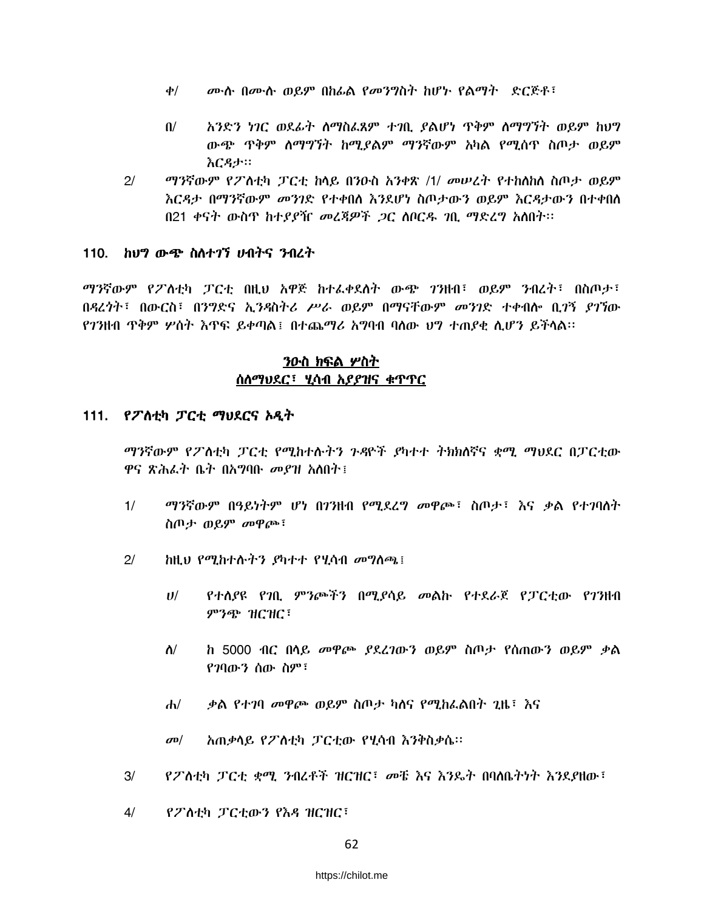- *ሙ*ሉ በሙሉ ወይም በከፊል የመንግስት ከሆኑ የልማት -ድርጅቶ፣  $\phi$ /
- አንድን ነገር ወደፊት ስማስፌጸም ተገቢ ያልሆነ ጥቅም ስማግኘት ወይም ከህግ  $\mathbf{u}$ ውጭ ጥቅም ስማግኘት ከሚያልም ማንኛውም አካል የሚሰጥ ስጦታ ወይም እርዳታ።
- $2/$ *ማን*ኛውም የፖስቲካ ፓርቲ ከላይ በንዑስ አንቀጽ /1/ መሠረት የተከለከለ ስጦታ ወይም <u>እርዳታ በማንኛውም *መን*ገድ የተቀበለ እን</u>ደሆነ ስጦታውን ወይም እርዳታውን በተቀበለ በ21 ቀናት ውስጥ ከተያያዥ መረጃዎች *ጋ*ር ሰቦርዱ *ገ*ቢ ማድረግ አሰበት፡፡

### 110. ከህግ ውጭ ስለተ*ገ*ኘ ሀብትና ንብረት

*ማን*ኛውም የፖስቲካ ፓርቲ በዚህ አዋጅ ከተፈቀደሰት ውጭ *ገን*ዘብ፣ ወይም ንብረት፣ በስጦታ፣ በዳረንት፣ በውርስ፣ በንግድና ኢንዳስትሪ ሥራ ወይም በማናቸውም መንገድ ተቀብሎ ቢ*ገኝ ያገኘ*ው የገንዘብ ጥቅም ሦስት እጥፍ ይቀጣል፤ በተጨማሪ አግባብ ባሰው ህግ ተጠያቂ ሲሆን ይችሳል።

# ንዑስ ክፍል ሦስት ሰለማህደር፣ ሂሳብ አያያዝና ቁጥጥር

### 111. የፖስቲካ ፓርቲ ማህደርና አዲት

ማንኛውም የፖለቲካ ፓርቲ የሚከተሉትን ጉዳዮች ያካተተ ትክክለኛና ቋሚ ማህደር በፓርቲው ዋና ጽሕፌት ቤት በአማባቡ መደዝ አለበት፤

- $1/$ ማንኛውም በዓይነትም ሆነ በ7ንዘብ የሚደረግ መዋጮ፣ ስጦታ፣ እና ቃል የተገባለት ስጦታ ወይም መዋጮ፣
- $2<sup>1</sup>$ ከዚህ የሚከተሱትን ያካተተ የሂሳብ መግስጫ ፡
	- $U$ / የተሰያዩ የገቢ ምንጮችን በሚያሳይ መልኩ የተደራጀ የፓርቲው የገንዘብ ምንጭ ዝርዝር<sup>፣</sup>
	- $\Lambda$ / ከ 5000 ብር በሳይ መዋጮ *ያ*ደረገውን ወይም ስጦታ የሰጠውን ወይም ቃል የንባውን ሰው ስም፣
	- *ቃ*ል የተ*ገ*ባ መዋጮ ወይም ስጦታ ካስና የሚከራልበት ጊዜ፣ እና  $\mathbf{d}$
	- አጠቃሳይ የፖስቲካ ፓርቲው የሂሳብ እንቅስቃሴ።  $\sigma$ <sup> $\sigma$ </sup>
- $3/$ የፖስቲካ ፓርቲ ቋሚ ንብረቶች ዝርዝር፣ መቼ እና እንዴት በባለቤትነት እንደያዘው፣
- $4/$ የፖስቲካ ፓርቲውን የእዳ ዝርዝር፣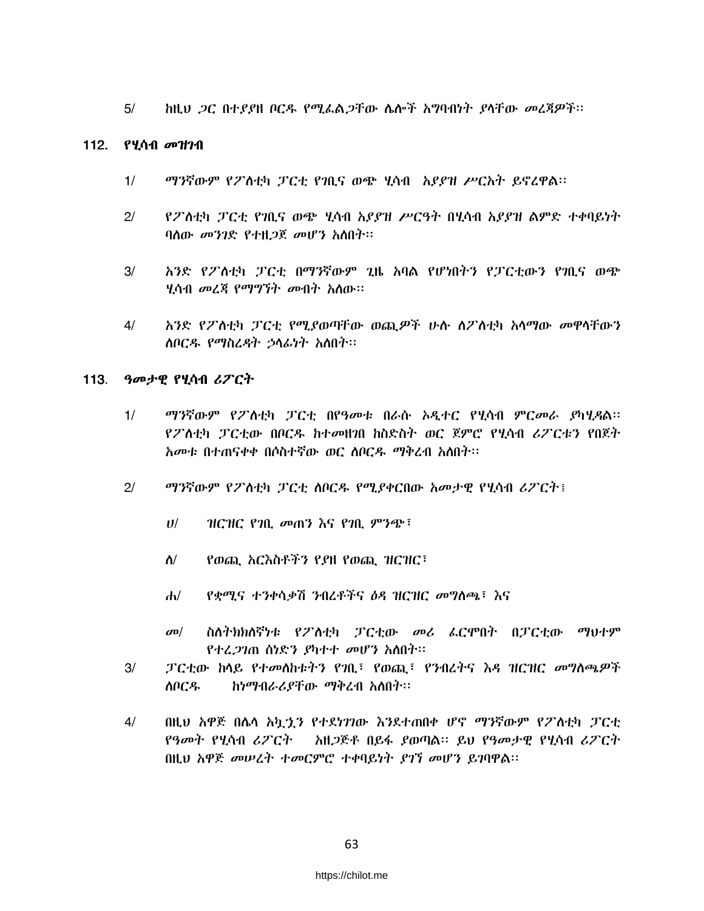ከዚህ ጋር በተያያዘ ቦርዱ የሚፌልጋቸው ሴሎች አግባብነት ያሳቸው መረጃዎች፡፡  $5/$ 

### 112. የሂሳብ መዝንብ

- ማንኛውም የፖስቲካ ፓርቲ የገቢና ወጭ ሂሳብ አያያዝ ሥርአት ይኖረዋል፡፡  $1/$
- $21$ የፖለቲካ ፓርቲ የ⁄ቢና ወጭ ሂሳብ አያያዝ ሥርዓት በሂሳብ አያያዝ ልምድ ተቀባይነት ባለው መንገድ የተዘጋጀ መሆን አለበት።
- $3/$ አንድ የፖለቲካ ፓርቲ በማንኛውም ጊዜ አባል የሆነበትን የፓርቲውን የገቢና ወጭ <u>ሃሳብ መረጃ የማግኘት መብት አስው።</u>
- $4/$ አንድ የፖለቲካ ፓርቲ የሚያወጣቸው ወጪዎች ሁሉ ስፖለቲካ አሳማው መዋሳቸውን ስቦርዱ የማስረዳት ኃሳፊነት አስበት፡፡

### 113. ዓመታዊ የሂሳብ ሪፖርት

- $1/$ *ማን*ኛውም የፖለቲካ ፓርቲ በየዓመቱ በራሱ ኦዲተር የሂሳብ ምርመራ *ያካሂዳ*ል፡፡ የፖለቲካ ፓርቲው በቦርዱ ከተመዘንበ ከስድስት ወር ጀምሮ የሂሳብ ሪፖርቱን የበጀት አመቱ በተጠናቀቀ በሶስተኛው ወር ሰቦርዱ ማቅረብ አስበት፡፡
- $2/$ *ግን*ኛውም የፖስቲካ ፓርቲ ስቦርዱ የሚያቀርበው አመታዊ የሂሳብ ሪፖርት፤
	- ዝርዝር የገቢ መጠን እና የገቢ ምንጭ፣  $U$ /
	- $\Lambda$ / የወጪ አርእስቶችን የያዘ የወጪ ዝርዝር፣
	- የቋሚና ተንቀሳቃሽ ንብረቶችና ዕዳ ዝርዝር መግስጫ፣ እና  $d\nu$
	- $\sigma$ <sup> $\sigma$ </sup> ስለትክክለኛነቱ የፖለቲካ ፓርቲው መሪ ፌርሞበት በፓርቲው ማህተም የተፈ*ጋገ*ጠ ሰነድን *ያ*ካተተ መሆን አስበት።
- $3/$ ፓርቲው ከላይ የተመለከቱትን የንቢ፣ የወጪ፣ የንብረትና እዳ ዝርዝር መግለጫዎች ስቦርዱ ከነማብራሪያቸው ማቅረብ አስበት፡፡
- በዚህ አዋጅ በሌላ አኳኂን የተደነገገው እንደተጠበቀ ሆኖ ማንኛውም የፖስቲካ ፓርቲ  $4/$ የዓመት የሂሳብ ሪፖርት – አዘጋጅቶ በይፋ ያወጣል። ይህ የዓመታዊ የሂሳብ ሪፖርት በዚህ አዋጅ መሠረት ተመርምሮ ተቀባይነት ያገኘ መሆን ይገባዋል፡፡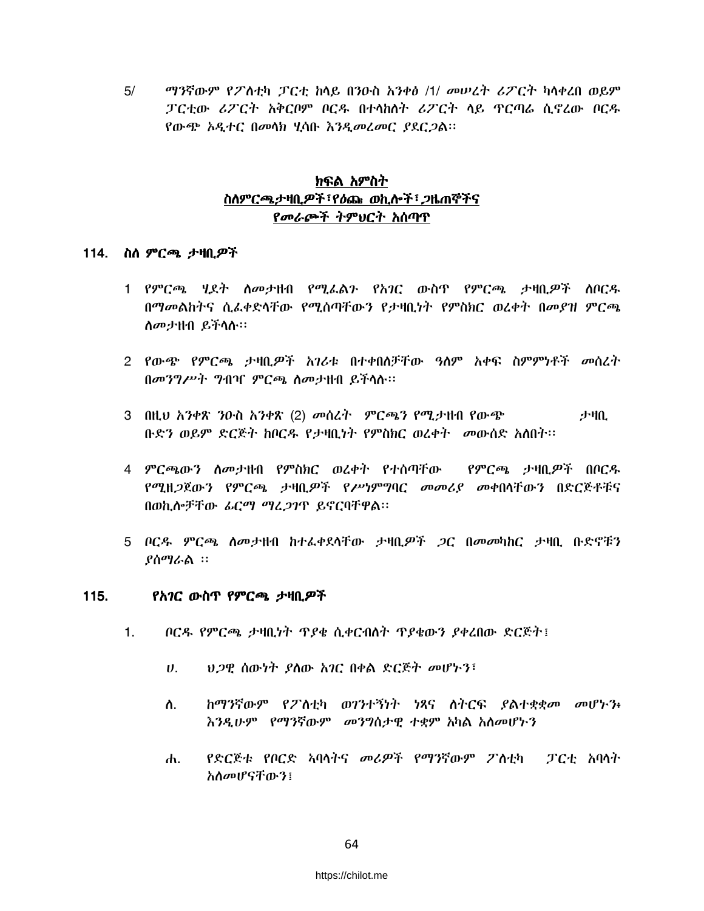$5/$ ማንኛውም የፖስቲካ ፓርቲ ከሳይ በንዑስ አንቀፅ /1/ መሠረት ሪፖርት ካላቀረበ ወይም ፓርቲው ሪፖርት አቅርቦም ቦርዱ በተሳከሰት ሪፖርት ሳይ ዋርጣራ ሲኖረው ቦርዱ የውጭ አዲተር በመሳክ ሂሳቡ እንዲመረመር ያደርጋል፡፡

# ክፍል አምስት ስለምርጫታዛቢዎች፣የዕጩ ወኪሎች፣ ጋዜጠኞችና የመራጮች ትምህርት አሰጣጥ

### 114. ስለ ምርጫ ታዛቢ*ዎ*ች

- 1 የምርጫ ሂደት ስመታዘብ የሚፌልን የአገር ውስዋ የምርጫ ታዛቢዎች ሰቦርዱ በማመልከትና ሲፌቀድላቸው የሚሰጣቸውን የታዛቢነት የምስክር ወረቀት በመያዝ ምርጫ ስመታዘብ ይችላሉ።
- 2 የውጭ የምርጫ ታዛቢዎች አገሪቱ በተቀበለቻቸው ዓለም አቀፍ ስምምነቶች መስረት በመንግሥት ግብዣ ምርጫ ስመታዘብ ይችላሉ።
- 3 በዚህ አንቀጽ ንዑስ አንቀጽ (2) መሰረት ምርጫን የሚታዘብ የውጭ 尹吼 ቡድን ወይም ድርጅት ከቦርዱ የታዛቢነት የምስክር ወረቀት መውሰድ አስበት።
- 4 ምርጫውን ስመታዘብ የምስክር ወረቀት የተሰጣቸው የምርጫ ታዛቢዎች በቦርዱ የሚዘ*ጋ*ጀውን የምርጫ ታዛቢ*ዎች የሥነ*ምግባር መመሪያ መቀበሳቸውን በድርጅቶቹና በወኪሎቻቸው ፊርማ ማፈጋገዋ ይኖርባቸዋል፡፡
- 5 ቦርዳ ምርጫ ስመታዘብ ከተፈቀደሳቸው ታዛቢ*ዎች ጋ*ር በመመካከር ታዛቢ ቡድኖቹን ያስማራል ፡፡

#### $115.$ የአ*ገ*ር ውስጥ የምርጫ ታዛቢ*ዎ*ች

- $1<sup>1</sup>$ ቦርዱ የምርጫ ታዛቢነት ጥያቄ ሲቀርብስት ጥያቄውን ያቀረበው ድርጅት፤
	- $\boldsymbol{\theta}$ . ህጋዊ ሰውነት ያስው አገር በቀል ድርጅት መሆኑን፤
	- ከማንኛውም የፖስቲካ ወገንተኝነት ነጻና ስትርፍ ያልተቋቋመ መሆኑን፥ ስ. እንዲሁም የማንኛውም መንግስታዊ ተቋም አካል አስመሆኑን
	- የድርጅቱ የቦርድ አባላትና መሪዎች የማንኛውም ፖስቲካ ፓርቲ አባላት  $\mathbf{d}$ አስመሆናቸውን፤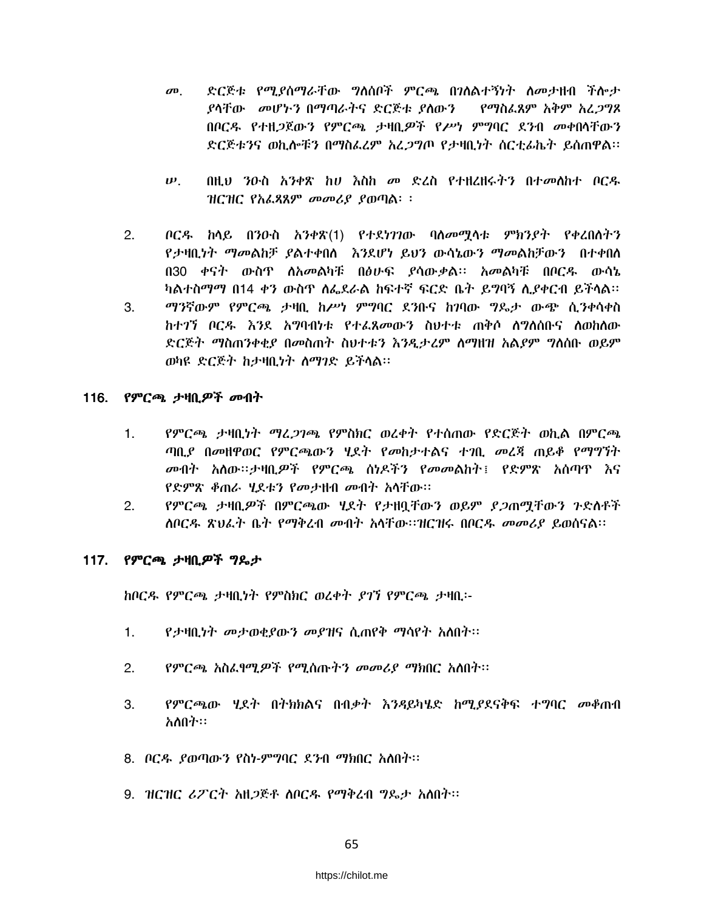- ድርጅቱ የሚያስማራቸው ግለሰቦች ምርጫ በገለልተኝነት ለመታዘብ ችሎታ  $\boldsymbol{\sigma}$ <sup> $\boldsymbol{\sigma}$ </sup> ያሳቸው መሆኑን በማጣራትና ድርጅቱ ያስውን የማስፌጸም አቅም አፈጋግጾ በቦርዱ የተዘ*ጋ*ጀውን የምርጫ ታዛቢ*ዎ*ች የሥነ ምግባር ደንብ መቀበሳቸውን ድርጅቱንና ወኪሎቹን በማስፌረም አረ*ጋግ*ጦ የታዛቢነት ስርቲፊኬት ይሰጠዋል።
- $\boldsymbol{\psi}$ . በዚህ ንዑስ አንቀጽ ከሀ እስከ መ ድረስ የተዘረዘሩትን በተመለከተ ቦርዱ  $HCHC$  የአፌጻጸም መመሪያ ያወጣል፡ ፡
- $2.$ ቦርዱ ከሳይ በንዑስ አንቀጽ(1) የተደነገገው ባለመሟላቱ ምክንያት የቀረበለትን የታዛቢነት ማመልከቻ ያልተቀበስ እንደሆነ ይህን ውሳኔውን ማመልከቻውን በተቀበስ በ30 ቀናት ውስጥ ለአመልካቹ በፅሁፍ ያሳውቃል፡፡ አመልካቹ በቦርዱ ውሳኔ ካልተስማማ በ14 ቀን ውስጥ ለፌደራል ከፍተኛ ፍርድ ቤት ይማባኝ ሊያቀርብ ይችላል።
- ማንኛውም የምርጫ ታዛቢ ከሥነ ምግባር ደንቡና ከገባው ግዴታ ውጭ ሲንቀሳቀስ 3. ክተ?ን ቦርዱ እንደ አግባብነቱ የተፈጸመውን ስህተቱ ጠቅሶ ስግለሰቡና ስመከለው ድርጅት ማስጠንቀቂያ በመስጠት ስህተቱን እንዲታረም ስማዘዝ አልያም ግለሰቡ ወይም ወካዩ ድርጅት ከታዛቢነት ስማገድ ይችላል፡፡

### 116. *የምርጫ ታዛቢዎች መብት*

- የምርጫ ታዛቢነት ማረ*ጋገጫ* የምስክር ወረቀት የተሰጠው የድርጅት ወኪል በምርጫ  $1<sub>1</sub>$ ጣቢያ በመዘዋወር የምርጫውን ሂደት የመከታተልና ተገቢ መሬጃ ጠይቆ የማግኘት *መ*ብት አለው፡፡ታዛቢ*ዎች* የምርጫ ሰነዶችን የመመልከት፤ የድምጽ አሰጣዋ እና የድምጽ ቆጠራ ሂደቱን የመታዘብ መብት አሳቸው።
- የምርጫ ታዛቢዎች በምርጫው ሂደት የታዘቧቸውን ወይም ያ*ጋ*ጠሟቸውን ጉድስቶች  $2.$ ለቦርዱ ጽህፈት ቤት የማቅረብ መብት አሳቸው።ዝርዝሩ በቦርዱ መመሪያ ይወሰናል።

### 117. የምርጫ ታዛቢዎች ግዴታ

ከቦርዱ የምርጫ ታዛቢነት የምስክር ወረቀት ያገኘ የምርጫ ታዛቢ፡-

- የታዛቢነት መታወቂያውን መያዝና ሲጠየቅ ማሳየት አስበት፡፡  $1<sup>1</sup>$
- $2<sup>1</sup>$ የምርጫ አስፌየሚዎች የሚሰጡትን መመሪያ ማክበር አለበት፡፡
- የምርጫው ሂደት በትክክልና በብቃት እንዳይካሄድ ከሚያደናቅፍ ተግባር መቆጠብ 3. አስበት።
- 8. ቦርዱ ያወጣውን የስነ-ምግባር ደንብ ማክበር አለበት፡፡
- 9. ዝርዝር ሪፖርት አዘጋጅቶ ሰቦርዱ የማቅረብ ግዴታ አሰበት፡፡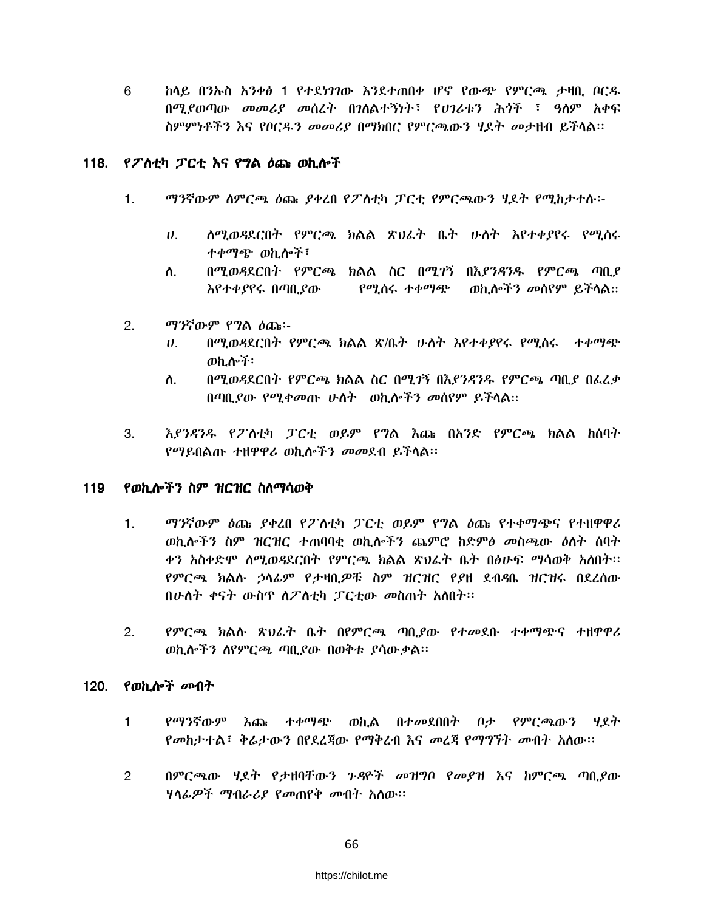6 <u>ከላይ በንኡስ አንቀፅ 1 የተደነገገው እንደተጠበቀ ሆኖ የውጭ የምርጫ ታዛቢ ቦርዱ</u> በሚያወጣው *መመሪያ መ*ስረት በንስልተኝነት፣ የሀንራቱን ሕ*ጎ*ች ፣ ዓስም አቀፍ ስምምነቶችን እና የቦርዱን መመሪያ በማክበር የምርጫውን ሂደት መታዘብ ይችላል።

### 118. የፖስቲካ ፓርቲ እና የግል ዕጩ ወኪሎች

ተቀማጭ ወኪሎች፣

ማንኛውም የግል ሰጩ፡-

ወኪሎች፡

እየተቀያየሩ በጣቢያው

የማይበልጡ ተዘዋዋሪ ወኪሎችን መመደብ ይችላል።

 $1.$ 

 $2<sup>1</sup>$ 

3.

119

 $\boldsymbol{U}$ .

ስ.

 $U_{\rm{L}}$ 

ለ.

ማንኛውም ስምርጫ ዕጩ ያቀረበ የፖስቲካ ፓርቲ የምርጫውን ሂደት የሚከታተሱ፡-

ሰሚወዳደርበት የምርጫ ክልል ጽህፈት ቤት ሁለት እየተቀያየሩ የሚሰሩ

በሚወዳደርበት የምርጫ ክልል ስር በሚገኝ በእያንዳንዱ የምርጫ ጣቢያ

በሚወዳደርበት የምርጫ ክልል ጽ/ቤት ሁለት እየተቀያየሩ የሚሰሩ ተቀማጭ

በሚወዳደርበት የምርጫ ክልል ስር በሚገኝ በእያንዳንዱ የምርጫ ጣቢያ በፌሬቃ

እያንዳንዱ የፖስቲካ ፓርቲ ወይም የግል እጩ በአንድ የምርጫ ክልል ከሰባት

ወኪሎችን መሰየም ይችላል።

የሚሰሩ ተቀማጭ

የወኪሎችን ስም ዝርዝር ስስማሳወቅ

ማንኛውም ዕጩ ያቀረበ የፖስቲካ ፓርቲ ወይም የግል ዕጩ የተቀማጭና የተዘዋዋሪ  $1<sub>1</sub>$ ወኪሎችን ስም ዝርዝር ተጠባባቂ ወኪሎችን ጨምሮ ከድምፅ መስጫው ዕለት ሰባት ቀን አስቀድሞ ስሚወዳደርበት የምርጫ ክልል ጽህፌት ቤት በፅሁፍ ማሳወቅ አስበት። የምርጫ ክልሉ ኃላፊም የታዛቢዎቹ ስም ዝርዝር የደዘ ደብዳቤ ዝርዝሩ በደረሰው በሁለት ቀናት ውስዋ ስፖስቲካ ፓርቲው መስጠት አስበት፡፡

በጣቢያው የሚቀመጡ ሁለት ወኪሎችን መሰየም ይችላል።

 $2.$ የምርጫ ክልሉ ጽህፈት ቤት በየምርጫ ጣቢያው የተመደቡ ተቀማጭና ተዘዋዋሪ ወኪሎችን ስየምርጫ ጣቢያው በወቅቱ ያሳውቃል፡፡

### 120. የወኪሎች *መ*ብት

- <u>እ</u>ጨ ተቀማጭ ወኪል በተመደበበት ቦታ የምርጫውን ሂደት  $\mathbf{1}$ የማንኛውም የመከታተል፣ ቅሬታውን በየደረጃው የማቅረብ እና መረጃ የማግኘት መብት አለው፡፡
- በምርጫው ሂደት የታዘባቸውን ጉዳዮች መዝግቦ የመያዝ እና ከምርጫ ጣቢያው  $\overline{2}$ ሃሳፊዎች ማብራሪያ የመጠየቅ መብት አስው።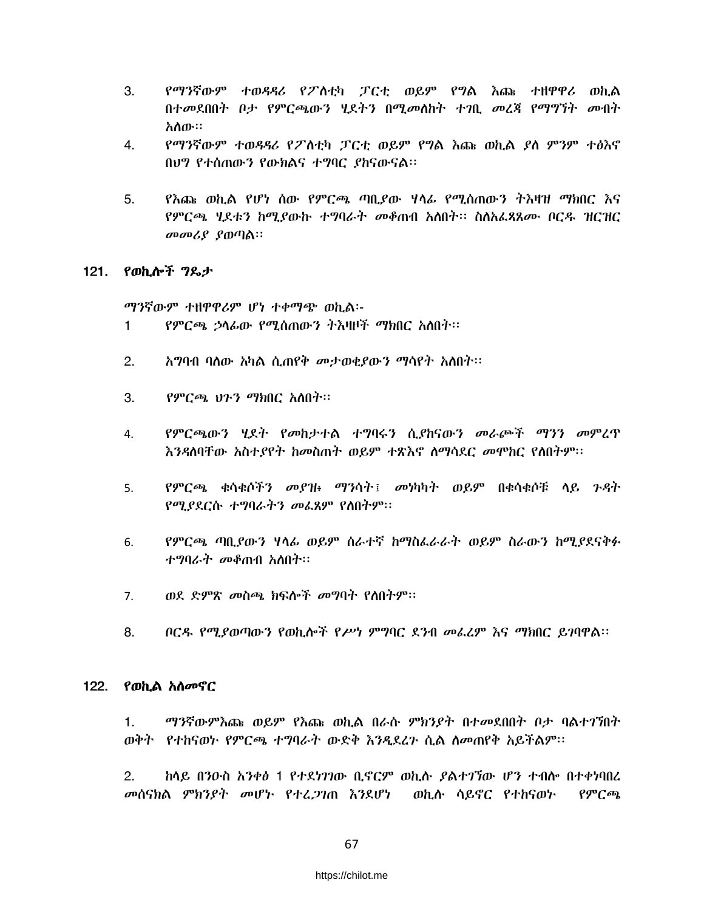- 3. የማንኛውም ተወዳዳሪ የፖስቲካ ፓርቲ ወይም የግል እጩ ተዘዋዋሪ ወኪል በተመደበበት ቦታ የምርጫውን ሂደትን በሚመስከት ተገቢ መረጃ የማግኘት መብት አስው።
- $4.$ የማንኛውም ተወዳዳሪ የፖስቲካ ፓርቲ ወይም የግል እጩ ወኪል ያስ ምንም ተፅእኖ በሀግ የተሰጠውን የውክልና ተግባር ያከናውናል።
- $5.$ <u>የእጩ ወኪል የሆነ ሰው የምርጫ ጣቢያው ሃላፊ የሚሰጠውን ትእዛዝ ማክበር እና</u> የምርጫ ሂደቱን ከሚያውኩ ተግባራት መቆጠብ አለበት፡፡ ስለአፈጻጸሙ ቦርዱ ዝርዝር መመሪያ ያወጣል።

### 121. የወኪሎች ግዴታ

ማንኛውም ተዘዋዋሪም ሆነ ተቀማጭ ወኪል፡-የምርጫ ኃሳፊው የሚሰጠውን ትእዛዞች ማክበር አስበት፡፡  $\mathbf{1}$ 

- $2.$ አግባብ ባለው አካል ሲጠየቅ መታወቂያውን ማሳየት አለበት፡፡
- 3. የምርጫ ህጉን ማክበር አስበት።
- *የምርጫ*ውን ሂደት የመከታተል ተግባሩን ሲያከናውን መራጮች ማንን መምረጥ  $\mathbf{4}$ . እንዳለባቸው አስተያየት ከመስጠት ወይም ተጽእኖ ለማሳደር መሞከር የሰበትም፡፡
- የምርጫ ቁሳቁሶችን መያዝ፥ ማንሳት፤ መነካካት ወይም በቁሳቁሶቹ ሳይ ጉዳት 5. የሚያደርሱ ተግባራትን መፌጸም የስበትም።
- የምርጫ ጣቢያውን ሃላፊ ወይም ስራተኛ ከማስፌራራት ወይም ስራውን ከሚያደናቅፉ 6. ተማባራት መቆጠብ አስበት።
- ወደ ድምጽ መስጫ ክፍሎች መግባት የሰበትም፡፡  $7.$
- $8<sub>1</sub>$ ቦርዱ የሚያወጣውን የወኪሎች የሥነ ምግባር ደንብ መፌረም እና ማክበር ይገባዋል።

### 122. የወኪል አስመኖር

ማንኛውምእጩ ወይም የእጩ ወኪል በራሱ ምክንያት በተመደበበት ቦታ ባልተገኘበት 1. ወቅት የተከናወኮ የምርጫ ተግባራት ውድቅ እንዲደረጉ ሲል ስመጠየቅ አይችልም፡፡

 $2.$ ከላይ በንዑስ አንቀፅ 1 የተደነገገው ቢኖርም ወኪሉ ያልተገኘው ሆን ተብሎ በተቀነባበረ *መ*ሰናክል ምክን*ያት መ*ሆኑ የተረ*ጋገ*ጠ እንደሆነ ወኪሱ ሳይኖር የተከናወኑ  $\rho \rho c \omega$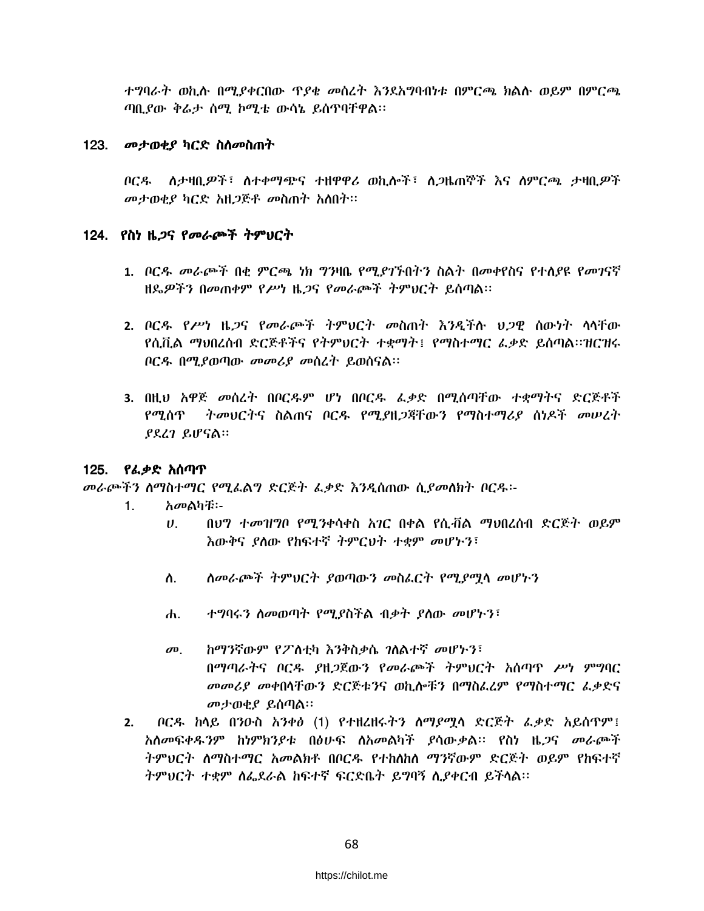ተግባራት ወኪሉ በሚያቀርበው ዋያቄ መሰረት እንደአግባብነቱ በምርጫ ክልሉ ወይም በምርጫ ጣቢያው ቅሬታ ሰሚ ኮሚቴ ውሳኔ ይሰጥባቸዋል፡፡

## 123. መታወቂያ ካርድ ስለመስጠት

*ቦርዱ ለታዛቢዎች*፣ ለተቀማጭና ተዘዋዋሪ ወኪሎች፣ ለ*ጋ*ዜጠኞች እና ለምርጫ ታዛቢ*ዎች* መታወቂያ ካርድ አዘጋጅቶ መስጠት አለበት።

## 124. የስነ ዜ*ጋ*ና የመራጮች ትምህርት

- 1. ቦርዳ- መራጮች በቂ ምርጫ ነክ ግንዛቤ የሚያገኙበትን ስልት በመቀየስና የተለያዩ የመገናኛ ዘጼዎችን በመጠቀም የሥነ ዜ*ጋ*ና የመራጮች ትምህርት ይሰጣል።
- 2. ቦርዱ የሥነ ዜጋና የመራጮች ትምህርት መስጠት እንዳችሉ ህጋዋ ስውነት ሳሳቸው የሲቪል ማህበረሰብ ድርጅቶችና የትምህርት ተቋማት፤ የማስተማር ፌቃድ ይሰጣል፡፡ዝርዝሩ ቦርዱ በሚያወጣው መመሪያ መሰረት ይወሰናል።
- 3. በዚህ አዋጅ መሰረት በቦርዱም ሆነ በቦርዱ ፌቃድ በሚሰጣቸው ተቋማትና ድርጅቶች የሚሰጥ ትመሀርትና ስልጠና ቦርዱ የሚያዘጋጃቸውን የማስተማሪያ ሰነዶች መሠረት ያደረገ ይሆናል።

# 125. የፌቃድ አሰጣጥ

መራጮችን ስማስተማር የሚፌልግ ድርጅት ፌቃድ እንዲሰጠው ሲያመስክት ቦርዱ፡-

- አመልካቹ፡- $1.$ 
	- በህግ ተመዝግቦ የሚንቀሳቀስ አገር በቀል የሲቭል ማህበረሰብ ድርጅት ወይም  $\mathbf{U}$ እውቅና ያለው የከፍተኛ ትምርህት ተቋም መሆኑን፣
	- ስ. ሰመራጮች ትምህርት ያወጣውን መስራርት የሚያማሳ መሆኑን
	- ተግባሩን ስመወጣት የሚያስችል ብቃት ያስው መሆኑን፣ ሐ.
	- ከማንኛውም የፖስቲካ እንቅስቃሴ ገለልተኛ መሆኑን፣  $\boldsymbol{\sigma}$ <sup> $\boldsymbol{\sigma}$ </sup> በማጣራትና ቦርዱ ያዘጋጀውን የመራጮች ትምህርት አሰጣዋ ሥነ ምግባር መመሪያ መቀበሳቸውን ድርጅቱንና ወኪሎቹን በማስፌረም የማስተማር ፌቃድና መታወቂያ ይሰጣል።
- *ቦርዱ ከ*ላይ በንዑስ *አንቀፅ* (1) የተዘረዘሩ*ትን ስማያሚ*ላ ድርጅት *ፌቃ*ድ አይሰጥም፤  $2.$ አሰመፍቀዱንም ከነምክንያቱ በፅሁፍ ለአመልካች ያሳውቃል። የስነ ዜ*ጋ*ና መራጮች ትምህርት ስማስተማር አመልክቶ በቦርዱ የተከለከስ ማንኛውም ድርጅት ወይም የከፍተኛ ትምህርት ተቋም ስፌደራል ከፍተኛ ፍርድቤት ይግባኝ ሲያቀርብ ይችሳል።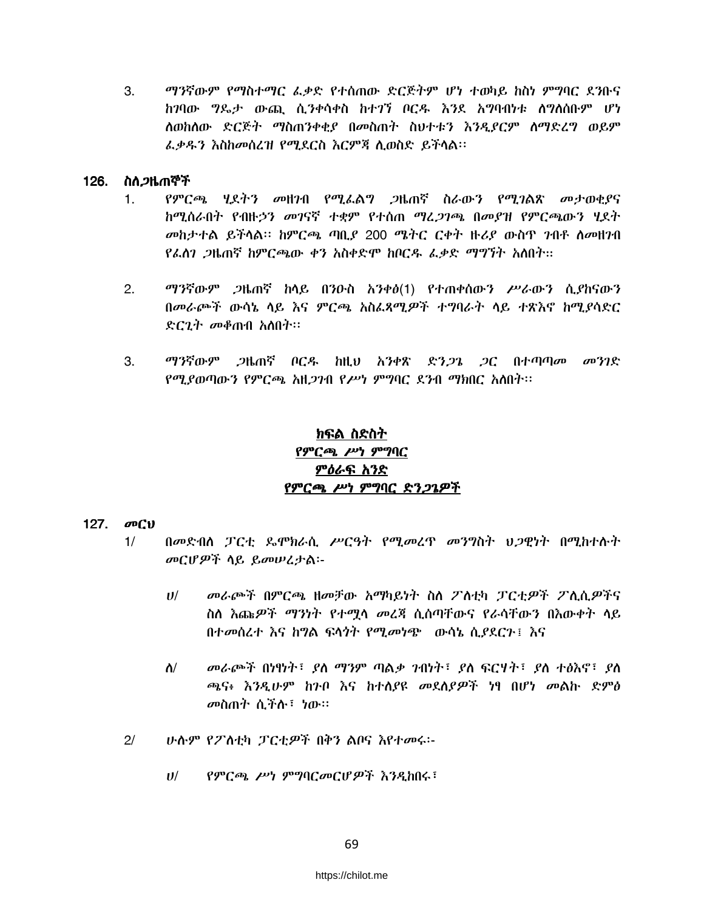$3.$ ማንኛውም የማስተማር ፌቃድ የተሰጠው ድርጅትም ሆነ ተወካይ ከስነ ምግባር ደንቡና ከገባው ግዴታ ውጪ ሲንቀሳቀስ ከተገኘ ቦርዱ እንደ አግባብነቱ ሰግለሰቡም ሆነ ለወከለው ድርጅት ማስጠንቀቂያ በመስጠት ስህተቱን እንዲደርም ለማድረግ ወይም ፌቃዱን እስከመሰረዝ የሚደርስ እርምጃ ሲወስድ ይችላል፡፡

## 126. ስለ*ጋ*ዜጠኞች

- $1<sub>1</sub>$ የምርጫ ሃደትን መዘንብ የሚፌልግ ጋዜጠኛ ስራውን የሚገልጽ መታወቂያና ከሚሰራበት የብዙኃን መገናኛ ተቋም የተሰጠ ማረ*ጋገጫ* በመደዝ የምርጫውን ሂደት መከታተል ይችላል። ከምርጫ ጣቢያ 200 ሜትር ርቀት ዙሪያ ውስዋ ንብቶ ስመዘንብ የፌስገ *ጋ*ዜጠኛ ከምርጫው ቀን አስቀድሞ ከቦርዱ ፌቃድ ማግኘት አስበት።
- $2.$ *ማን*ኛውም *ጋ*ዜጠኛ ከላይ በንዑስ አንቀፅ(1) የተጠቀሰውን ሥራውን ሲያከናውን በመራጮች ውሳኔ ሳይ እና ምርጫ አስፌጻሚዎች ተግባራት ሳይ ተጽእኖ ከሚያሳድር ድር*ገት መቆ*ጠብ አስበት።
- $3<sub>1</sub>$ ማንኛውም *ጋ*ዜጠኛ ቦርዱ ከዚህ አንቀጽ ድን*ጋጌ ጋ*ር በተጣጣ*መ መንገ*ድ የሚያወጣውን የምርጫ አዘ*ጋገ*ብ የሥነ ምግባር ደንብ ማክበር አለበት፡፡

# ክፍል ስድስት የምርጫ ሥነ ምግባር ምዕራፍ አንድ የምርጫ ሥነ ምግባር ድንጋጌዎች

### 127. መርህ

- በመድብስ ፓርቲ ጼሞክራሲ ሥርዓት የሚመረዋ መንግስት ህጋዊነት በሚከተሱት  $1/$ መርሆዎች ሳይ ይመሠረታል፡-
	- $U$ / መራጮች በምርጫ ዘመቻው አማካይነት ስለ ፖለቲካ ፓርቲዎች ፖሊሲዎችና ስስ እጩዎች ማንነት የተሟሳ መረጃ ሲሰጣቸውና የራሳቸውን በእውቀት ሳይ በተመሰረተ እና ከግል ፍላጎት የሚመነጭ ውሳኔ ሲያደርጉ፤ እና
	- $\Lambda$ / መራጮች በነፃነት፣ ያለ ማንም ጣልቃ ንብነት፣ ያለ ፍርሃት፣ ያለ ተፅእኖ፣ ያለ ጫና፥ እንዲሁም ከንቦ እና ከተለያዩ መደለያዎች ነፃ በሆነ መልኩ ድምፅ መስጠት ሲችሉ፣ ነው።
- $2/$ ሁስም የፖስቲካ ፓርቲዎች በቅን ልቦና እየተመሩ፡-
	- $U/$ የምርጫ ሥነ ምግባርመርሆዎች እንዲከበሩ፣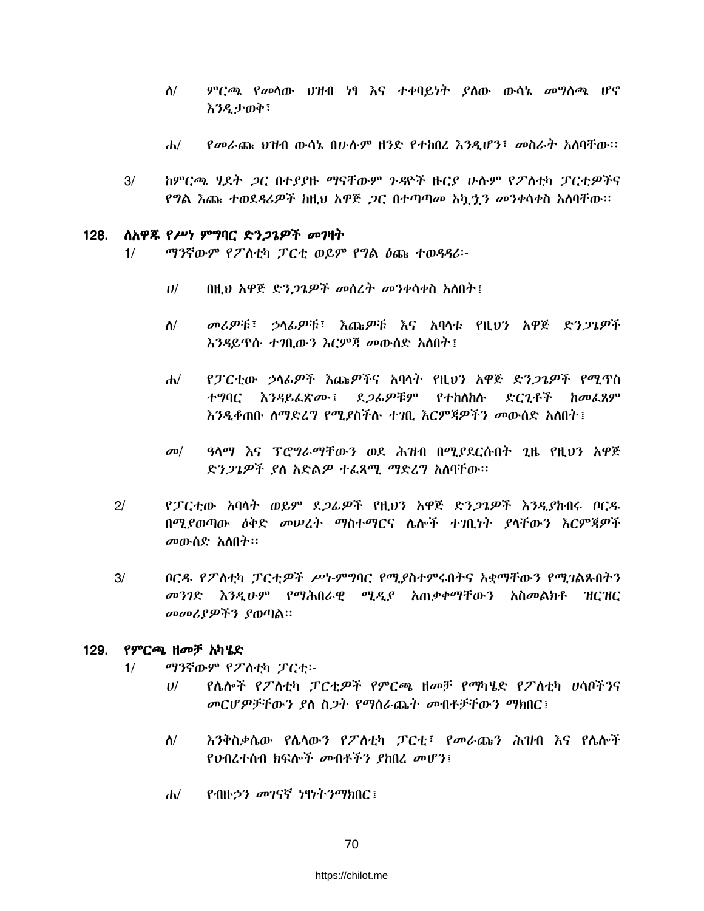- $\Lambda$ / ምርጫ የመሳው ህዝብ ነፃ እና ተቀባይነት ያስው ውሳኔ መግለጫ ሆኖ እንዲታወቅ፣
- የመራጩ ህዝብ ውሳኔ በሁሉም ዘንድ የተከበረ እንዲሆን፣ መስራት አሰባቸው።  $\mathbf{d}$
- ከምርጫ ሂደት *ጋ*ር በተደደዙ ማናቸውም ንዳዮች ዙርደ ሁሉም የፖለቲካ ፓርቲዎችና  $3/$ የግል እጩ ተወደዳሪዎች ከዚህ አዋጅ *ጋ*ር በተጣጣመ አካ*ኂን መን*ቀሳቀስ አለባቸው።

#### ስአዋጁ የሥነ ምግባር ድን*ጋጌዎች መገ*ዛት  $128.$

- ማንኛውም የፖስቲካ ፓርቲ ወይም የግል ዕጩ ተወዳዳሪ፡- $1/$ 
	- በዚህ አዋጅ ድን*ጋጌዎች መ*ሰረት መንቀሳቀስ አለበት፤  $U$ /
	- *መሪዎ*ቹ፤ ኃላፊዎቹ፤ እጩዎቹ እና አባላቱ የዘ<del>ህን አዎጅ ድን</del>ጋጌዎች  $\Lambda$ / እንዳይዋሱ ተንቢውን እርምጃ መውሰድ አለበት ፤
	- የፓርቲው ኃሳፊዎች እጩዎችና አባላት የዚህን አዋጅ ድን*ጋጌዎች የሚ*ዋስ  $d\nu$ ተግባር እንዳይፌጽሙ፤ ደ*ጋሌዎ*ቹም የተከለከሱ ድርጊቶች ከመፌጸም *እንዲቆ*ጠቡ *ስማድረግ የሚያ*ስችሉ ተ*ገ*ቢ እርምጃዎችን መውሰድ አስበት ፤
	- ዓላማ እና ፐሮግራማቸውን ወደ ሕዝብ በሚያደርሱበት ጊዜ የዚህን አዋጅ  $\sigma$ <sup> $\sigma$ </sup> ድን*ጋጌዎች ያ*ስ አድል*ዎ ተեጻሚ ማ*ድረግ አስባቸው።
- $2/$ የፓርቲው አባላት ወይም ደ*ጋሌዎች* የዚህን አዋጅ ድን*ጋጌዎች እንዲያ*ከብሩ ቦር*ዱ* በሚያወጣው ዕቅድ መሠረት ማስተማርና ሌሎች ተገቢነት ያሳቸውን እርምጃዎች መውሰድ አለበት።
- ቦርዱ የፖስቲካ ፓርቲዎች ሥነ-ምግባር የሚያስተምሩበትና አቋማቸውን የሚገልጹበትን  $3/$ *መንገ*ድ *እንዲሁም የማሕበራዊ ሚዲያ አ*ጠቃቀማቸውን አስመልክቶ ዝርዝር መመሪያዎችን ያወጣል።

### 129. የምርጫ ዘመቻ አካሄድ

- $1/$ ማንኛውም የፖለቲካ ፓርቲ፡-
	- የሌሎች የፖለቲካ ፓርቲዎች የምርጫ ዘመቻ የማካሄድ የፖለቲካ ሀሳቦችንና  $U$ መርሆዎቻቸውን ያለ ስጋት የማስራጨት መብቶቻቸውን ማክበር፤
	- እንቅስቃሴው የሌላውን የፖለቲካ ፓርቲ፣ የመራጩን ሕዝብ እና የሴሎች ለ/ የህብረተሰብ ክፍሎች መብቶችን ያከበረ መሆን፤
	- የብዙኃን መገናኛ ነፃነትንማክበር፤  $d\nu$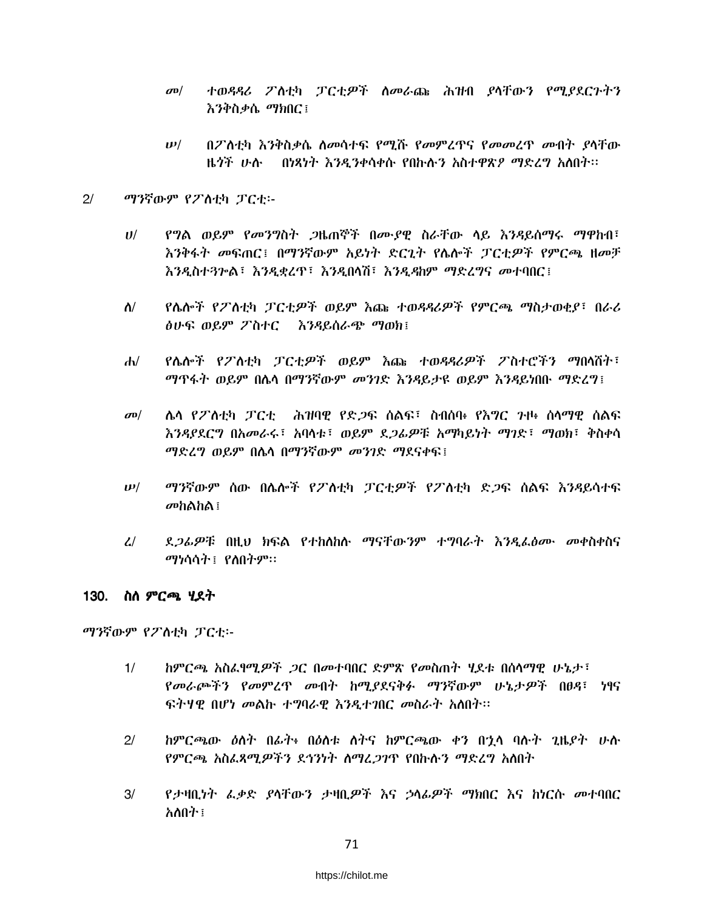- ተወዳዳሪ ፖለቲካ ፓርቲዎች ስመራጩ ሕዝብ ያላቸውን የሚያደርጉትን  $\sigma$ <sup> $\sigma$ </sup> እንቅስቃሴ ማክበር፤
- $\boldsymbol{\nu}$ / በፖለቲካ እንቅስቃሴ ስመሳተፍ የሚሹ የመምረዋና የመመረዋ መብት ያላቸው ዜጎች ሁሉ - በነጻነት እንዲንቀሳቀሱ የበኩሉን አስተዋጽዖ ማድረግ አለበት፡፡

#### $2/$ ማንኛውም የፖለቲካ ፓርቲ፡-

- የግል ወይም የመንግስት ጋዜጠኞች በሙያዊ ስራቸው ላይ እንዳይሰማሩ ማዋከብ፣  $U$ / እንቅፋት መፍጠር፤ በማንኛውም አይነት ድርጊት የሌሎች ፓርቲዎች የምርጫ ዘመቻ እንዲስተጓሎል፣ እንዲቋረጥ፣ እንዲበላሽ፣ እንዲዳከም ማድረግና መተባበር፤
- $\Lambda$ / የሴሎች የፖስቲካ ፓርቲዎች ወይም እጩ ተወዳዳሪዎች የምርጫ ማስታወቂያ፣ በራሪ ስሁፍ ወይም ፖስተር \_ እንዳይስራጭ ማወክ፣
- የሌሎች የፖለቲካ ፓርቲዎች ወይም እጩ ተወዳዳሪዎች ፖስተሮችን ማበላሸት፣  $\mathbf{d}$ ማዋፋት ወይም በሌላ በማንኛውም መንገድ እንዳይታዩ ወይም እንዳይነበቡ ማድረግ፤
- $\sigma$ <sup> $\sigma$ </sup> ሌሳ የፖስቲካ ፓርቲ - ሕዝባዊ የድ*ጋ*ፍ ሰልፍ፣ ስብሰባ፥ የእ*ግ*ር ንዞ፥ ሰሳማዊ ሰልፍ እንዳያደርግ በአመራሩ፣ አባሳቱ፣ ወይም ደ*ጋሌዎ*ቹ አማካይነት ማገድ፣ ማወክ፣ ቅስቀሳ ማድረግ ወይም በሌላ በማንኛውም መንገድ ማደናቀፍ፤
- $\bm{\nu}/$ ማንኛውም ሰው በሴሎች የፖስቲካ ፓርቲዎች የፖስቲካ ድጋፍ ሰልፍ እንዳይሳተፍ መከልከል $\colon$
- ደ*ጋሌዎ*ቹ በዚህ ክፍል የተከሰከሱ ማናቸው*ን*ም ተግባራት *እንዲ*ፌፅሙ መቀስቀስና  $\mathcal{L}$ ማነሳሳት ፣ የስበትም።

### 130. ስስ ምርጫ ሃደት

ማንኛውም የፖስቲካ ፓርቲ፡-

- ከምርጫ አስፌየሚዎች *ጋ*ር በመተባበር ድምጽ የመስጠት ሂደቱ በሰላማዊ ሁኔታ፣  $1/$ የመራጮችን የመምረጥ መብት ከሚያደናቅፉ ማንኛውም ሁኔታዎች በፀዳ፣ ነፃና ፍትሃዊ በሆነ መልኩ ተግባራዊ እንዲተገበር መስራት አለበት፡፡
- ከምርጫው ዕስት በፊት፥ በዕስቱ ስትና ከምርጫው ቀን በኋላ ባሱት ጊዜያት ሁስ  $2/$ የምርጫ አስፈጻሚዎችን ደኅንነት ስማረጋገጥ የበኩሉን ማድረግ አስበት
- $3/$ የታዛቢነት ፌቃድ ያላቸውን ታዛቢዎች እና ኃላፊዎች ማክበር እና ከነርሱ መተባበር አለበት ፣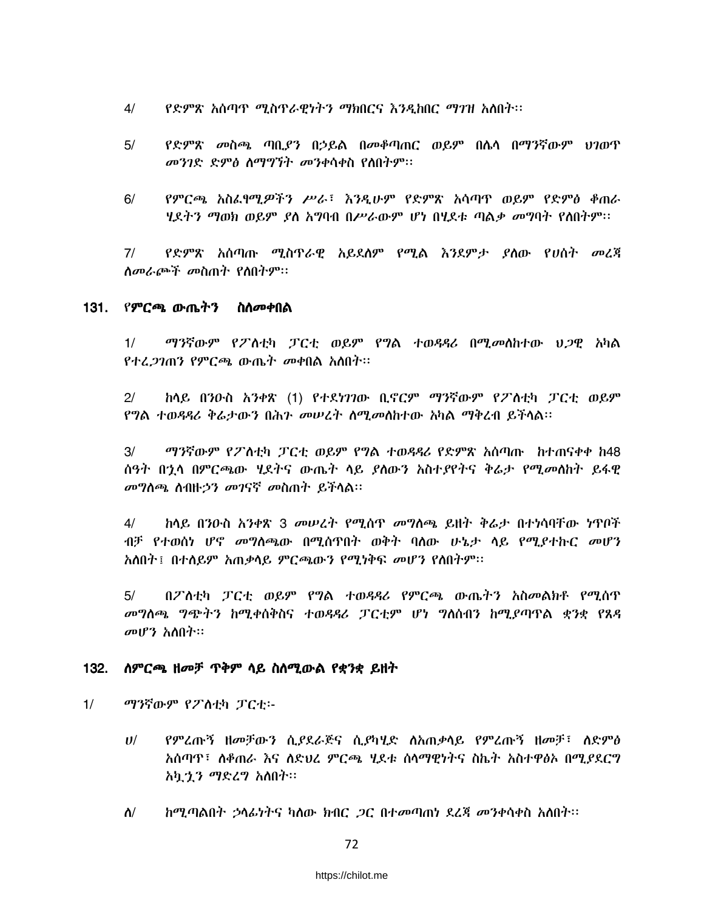- የድምጽ አሰጣጥ ሚስጥራዊነትን ማክበርና እንዲከበር ማገዝ አለበት፡፡  $4/$
- $5/$ የድምጽ መስጫ ጣቢያን በኃይል በመቆጣጠር ወይም በሴሳ በማንኛውም ህገወጥ መንገድ ድምፅ ስማግኘት መንቀሳቀስ የስበትም፡፡
- የምርጫ አስፌየሚዎችን ሥራ፣ እንዲሁም የድምጽ አሳጣዋ ወይም የድምፅ ቆጠራ  $6/$ *ዛደትን ማወክ ወይም ያ*ስ አ**ግባብ በሥራው**ም ሆነ በ**ሂደቱ ጣልቃ መ**ግባት የስበትም።

የድምጽ አሰጣጡ ሚስጥራዊ አይደሰም የሚል እንደምታ ያሰው የሀሰት መረጃ  $7/$ ስመራጮች መስጠት የስበትም።

### 131. የምርጫ ውጤትን ስስመቀበል

ማንኛውም የፖስቲካ ፓርቲ ወይም የግል ተወዳዳሪ በሚመስከተው ህጋዊ አካል  $1/$ የተረ*ጋገ*ጠን የምርጫ ውጤት መቀበል አስበት።

 $2/$ ከላይ በንዑስ አንቀጽ (1) የተደነገገው ቢኖርም ማንኛውም የፖስቲካ ፓርቲ ወይም የግል ተወዳዳሪ ቅሬታውን በሕን መሠረት ስሚመስከተው አካል ማቅረብ ይችሳል።

 $3/$ *ማን*ኛውም የፖስቲካ ፓርቲ ወይም የግል ተወዳዳሪ የድምጽ አሰጣጡ ከተጠናቀቀ ከ48 ሰዓት በኋላ በምርጫው *ህ*ደትና ውጤት ላይ *ያ*ለውን አስተ*ያየ*ትና ቅራታ የሚመለከት ይፋዊ መግስጫ ስብዙኃን መገናኛ መስጠት ይችሳል።

<u>ከላይ በንዑስ አንቀጽ 3 መሠረት የሚሰጥ መግለጫ ይዘት ቅራታ በተነሳባቸው ነጥቦች</u>  $4/$ ብቻ የተወሰነ ሆኖ መግስጫው በሚስጥበት ወቅት ባስው ሁኔታ ሳይ የሚደተኩር መሆን አለበት ፤በተለይም አጠቃላይ ምርጫውን የሚነቅፍ መሆን የለበትም።

 $5/$ በፖለቲካ ፓርቲ ወይም የግል ተወዳዳሪ የምርጫ ውጤትን አስመልክቶ የሚሰዋ መግለጫ ግጭትን ከሚቀስቅስና ተወዳዳሪ ፓርቲም ሆነ ግለሰብን ከሚያጣዋል ቋንቋ የጸዳ መሆን አለበት።

### 132. ስምርጫ ዘመቻ ጥቅም ላይ ስስሚውል የቋንቋ ይዘት

- $1/$ ማንኛውም የፖስቲካ ፓርቲ፡-
	- የምረጡኝ ዘመቻውን ሲያደራጅና ሲያካሂድ ስአጠቃሳይ የምረጡኝ ዘመቻ፣ ስድምፅ  $U$ / አሰጣዋ፣ ለቆጠራ እና ለድህረ ምርጫ ሃደቱ ሰላማዊነትና ስኬት አስተዋፅኦ በሚያደርግ አካታን ማድረግ አስበት።
	- $\Lambda$ / *ከሚጣ*ልበት *ኃ*ላፊነትና ካለው ክብር *ጋ*ር በተመጣጠነ ደረጃ መንቀሳቀስ አለበት፡፡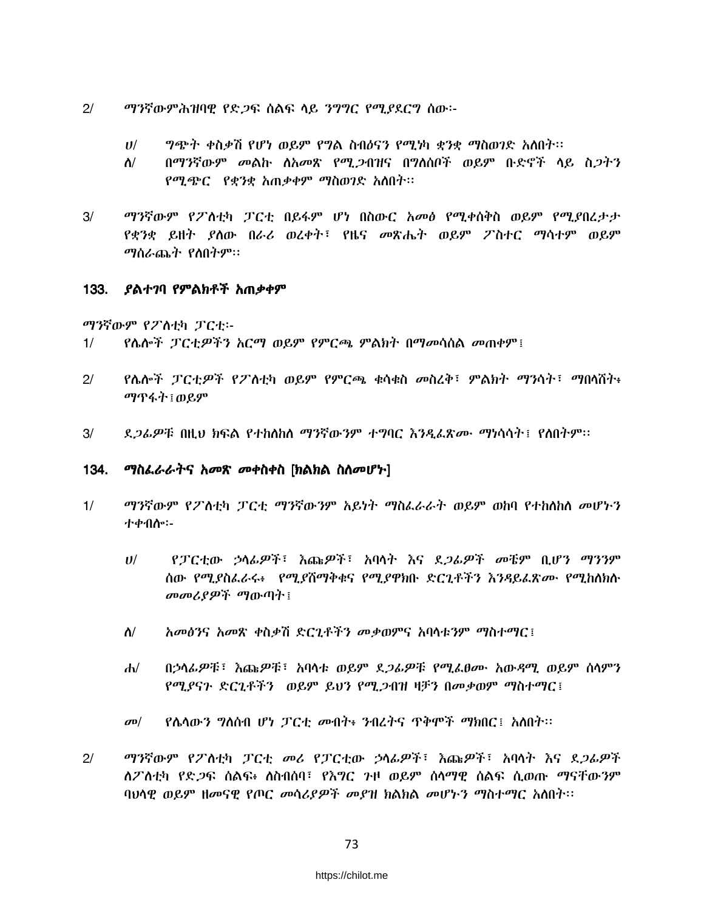- $2/$ ማንኛውምሕዝባዊ የድ*ጋ*ፍ ሰልፍ ላይ *ንግግር የሚያ*ደርግ ሰው፡-
	- $U^{/}$ *ግጭት ቀ*ስቃሽ የሆነ ወይም የግል ስብዕናን የሚነካ ቋንቋ ማስወገድ አለበት፡፡
	- በማንኛውም መልኩ ለአመጽ የሚ,2ብዝና በግለሰቦች ወይም ቡድኖች ላይ ስ.2ትን  $\Lambda$ / *የሚጭር የቋንቋ አ*ጠቃቀም ማስወገድ አስበት፡፡
- ማንኛውም የፖስቲካ ፓርቲ በይፋም ሆነ በስውር አመፅ የሚቀሰቅስ ወይም የሚያበረታታ  $3/$ የቋንቋ ይዘት ያሰው በራሪ ወረቀት፣ የዜና መጽሔት ወይም ፖስተር ማሳተም ወይም *ማ*ሰራጨት የስበትም።

#### 133. ያልተገባ የምልክቶች አጠቃቀም

ማንኛውም የፖለቲካ ፓርቲ፡-

- የሴሎች ፓርቲዎችን አርማ ወይም የምርጫ ምልክት በማመሳሰል መጠቀም፤  $1/$
- $2/$ የሌሎች ፓርቲዎች የፖስቲካ ወይም የምርጫ ቁሳቁስ መስረቅ፣ ምልክት ማንሳት፣ ማበሳሽት፥ ማጥፋት ፡ ወይም
- $3/$ ደ*ጋፊዎ*ቹ በዚህ ክፍል የተከለከለ ማንኛው*ን*ም ተግባር እንዲራጽ*ሙ ማነ*ሳሳት፤ የለበትም።

#### $134.$ ማስፌራራትና አመጽ መቀስቀስ [ክልክል ስለመሆኑ]

- $1/$ ማንኛውም የፖስቲካ ፓርቲ ማንኛውንም አይነት ማስፌራራት ወይም ወከባ የተከሰከሰ መሆኑን ተቀብስ።-
	- የፓርቲው ኃላፊዎች፣ እጩዎች፣ አባላት እና ደ*ጋፊዎች መቼም* ቢሆን ማንንም  $U^{/}$ ሰው የሚያስፌራሩ፥ የሚያሽማቅቁና የሚያዋክቡ ድርጊቶችን እንዳይፌጽሙ የሚከለክሉ መመሪያዎች ማውጣት፤
	- $\Lambda$ / አመፅንና አመጽ ቀስቃሽ ድርጊቶችን መቃወምና አባሳቱንም ማስተማር፤
	- $d\nu$ በኃሳፊዎቹ፣ እጩዎቹ፣ አባሳቱ ወይም ደ*ጋፊዎቹ የሚፌፀሙ አ*ው*ዳሚ ወይም* ሰሳምን የሚያናጉ ድርጊቶችን ወይም ይህን የሚጋብዝ ዛቻን በመቃወም ማስተማር፤
	- የሴላውን ግለሰብ ሆነ ፓርቲ መብት፥ ንብረትና ዋቅሞች ማክበር፤ አለበት፡፡  $\sigma$ <sup>o</sup>
- $2/$ ማንኛውም የፖለቲካ ፓርቲ መሪ የፓርቲው ኃላፊዎች፣ እጩዎች፣ አባላት እና ደ*ጋፊዎ*ች ለፖለቲካ የድ*ጋ*ፍ ሰልፍ፥ ለስብሰባ፣ የእግር ንዞ ወይም ሰላማዊ ሰልፍ ሲወጡ ማናቸውንም ባህሳዊ ወይም ዘመናዊ የጦር መሳሪያዎች መደዝ ክልክል መሆኑን ማስተማር አሰበት፡፡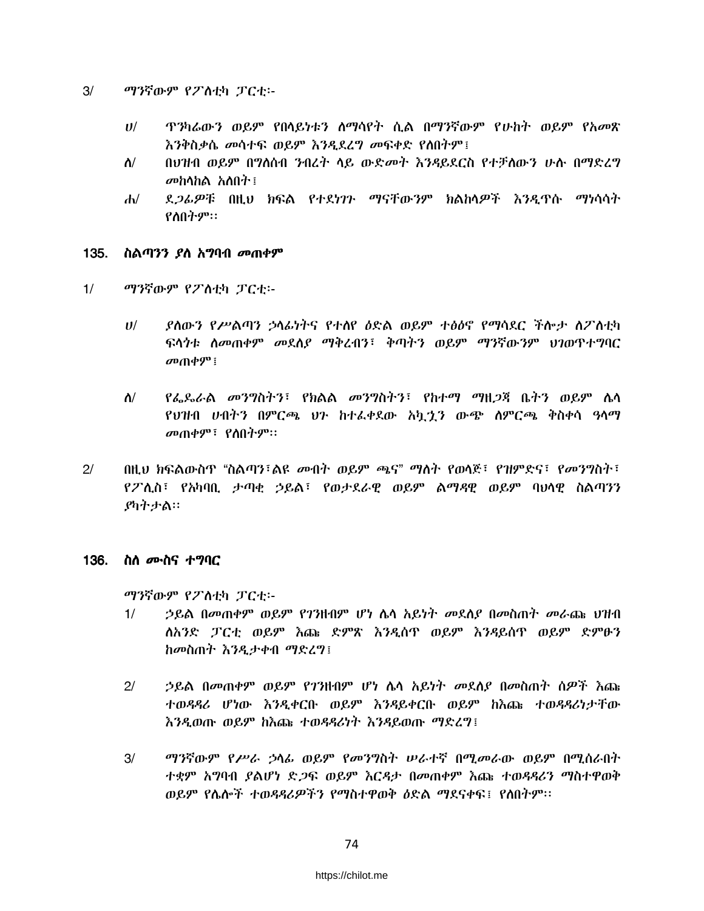- $3/$ ማንኛውም የፖስቲካ ፓርቲ፡-
	- ዋንካሬውን ወይም የበሳይነቱን ስማሳየት ሲል በማንኛውም የሁከት ወይም የአመጽ  $U^{/}$ እንቅስቃሴ መሳተፍ ወይም እንዲደረግ መፍቀድ የለበትም፤
	- በህዝብ ወይም በግለሰብ ንብረት ላይ ውድ*መት እንዳ*ይደርስ የተቻለውን ሁሉ በማድረግ  $\mathbf{\hat{N}}$ መከሳከል አለበት፡፡
	- ደ*ጋፊዎ*ቹ በዚህ ክፍል የተደነ*ገጉ ማናቸ*ውንም ክልከላ*ዎች እንዲ*ጥሱ ማነሳሳት  $d\nu$ የስበትም።

### 135. ስልጣንን *ያ*ስ አማባብ *መ*ጠቀም

- $1/$ ማንኛውም የፖስቲካ ፓርቲ፡-
	- ያስውን የሥልጣን ኃላፊነትና የተሰየ ዕድል ወይም ተፅዕኖ የማሳደር ችሎታ ስፖስቲካ  $II$ ፍላጎቱ ስመጠቀም መደስያ ማቅረብን፣ ቅጣትን ወይም ማንኛውንም ህንወጥተግባር *ዐ* $\uparrow$  *ብቀ* $*q*$ *" ፣*
	- $\mathbf{\hat{N}}$ *የፌ*ዴራል *መንግ*ስትን፣ የክልል መንግስትን፣ የከተማ ማዘ*ጋ*ጃ ቤትን ወይም ሌላ የህዝብ ሀብትን በምርጫ ህን ከተፈቀደው አካታን ውጭ ስምርጫ ቅስቀሳ ዓላማ መጠቀም፣ የሰበትም።
- $2/$ በዚህ ክፍልውስጥ "ስልጣን፣ልዩ መብት ወይም ጫና" ማለት የወላጅ፣ የዝምድና፣ የመንግስት፣ የፖሊስ፣ የአካባቢ ታጣቂ ኃይል፣ የወታደራዊ ወይም ልማዳዊ ወይም ባህሳዊ ስልጣንን ያካትታል።

### 136. ስለ *ሙ*ስና ተ*ግ*ባር

ማንኛውም የፖለቲካ ፓርቲ፡-

- $1/$ *ኃ*ይል በመጠቀም ወይም የ*ገኘ*ዘብም ሆነ ሴሳ አይነት መደሰያ በመስጠት መራጨ ህዝብ ስአንድ ፓርቲ ወይም እጩ ድምጽ እንዲሰዋ ወይም እንዳይሰዋ ወይም ድምፁን ከመስጠት እንዲታቀብ ማድረግ፤
- $2/$ *ኃ*ይል በመጠቀም ወይም የ*ገገ*ዘብም ሆነ ሴሳ አይነት መደሰያ በመስጠት ሰዎች እጨ ተወዳዳሪ ሆነው እንዲቀርቡ ወይም እንዳይቀርቡ ወይም ከእጩ ተወዳዳሪነታቸው እንዲወጡ ወይም ከእጩ ተወዳዳሪነት እንዳይወጡ ማድረግ፤
- $3/$ ማንኛውም የሥራ ኃላፊ ወይም የመንግስት ሠራተኛ በሚመራው ወይም በሚሰራበት ተቋም አግባብ ያልሆነ ድ*ጋ*ፍ ወይም እርዳታ በመጠቀም እጩ ተወዳዳሪን ማስተዋወቅ ወይም የሴሎች ተወዳዳሪዎችን የማስተዋወቅ ዕድል ማደናቀፍ፤ የስበትም፡፡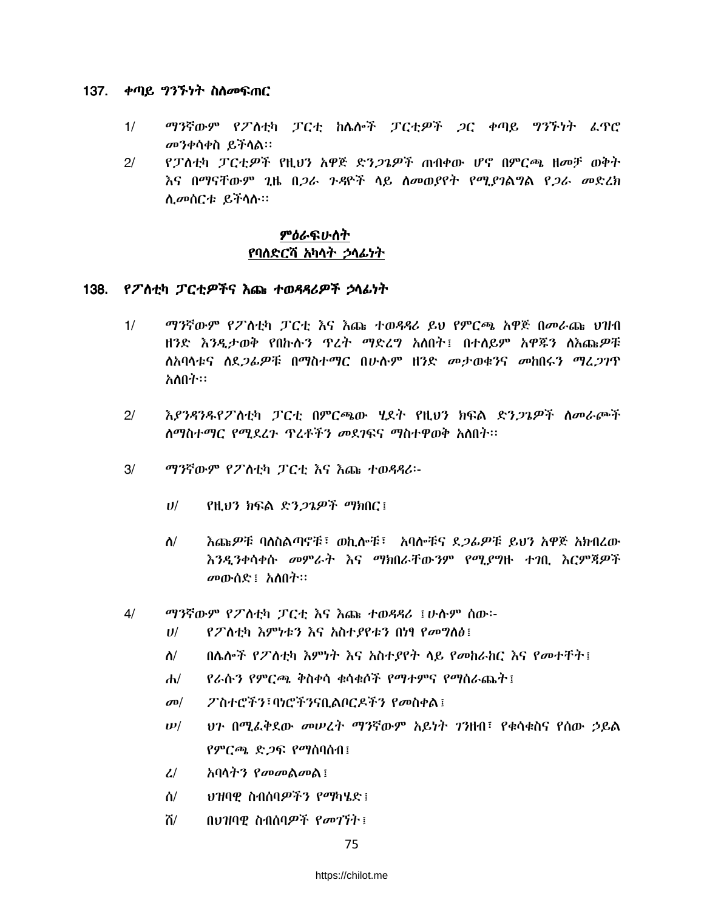### 137. *ቀጣይ ግንኙነት* ስለመፍጠር

- $1/$ ማንኛውም የፖስቲካ ፓርቲ ከሴሎች ፓርቲዎች ጋር ቀጣይ ግንኙነት ፌዋሮ መንቀሳቀስ ይችሳል።
- የፓስቲካ ፓርቲዎች የዚህን አዋጅ ድን*ጋጌዎች* ጠብቀው ሆኖ በምርጫ ዘመቻ ወቅት  $2/$ <u>እና በማናቸውም 2ዜ በ*ጋራ ጉዳ*ዮች ላይ ስመወያየት የሚ*ያገ*ልግል የ*ጋራ መ*ድረክ</u> ሲመሰርቱ ይችላሉ።

## ምዕራፍሁስት የባለድርሻ አካላት ኃላፊነት

## 138. የፖስቲካ ፓርቲዎችና እጩ ተወዳዳሪዎች ኃላፊነት

- $1/$ ማንኛውም የፖለቲካ ፓርቲ እና እጩ ተወዳዳሪ ይህ የምርጫ አዋጅ በመራጩ ህዝብ ዘንድ እንዲታወቅ የበኩሉን ጥረት ማድረግ አለበት፤ በተለይም አዋጁን ለእጩዎቹ ስአባላቱና ስደ*ጋሌዎ*ቹ በማስተማር በሁሉም ዘንድ መታወቁንና መከበሩን ማረ*ጋገ*ጥ አለበት።
- $21$ እያንዳንዱየፖለቲካ ፓርቲ በምርጫው **ሂደት የዚህን ክፍል ድን***ጋጌዎች* **ስ**መራጮች ስማስተማር የሚደረጉ ጥረቶችን መደገፍና ማስተዋወቅ አስበት፡፡
- $3/$ ማንኛውም የፖስቲካ ፓርቲ እና እጩ ተወዳዳሪ፡-
	- የዚህን ክፍል ድን*ጋጌዎች ማክ*በር ፣  $U$ /
	- እጩዎቹ ባለስልጣኖቹ፣ ወኪሎቹ፣ አባሎቹና ደ*ጋሌዎ*ቹ ይህን አዋጅ አክብረው  $\Lambda$ / እንዲንቀሳቀሱ መምራት እና ማክበራቸውንም የሚያግዙ ተገቢ እርምጃዎች መውሰድ፤ አስበት።
- ማንኛውም የፖስቲካ ፓርቲ እና እጩ ተወዳዳሪ ፤ሁሱም ሰው፡- $4/$ 
	- $U$ የፖስቲካ እምነቱን እና አስተያየቱን በነፃ የመግለፅ፤
	- በሌሎች የፖለቲካ እምነት እና አስተያየት ላይ የመከራከር እና የመተቸት፤  $\Lambda$ /
	- የራሱን የምርጫ ቅስቀሳ ቁሳቁሶች የማተምና የማስራጨት፤  $\mathbf{d}$
	- ፖስተሮችን፣ባነሮችንናቢልቦርዶችን የመስቀል፤  $\sigma$ <sup> $\sigma$ </sup>
	- <u>ህን በሚፈቅደው መሠረት ማንኛውም አይነት ገንዘብ፣ የቁሳቁስና የሰው ኃይል</u>  $\bm{\nu}/$ የምርጫ ድጋፍ የማሰባሰብ፤
	- $\mathcal{L}/$ አባሳት*ን የመመ*ልመል፤
	- ህዝባዊ ስብሰባዎችን የማካሄድ ፤  $\mathbf{\hat{a}}$
	- ሽ/ በህዝባዊ ስብሰባዎች የመገኘት ፤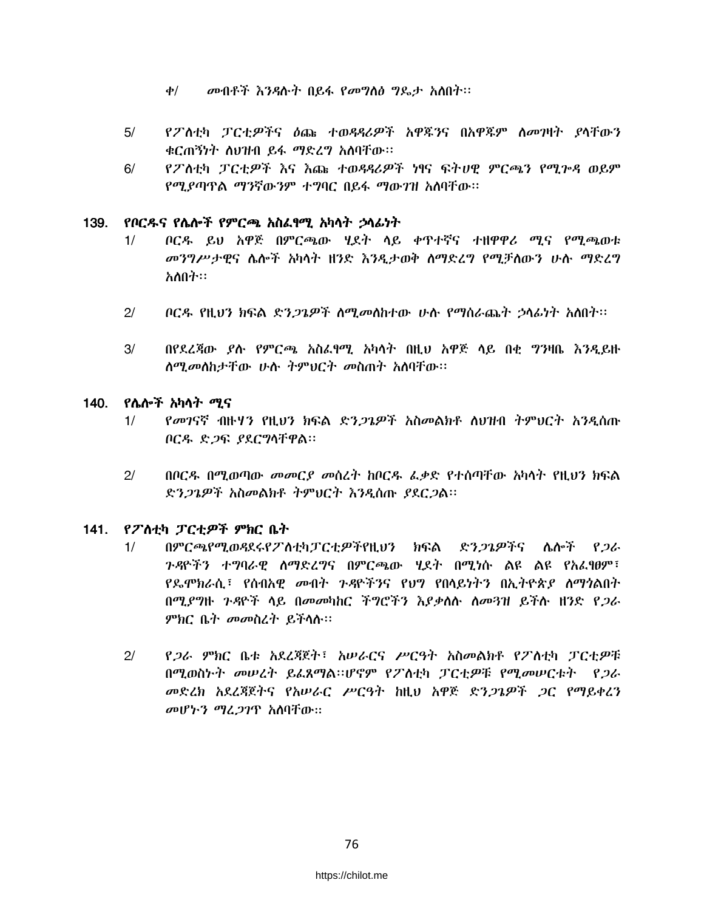- መብቶች እንዳሉት በይፋ የመግለፅ ግዴታ አለበት።  $\phi$ /
- የፖስቲካ ፓርቲዎችና ዕጩ ተወዳዳሪዎች አዋጁንና በአዋጁም ስመገዛት ያላቸውን  $5/$ ቁርጠኝነት ስህዝብ ይፋ ማድረግ አስባቸው፡፡
- $6/$ የፖለቲካ ፓርቲዎች እና እጩ ተወዳዳሪዎች ነፃና ፍትሀዊ ምርጫን የሚጕዳ ወይም የማ የጣጥል ማንኛውንም ተግባር በይፋ ማውገዝ አለባቸው።

#### 139. የቦርዱና የሴሎች የምርጫ አስፌየሚ አካላት ኃላፊነት

- ቦርዱ ይህ አዋጅ በምርጫው ሃደት ላይ ቀጥተኛና ተዘዋዋሪ ሚና የሚጫወቱ  $1/$ *መንግሥታዊ*ና ሌሎች አካሳት ዘንድ እንዲታወቅ ስማድረግ የሚቻለውን ሁሉ ማድረግ አለበት።
- $21$ ቦርዱ የዚህን ክፍል ድን*ጋጌዎች ስሚመ*ስከተው ሁሉ የማስራጨት ኃሳፊነት አስበት።
- $3/$ በየደረጃው ደሱ የምርጫ አስፌፃሚ አካሳት በዚህ አዋጅ ላይ በቂ ግንዛቤ እንዲይዙ ስሚመስከታቸው ሁሉ ትምህርት መስጠት አስባቸው፡፡

## 140. የሌሎች አካላት *ሚ*ና

- *የመገ*ናኛ ብዙሃን የዚህን ክፍል ድን*ጋጌዎች* አስመልክቶ ለህዝብ ትምህርት አንዲሰጡ  $1/$ ቦርዱ ድጋፍ ያደርግሳቸዋል።
- $2/$ በቦርዳ በሚወጣው መመርያ መስረት ከቦርዱ ፌቃድ የተሰጣቸው አካሳት የዚህን ክፍል ድን*ጋጌዎች አስመልክቶ ትምህርት እንዲ*ሰጡ *ያ*ደር*ጋ*ል።

## 141. የፖለቲካ ፓርቲዎች ምክር ቤት

- $1/$ በምርጫየሚወዳደሩየፖስቲካፓርቲዎችየዚህን ክፍል ድንጋጌዎችና ሌሎች የ*ጋ*ራ *ጉዳ*ዮችን ተ**ግባራዊ ስማድረ**ግና በምርጫው ሂደት በሚነሱ ልዩ ልዩ የአፈፃፀም፣ የ**ዴሞክራሲ፣ የሰብአዊ** *መ***ብት** *ጉዳ***ዮችንና የህ**ግ የበሳይነትን በኢትዮጵ*ያ ስማጎ*ልበት በሚያግዙ ጉዳዮች ሳይ በመመካከር ችግሮችን እያቃለሱ ስመጓዝ ይችሱ ዘንድ የ*ጋ*ራ ምክር ቤት መመስረት ይችላሉ።
- $21$ የ*ጋራ ምክ*ር ቤቱ አደረጃጀት፤ አሠራርና ሥርዓት አስመልክቶ የፖለቲካ ፓርቲዎቹ በሚወስኑት መሠረት ይፈጸማል።ሆኖም የፖለቲካ ፓርቲዎቹ የሚመሠርቱት የጋራ መድረክ አደረጃጀትና የአሠራር ሥርዓት ከዚህ አዋጅ ድን*ጋጌዎች ጋ*ር የማይቀረን መሆኑን ማፈጋገዋ አስባቸው።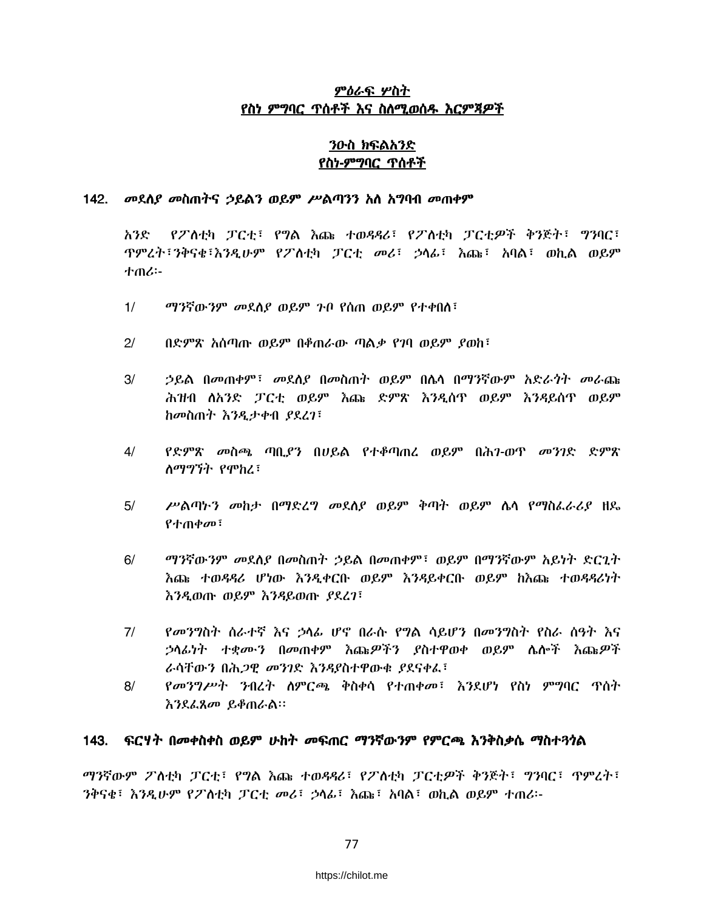## ምዕራፍ ሦስት የስነ ምግባር ጥሰቶች እና ስለሚወሰዱ እርምጃዎች

## ንዑስ ክፍልአንድ <u>የስነ-ምግባር ጥሰቶች</u>

#### 142. መደስያ መስጠትና ኃይልን ወይም ሥልጣንን አስ አግባብ መጠቀም

የፖስቲካ ፓርቲ፣ የግል እጩ ተወዳዳሪ፣ የፖስቲካ ፓርቲዎች ቅንጅት፣ ግንባር፣ አንድ *'*ዋምረት፣ንቅናቂ፣እንዲሁም የፖስቲካ ፓርቲ መሪ፣ ኃላፊ፣ እጩ፣ አባል፣ ወኪል ወይም 小のい

- $1/$ ማንኛውንም መደስያ ወይም ጉቦ የሰጠ ወይም የተቀበስ፣
- $21$ በድምጽ አሰጣጡ ወይም በቆጠራው ጣልቃ የገባ ወይም ያወከ፣
- $3/$ ኃይል በመጠቀም፣ መደለደ በመስጠት ወይም በሴሳ በማንኛውም አድራጎት መራጩ ሕዝብ ለአንድ ፓርቲ ወይም እጩ ድምጽ እንዲሰዋ ወይም እንዳይሰዋ ወይም ከመስጠት እንዲታቀብ ያደረገ፣
- የድምጽ መስጫ ጣቢያን በሀይል የተቆጣጠረ ወይም በሕን-ወጥ መንገድ ድምጽ  $4/$ ለማግኘት የሞከረ፣
- $5/$ ሥልጣኑን መከታ በማድረግ መደሰያ ወይም ቅጣት ወይም ሴሳ የማስፌራሪያ ዘዴ የተጠቀመ፣
- $6/$ ማንኛውንም መደለያ በመስጠት ኃይል በመጠቀም፤ ወይም በማንኛውም አይነት ድርጊት እጩ ተወዳዳሪ ሆነው እንዲቀርቡ ወይም እንዳይቀርቡ ወይም ከእጩ ተወዳዳሪነት እንዲወጡ ወይም እንዳይወጡ ያደረገ፣
- $7/$ *የመንግ*ስት ስራተኛ እና ኃላፊ ሆኖ በራሱ የ**ግል ሳይሆን በመን**ግስት የስራ ሰዓት እና *ኃ*ላፊነት ተቋሙን በመጠቀም እጩ*ዎችን ያ*ስተዋወቀ ወይም ሴሎች እጩ*ዎች* ራሳቸውን በሕ*ጋ*ዊ መንገድ እንዳያስተዋውቁ ያደናቀፌ፣
- $8/$ *የመንግሥት ንብረት ስ*ምርጫ ቅስቀሳ የተጠቀመ፤ እንደሆነ የስነ ምግባር ጥሰት እንደፌጸመ ይቆጠራል።

#### 143. ፍርሃት በመቀስቀስ ወይም ሁከት መፍጠር ማንኛውንም የምርጫ እንቅስቃሴ ማስተጓጎል

ማንኛውም ፖስቲካ ፓርቲ፣ የግል እጩ ተወዳዳሪ፣ የፖስቲካ ፓርቲዎች ቅንጅት፣ ግንባር፣ ጥምረት፣ ንቅናቄ፣ እንዲሁም የፖስቲካ ፓርቲ መሪ፣ ኃሳፊ፣ እጩ፣ አባል፣ ወኪል ወይም ተጠሪ፡-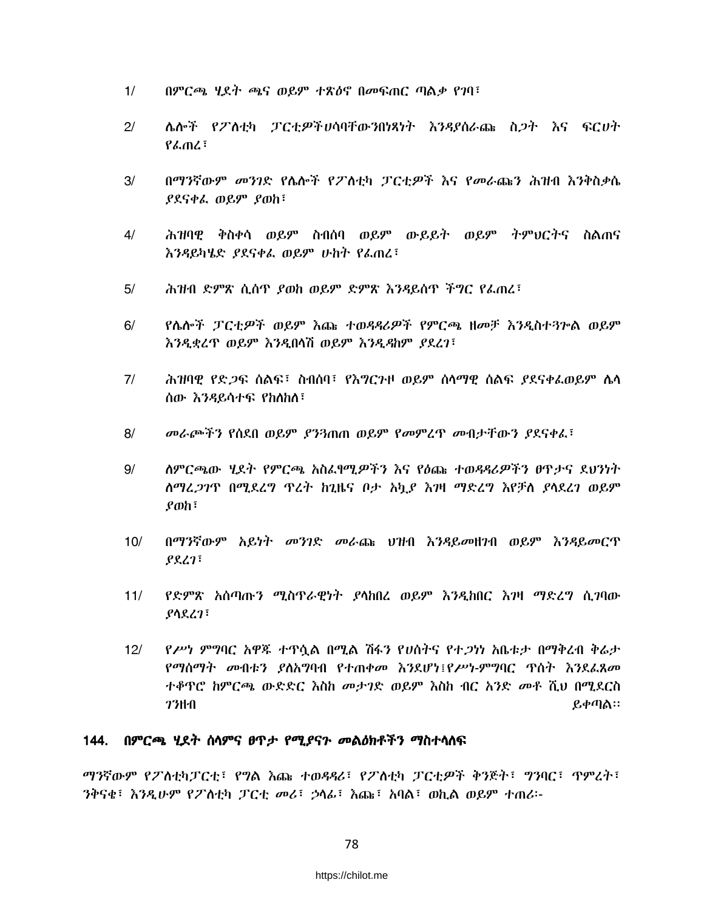- $1/$ በምርጫ ሂደት ጫና ወይም ተጽዕኖ በመፍጠር ጣልቃ የገባ፣
- $2/$ ሌሎች የፖለቲካ ፓርቲዎችሀሳባቸውንበነጻነት እንዳያሰራጩ ስ*ጋ*ት እና ፍርሀት  $P_{n}$
- በማንኛውም መንገድ የሴሎች የፖለቲካ ፓርቲዎች እና የመራጩን ሕዝብ እንቅስቃሴ  $3/$ ያደናቀራ ወይም ያወከ፣
- ሕዝባዊ ቅስቀሳ ወይም ስብሰባ ወይም ውይይት ወይም ትምህርትና ስልጠና  $4/$ እንዳይካሄድ ያደናቀፌ ወይም ሁከት የፌጠረ፣
- ሕዝብ ድምጽ ሲሰዋ ያወከ ወይም ድምጽ እንዳይሰዋ ችግር የፌጠረ፣  $5/$
- $6/$ የሌሎች ፓርቲዎች ወይም እጩ ተወዳዳሪዎች የምርጫ ዘመቻ እንዲስተጓጕል ወይም እንዲቋረጥ ወይም እንዲበሳሽ ወይም እንዲዳከም ያደረገ፣
- ሕዝባዊ የድ*ጋ*ፍ ሰልፍ፣ ስብሰባ፣ የእግርንዞ ወይም ሰሳማዊ ሰልፍ *ያ*ደናቀፌወይም ሴሳ  $7/$ ሰው እንዳይሳተፍ የከስከለ፣
- $8/$ መራጮችን የሰደበ ወይም ያን3ጠጠ ወይም የመምረጥ መብታቸውን ያደናቀፈ፣
- $9/$ ለምርጫው ሂደት የምርጫ አስፈፃሚዎችን እና የዕጩ ተወዳዳሪዎችን ፀዋታና ደህንነት ለማረ*ጋገ*ጥ በሚደረግ ጥረት ከጊዜና ቦታ አካ*ይ* እገዛ ማድረግ እየቻለ ያሳደረገ ወይም  $\rho$ <sub>o</sub>h<sub>i</sub>
- $10/$ በማንኛውም አይነት መንገድ መራጩ ህዝብ እንዳይመዘንብ ወይም እንዳይመርጥ  $PSL1$
- የድምጽ አሰጣጡን ሚስጥራዊነት ያሳከበረ ወይም እንዲከበር እገዛ ማድረግ ሲገባው  $11/$ ያሳደረገ፣
- የሥነ ምግባር አዋጁ ተዋሷል በሚል ሽፋን የሀሰትና የተ*ጋነ*ነ አቤቱታ በማቅረብ ቅሬታ  $12/$ የማስማት መብቱን ያስአግባብ የተጠቀመ እንደሆነ፤የሥነ-ምግባር ጥስት እንደፌጸመ ተቆዋሮ ከምርጫ ውድድር እስከ መታገድ ወይም እስከ ብር አንድ መቶ ሺህ በሚደርስ *1*3111 ይቀጣል።

## 144. በምርጫ ሂደት ሰላምና ፀጥታ የሚያናን መልዕክቶችን ማስተላለፍ

ማንኛውም የፖለቲካፓርቲ፣ የግል እጩ ተወዳዳሪ፣ የፖለቲካ ፓርቲዎች ቅንጅት፣ ግንባር፣ ጥምረት፣ ንቅናቂ፣ እንዲሁም የፖስቲካ ፓርቲ መሪ፣ ኃሳፊ፣ እጩ፣ አባል፣ ወኪል ወይም ተጠሪ፡-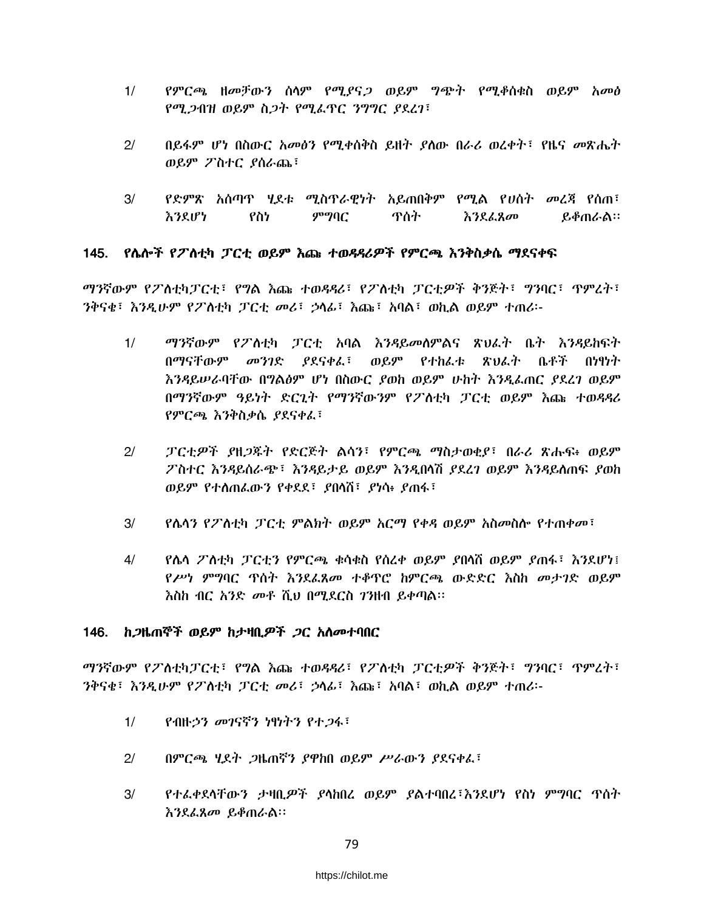- የምርጫ ዘመቻውን ሰሳም የሚያና*ጋ* ወይም ግጭት የሚቆሰቁስ ወይም አመፅ  $1/$ የሚጋብዝ ወይም ስጋት የሚፌዋር ንግግር ያደረገ፣
- $2/$ በይፋም ሆነ በስውር አመፅን የሚቀሰቅስ ይዘት ያስው በራሪ ወረቀት፣ የዜና መጽሔት ወይም ፖስተር ያሰራጨ፣
- $3/$ የድምጽ አሰጣዋ ሂደቱ ሚስጥራዊነት አይጠበቅም የሚል የሀሰት መረጃ የሰጠ፣ ምግባር እንደሆነ የስነ ጥሰት እንደፌጸመ ይቆጠራል።

### 145. የሴሎች የፖስቲካ ፓርቲ ወይም እጩ ተወዳዳሪዎች የምርጫ እንቅስቃሴ ማደናቀፍ

*ማን*ኛውም የፖስቲካፓርቲ፣ የ**ፃል እጩ ተወዳዳሪ፣ የፖስቲካ ፓርቲዎች ቅንጅት፣ ፃንባር፣** ዋምረት፣ ንቅናቂ፣ እንዲሁም የፖስቲካ ፓርቲ መሪ፣ ኃሳፊ፣ እጩ፣ አባል፣ ወኪል ወይም ተጠሪ፡-

- ማንኛውም የፖለቲካ ፓርቲ አባል እንዳይመለምልና ጽህፈት ቤት እንዳይከፍት  $1/$ በማናቸውም መንገድ ያደናቀፈ፣ ወይም የተከፈቱ ጽህፈት ቤቶች በነፃነት እንዳይሥራባቸው በግልፅም ሆነ በስውር ያወከ ወይም ሁከት እንዲፌጠር ያደረገ ወይም በማንኛውም ዓይነት ድርጊት የማንኛውንም የፖስቲካ ፓርቲ ወይም እጩ ተወዳዳሪ የምርጫ እንቅስቃሴ ያደናቀፈ፣
- $21$ ፓርቲዎች ያዘጋጁት የድርጅት ልሳን፣ የምርጫ ማስታወቂያ፣ በራሪ ጽሑፍ፥ ወይም ፖስተር እንዳይሰራጭ፣ እንዳይታይ ወይም እንዲበሳሽ *ያ*ደረገ ወይም እንዳይለጠፍ ያወከ ወይም የተሰጠፌውን የቀደደ፣ ያበሳሽ፣ ያነሳ፥ ያጠፋ፣
- የሴሳን የፖስቲካ ፓርቲ ምልክት ወይም አርማ የቀዳ ወይም አስመስሎ የተጠቀመ፣  $3/$
- $4/$ የሌላ ፖለቲካ ፓርቲን የምርጫ ቁሳቁስ የስረቀ ወይም ያበላሽ ወይም ያጠፋ፣ እንደሆነ፤ የሥነ ምግባር ጥሰት እንደፌጸመ ተቆዋሮ ከምርጫ ውድድር እስከ መታገድ ወይም እስከ ብር *አንድ መቶ* ሺህ በሚደርስ *ገን*ዘብ ይቀጣል፡፡

### 146. ከ*ጋ*ዜጠኞች ወይም ከታዛቢ*ዎች ጋ*ር አስመተባበር

*ማን*ኛውም የፖለቲካፓርቲ፣ የ**ግል እ**ጩ ተወዳዳሪ፣ የፖለቲካ ፓርቲዎች ቅንጅት፣ ግንባር፣ ጥምረት፣ ንቅናቂ፣ እንዲሁም የፖስቲካ ፓርቲ መሪ፣ ኃሳፊ፣ እጩ፣ አባል፣ ወኪል ወይም ተጠሪ፡-

- $1/$ <u>የብዙኃን መገናኛን ነፃነትን የተጋፋ፣</u>
- $2/$ በምርጫ ሂደት ጋዜጠኛን ያዋከበ ወይም ሥራውን ያደናቀፌ፣
- $3/$ የተፌቀደሳቸውን ታዛቢ*ዎች ያ*ሳከበረ ወይም ያልተባበረ፣እንደሆነ የስነ ምግባር ጥሰት እንደፌጸመ ይቆጠራል።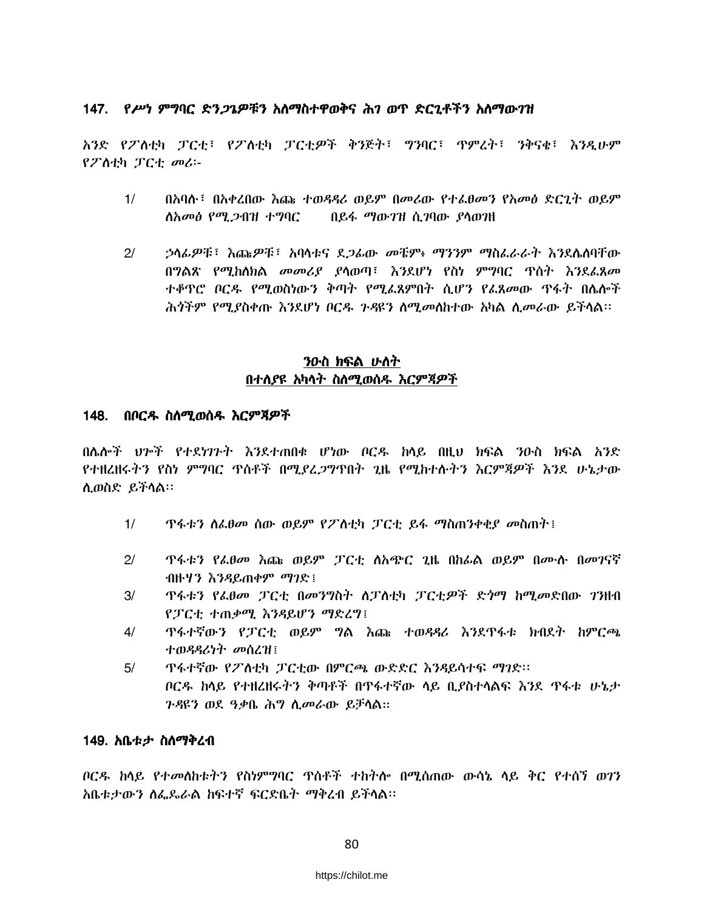## 147. የሥነ ምግባር ድን*ጋጌዎቹን* አለማስተዋወቅና ሕ*ገ* ወጥ ድርጊቶችን አለማው*ገ*ዝ

አንድ የፖለቲካ ፓርቲ፤ የፖለቲካ ፓርቲዎች ቅንጅት፤ ግንባር፤ ጥምረት፤ ንቅናቂ፤ እንዲሁም የፖስቲካ ፓርቲ መሪ፡-

- $1/$ በአባሉ፣ በአቀረበው እጩ ተወዳዳሪ ወይም በመሪው የተፈፀመን የአመፅ ድርጊት ወይም <u> ስአመፅ የሚ 2ብዝ ተግባር</u> በይፋ ማውገዝ ሲገባው ያሳወገዘ
- $2/$ *ኃላፊዎቹ* ፣ እጩ*ዎቹ* ፣ አባላቱና ደ*ጋፊ*ው *መቼም፥ ማንን*ም ማስፌራራት እንደሴስባቸው በግልጽ የሚከለክል መመሪያ ያላወጣ፣ እንደሆነ የስነ ምግባር ጥሰት እንደፌጸመ ተቆዋሮ ቦርዱ የሚወስነውን ቅጣት የሚፌጸምበት ሲሆን የፌጸመው ዋፋት በሴሎች ሕጎችም የሚያስቀጡ እንደሆነ ቦርዱ ንዳዩን ስሚመስከተው አካል ሲመራው ይችላል፡፡

## ንውስ ክፍል ሁለት በተስያዩ አካሳት ስስሚወሰዱ እርምጃዎች

### 148. በቦርዱ ስስሚወሰዱ እርምጃዎች

በሌሎች ህሥች የተደነገጉት እንደተጠበቁ ሆነው ቦርዱ ከላይ በዚህ ክፍል ንዑስ ክፍል አንድ የተዘረዘሩትን የስነ ምግባር ጥሰቶች በሚደረጋግጥበት ጊዜ የሚከተሉትን እርምጃዎች እንደ ሁኔታው ሊወስድ ይችሳል።

- ዋፋቱን ስፌፀመ ሰው ወይም የፖስቲካ ፓርቲ ይፋ ማስጠንቀቂያ መስጠት፤  $1/$
- $21$ ዋፋቱን የፌፀመ እጩ ወይም ፓርቲ ስአጭር ጊዜ በከራል ወይም በሙሉ በመገናኛ ብዙሃን እንዳይጠቀም ማገድ !
- $3/$  ዋፋቱን የፌፀመ ፓርቲ በመንግስት ስፓስቲካ ፓርቲዎች ድንማ ከሚመድበው *ገ*ንዘብ የፓርቲ ተጠቃሚ እንዳይሆን ማድረግ!
- $4/$ ዋፋተኛውን የፓርቲ ወይም ግል እጩ ተወዳዳሪ እንደዋፋቱ ክብደት ከምርጫ ተወዳዳሪነት መሰረዝ፤
- $5/$ ዋፋተኛው የፖስቲካ ፓርቲው በምርጫ ውድድር እንዳይሳተፍ ማገድ፡፡ ቦርዱ ከላይ የተዘረዘሩትን ቅጣቶች በዋፋተኛው ላይ ቢያስተላልፍ እንደ ዋፋቱ ሁኔታ *ጉዳ*ዩን ወደ *ዓቃ*ቤ ሕግ ሲመራው ይቻሳል።

## 149. አቤቱታ ስስማቅረብ

ቦርዱ ከላይ የተመለከቱትን የስነምግባር ጥሰቶች ተከትሎ በሚሰጠው ውሳኔ ላይ ቅር የተሰኘ ወንን አቤቱታውን ስፌጼራል ከፍተኛ ፍርድቤት ማቅረብ ይችላል፡፡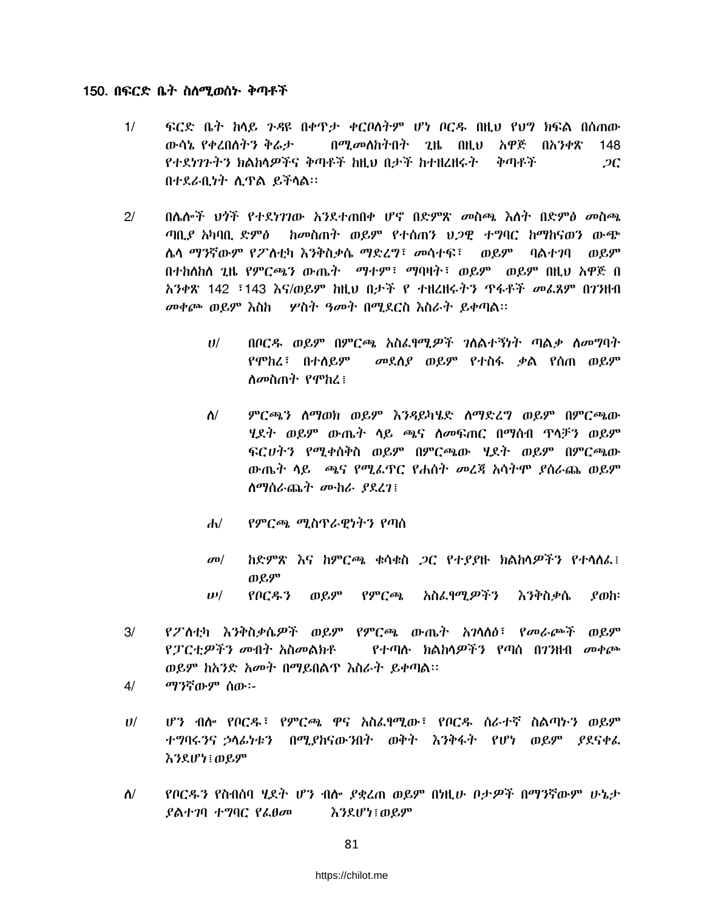#### 150. በፍርድ ቤት ስለሚወሰኑ ቅጣቶች

- $1/$ ፍርድ ቤት ከላይ ንዳዩ በቀዋታ ቀርቦለትም ሆነ ቦርዱ በዚህ የህግ ክፍል በሰጠው ውሳኔ የቀረበስትን ቅሬታ በሚመለከትበት ጊዜ በዚህ አዋጅ በአንቀጽ 148 የተደነገጉትን ክልከላዎችና ቅጣቶች ከዚህ በታች ከተዘረዘሩት ከቅጣቶች  $2C$ በተደራቢነት ሲዋል ይችላል።
- በሴሎች ህጎች የተደነገገው አንደተጠበቀ ሆኖ በድምጽ መስጫ እስት በድምፅ መስጫ  $2<sup>1</sup>$ ከመስጠት ወይም የተሰጠን ህጋዊ ተግባር ከማከናወን ውጭ ጣቢያ አካባቢ ድምፅ ሌላ ማንኛውም የፖለቲካ እንቅስቃሴ ማድረግ፣ መሳተፍ፣ ወይም ባልተገባ ወይም በተከሰከሰ ጊዜ የምርጫን ውጤት \_ ማተም፣ ማባዛት፣ ወይም \_ ወይም በዚህ አዋጅ በ አንቀጽ 142 ፣143 እና/ወይም ከዚህ በታች የ ተዘረዘሩትን ዋፋቶች መፈጸም በ7ንዘብ መቀጮ ወይም እስከ የ ሦስት ዓመት በሚደርስ እስራት ይቀጣል፡፡
	- በቦርዱ ወይም በምርጫ አስፌየሚዎች ገለልተኝነት ጣልቃ ለመግባት  $U$ / መደሰያ ወይም የተስፋ ቃል የሰጠ ወይም የሞከረ፣ በተለይም ስመስጠት የሞከረ፤
	- ምርጫን ስማወክ ወይም እንዳይካሄድ ስማድረግ ወይም በምርጫው  $\Lambda$ / ሂደት ወይም ውጤት ሳይ ጫና ስመፍጠር በማሰብ ዋላቻን ወይም ፍርሀትን የሚቀሰቅስ ወይም በምርጫው ሃደት ወይም በምርጫው ውጤት ሳይ ጫና የሚፌዋር የሐሰት መረጃ አሳትሞ ያሰራጨ ወይም ስማስራጨት ሙከራ ያደረገ፤
	- የምርጫ ሚስጥራዊነትን የጣስ  $\mathbf{d}$
	- ከድምጽ እና ከምርጫ ቁሳቁስ ጋር የተያያዙ ክልክሳዎችን የተሳሰፈ፤  $\sigma$ <sup> $\sigma$ </sup> ወይም
	- የቦርዱን ወይም የምርጫ አስፈፃሚዎችን እንቅስቃሴ  $\rho$ <sub>o</sub>h:  $\boldsymbol{\nu}$ /
- $3/$ የፖለቲካ እንቅስቃሴዎች ወይም የምርጫ ውጤት አገላለፅ፣ የመራጮች ወይም *የፓርቲዎችን መ*ብት አስመልክቶ *የተጣ*ሱ ክልከላ*ዎችን* የጣሰ በ7ንዘብ መቀጮ ወይም ከአንድ አመት በማይበልጥ እስራት ይቀጣል፡፡
- ማንኛውም ሰው፡- $4/$
- ሆን ብሎ የቦርዱ፣ የምርጫ ዋና አስፌፃሚው፣ የቦርዱ ስራተኛ ስልጣኑን ወይም  $U$ / ተግባሩንና ኃሳፊነቱን በሚያከናውንበት ወቅት እንቅፋት የሆነ ወይም ያደናቀፌ እንደሆነ ወይም
- $\Lambda/$ የቦርዱን የስብሰባ ሂደት ሆን ብሎ ያቋረጠ ወይም በነዚሁ ቦታዎች በማንኛውም ሁኔታ *ያ*ልተ*ገ*ባ ተግባር የፌፀመ እንደሆነ ፡ ወይም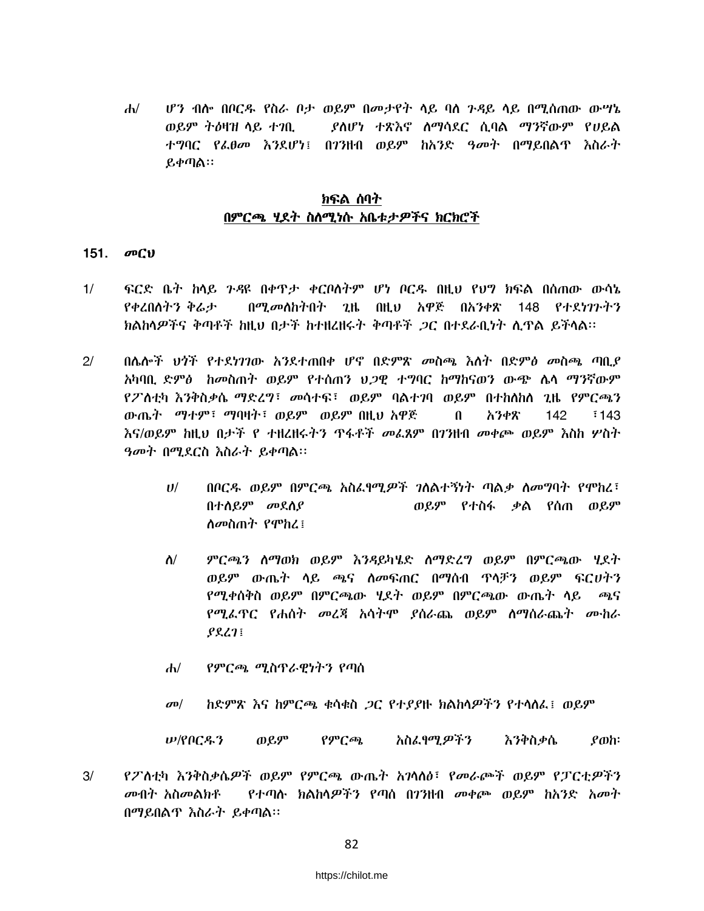ሆን ብሎ በቦርዱ የስራ ቦታ ወይም በመታየት ላይ ባስ ንዳይ ላይ በሚሰጠው ውሣኔ  $d\nu$ ወይም ትዕዛዝ ላይ ተገቢ ያስሆነ ተጽእኖ ስማሳደር ሲባል ማንኛውም የሀይል ተማባር የፌፀመ እንደሆነ፤ በ7ንዘብ ወይም ከአንድ ዓመት በማይበልጥ እስራት ይቀጣል።

## ክፍል ሰባት በምርጫ ሂደት ስስሚነሱ አቤቱታዎችና ክርክሮች

### 151. መርህ

- $1/$ ፍርድ ቤት ከሳይ ንዳዩ በቀዋታ ቀርቦለትም ሆነ ቦርዱ በዚህ የህግ ክፍል በሰጠው ውሳኔ የቀረበስትን ቅሬታ በሚመለከትበት ጊዜ በዚህ አዋጅ በአንቀጽ 148 የተደ*ነገ*ጉትን ክልክላዎችና ቅጣቶች ከዚህ በታች ከተዘረዘሩት ቅጣቶች *ጋ*ር በተደራቢነት ሲጥል ይችላል።
- $2/$ በሌሎች ህጎች የተደነገገው አንደተጠበቀ ሆኖ በድምጽ መስጫ እለት በድምፅ መስጫ ጣቢደ አካባቢ ድምፅ ከመስጠት ወይም የተሰጠን ህ*ጋ*ዊ ተግባር ከማከናወን ውጭ ሴሳ ማንኛውም የፖስቲካ እንቅስቃሴ ማድረግ፣ መሳተፍ፣ ወይም ባልተገባ ወይም በተከስከስ ጊዜ የምርጫን ውጤት ማተም፣ ማባዛት፣ ወይም ወይም በዚህ አዋጅ  $\mathbf{u}$ አንቀጽ  $142<sup>2</sup>$  $143$ እና/ወይም ከዚህ በታች የ ተዘረዘሩትን ዋፋቶች *መ*ፌጸም በ7ንዘብ መቀጮ ወይም እስከ ሦስት ዓመት በሚደርስ እስራት ይቀጣል፡፡
	- $U$ / በቦርዱ ወይም በምርጫ አስፌየሚዎች ገለልተኝነት ጣልቃ ለመግባት የሞከረ፣ በተሰይም መደሰያ ወይም የተስፋ ቃል የሰጠ ወይም *ስመ*ስጠት የሞከረ ፤
	- $\Lambda$ / ምርጫን ስማወክ ወይም እንዳይካሄድ ስማድረግ ወይም በምርጫው ሂደት ወይም ውጤት ሳይ ጫና ስመፍጠር በማሰብ ጥላቻን ወይም ፍርሀትን የሚቀሰቅስ ወይም በምርጫው ሂደት ወይም በምርጫው ውጤት ሳይ ጫና የሚፌዋር የሐሰት መረጃ አሳትሞ ያሰራጨ ወይም ስማስራጨት ሙከራ  $P\&L1$
	- $d\nu$ የምርጫ ሚስጥራዊነትን የጣስ
	- ከድምጽ እና ከምርጫ ቁሳቁስ *ጋ*ር የተያያዙ ክልከሳዎችን የተሳሰፌ፤ ወይም  $\sigma$ <sup> $\sigma$ </sup>

*ሥ/*የቦርዱን የምርጫ አስፌፃሚ*ዎችን* እንቅስቃሴ ወይም  $\rho$ <sub>o</sub>h:

 $3/$ የፖስቲካ እንቅስቃሴዎች ወይም የምርጫ ውጤት አንሳስፅ፣ የመራጮች ወይም የፓርቲዎችን *መ*ብት አስመልክቶ <u>የተጣሉ ክልከላዎችን የጣስ በገንዘብ መቀጮ ወይም ከአንድ አመት</u> በማይበልጥ እስራት ይቀጣል።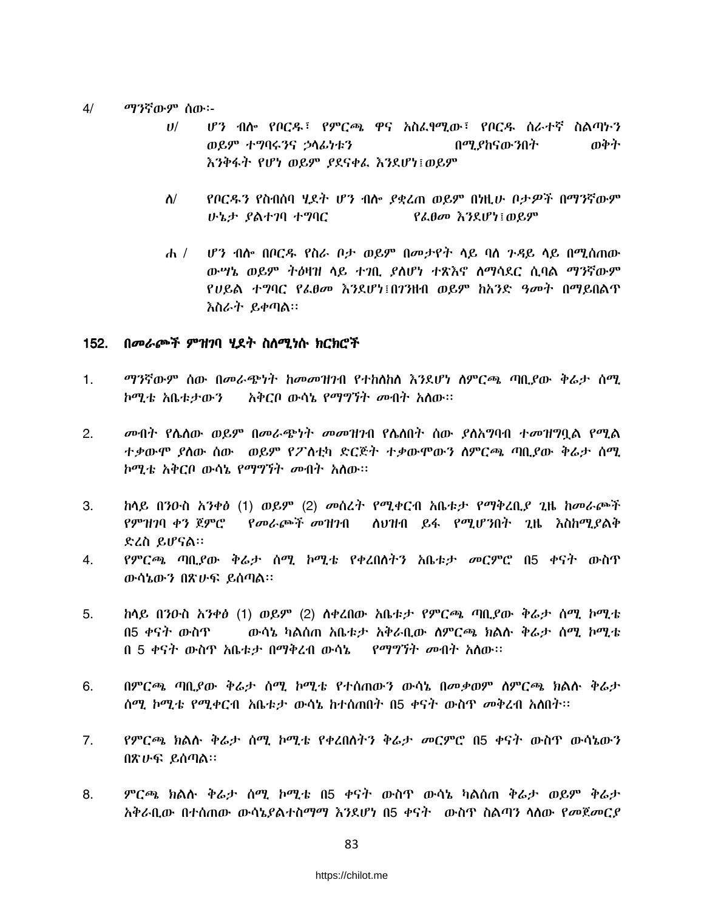#### $4/$ ማንኛውም ሰው፡-

- ሆን ብሎ የቦርዱ፣ የምርጫ ዋና አስፈፃሚው፣ የቦርዱ ሰራተኛ ስልጣኑን  $U^{/}$ ወይም ተግባሩንና ኃሳፊነቱን በሚያከናውንበት ወቅት እንቅፋት የሆነ ወይም ያደናቀፌ እንደሆነ፤ወይም
- $\Lambda$ / የቦርዱን የስብሰባ ሂደት ሆን ብሎ ያቋረጠ ወይም በነዚሁ ቦታዎች በማንኛውም ሁኔታ ያልተገባ ተግባር የፌፀመ እንደሆነ፤ወይም
- ሆን ብሎ በቦርዱ የስራ ቦታ ወይም በመታየት ላይ ባስ ንዳይ ላይ በሚሰጠው  $\frac{d}{dt}$ ውሣኔ ወይም ትዕዛዝ ላይ ተገቢ ያስሆነ ተጽእኖ ስማሳደር ሲባል ማንኛውም የሀይል ተግባር የፌፀመ እንደሆነ፤በ7ንዘብ ወይም ከአንድ ዓመት በማይበልጥ እስራት ይቀጣል።

### 152. በመራጮች ምዝገባ ሂደት ስስሚነሱ ክርክሮች

- $1.$ ማንኛውም ሰው በመራጭነት ከመመዝገብ የተከስከስ እንደሆነ ስምርጫ ጣቢያው ቅሬታ ሰሚ ኮሚቴ አቤቱታውን – አቅርቦ ውሳኔ የማግኘት መብት አለው፡፡
- $2.$ *መ*ብት የሌለው ወይም በመራጭነት መመዝንብ የሌለበት ሰው ያለአግባብ ተመዝግባል የሚል ተቃውሞ ያለው ሰው - ወይም የፖስቲካ ድርጅት ተቃውሞውን ስምርጫ ጣቢያው ቅሬታ ሰሚ ኮሚቴ አቅርቦ ውሳኔ የማግኘት መብት አሰው።
- ከሳይ በንዑስ አንቀፅ (1) ወይም (2) መሰረት የሚቀርብ አቤቱታ የማቅረቢያ ጊዜ ከመራጮች 3. የምዝንባ ቀን ጀምሮ *የመራጮች መዝገ*ብ ለህዝብ ይፋ የሚሆንበት ጊዜ እስከሚያልቅ ድረስ ይሆናል።
- የምርጫ ጣቢያው ቅሬታ ሰሚ ኮሚቴ የቀረበሰተን አቤቱታ መርምሮ በ5 ቀናት ውስጥ  $4.$ ውሳኔውን በጽሁፍ ይሰጣል።
- 5. ከላይ በንዑስ አንቀፅ (1) ወይም (2) ሰቀረበው አቤቱታ የምርጫ ጣቢያው ቅሬታ ሰሚ ኮሚቴ በ5 ቀናት ውስጥ ውሳኔ ካልሰጠ አቤቱታ አቅራቢው ሰምርጫ ክልሱ ቅሬታ ሰሚ ኮሚቴ በ 5 ቀናት ውስጥ አቤቱታ በማቅረብ ውሳኔ የማግኘት መብት አለው፡፡
- 6. በምርጫ ጣቢያው ቅሬታ ሰሚ ኮሚቴ የተሰጠውን ውሳኔ በመቃወም ሰምርጫ ክልሱ ቅሬታ ሰሚ ኮሚቴ የሚቀርብ አቤቱታ ውሳኔ ከተሰጠበት በ5 ቀናት ውስጥ መቅረብ አለበት፡፡
- 7. የምርጫ ክልሱ ቅሬታ ሰሚ ኮሚቴ የቀረበሰትን ቅሬታ መርምሮ በ5 ቀናት ውስጥ ውሳኔውን በጽሁፍ ይሰጣል።
- ምርጫ ክልሉ ቅሬታ ሰሚ ኮሚቴ በ5 ቀናት ውስዋ ውሳኔ ካልሰጠ ቅሬታ ወይም ቅሬታ 8. አቅራቢው በተሰጠው ውሳኔያልተስማማ እንደሆነ በ5 ቀናት - ውስዋ ስልጣን ሳስው የመጀመርያ-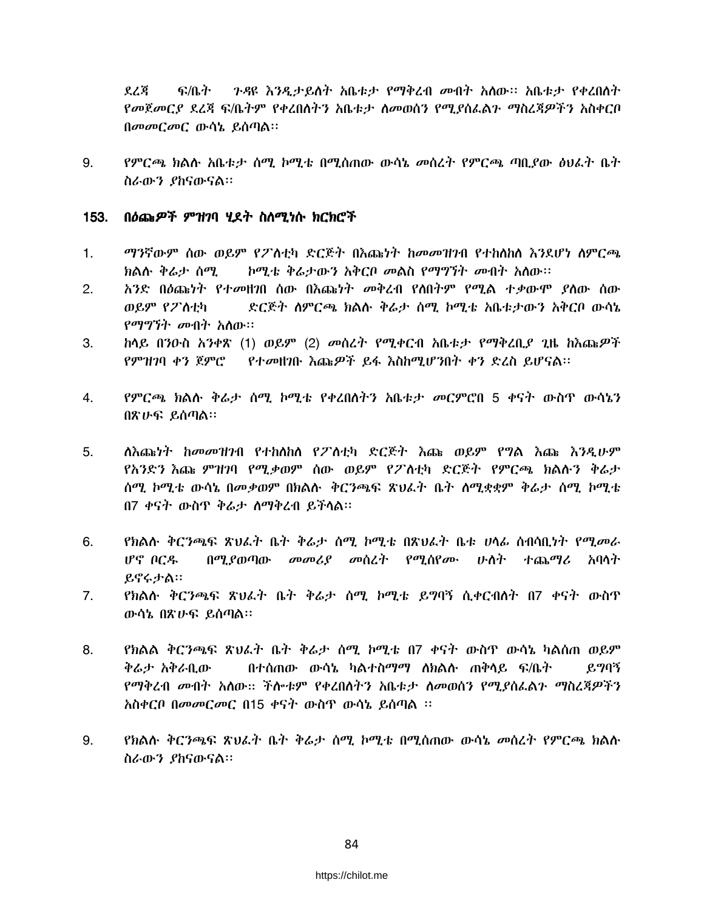ደረጃ ፍ/ቤት - ንዳዩ እንዲታይስት አቤቱታ የማቅረብ መብት አስው። አቤቱታ የቀረበስት የመጀመርያ ደረጃ ፍ/ቤትም የቀረበስትን አቤቱታ ስመወሰን የሚያስፌልጉ ማስረጃዎችን አስቀርቦ በመመርመር ውሳኔ ይሰጣል።

9. የምርጫ ክልሉ አቤቱታ ሰሚ ኮሚቴ በሚሰጠው ውሳኔ መሰረት የምርጫ ጣቢያው ፅህራት ቤት ስራውን ያከናውናል።

#### በዕጩ*ዎች ምዝገ*ባ ሂደት ስለሚነሱ ክርክሮች  $153.$

- ማንኛውም ሰው ወይም የፖስቲካ ድርጅት በእጩነት ከመመዝገብ የተከስከስ እንደሆነ ስምርጫ  $1.$ ክልሱ ቅሬታ ሰሚ <u>ኮሚቴ ቅሬታውን አቅርቦ መልስ የማግኘት መብት አለው፡፡</u>
- አንድ በዕጩነት የተመዘንበ ሰው በእጩነት መቅረብ የሰበትም የሚል ተቃውሞ ያስው ሰው 2. ወይም የፖስቲካ ድርጅት ስምርጫ ክልሱ ቅሬታ ሰሚ ኮሚቴ አቤቱታውን አቅርቦ ውሳኔ *የማግኘት መ*ብት አለው።
- ከላይ በንዑስ አንቀጽ (1) ወይም (2) መስረት የሚቀርብ አቤቱታ የማቅረቢያ ጊዜ ከእጩዎች 3. የምዝገባ ቀን ጀምሮ የተመዘገቡ እጩዎች ይፋ እስከሚሆንበት ቀን ድረስ ይሆናል።
- 4. የምርጫ ክልሉ ቅሬታ ሰሚ ኮሚቴ የቀረበለትን አቤቱታ መርምሮበ 5 ቀናት ውስጥ ውሳኔን በጽሁፍ ይሰጣል።
- ለእጩነት ከመመዝንብ የተከለከለ የፖለቲካ ድርጅት እጩ ወይም የግል እጩ እንዲሁም  $5<sub>1</sub>$ የአንድን እጩ ምዝገባ የሚቃወም ሰው ወይም የፖስቲካ ድርጅት የምርጫ ክልሱን ቅሬታ ሰሚ ኮሚቴ ውሳኔ በመቃወም በክልሱ ቅርንጫፍ ጽህፈት ቤት ሰሚቋቋም ቅራታ ሰሚ ኮሚቴ በ7 ቀናት ውስጥ ቅሬታ ስማቅረብ ይችላል።
- የክልሱ ቅርንጫፍ ጽህፈት ቤት ቅሬታ ሰሚ ኮሚቴ በጽህፈት ቤቱ ሀሳፊ ስብሳቢነት የሚመራ 6. ሆኖ ቦርዱ በሚያወጣው መመሪያ መሰረት የሚሰየሙ ሁስት ተጨማሪ አባላት ይኖሩታል።
- $7.$ የክልሉ ቅርንጫፍ ጽህፈት ቤት ቅሬታ ሰሚ ኮሚቴ ይግባኝ ሲቀርብስት በ7 ቀናት ውስጥ ውሳኔ በጽሁፍ ይሰጣል።
- የክልል ቅርንጫፍ ጽህፈት ቤት ቅሬታ ሰሚ ኮሚቴ በ7 ቀናት ውስዋ ውሳኔ ካልሰጠ ወይም 8. ቅሬታ አቅራቢው በተሰጠው ውሳኔ ካልተስማማ ለክልሉ ጠቅላይ ፍ/ቤት ይግባኝ የማቅረብ መብት አለው። ችሎቱም የቀረበለትን አቤቱታ ለመወሰን የሚያስራልን ማስረጃዎችን አስቀርቦ በመመርመር በ15 ቀናት ውስዋ ውሳኔ ይሰጣል ፡፡
- 9. *የክ*ልሉ ቅር*ንጫፍ ጽህ*ራት ቤት ቅራታ ሰሚ ኮሚቴ በሚሰጠው ውሳኔ *መ*ሰረት የምርጫ ክልሉ ስራውን ያከናውናል።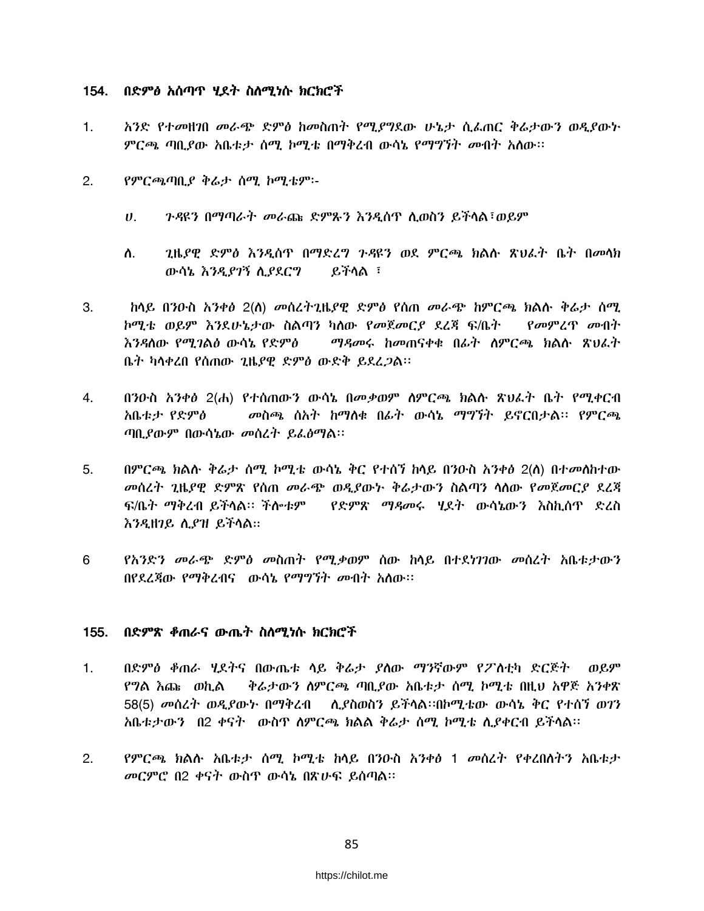## 154. በድምፅ አሰጣጥ ሂደት ስስሚነሱ ክርክሮች

- $1.$ አንድ የተመዘገበ መራጭ ድምፅ ከመስጠት የሚያግደው ሁኔታ ሲፌጠር ቅሬታውን ወዲያውት ምርጫ ጣቢያው አቤቱታ ስሚ ኮሚቴ በማቅረብ ውሳኔ የማግኘት መብት አስው።
- $2.$ የምርጫጣቢያ ቅሬታ ሰሚ ኮሚቴም፡-
	- *ጉዳ*ዩን በማጣራት መራጩ ድምጹን እንዲሰዋ ሲወስን ይችላል፣ወይም  $U_{\rm{eff}}$
	- ጊዜያዊ ድምፅ እንዲሰዋ በማድረግ ጉዳዩን ወደ ምርጫ ክልሱ ጽህፌት ቤት በመሳክ ለ. ይችላል ፣ ውሳኔ እንዲያገኝ ሲያደርግ
- ከላይ በንዑስ አንቀፅ 2(ስ) መሰረተጊዜያዊ ድምፅ የሰጠ መራጭ ከምርጫ ክልሱ ቅሬታ ሰሚ 3. ኮሚቴ ወይም እንደሁኔታው ስልጣን ካለው የመጀመርያ ደረጃ ፍ/ቤት - የመምረጥ መብት እንዳለው *የሚገ*ልፅ ውሳኔ የድምፅ ማዳመሩ ከመጠናቀቁ በፊት ስምርጫ ክልሱ ጽህፈት ቤት ካሳቀረበ የሰጠው ጊዜያዊ ድምፅ ውድቅ ይደረ*ጋ*ል።
- 4. በንዑስ አንቀፅ 2(ሐ) የተሰጠውን ውሳኔ በመቃወም ስምርጫ ክልሱ ጽህፈት ቤት የሚቀርብ **አቤቱታ የድምፅ** መስጫ ሰአት ከማሰቁ በፊት ውሳኔ ማግኘት ይኖርበታል፡፡ የምርጫ ጣቢያውም በውሳኔው መሰረት ይፌፅማል፡፡
- በምርጫ ክልሉ ቅሬታ ሰሚ ኮሚቴ ውሳኔ ቅር የተሰኘ ከላይ በንዑስ አንቀፅ 2(ለ) በተመለከተው 5. መስረት ጊዜያዊ ድምጽ የሰጠ መራጭ ወዲያውኑ ቅሬታውን ስልጣን ሳሰው የመጀመርያ ደረጃ ፍ/ቤት ማቅረብ ይችሳል፡፡ ችሎቱም የድምጽ ማዳመሩ ሂደት ውሳኔውን እስኪሰዋ ድረስ እንዲዘገይ ሲያዝ ይችላል።
- 6 የአንድን መራጭ ድምፅ መስጠት የሚቃወም ሰው ከሳይ በተደነገገው መስረት አቤቱታውን በየደረጃው የማቅረብና ውሳኔ የማማኘት መብት አስው፡፡

## 155. በድምጽ ቆጠራና ውጤት ስስሚነሱ ክርክሮች

- $1<sup>1</sup>$ በድምፅ ቆጠራ ሂደትና በውጤቱ ሳይ ቅሬታ ያስው ማንኛውም የፖስቲካ ድርጅት - ወይም የግል እጩ ወኪል ቅሬታውን ስምርጫ ጣቢያው አቤቱታ ሰሚ ኮሚቴ በዚህ አዋጅ አንቀጽ 58(5) መሰረት ወዲያውኑ በማቅረብ - ሲያስወስን ይችላል።በኮሚቴው ውሳኔ ቅር የተሰኘ ወገን አቤቱታውን በ2 ቀናት ውስዋ ስምርጫ ክልል ቅሬታ ሰሚ ኮሚቴ ሲያቀርብ ይችላል።
- $2.$ የምርጫ ክልሉ አቤቱታ ሰሚ ኮሚቴ ከሳይ በንዑስ አንቀፅ 1 መሰረተ የቀረበሰትን አቤቱታ መርምሮ በ2 ቀናት ውስጥ ውሳኔ በጽሁፍ ይሰጣል።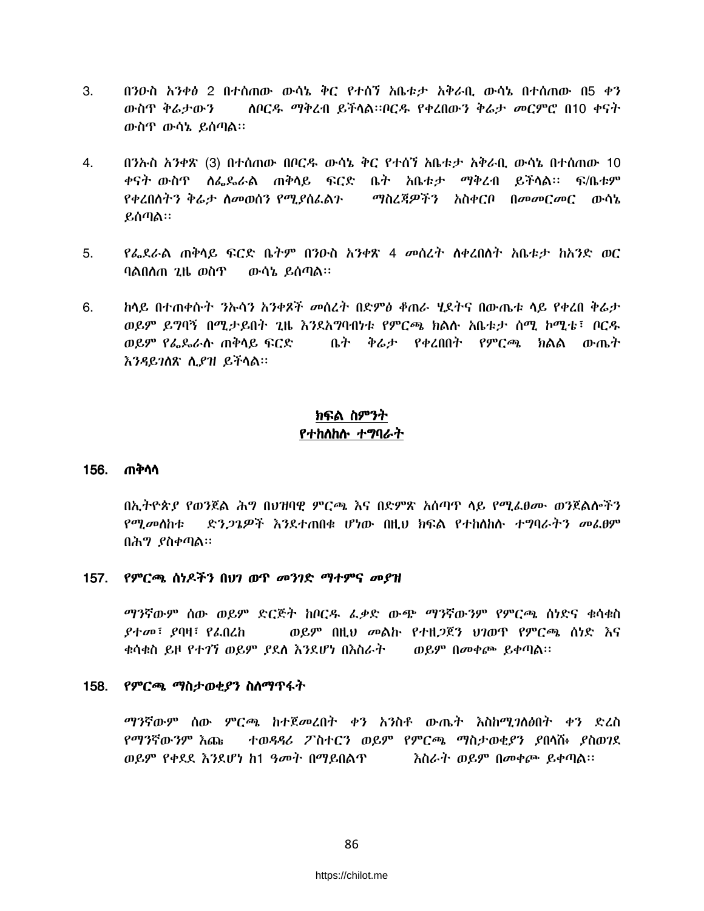- 3. በንዑስ አንቀፅ 2 በተሰጠው ውሳኔ ቅር የተሰን አቤቱታ አቅራቢ ውሳኔ በተሰጠው በ5 ቀን ስቦርዱ ማቅረብ ይችላል።ቦርዱ የቀረበውን ቅሬታ መርምሮ በ10 ቀናት ውስጥ ቅሬታውን ውስዋ ውሳኔ ይሰጣል።
- 4. በንኡስ አንቀጽ (3) በተሰጠው በቦርዱ ውሳኔ ቅር የተሰን አቤቱታ አቅራቢ ውሳኔ በተሰጠው 10 ቀናት ውስዋ ለፌዶራል ጠቅሳይ ፍርድ ቤት አቤቱታ ማቅረብ ይችሳል። ፍ/ቤቱም የቀረበሰትን ቅራታ ስመወሰን የሚያስፌልን - ማስረጃዎችን አስቀርቦ በመመርመር ውሳኔ ይሰጣል።
- የፌደራል ጠቅሳይ ፍርድ ቤትም በንዑስ አንቀጽ 4 መሰረት ስቀረበስት አቤቱታ ከአንድ ወር 5. ባልበለጠ ጊዜ ወስጥ ወጥላኔ ይሰጣል።
- ከላይ በተጠቀሱት *ን*ሎሳን አንቀጾች መሰረት በድምፅ ቆጠራ ሂደትና በውጤቱ ላይ የቀረበ ቅሬታ 6. ወይም ይግባኝ በሚታይበት ጊዜ እንደአግባብነቱ የምርጫ ክልሱ አቤቱታ ሰሚ ኮሚቴ፤ ቦርዱ ወይም የፌዴራሱ ጠቅሳይ ፍርድ ቤት ቅሬታ የቀረበበት የምርጫ ክልል ውጤት እንዳይገለጽ ሲያዝ ይችላል።

# ክፍል ስምንት የተከለከሉ ተግባራተ

### 156. ጠቅሳሳ

በኢትዮጵያ የወንጀል ሕግ በህዝባዊ ምርጫ እና በድምጽ አሰጣዋ ላይ የሚፌፀሙ ወንጀልሎችን *የጣ መስከቲ* ድን*ጋጌዎች እን*ደተጠበቁ ሆነው በዚህ ክፍል የተከሰከሱ ተግባራትን መፌፀም በሕግ ያስቀጣል።

### 157. የምርጫ ሰነዶችን በህገ ወጥ መንገድ ማተምና መያዝ

ማንኛውም ሰው ወይም ድርጅት ከቦርዱ ፌቃድ ውጭ ማንኛውንም የምርጫ ሰነድና ቁሳቁስ ወይም በዚህ መልኩ የተዘጋጀን ህገወዋ የምርጫ ሰነድ እና *ያተመ*፣ *ያ*ባዛ፣ የፌበሬከ ቁሳቁስ ይዞ የተ*ገ*ኘ ወይም *ያ*ደሰ እንደሆነ በእስራት ወይም በመቀጮ ይቀጣል።

## 158. የምርጫ ማስታወቂያን ስስማጥፋት

ማንኛውም ሰው ምርጫ ከተጀመረበት ቀን አንስቶ ውጤት እስከሚገለፅበት ቀን ድረስ ተወዳዳሪ ፖስተርን ወይም የምርጫ ማስታወቂያን ያበላሽ፥ ያስወገደ የማንኛውንም እጩ ወይም የቀደደ እንደሆነ ከ1 ዓመት በማይበልጥ <u>ሽስራት ወይም በመቀጮ ይቀጣል፡፡</u>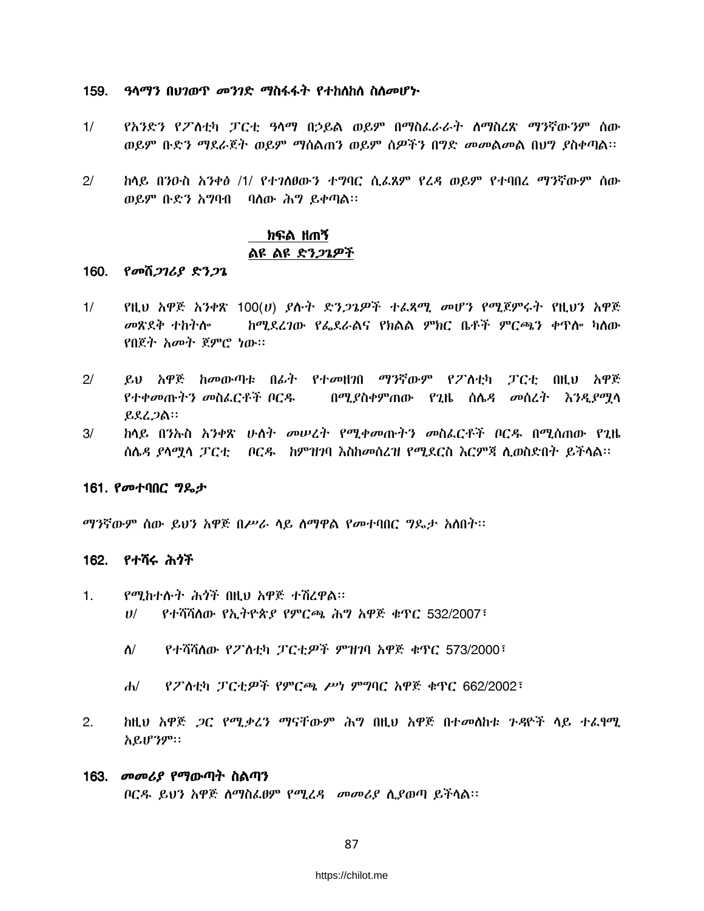#### 159. *ዓላማን በህገወጥ መንገድ ማ*ስፋፋት *የተከ*ስከስ ስስመሆኑ

- $1/$ የአንድን የፖስቲካ ፓርቲ ዓላማ በኃይል ወይም በማስፌራራት ስማስረጽ ማንኛውንም ሰው ወይም ቡድን ማደራጀት ወይም ማስልጠን ወይም ስዎችን በግድ *መ*መልመል በህግ ያስቀጣል።
- ከላይ በንዑስ አንቀፅ /1/ የተገለፀውን ተግባር ሲፌጸም የሬዳ ወይም የተባበረ ማንኛውም ሰው  $2/$ ወይም ቡድን አግባብ ባሰው ሕግ ይቀጣል፡፡

# ክፍል ዘጠኝ ልዩ ልዩ ድን*ጋጌዎች*

#### 160. የመሽ*ጋገሪያ ድንጋጌ*

- $1/$ የዚህ አዋጅ አንቀጽ 100(ሀ) *ያ*ሉት ድ*ንጋጌዎች ተ*ፈጻሚ *መ*ሆን የሚጀምሩት የዚህን አዋጅ መጽደቅ ተከትሎ ከሚደረገው የፌደራልና የክልል ምክር ቤቶች ምርጫን ቀጥሎ ካስው የበጀት አመት ጀምሮ ነው።
- $2/$ ይህ አዋጅ ከመውጣቱ በፊት የተመዘንበ ማንኛውም የፖስቲካ ፓርቲ በዚህ አዋጅ የተቀመጡትን መስፌርቶች ቦርዱ በሚያስቀምጠው የጊዜ ሰሌዳ መሰረት እንዲያማሳ  $R$  $R$  $L$  $R$ :
- ክላይ በንኡስ አንቀጽ ሁለት መሠረት የሚቀመጡትን መስፌርቶች ቦርዱ በሚሰጠው የጊዜ  $3/$ ሰሌዳ ደሳማሳ ፓርቲ - ቦርዱ - ከምዝንባ እስከመሰረዝ የሚደርስ እርምጃ ሊወስድበት ይችሳል፡፡-

#### 161. የመተባበር ግዴታ

ማንኛውም ሰው ይህን አዋጅ በሥራ ሳይ ስማዋል የመተባበር ግጼታ አስበት፡፡

#### 162. የተሻሩ ሕጎች

- $1<sub>1</sub>$ የሚከተሱት ሕጎች በዚህ አዋጅ ተሽረዋል። የተሻሻለው የኢትዮጵያ የምርጫ ሕግ አዋጅ ቁጥር 532/2007፣  $U$ /
	- የተሻሻለው የፖስቲካ ፓርቲዎች ምዝገባ አዋጅ ቁጥር 573/2000፣  $\Lambda$ /
	- የፖስቲካ ፓርቲዎች የምርጫ ሥነ ምግባር አዋጅ ቁጥር 662/2002፣  $\mathbf{d}$
- $2.$ <u>ከዚህ አዋጅ *ጋ*ር የሚ*ቃሬን ማ*ናቸውም ሕግ በዚህ አዋጅ በተመለከቱ *ጉዳ*ዮች ላይ ተፈፃሚ</u> አይሆንም።
- 163. *መመሪያ የማ*ውጣት ስልጣን ቦርዱ ይህን አዋጅ ስማስፌፀም የሚፈዳ መመሪያ ሲያወጣ ይችሳል፡፡